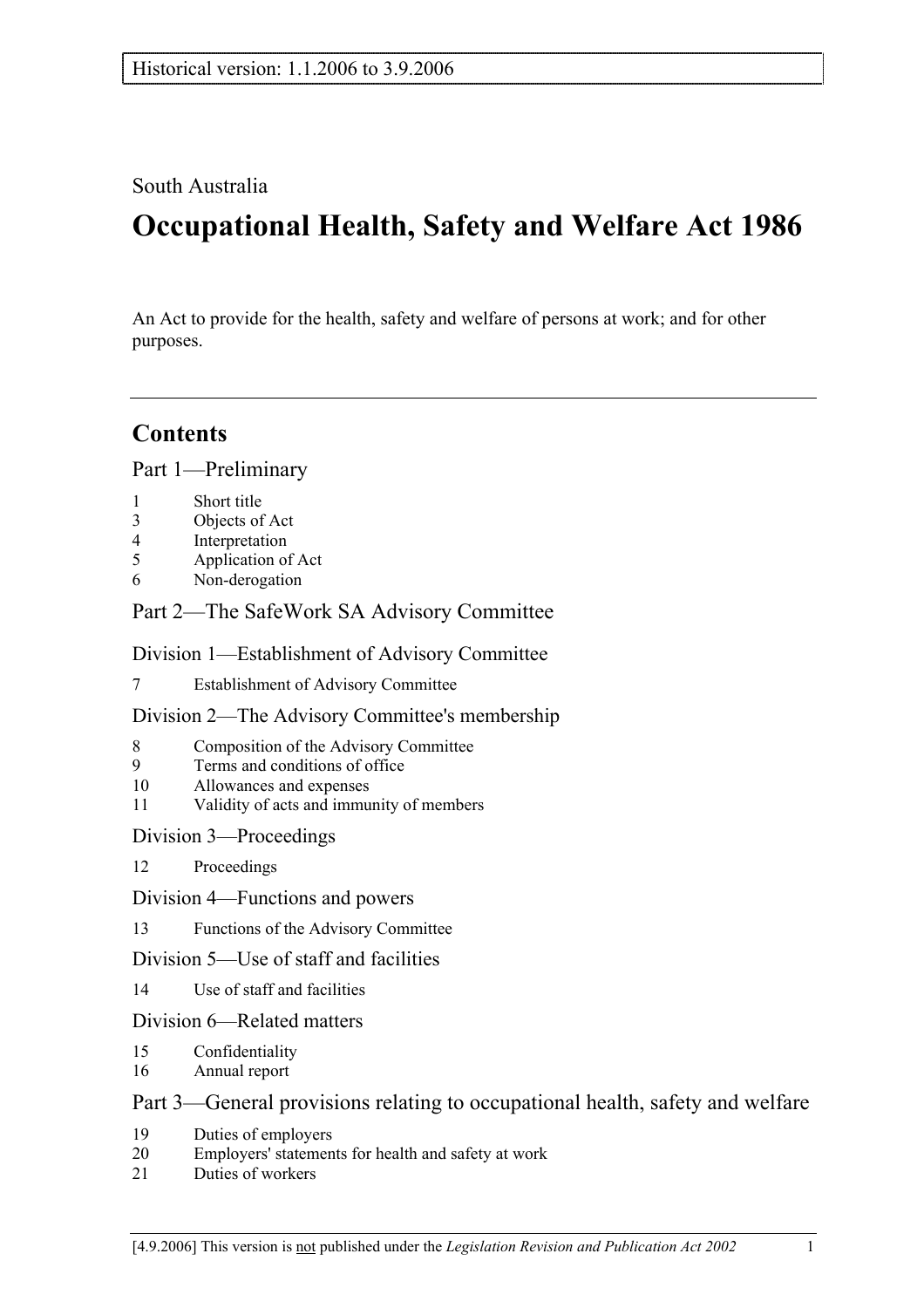### South Australia

# **Occupational Health, Safety and Welfare Act 1986**

An Act to provide for the health, safety and welfare of persons at work; and for other purposes.

## **Contents**

Part 1—Preliminary

- 1 Short title
- 3 Objects of Act
- 4 Interpretation
- 5 Application of Act
- 6 Non-derogation

### Part 2—The SafeWork SA Advisory Committee

### Division 1—Establishment of Advisory Committee

7 Establishment of Advisory Committee

### Division 2—The Advisory Committee's membership

- 8 Composition of the Advisory Committee
- 9 Terms and conditions of office
- 10 Allowances and expenses
- 11 Validity of acts and immunity of members

### Division 3—Proceedings

- 12 Proceedings
- Division 4—Functions and powers
- 13 Functions of the Advisory Committee

### Division 5—Use of staff and facilities

14 Use of staff and facilities

### Division 6—Related matters

- 15 Confidentiality
- 16 Annual report

### Part 3—General provisions relating to occupational health, safety and welfare

- 19 Duties of employers
- 20 Employers' statements for health and safety at work
- 21 Duties of workers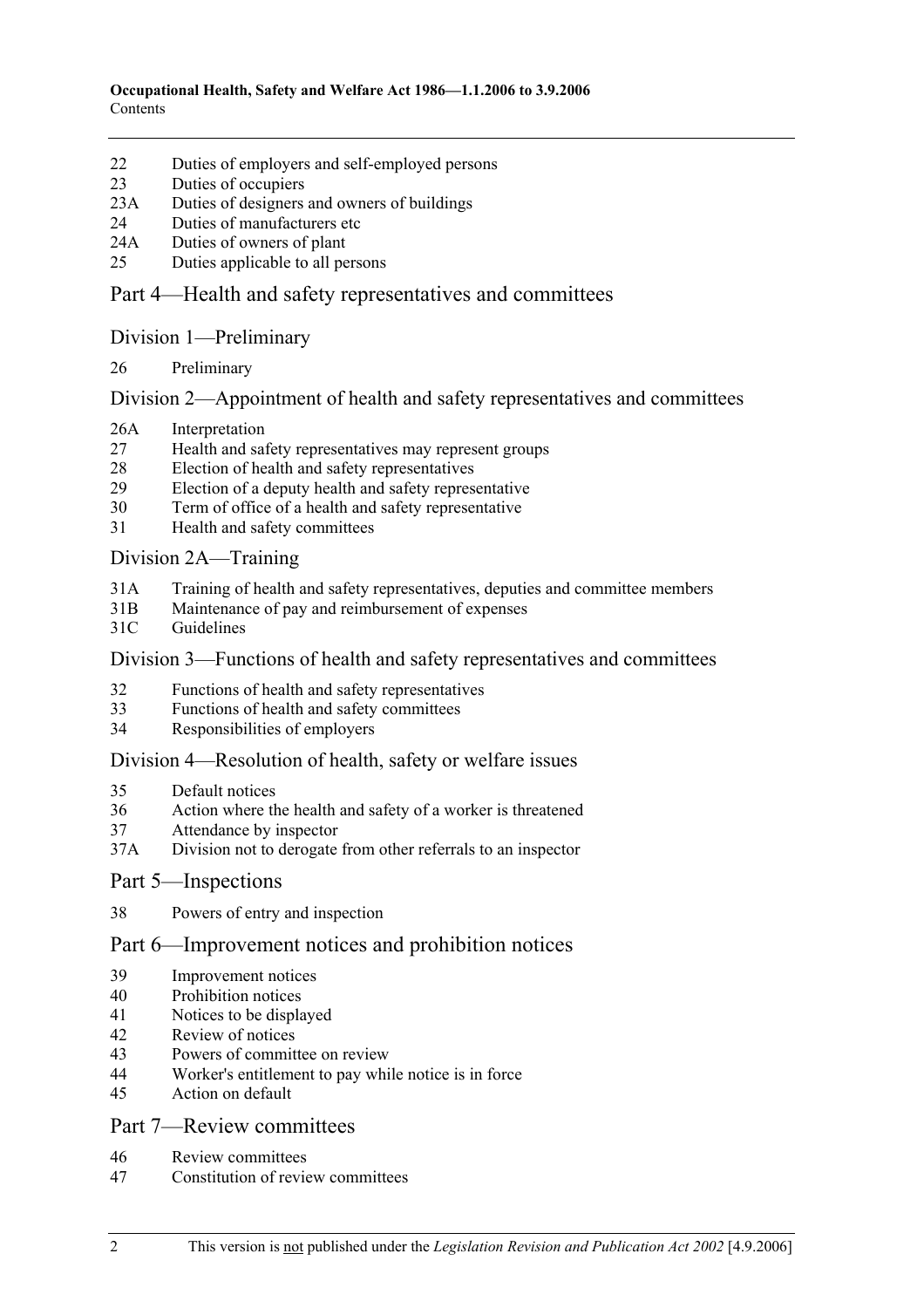- 22 Duties of employers and self-employed persons
- 23 Duties of occupiers
- 23A Duties of designers and owners of buildings
- 24 Duties of manufacturers etc
- 24A Duties of owners of plant
- 25 Duties applicable to all persons

### Part 4—Health and safety representatives and committees

#### Division 1—Preliminary

26 Preliminary

#### Division 2—Appointment of health and safety representatives and committees

- 26A Interpretation
- 27 Health and safety representatives may represent groups
- 28 Election of health and safety representatives
- 29 Election of a deputy health and safety representative
- 30 Term of office of a health and safety representative
- 31 Health and safety committees

#### Division 2A—Training

- 31A Training of health and safety representatives, deputies and committee members
- 31B Maintenance of pay and reimbursement of expenses
- 31C Guidelines

#### Division 3—Functions of health and safety representatives and committees

- 32 Functions of health and safety representatives
- 33 Functions of health and safety committees
- 34 Responsibilities of employers

#### Division 4—Resolution of health, safety or welfare issues

- 35 Default notices
- 36 Action where the health and safety of a worker is threatened
- 37 Attendance by inspector
- 37A Division not to derogate from other referrals to an inspector

#### Part 5—Inspections

38 Powers of entry and inspection

### Part 6—Improvement notices and prohibition notices

- 39 Improvement notices
- 40 Prohibition notices
- 41 Notices to be displayed
- 42 Review of notices
- 43 Powers of committee on review
- 44 Worker's entitlement to pay while notice is in force
- 45 Action on default

### Part 7—Review committees

- 46 Review committees
- 47 Constitution of review committees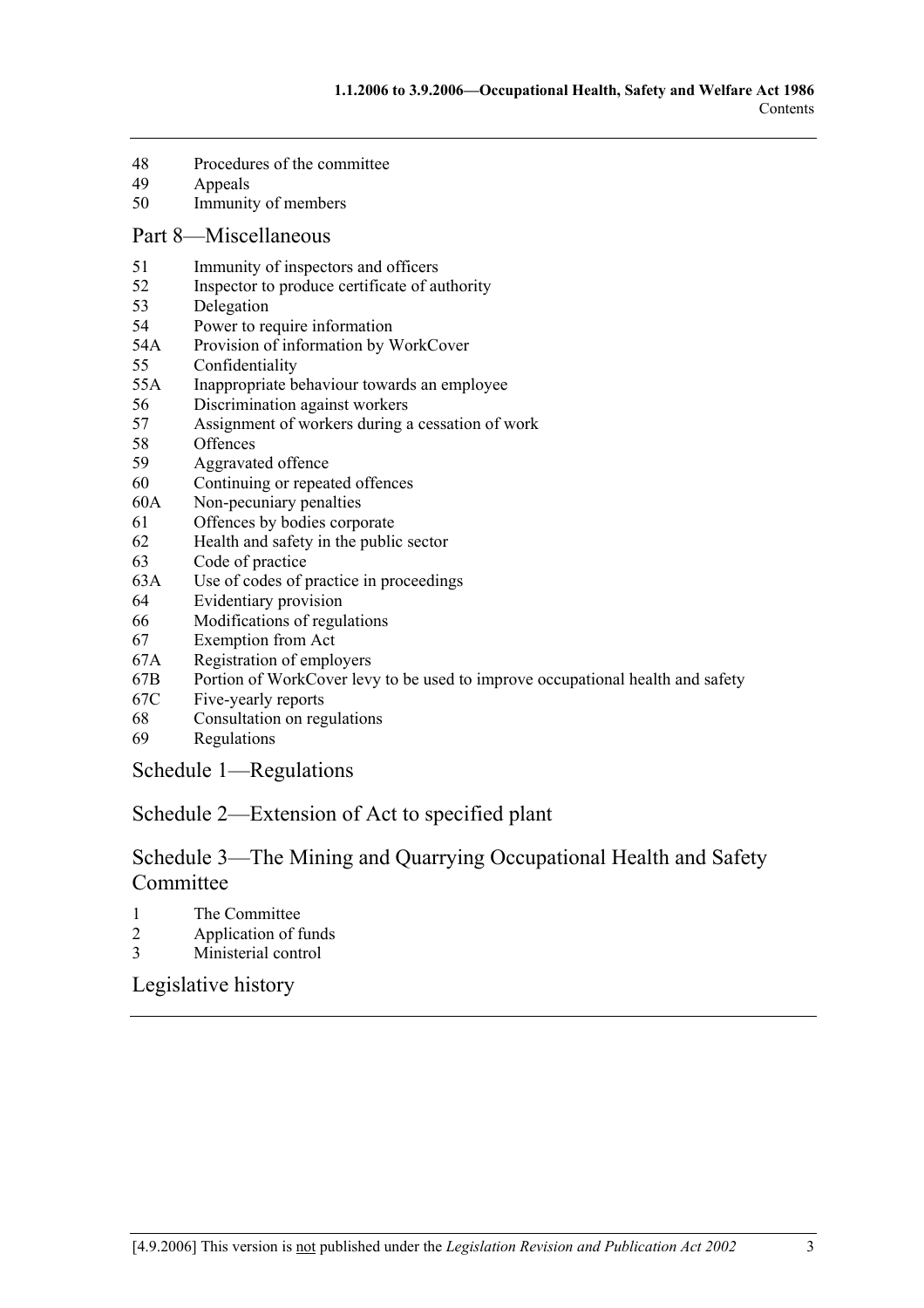- 48 Procedures of the committee
- 49 Appeals
- 50 Immunity of members

#### Part 8—Miscellaneous

- 51 Immunity of inspectors and officers
- 52 Inspector to produce certificate of authority
- 53 Delegation
- 54 Power to require information
- 54A Provision of information by WorkCover
- 55 Confidentiality
- 55A Inappropriate behaviour towards an employee
- 56 Discrimination against workers
- 57 Assignment of workers during a cessation of work
- 58 Offences
- 59 Aggravated offence
- 60 Continuing or repeated offences
- 60A Non-pecuniary penalties
- 61 Offences by bodies corporate
- 62 Health and safety in the public sector
- 63 Code of practice
- 63A Use of codes of practice in proceedings
- 64 Evidentiary provision
- 66 Modifications of regulations
- 67 Exemption from Act
- 67A Registration of employers
- 67B Portion of WorkCover levy to be used to improve occupational health and safety
- 67C Five-yearly reports
- 68 Consultation on regulations
- 69 Regulations

Schedule 1—Regulations

### Schedule 2—Extension of Act to specified plant

### Schedule 3—The Mining and Quarrying Occupational Health and Safety Committee

- 1 The Committee
- 2 Application of funds
- 3 Ministerial control

Legislative history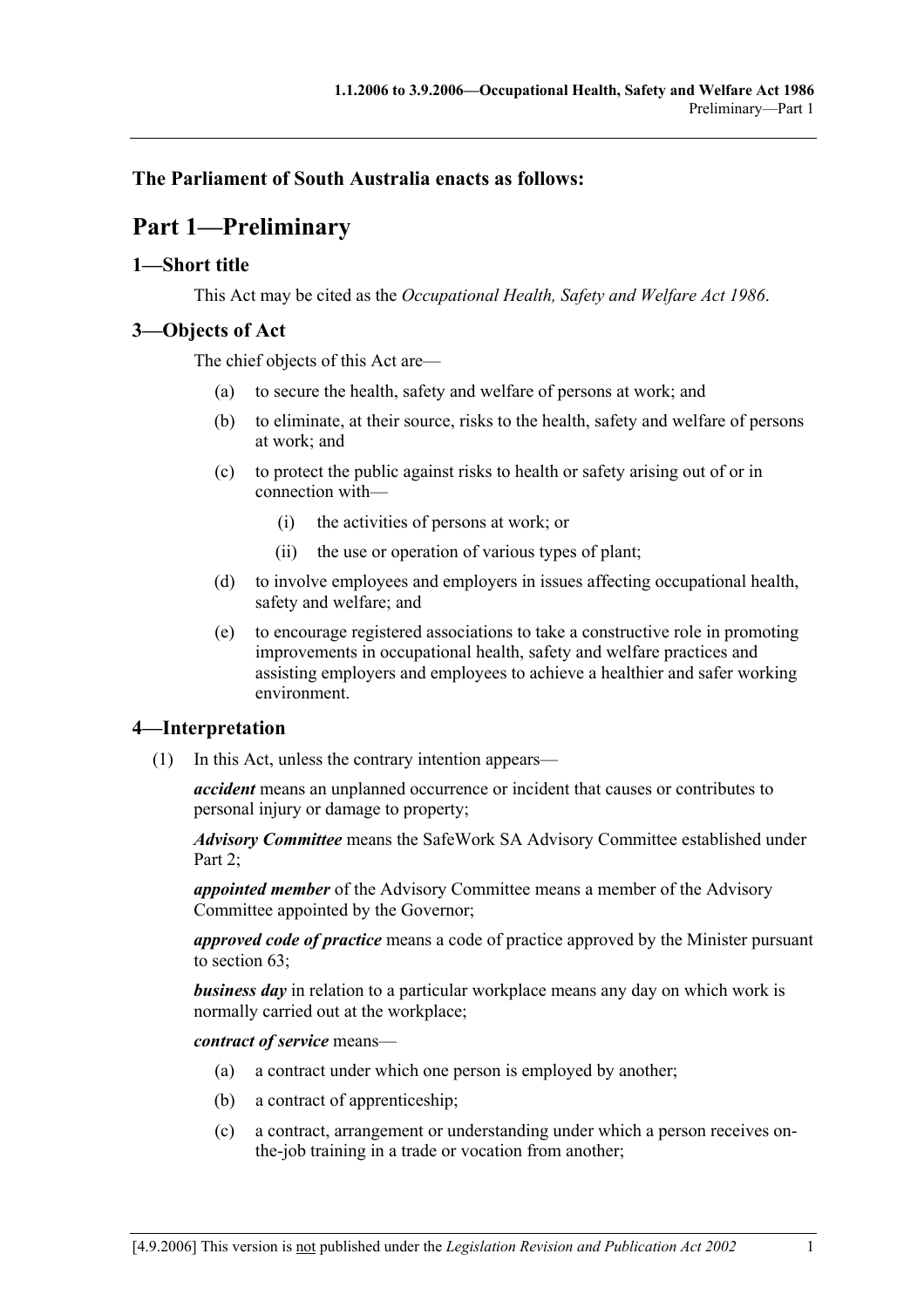### **The Parliament of South Australia enacts as follows:**

## **Part 1—Preliminary**

### **1—Short title**

This Act may be cited as the *Occupational Health, Safety and Welfare Act 1986*.

### **3—Objects of Act**

The chief objects of this Act are—

- (a) to secure the health, safety and welfare of persons at work; and
- (b) to eliminate, at their source, risks to the health, safety and welfare of persons at work; and
- (c) to protect the public against risks to health or safety arising out of or in connection with—
	- (i) the activities of persons at work; or
	- (ii) the use or operation of various types of plant;
- (d) to involve employees and employers in issues affecting occupational health, safety and welfare; and
- (e) to encourage registered associations to take a constructive role in promoting improvements in occupational health, safety and welfare practices and assisting employers and employees to achieve a healthier and safer working environment.

### **4—Interpretation**

(1) In this Act, unless the contrary intention appears—

*accident* means an unplanned occurrence or incident that causes or contributes to personal injury or damage to property;

*Advisory Committee* means the SafeWork SA Advisory Committee established under Part  $2$ 

*appointed member* of the Advisory Committee means a member of the Advisory Committee appointed by the Governor;

*approved code of practice* means a code of practice approved by the Minister pursuant to section 63;

*business day* in relation to a particular workplace means any day on which work is normally carried out at the workplace;

*contract of service* means—

- (a) a contract under which one person is employed by another;
- (b) a contract of apprenticeship;
- (c) a contract, arrangement or understanding under which a person receives onthe-job training in a trade or vocation from another;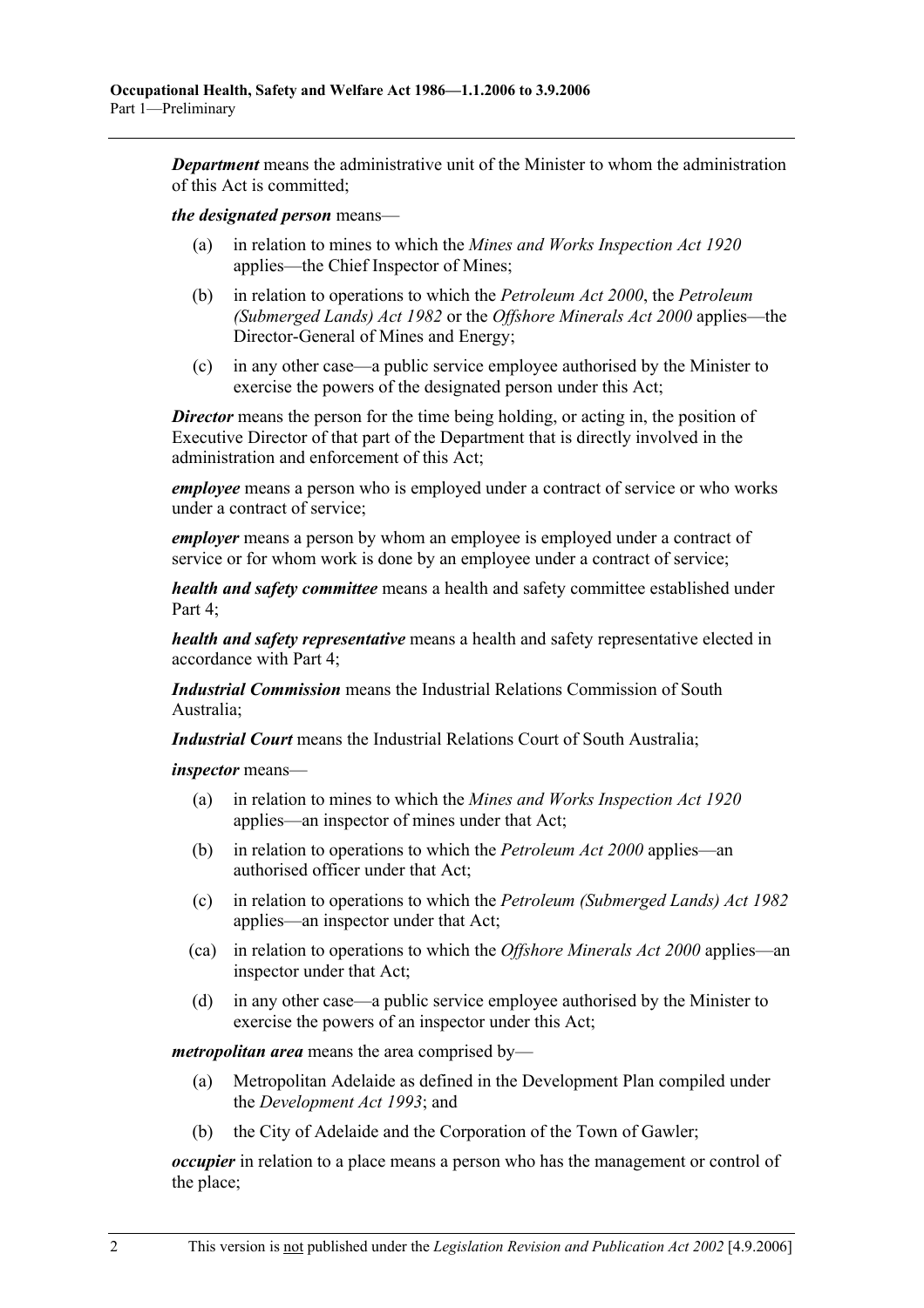*Department* means the administrative unit of the Minister to whom the administration of this Act is committed;

#### *the designated person* means—

- (a) in relation to mines to which the *Mines and Works Inspection Act 1920* applies—the Chief Inspector of Mines;
- (b) in relation to operations to which the *Petroleum Act 2000*, the *Petroleum (Submerged Lands) Act 1982* or the *Offshore Minerals Act 2000* applies—the Director-General of Mines and Energy;
- (c) in any other case—a public service employee authorised by the Minister to exercise the powers of the designated person under this Act;

**Director** means the person for the time being holding, or acting in, the position of Executive Director of that part of the Department that is directly involved in the administration and enforcement of this Act;

*employee* means a person who is employed under a contract of service or who works under a contract of service;

*employer* means a person by whom an employee is employed under a contract of service or for whom work is done by an employee under a contract of service;

*health and safety committee* means a health and safety committee established under Part 4:

*health and safety representative* means a health and safety representative elected in accordance with Part 4;

*Industrial Commission* means the Industrial Relations Commission of South Australia;

*Industrial Court* means the Industrial Relations Court of South Australia;

*inspector* means—

- (a) in relation to mines to which the *Mines and Works Inspection Act 1920* applies—an inspector of mines under that Act;
- (b) in relation to operations to which the *Petroleum Act 2000* applies—an authorised officer under that Act;
- (c) in relation to operations to which the *Petroleum (Submerged Lands) Act 1982* applies—an inspector under that Act;
- (ca) in relation to operations to which the *Offshore Minerals Act 2000* applies—an inspector under that Act;
- (d) in any other case—a public service employee authorised by the Minister to exercise the powers of an inspector under this Act;

*metropolitan area* means the area comprised by—

- (a) Metropolitan Adelaide as defined in the Development Plan compiled under the *Development Act 1993*; and
- (b) the City of Adelaide and the Corporation of the Town of Gawler;

*occupier* in relation to a place means a person who has the management or control of the place;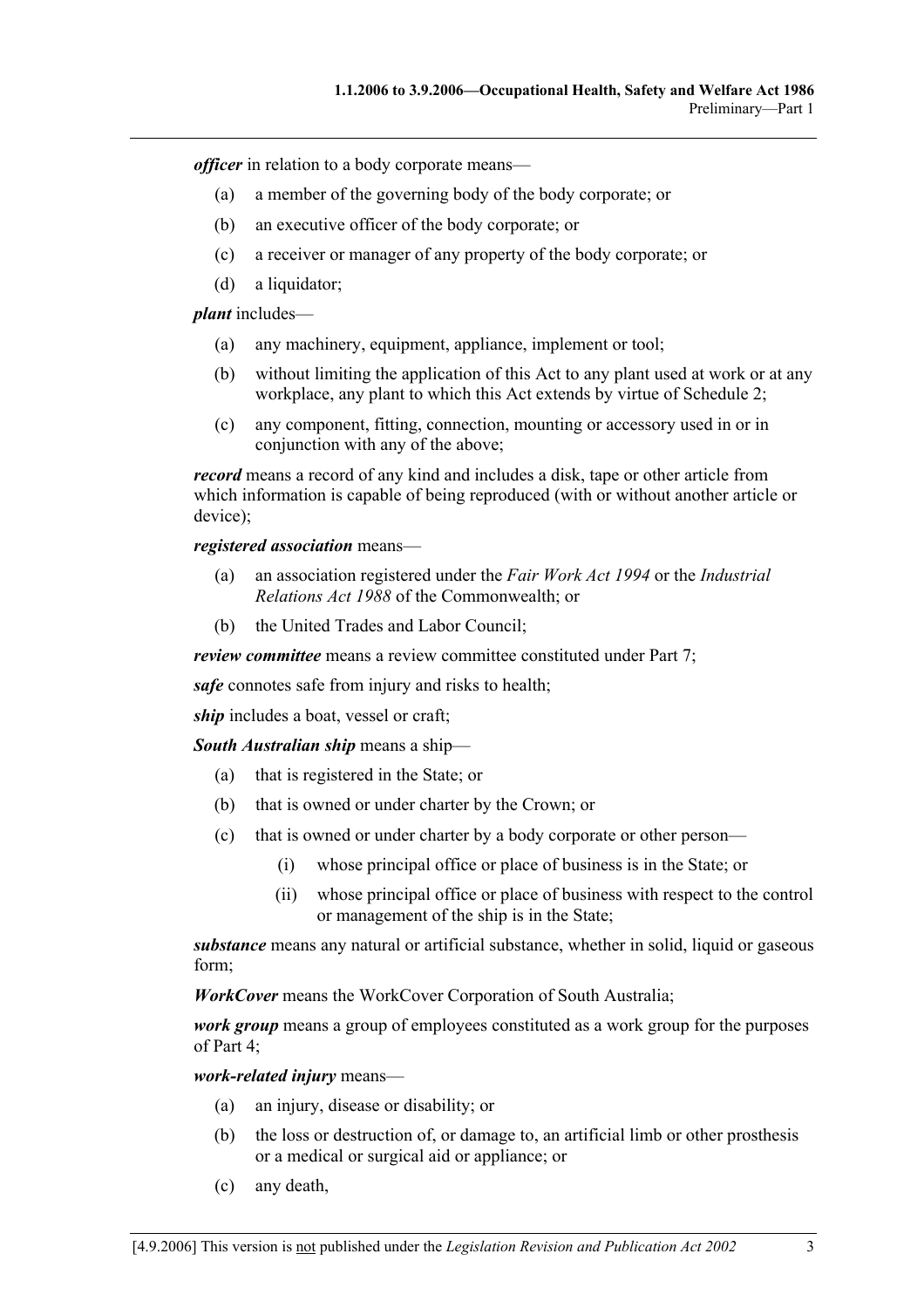*officer* in relation to a body corporate means—

- (a) a member of the governing body of the body corporate; or
- (b) an executive officer of the body corporate; or
- (c) a receiver or manager of any property of the body corporate; or
- (d) a liquidator;

*plant* includes—

- (a) any machinery, equipment, appliance, implement or tool;
- (b) without limiting the application of this Act to any plant used at work or at any workplace, any plant to which this Act extends by virtue of Schedule 2;
- (c) any component, fitting, connection, mounting or accessory used in or in conjunction with any of the above;

*record* means a record of any kind and includes a disk, tape or other article from which information is capable of being reproduced (with or without another article or device);

*registered association* means—

- (a) an association registered under the *Fair Work Act 1994* or the *Industrial Relations Act 1988* of the Commonwealth; or
- (b) the United Trades and Labor Council;

*review committee* means a review committee constituted under Part 7;

*safe* connotes safe from injury and risks to health;

*ship* includes a boat, vessel or craft;

*South Australian ship* means a ship—

- (a) that is registered in the State; or
- (b) that is owned or under charter by the Crown; or
- (c) that is owned or under charter by a body corporate or other person—
	- (i) whose principal office or place of business is in the State; or
	- (ii) whose principal office or place of business with respect to the control or management of the ship is in the State;

*substance* means any natural or artificial substance, whether in solid, liquid or gaseous form;

*WorkCover* means the WorkCover Corporation of South Australia;

*work group* means a group of employees constituted as a work group for the purposes of Part 4;

*work-related injury* means—

- (a) an injury, disease or disability; or
- (b) the loss or destruction of, or damage to, an artificial limb or other prosthesis or a medical or surgical aid or appliance; or
- (c) any death,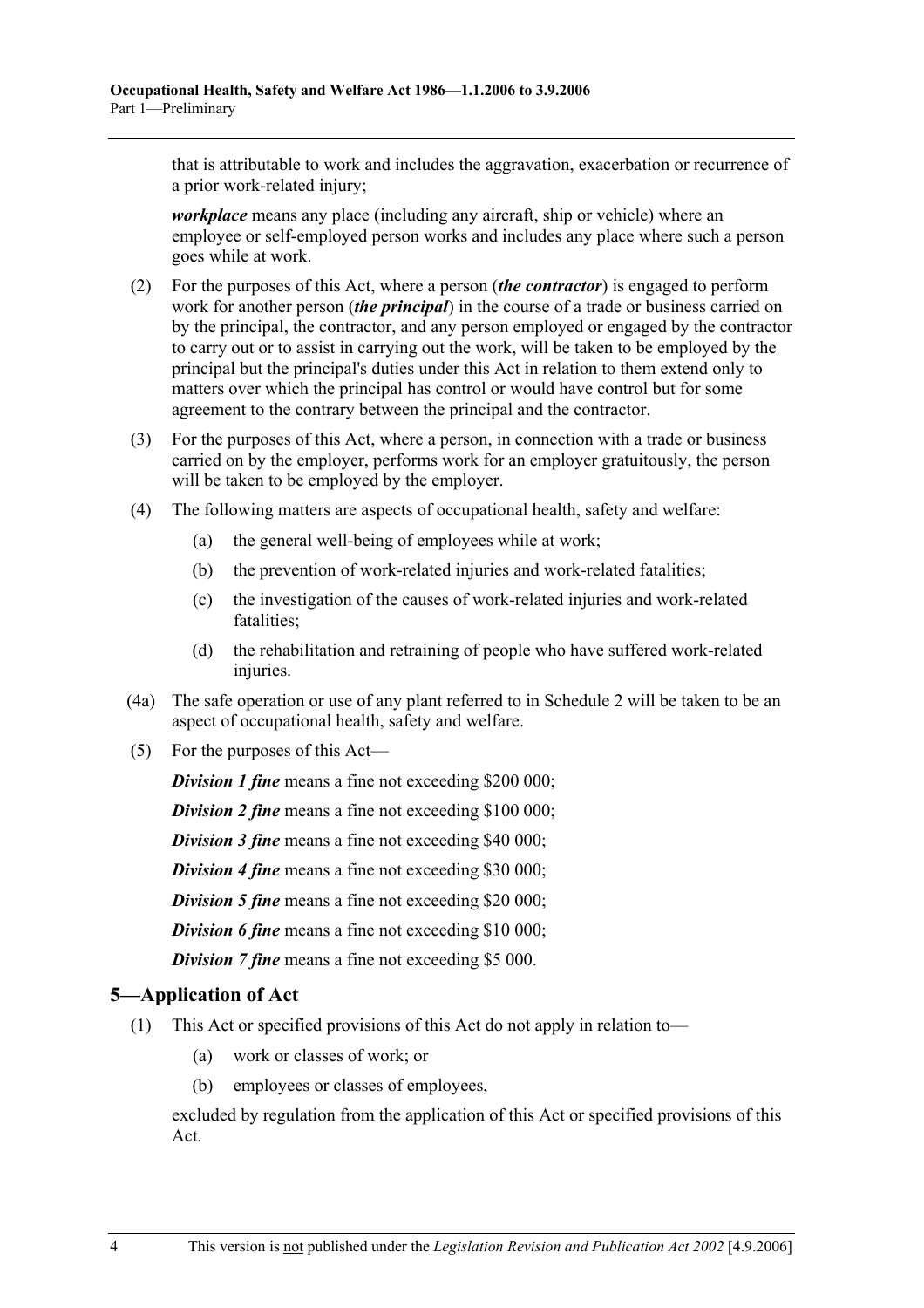that is attributable to work and includes the aggravation, exacerbation or recurrence of a prior work-related injury;

*workplace* means any place (including any aircraft, ship or vehicle) where an employee or self-employed person works and includes any place where such a person goes while at work.

- (2) For the purposes of this Act, where a person (*the contractor*) is engaged to perform work for another person (*the principal*) in the course of a trade or business carried on by the principal, the contractor, and any person employed or engaged by the contractor to carry out or to assist in carrying out the work, will be taken to be employed by the principal but the principal's duties under this Act in relation to them extend only to matters over which the principal has control or would have control but for some agreement to the contrary between the principal and the contractor.
- (3) For the purposes of this Act, where a person, in connection with a trade or business carried on by the employer, performs work for an employer gratuitously, the person will be taken to be employed by the employer.
- (4) The following matters are aspects of occupational health, safety and welfare:
	- (a) the general well-being of employees while at work;
	- (b) the prevention of work-related injuries and work-related fatalities;
	- (c) the investigation of the causes of work-related injuries and work-related fatalities;
	- (d) the rehabilitation and retraining of people who have suffered work-related injuries.
- (4a) The safe operation or use of any plant referred to in Schedule 2 will be taken to be an aspect of occupational health, safety and welfare.
- (5) For the purposes of this Act—

*Division 1 fine* means a fine not exceeding \$200 000;

*Division 2 fine* means a fine not exceeding \$100 000;

*Division 3 fine* means a fine not exceeding \$40 000;

*Division 4 fine* means a fine not exceeding \$30 000;

**Division 5 fine** means a fine not exceeding \$20 000;

*Division 6 fine* means a fine not exceeding \$10 000;

*Division 7 fine* means a fine not exceeding \$5 000.

### **5—Application of Act**

- (1) This Act or specified provisions of this Act do not apply in relation to—
	- (a) work or classes of work; or
	- (b) employees or classes of employees,

excluded by regulation from the application of this Act or specified provisions of this Act.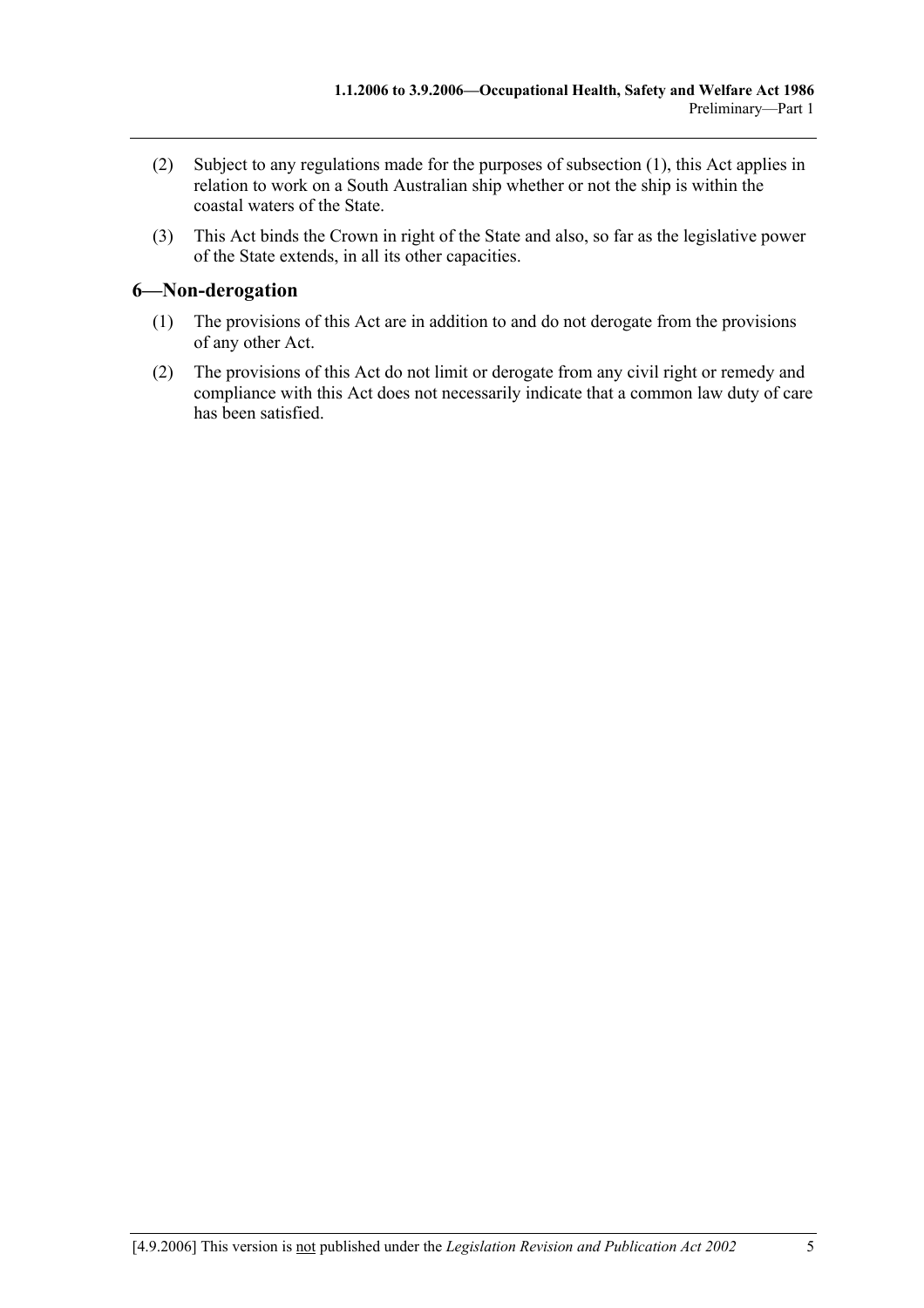- (2) Subject to any regulations made for the purposes of subsection (1), this Act applies in relation to work on a South Australian ship whether or not the ship is within the coastal waters of the State.
- (3) This Act binds the Crown in right of the State and also, so far as the legislative power of the State extends, in all its other capacities.

### **6—Non-derogation**

- (1) The provisions of this Act are in addition to and do not derogate from the provisions of any other Act.
- (2) The provisions of this Act do not limit or derogate from any civil right or remedy and compliance with this Act does not necessarily indicate that a common law duty of care has been satisfied.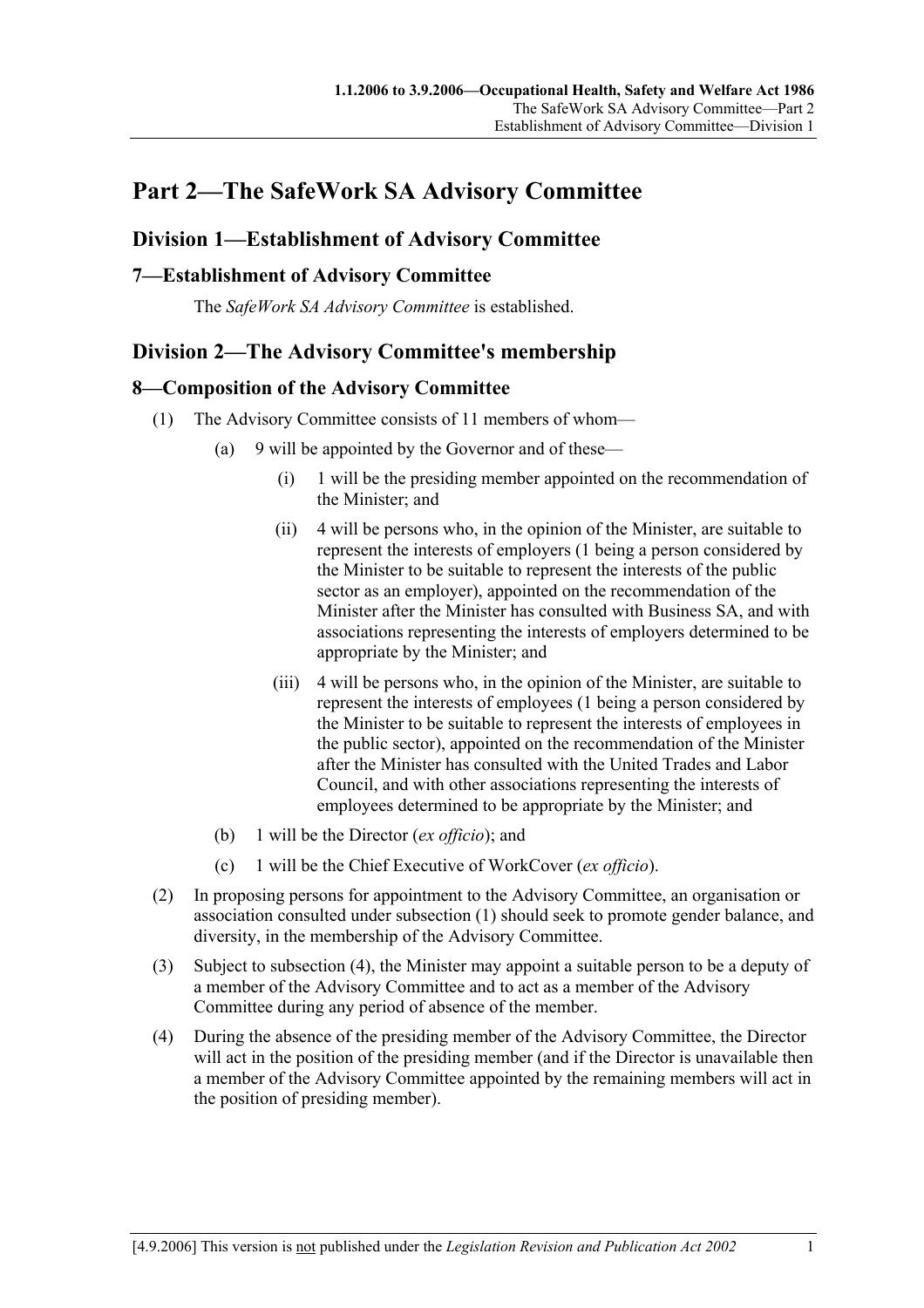## **Part 2—The SafeWork SA Advisory Committee**

### **Division 1—Establishment of Advisory Committee**

### **7—Establishment of Advisory Committee**

The *SafeWork SA Advisory Committee* is established.

### **Division 2—The Advisory Committee's membership**

### **8—Composition of the Advisory Committee**

- (1) The Advisory Committee consists of 11 members of whom—
	- (a) 9 will be appointed by the Governor and of these—
		- (i) 1 will be the presiding member appointed on the recommendation of the Minister; and
		- (ii) 4 will be persons who, in the opinion of the Minister, are suitable to represent the interests of employers (1 being a person considered by the Minister to be suitable to represent the interests of the public sector as an employer), appointed on the recommendation of the Minister after the Minister has consulted with Business SA, and with associations representing the interests of employers determined to be appropriate by the Minister; and
		- (iii) 4 will be persons who, in the opinion of the Minister, are suitable to represent the interests of employees (1 being a person considered by the Minister to be suitable to represent the interests of employees in the public sector), appointed on the recommendation of the Minister after the Minister has consulted with the United Trades and Labor Council, and with other associations representing the interests of employees determined to be appropriate by the Minister; and
	- (b) 1 will be the Director (*ex officio*); and
	- (c) 1 will be the Chief Executive of WorkCover (*ex officio*).
- (2) In proposing persons for appointment to the Advisory Committee, an organisation or association consulted under subsection (1) should seek to promote gender balance, and diversity, in the membership of the Advisory Committee.
- (3) Subject to subsection (4), the Minister may appoint a suitable person to be a deputy of a member of the Advisory Committee and to act as a member of the Advisory Committee during any period of absence of the member.
- (4) During the absence of the presiding member of the Advisory Committee, the Director will act in the position of the presiding member (and if the Director is unavailable then a member of the Advisory Committee appointed by the remaining members will act in the position of presiding member).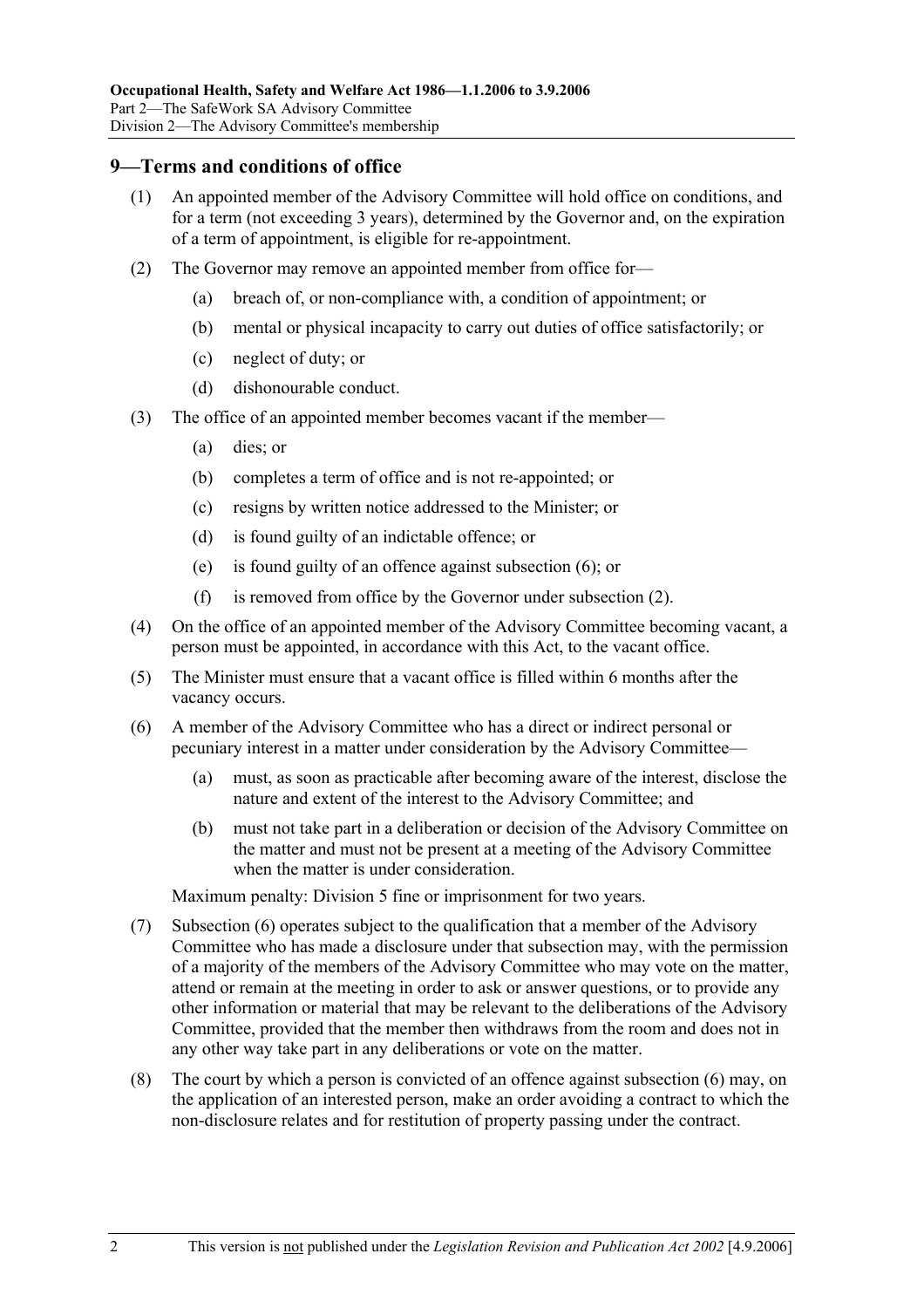#### **9—Terms and conditions of office**

- (1) An appointed member of the Advisory Committee will hold office on conditions, and for a term (not exceeding 3 years), determined by the Governor and, on the expiration of a term of appointment, is eligible for re-appointment.
- (2) The Governor may remove an appointed member from office for—
	- (a) breach of, or non-compliance with, a condition of appointment; or
	- (b) mental or physical incapacity to carry out duties of office satisfactorily; or
	- (c) neglect of duty; or
	- (d) dishonourable conduct.
- (3) The office of an appointed member becomes vacant if the member—
	- (a) dies; or
	- (b) completes a term of office and is not re-appointed; or
	- (c) resigns by written notice addressed to the Minister; or
	- (d) is found guilty of an indictable offence; or
	- (e) is found guilty of an offence against subsection (6); or
	- (f) is removed from office by the Governor under subsection (2).
- (4) On the office of an appointed member of the Advisory Committee becoming vacant, a person must be appointed, in accordance with this Act, to the vacant office.
- (5) The Minister must ensure that a vacant office is filled within 6 months after the vacancy occurs.
- (6) A member of the Advisory Committee who has a direct or indirect personal or pecuniary interest in a matter under consideration by the Advisory Committee—
	- (a) must, as soon as practicable after becoming aware of the interest, disclose the nature and extent of the interest to the Advisory Committee; and
	- (b) must not take part in a deliberation or decision of the Advisory Committee on the matter and must not be present at a meeting of the Advisory Committee when the matter is under consideration.

Maximum penalty: Division 5 fine or imprisonment for two years.

- (7) Subsection (6) operates subject to the qualification that a member of the Advisory Committee who has made a disclosure under that subsection may, with the permission of a majority of the members of the Advisory Committee who may vote on the matter, attend or remain at the meeting in order to ask or answer questions, or to provide any other information or material that may be relevant to the deliberations of the Advisory Committee, provided that the member then withdraws from the room and does not in any other way take part in any deliberations or vote on the matter.
- (8) The court by which a person is convicted of an offence against subsection (6) may, on the application of an interested person, make an order avoiding a contract to which the non-disclosure relates and for restitution of property passing under the contract.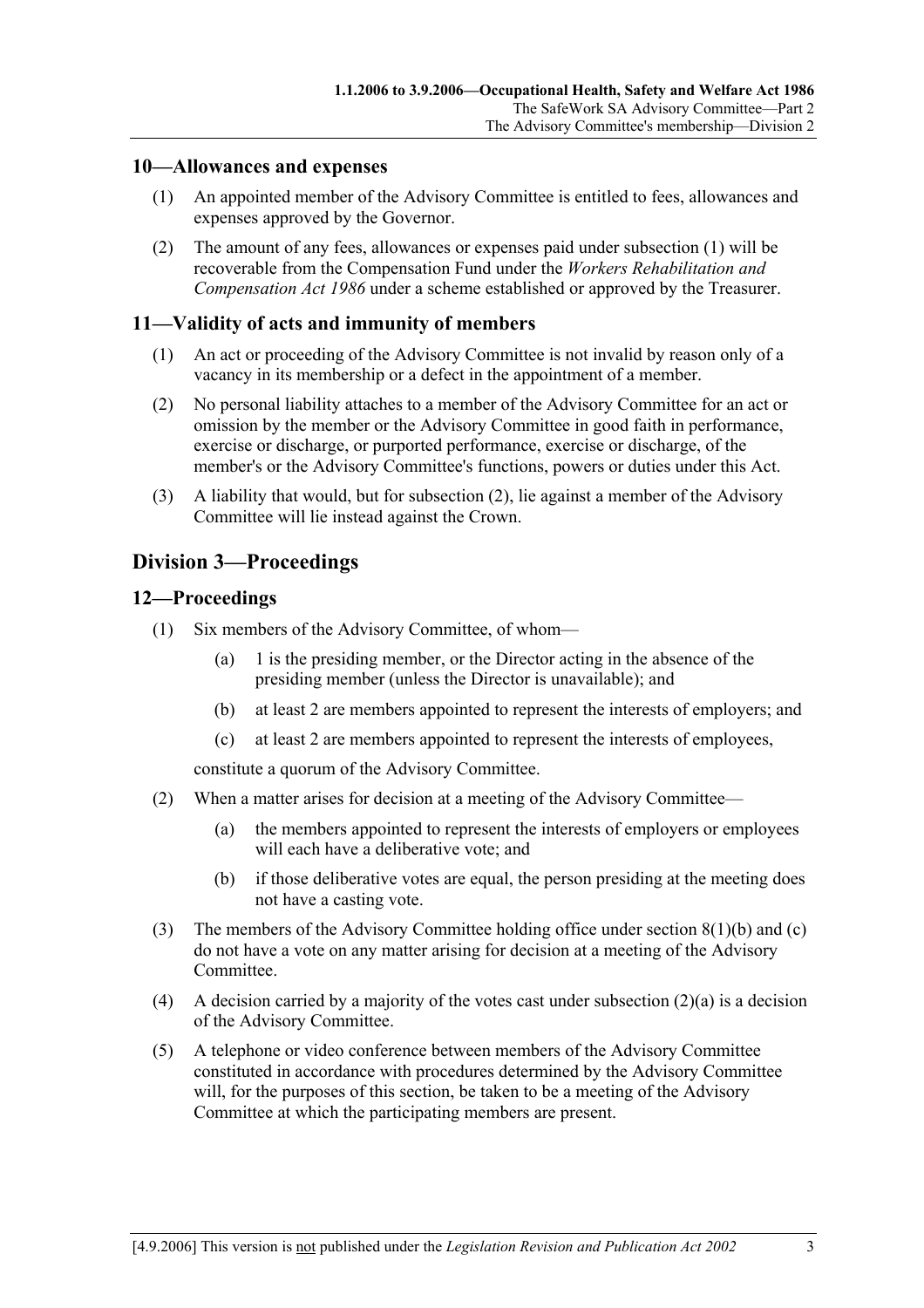#### **10—Allowances and expenses**

- (1) An appointed member of the Advisory Committee is entitled to fees, allowances and expenses approved by the Governor.
- (2) The amount of any fees, allowances or expenses paid under subsection (1) will be recoverable from the Compensation Fund under the *Workers Rehabilitation and Compensation Act 1986* under a scheme established or approved by the Treasurer.

#### **11—Validity of acts and immunity of members**

- (1) An act or proceeding of the Advisory Committee is not invalid by reason only of a vacancy in its membership or a defect in the appointment of a member.
- (2) No personal liability attaches to a member of the Advisory Committee for an act or omission by the member or the Advisory Committee in good faith in performance, exercise or discharge, or purported performance, exercise or discharge, of the member's or the Advisory Committee's functions, powers or duties under this Act.
- (3) A liability that would, but for subsection (2), lie against a member of the Advisory Committee will lie instead against the Crown.

### **Division 3—Proceedings**

#### **12—Proceedings**

- (1) Six members of the Advisory Committee, of whom—
	- (a) 1 is the presiding member, or the Director acting in the absence of the presiding member (unless the Director is unavailable); and
	- (b) at least 2 are members appointed to represent the interests of employers; and
	- (c) at least 2 are members appointed to represent the interests of employees,

constitute a quorum of the Advisory Committee.

- (2) When a matter arises for decision at a meeting of the Advisory Committee—
	- (a) the members appointed to represent the interests of employers or employees will each have a deliberative vote; and
	- (b) if those deliberative votes are equal, the person presiding at the meeting does not have a casting vote.
- (3) The members of the Advisory Committee holding office under section 8(1)(b) and (c) do not have a vote on any matter arising for decision at a meeting of the Advisory **Committee**
- (4) A decision carried by a majority of the votes cast under subsection  $(2)(a)$  is a decision of the Advisory Committee.
- (5) A telephone or video conference between members of the Advisory Committee constituted in accordance with procedures determined by the Advisory Committee will, for the purposes of this section, be taken to be a meeting of the Advisory Committee at which the participating members are present.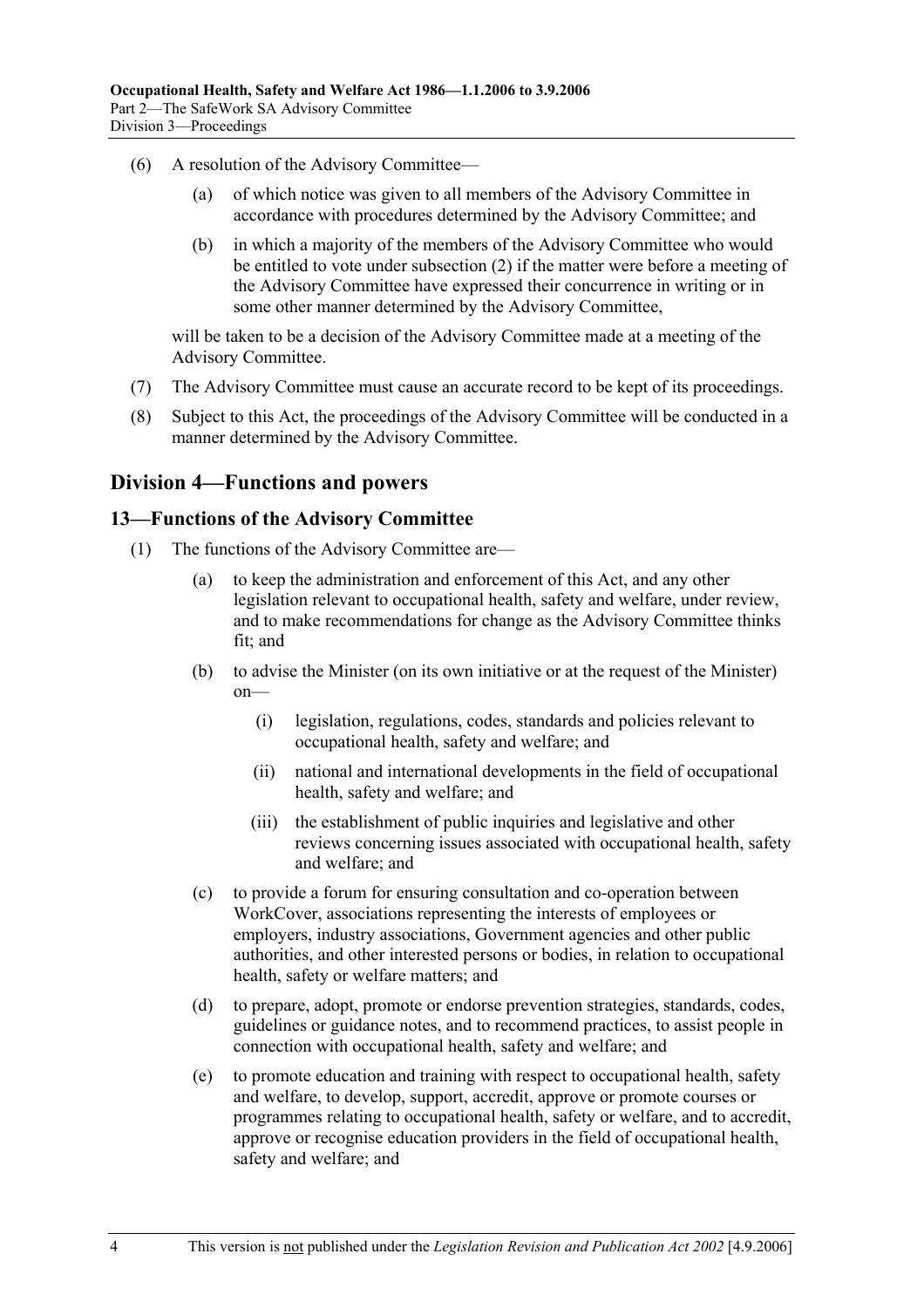- (6) A resolution of the Advisory Committee—
	- (a) of which notice was given to all members of the Advisory Committee in accordance with procedures determined by the Advisory Committee; and
	- (b) in which a majority of the members of the Advisory Committee who would be entitled to vote under subsection (2) if the matter were before a meeting of the Advisory Committee have expressed their concurrence in writing or in some other manner determined by the Advisory Committee,

will be taken to be a decision of the Advisory Committee made at a meeting of the Advisory Committee.

- (7) The Advisory Committee must cause an accurate record to be kept of its proceedings.
- (8) Subject to this Act, the proceedings of the Advisory Committee will be conducted in a manner determined by the Advisory Committee.

### **Division 4—Functions and powers**

#### **13—Functions of the Advisory Committee**

- (1) The functions of the Advisory Committee are—
	- (a) to keep the administration and enforcement of this Act, and any other legislation relevant to occupational health, safety and welfare, under review, and to make recommendations for change as the Advisory Committee thinks fit; and
	- (b) to advise the Minister (on its own initiative or at the request of the Minister) on—
		- (i) legislation, regulations, codes, standards and policies relevant to occupational health, safety and welfare; and
		- (ii) national and international developments in the field of occupational health, safety and welfare; and
		- (iii) the establishment of public inquiries and legislative and other reviews concerning issues associated with occupational health, safety and welfare; and
	- (c) to provide a forum for ensuring consultation and co-operation between WorkCover, associations representing the interests of employees or employers, industry associations, Government agencies and other public authorities, and other interested persons or bodies, in relation to occupational health, safety or welfare matters; and
	- (d) to prepare, adopt, promote or endorse prevention strategies, standards, codes, guidelines or guidance notes, and to recommend practices, to assist people in connection with occupational health, safety and welfare; and
	- (e) to promote education and training with respect to occupational health, safety and welfare, to develop, support, accredit, approve or promote courses or programmes relating to occupational health, safety or welfare, and to accredit, approve or recognise education providers in the field of occupational health, safety and welfare; and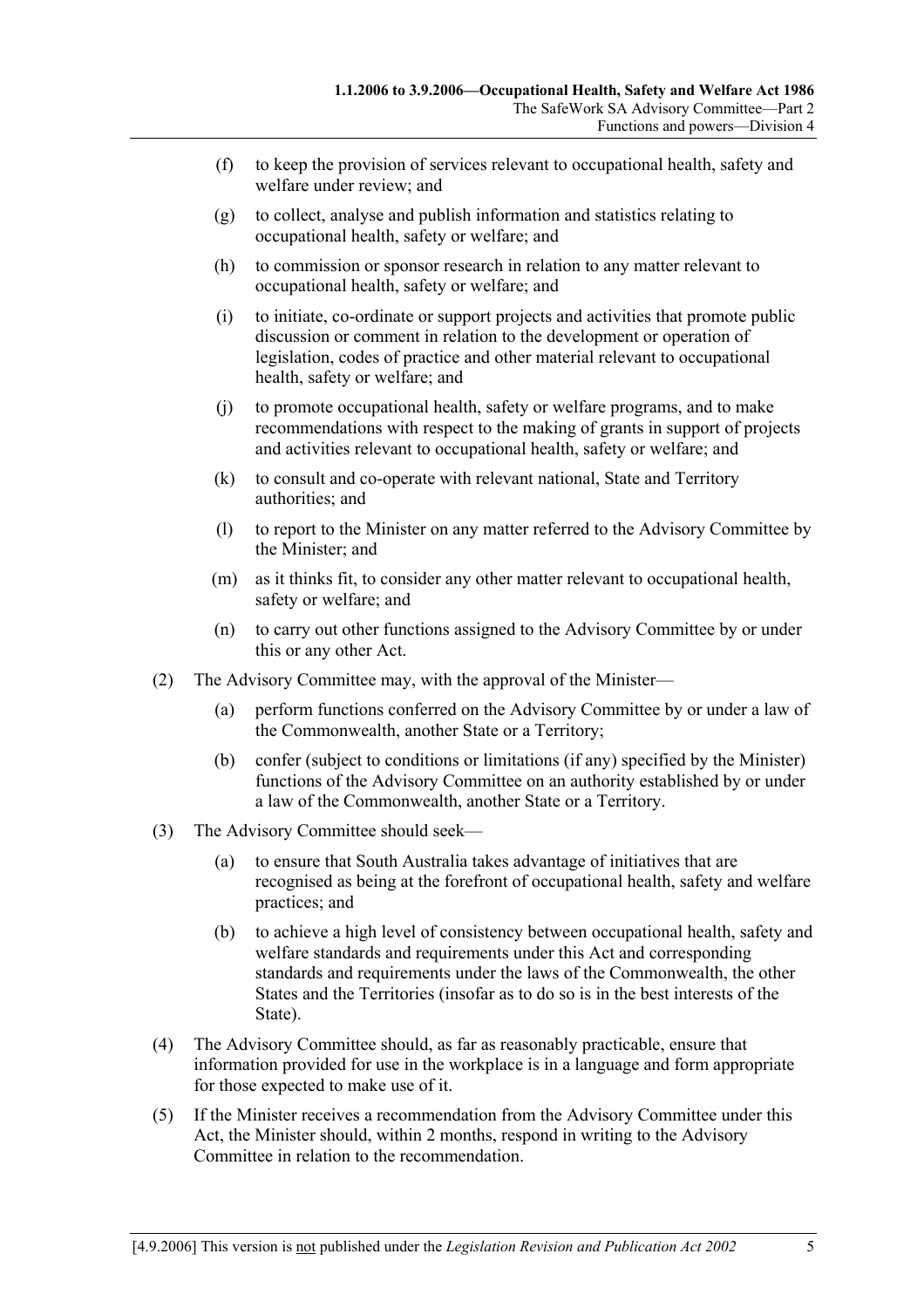- (f) to keep the provision of services relevant to occupational health, safety and welfare under review; and
- (g) to collect, analyse and publish information and statistics relating to occupational health, safety or welfare; and
- (h) to commission or sponsor research in relation to any matter relevant to occupational health, safety or welfare; and
- (i) to initiate, co-ordinate or support projects and activities that promote public discussion or comment in relation to the development or operation of legislation, codes of practice and other material relevant to occupational health, safety or welfare; and
- (j) to promote occupational health, safety or welfare programs, and to make recommendations with respect to the making of grants in support of projects and activities relevant to occupational health, safety or welfare; and
- (k) to consult and co-operate with relevant national, State and Territory authorities; and
- (l) to report to the Minister on any matter referred to the Advisory Committee by the Minister; and
- (m) as it thinks fit, to consider any other matter relevant to occupational health, safety or welfare; and
- (n) to carry out other functions assigned to the Advisory Committee by or under this or any other Act.
- (2) The Advisory Committee may, with the approval of the Minister—
	- (a) perform functions conferred on the Advisory Committee by or under a law of the Commonwealth, another State or a Territory;
	- (b) confer (subject to conditions or limitations (if any) specified by the Minister) functions of the Advisory Committee on an authority established by or under a law of the Commonwealth, another State or a Territory.
- (3) The Advisory Committee should seek—
	- (a) to ensure that South Australia takes advantage of initiatives that are recognised as being at the forefront of occupational health, safety and welfare practices; and
	- (b) to achieve a high level of consistency between occupational health, safety and welfare standards and requirements under this Act and corresponding standards and requirements under the laws of the Commonwealth, the other States and the Territories (insofar as to do so is in the best interests of the State).
- (4) The Advisory Committee should, as far as reasonably practicable, ensure that information provided for use in the workplace is in a language and form appropriate for those expected to make use of it.
- (5) If the Minister receives a recommendation from the Advisory Committee under this Act, the Minister should, within 2 months, respond in writing to the Advisory Committee in relation to the recommendation.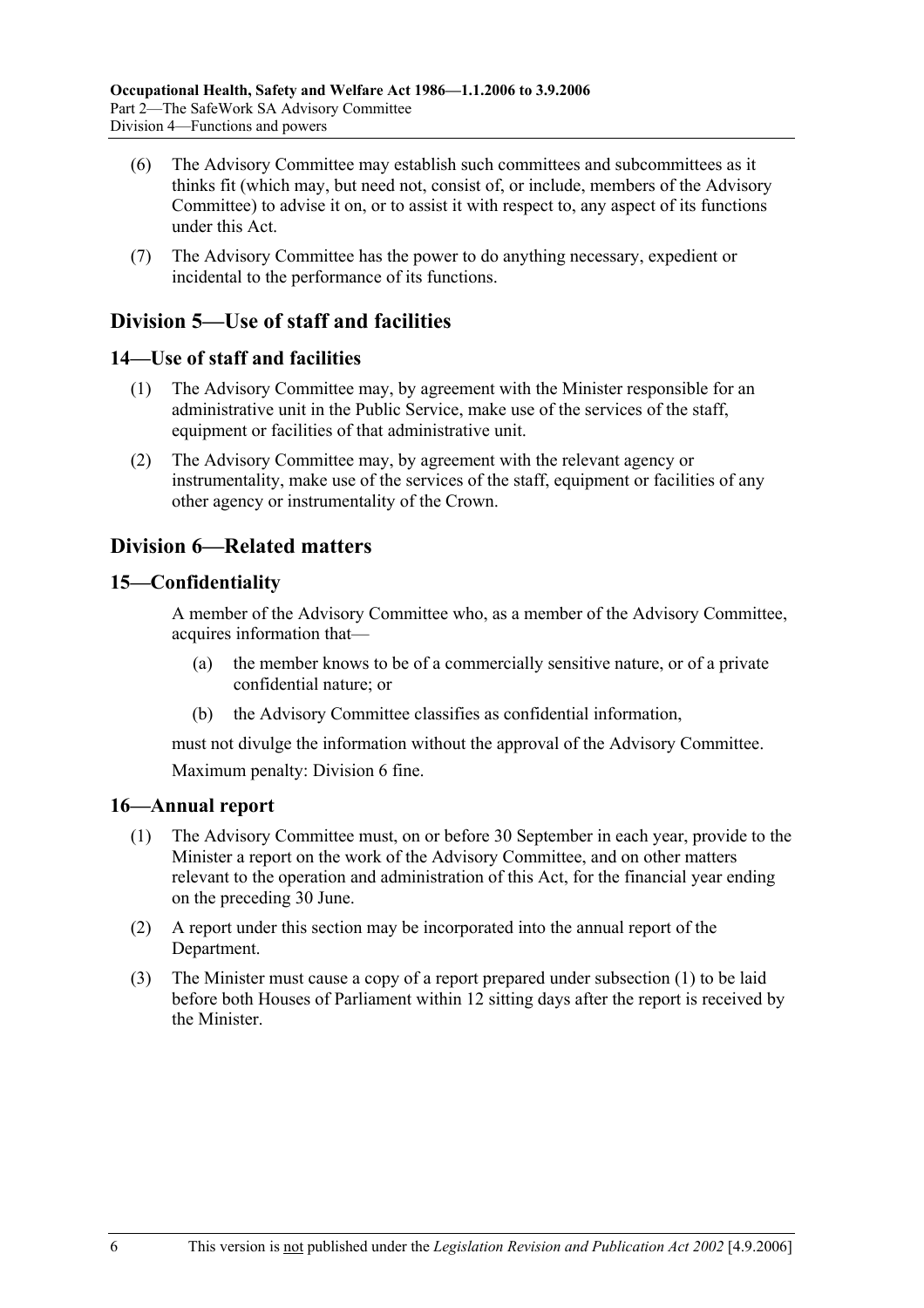- (6) The Advisory Committee may establish such committees and subcommittees as it thinks fit (which may, but need not, consist of, or include, members of the Advisory Committee) to advise it on, or to assist it with respect to, any aspect of its functions under this Act.
- (7) The Advisory Committee has the power to do anything necessary, expedient or incidental to the performance of its functions.

### **Division 5—Use of staff and facilities**

### **14—Use of staff and facilities**

- (1) The Advisory Committee may, by agreement with the Minister responsible for an administrative unit in the Public Service, make use of the services of the staff, equipment or facilities of that administrative unit.
- (2) The Advisory Committee may, by agreement with the relevant agency or instrumentality, make use of the services of the staff, equipment or facilities of any other agency or instrumentality of the Crown.

### **Division 6—Related matters**

### **15—Confidentiality**

A member of the Advisory Committee who, as a member of the Advisory Committee, acquires information that—

- (a) the member knows to be of a commercially sensitive nature, or of a private confidential nature; or
- (b) the Advisory Committee classifies as confidential information,

must not divulge the information without the approval of the Advisory Committee. Maximum penalty: Division 6 fine.

### **16—Annual report**

- (1) The Advisory Committee must, on or before 30 September in each year, provide to the Minister a report on the work of the Advisory Committee, and on other matters relevant to the operation and administration of this Act, for the financial year ending on the preceding 30 June.
- (2) A report under this section may be incorporated into the annual report of the Department.
- (3) The Minister must cause a copy of a report prepared under subsection (1) to be laid before both Houses of Parliament within 12 sitting days after the report is received by the Minister.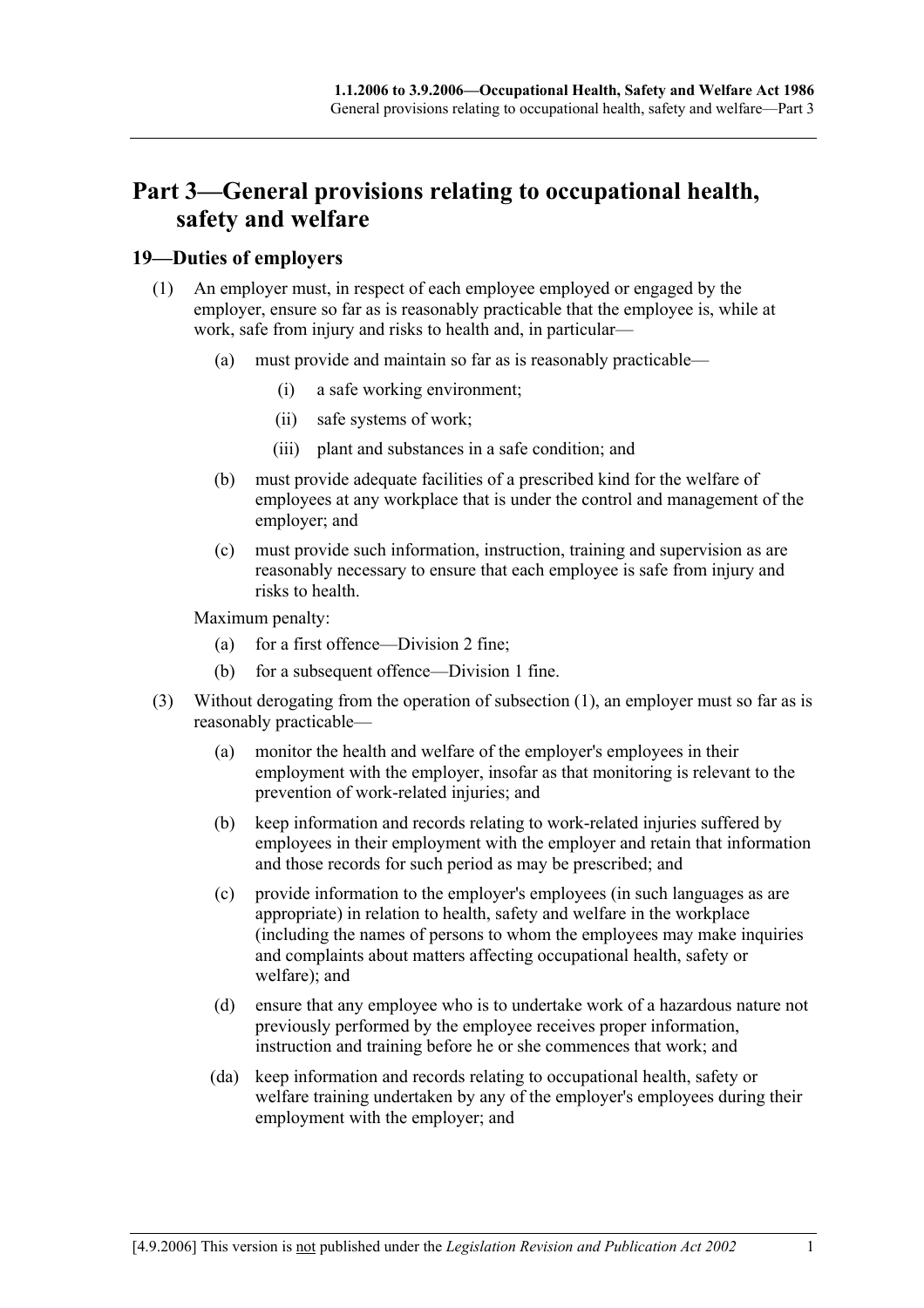## **Part 3—General provisions relating to occupational health, safety and welfare**

### **19—Duties of employers**

- (1) An employer must, in respect of each employee employed or engaged by the employer, ensure so far as is reasonably practicable that the employee is, while at work, safe from injury and risks to health and, in particular—
	- (a) must provide and maintain so far as is reasonably practicable—
		- (i) a safe working environment;
		- (ii) safe systems of work;
		- (iii) plant and substances in a safe condition; and
	- (b) must provide adequate facilities of a prescribed kind for the welfare of employees at any workplace that is under the control and management of the employer; and
	- (c) must provide such information, instruction, training and supervision as are reasonably necessary to ensure that each employee is safe from injury and risks to health.

Maximum penalty:

- (a) for a first offence—Division 2 fine;
- (b) for a subsequent offence—Division 1 fine.
- (3) Without derogating from the operation of subsection (1), an employer must so far as is reasonably practicable—
	- (a) monitor the health and welfare of the employer's employees in their employment with the employer, insofar as that monitoring is relevant to the prevention of work-related injuries; and
	- (b) keep information and records relating to work-related injuries suffered by employees in their employment with the employer and retain that information and those records for such period as may be prescribed; and
	- (c) provide information to the employer's employees (in such languages as are appropriate) in relation to health, safety and welfare in the workplace (including the names of persons to whom the employees may make inquiries and complaints about matters affecting occupational health, safety or welfare); and
	- (d) ensure that any employee who is to undertake work of a hazardous nature not previously performed by the employee receives proper information, instruction and training before he or she commences that work; and
	- (da) keep information and records relating to occupational health, safety or welfare training undertaken by any of the employer's employees during their employment with the employer; and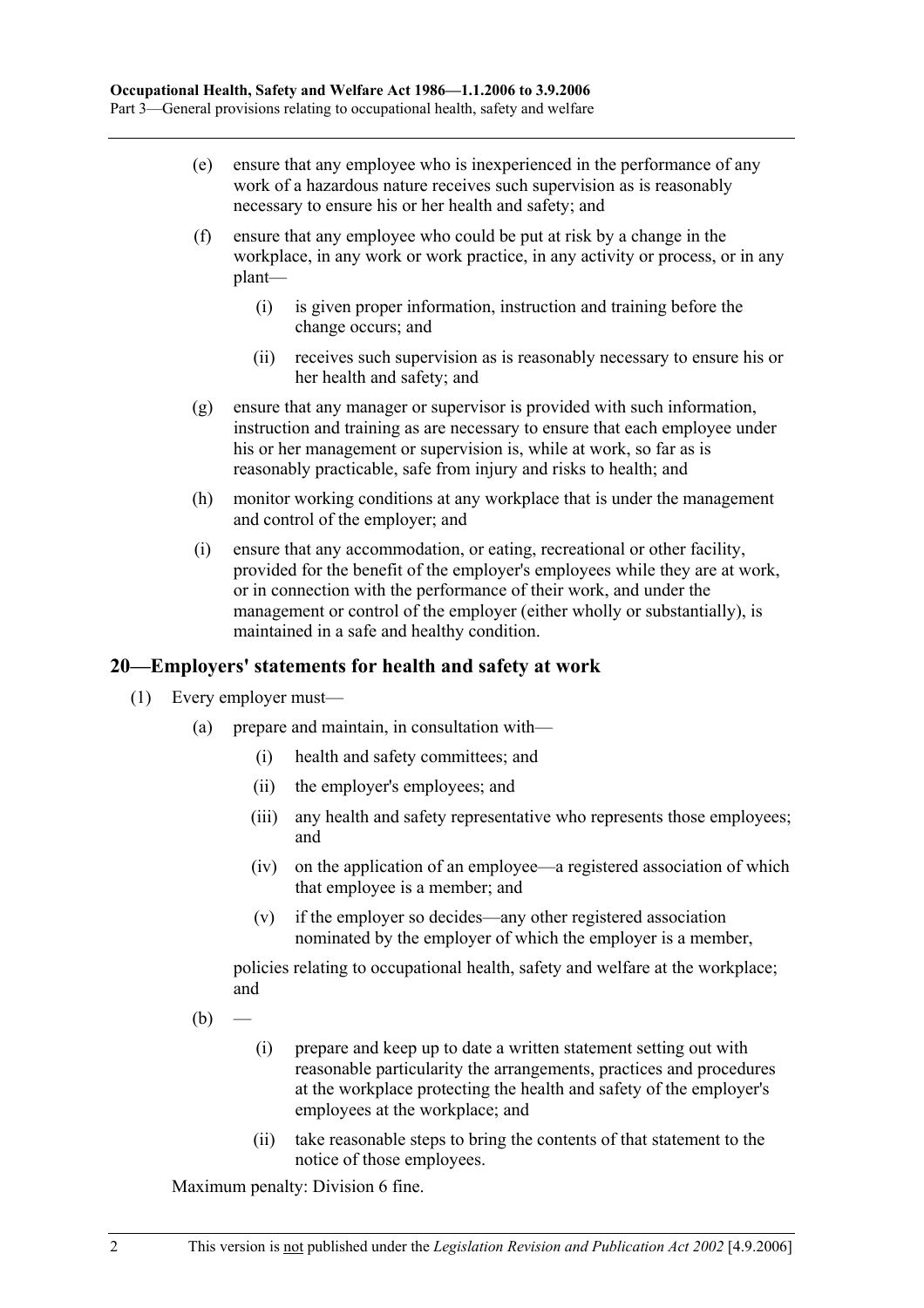- (e) ensure that any employee who is inexperienced in the performance of any work of a hazardous nature receives such supervision as is reasonably necessary to ensure his or her health and safety; and
- (f) ensure that any employee who could be put at risk by a change in the workplace, in any work or work practice, in any activity or process, or in any plant—
	- (i) is given proper information, instruction and training before the change occurs; and
	- (ii) receives such supervision as is reasonably necessary to ensure his or her health and safety; and
- (g) ensure that any manager or supervisor is provided with such information, instruction and training as are necessary to ensure that each employee under his or her management or supervision is, while at work, so far as is reasonably practicable, safe from injury and risks to health; and
- (h) monitor working conditions at any workplace that is under the management and control of the employer; and
- (i) ensure that any accommodation, or eating, recreational or other facility, provided for the benefit of the employer's employees while they are at work, or in connection with the performance of their work, and under the management or control of the employer (either wholly or substantially), is maintained in a safe and healthy condition.

### **20—Employers' statements for health and safety at work**

- (1) Every employer must—
	- (a) prepare and maintain, in consultation with—
		- (i) health and safety committees; and
		- (ii) the employer's employees; and
		- (iii) any health and safety representative who represents those employees; and
		- (iv) on the application of an employee—a registered association of which that employee is a member; and
		- (v) if the employer so decides—any other registered association nominated by the employer of which the employer is a member,

policies relating to occupational health, safety and welfare at the workplace; and

- $(b)$ 
	- (i) prepare and keep up to date a written statement setting out with reasonable particularity the arrangements, practices and procedures at the workplace protecting the health and safety of the employer's employees at the workplace; and
	- (ii) take reasonable steps to bring the contents of that statement to the notice of those employees.

Maximum penalty: Division 6 fine.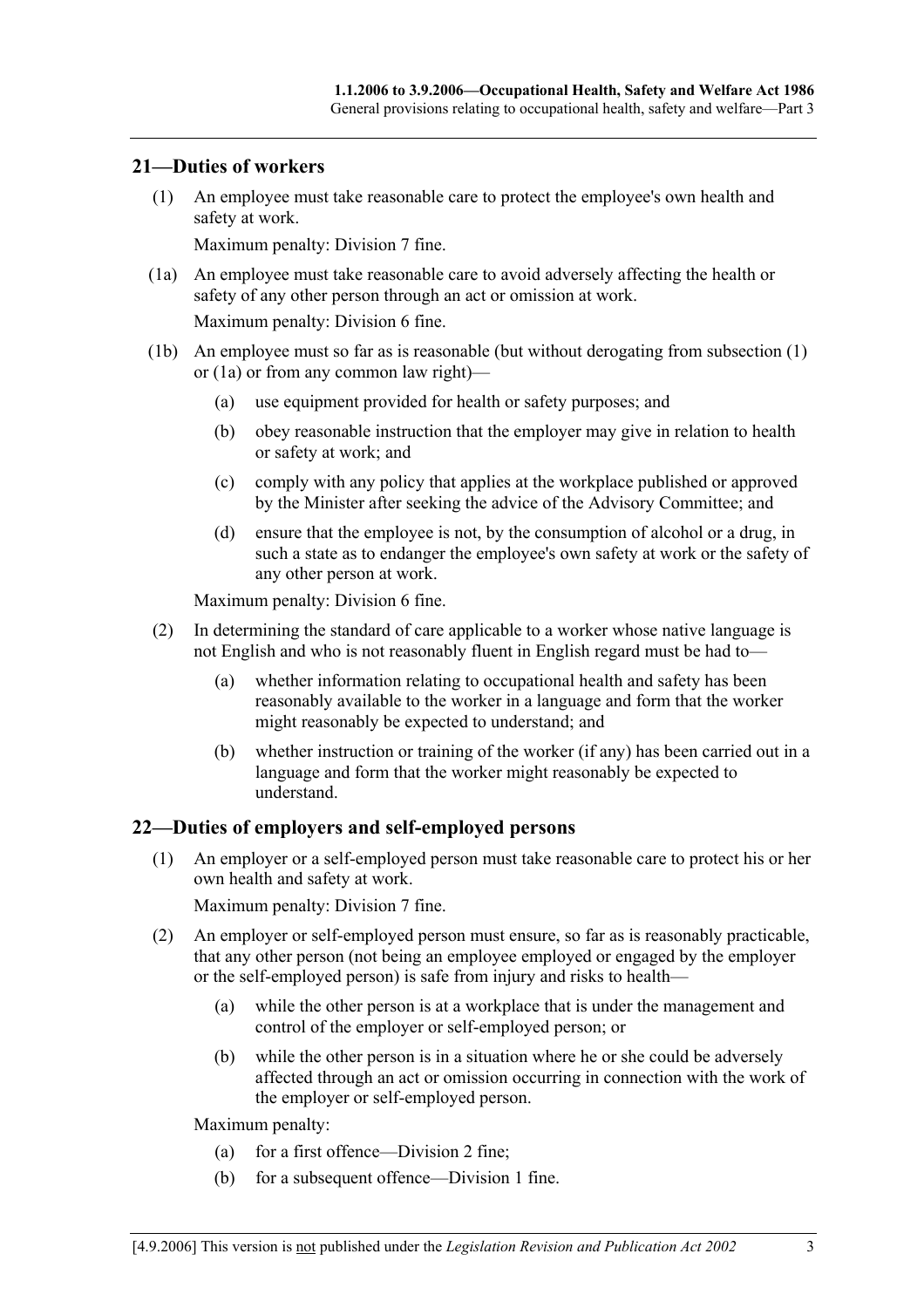#### **21—Duties of workers**

 (1) An employee must take reasonable care to protect the employee's own health and safety at work.

Maximum penalty: Division 7 fine.

 (1a) An employee must take reasonable care to avoid adversely affecting the health or safety of any other person through an act or omission at work.

Maximum penalty: Division 6 fine.

- (1b) An employee must so far as is reasonable (but without derogating from subsection (1) or (1a) or from any common law right)—
	- (a) use equipment provided for health or safety purposes; and
	- (b) obey reasonable instruction that the employer may give in relation to health or safety at work; and
	- (c) comply with any policy that applies at the workplace published or approved by the Minister after seeking the advice of the Advisory Committee; and
	- (d) ensure that the employee is not, by the consumption of alcohol or a drug, in such a state as to endanger the employee's own safety at work or the safety of any other person at work.

Maximum penalty: Division 6 fine.

- (2) In determining the standard of care applicable to a worker whose native language is not English and who is not reasonably fluent in English regard must be had to—
	- (a) whether information relating to occupational health and safety has been reasonably available to the worker in a language and form that the worker might reasonably be expected to understand; and
	- (b) whether instruction or training of the worker (if any) has been carried out in a language and form that the worker might reasonably be expected to understand.

### **22—Duties of employers and self-employed persons**

 (1) An employer or a self-employed person must take reasonable care to protect his or her own health and safety at work.

Maximum penalty: Division 7 fine.

- (2) An employer or self-employed person must ensure, so far as is reasonably practicable, that any other person (not being an employee employed or engaged by the employer or the self-employed person) is safe from injury and risks to health—
	- (a) while the other person is at a workplace that is under the management and control of the employer or self-employed person; or
	- (b) while the other person is in a situation where he or she could be adversely affected through an act or omission occurring in connection with the work of the employer or self-employed person.

Maximum penalty:

- (a) for a first offence—Division 2 fine;
- (b) for a subsequent offence—Division 1 fine.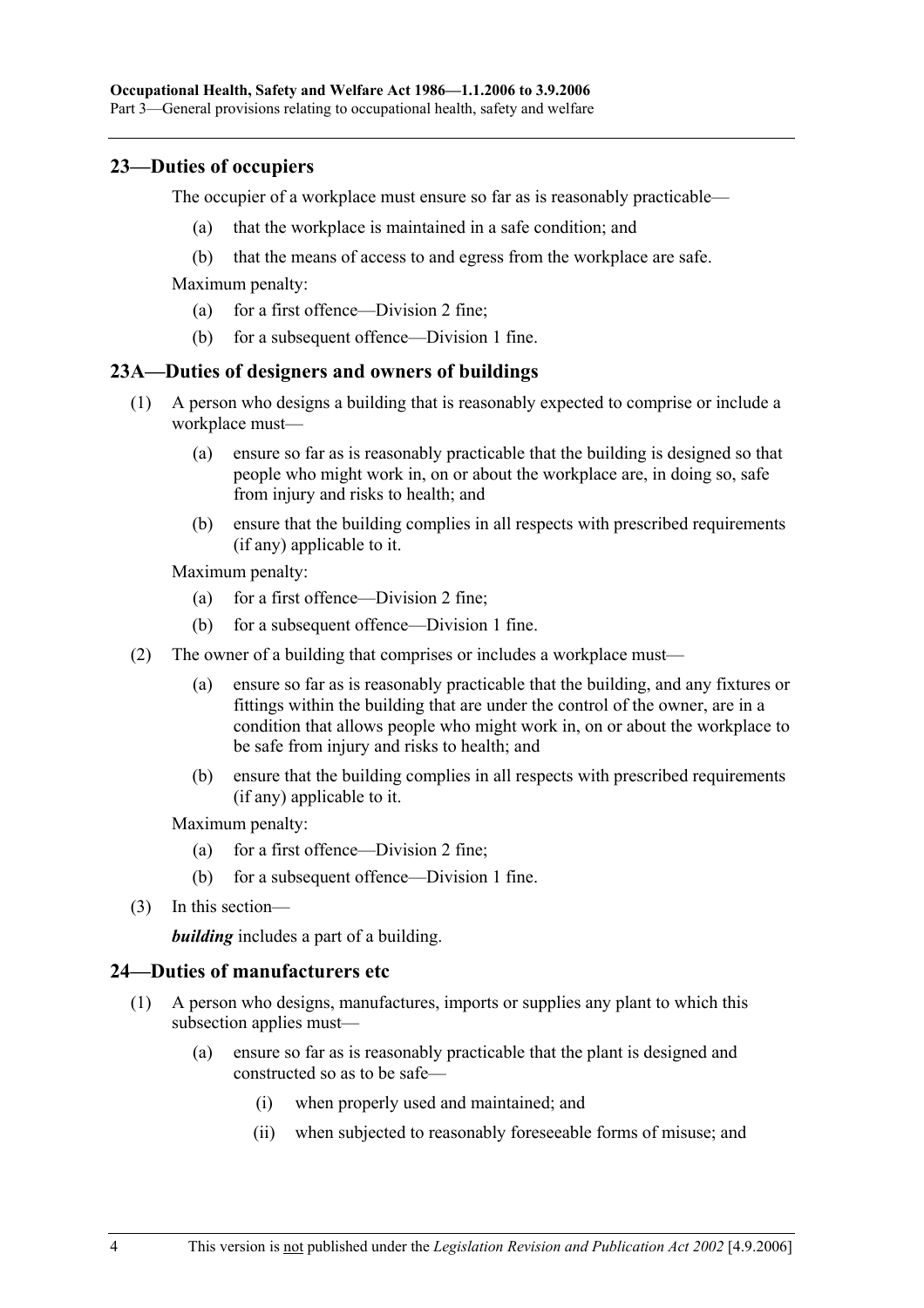#### **23—Duties of occupiers**

The occupier of a workplace must ensure so far as is reasonably practicable—

- (a) that the workplace is maintained in a safe condition; and
- (b) that the means of access to and egress from the workplace are safe.

Maximum penalty:

- (a) for a first offence—Division 2 fine;
- (b) for a subsequent offence—Division 1 fine.

#### **23A—Duties of designers and owners of buildings**

- (1) A person who designs a building that is reasonably expected to comprise or include a workplace must—
	- (a) ensure so far as is reasonably practicable that the building is designed so that people who might work in, on or about the workplace are, in doing so, safe from injury and risks to health; and
	- (b) ensure that the building complies in all respects with prescribed requirements (if any) applicable to it.

Maximum penalty:

- (a) for a first offence—Division 2 fine;
- (b) for a subsequent offence—Division 1 fine.
- (2) The owner of a building that comprises or includes a workplace must—
	- (a) ensure so far as is reasonably practicable that the building, and any fixtures or fittings within the building that are under the control of the owner, are in a condition that allows people who might work in, on or about the workplace to be safe from injury and risks to health; and
	- (b) ensure that the building complies in all respects with prescribed requirements (if any) applicable to it.

Maximum penalty:

- (a) for a first offence—Division 2 fine;
- (b) for a subsequent offence—Division 1 fine.
- (3) In this section—

*building* includes a part of a building.

#### **24—Duties of manufacturers etc**

- (1) A person who designs, manufactures, imports or supplies any plant to which this subsection applies must—
	- (a) ensure so far as is reasonably practicable that the plant is designed and constructed so as to be safe—
		- (i) when properly used and maintained; and
		- (ii) when subjected to reasonably foreseeable forms of misuse; and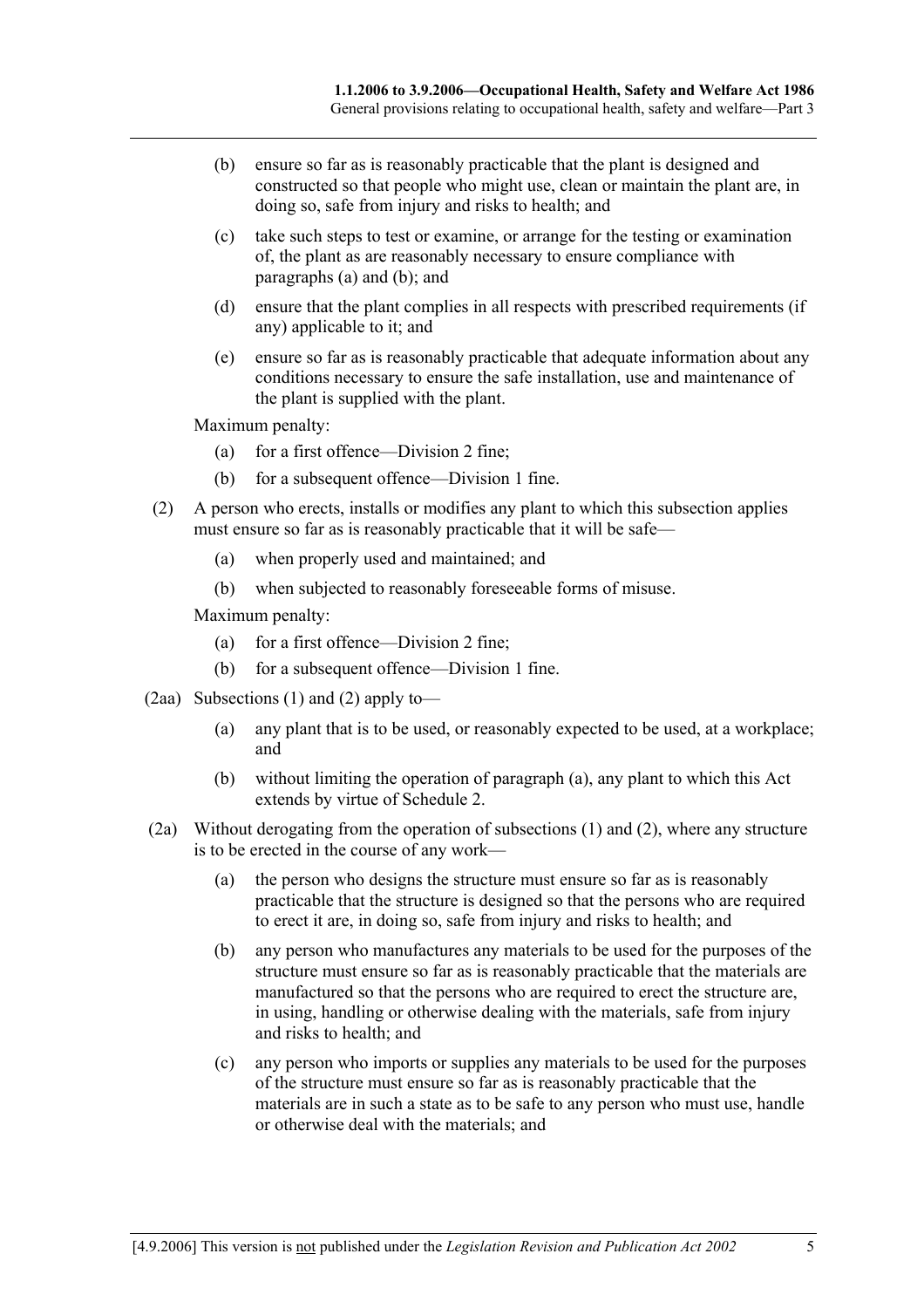- (b) ensure so far as is reasonably practicable that the plant is designed and constructed so that people who might use, clean or maintain the plant are, in doing so, safe from injury and risks to health; and
- (c) take such steps to test or examine, or arrange for the testing or examination of, the plant as are reasonably necessary to ensure compliance with paragraphs (a) and (b); and
- (d) ensure that the plant complies in all respects with prescribed requirements (if any) applicable to it; and
- (e) ensure so far as is reasonably practicable that adequate information about any conditions necessary to ensure the safe installation, use and maintenance of the plant is supplied with the plant.

Maximum penalty:

- (a) for a first offence—Division 2 fine;
- (b) for a subsequent offence—Division 1 fine.
- (2) A person who erects, installs or modifies any plant to which this subsection applies must ensure so far as is reasonably practicable that it will be safe—
	- (a) when properly used and maintained; and
	- (b) when subjected to reasonably foreseeable forms of misuse.

Maximum penalty:

- (a) for a first offence—Division 2 fine;
- (b) for a subsequent offence—Division 1 fine.
- (2aa) Subsections (1) and (2) apply to—
	- (a) any plant that is to be used, or reasonably expected to be used, at a workplace; and
	- (b) without limiting the operation of paragraph (a), any plant to which this Act extends by virtue of Schedule 2.
- (2a) Without derogating from the operation of subsections (1) and (2), where any structure is to be erected in the course of any work—
	- (a) the person who designs the structure must ensure so far as is reasonably practicable that the structure is designed so that the persons who are required to erect it are, in doing so, safe from injury and risks to health; and
	- (b) any person who manufactures any materials to be used for the purposes of the structure must ensure so far as is reasonably practicable that the materials are manufactured so that the persons who are required to erect the structure are, in using, handling or otherwise dealing with the materials, safe from injury and risks to health; and
	- (c) any person who imports or supplies any materials to be used for the purposes of the structure must ensure so far as is reasonably practicable that the materials are in such a state as to be safe to any person who must use, handle or otherwise deal with the materials; and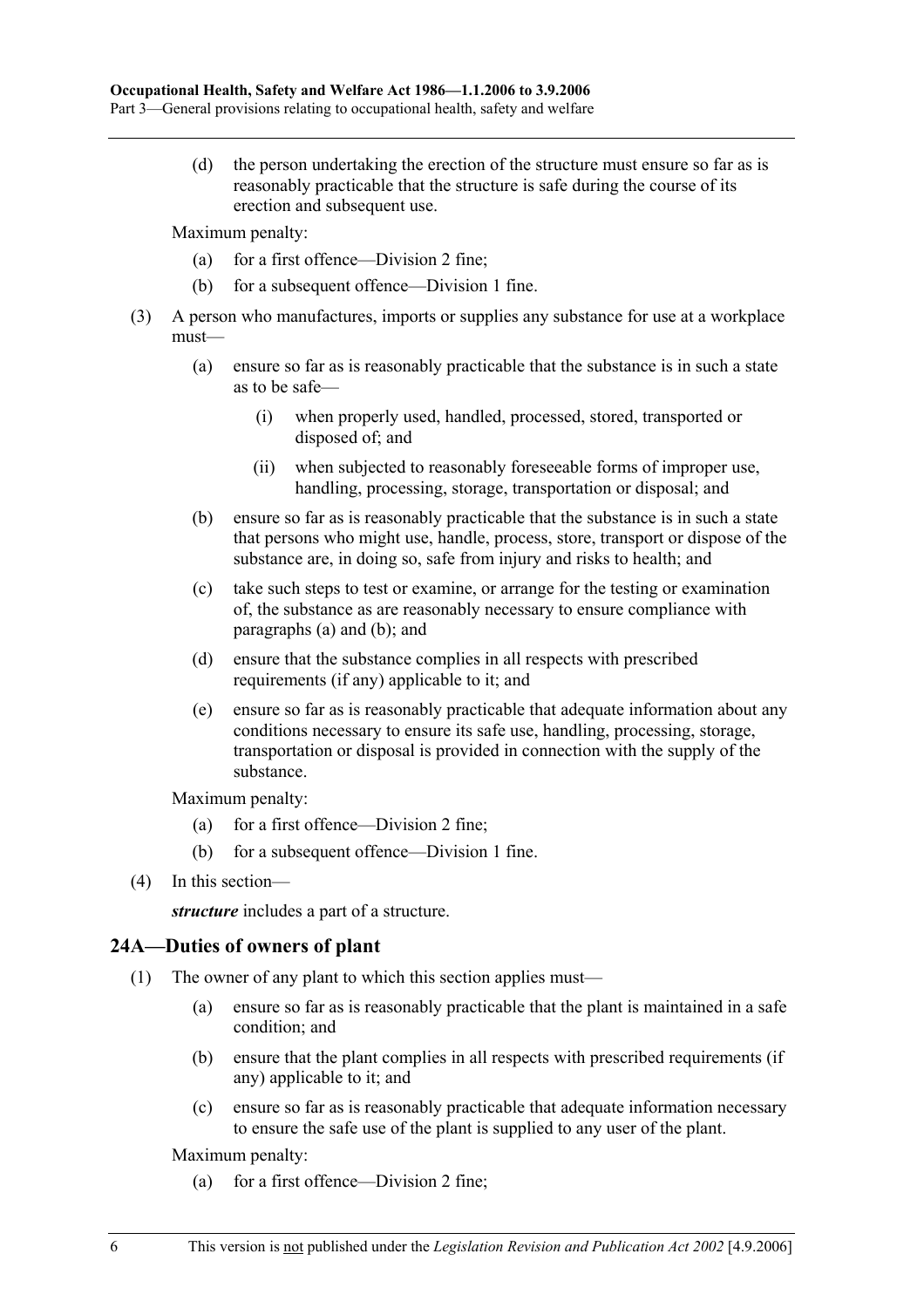(d) the person undertaking the erection of the structure must ensure so far as is reasonably practicable that the structure is safe during the course of its erection and subsequent use.

Maximum penalty:

- (a) for a first offence—Division 2 fine;
- (b) for a subsequent offence—Division 1 fine.
- (3) A person who manufactures, imports or supplies any substance for use at a workplace must—
	- (a) ensure so far as is reasonably practicable that the substance is in such a state as to be safe—
		- (i) when properly used, handled, processed, stored, transported or disposed of; and
		- (ii) when subjected to reasonably foreseeable forms of improper use, handling, processing, storage, transportation or disposal; and
	- (b) ensure so far as is reasonably practicable that the substance is in such a state that persons who might use, handle, process, store, transport or dispose of the substance are, in doing so, safe from injury and risks to health; and
	- (c) take such steps to test or examine, or arrange for the testing or examination of, the substance as are reasonably necessary to ensure compliance with paragraphs (a) and (b); and
	- (d) ensure that the substance complies in all respects with prescribed requirements (if any) applicable to it; and
	- (e) ensure so far as is reasonably practicable that adequate information about any conditions necessary to ensure its safe use, handling, processing, storage, transportation or disposal is provided in connection with the supply of the substance.

Maximum penalty:

- (a) for a first offence—Division 2 fine;
- (b) for a subsequent offence—Division 1 fine.
- (4) In this section—

*structure* includes a part of a structure.

### **24A—Duties of owners of plant**

- (1) The owner of any plant to which this section applies must—
	- (a) ensure so far as is reasonably practicable that the plant is maintained in a safe condition; and
	- (b) ensure that the plant complies in all respects with prescribed requirements (if any) applicable to it; and
	- (c) ensure so far as is reasonably practicable that adequate information necessary to ensure the safe use of the plant is supplied to any user of the plant.

Maximum penalty:

(a) for a first offence—Division 2 fine;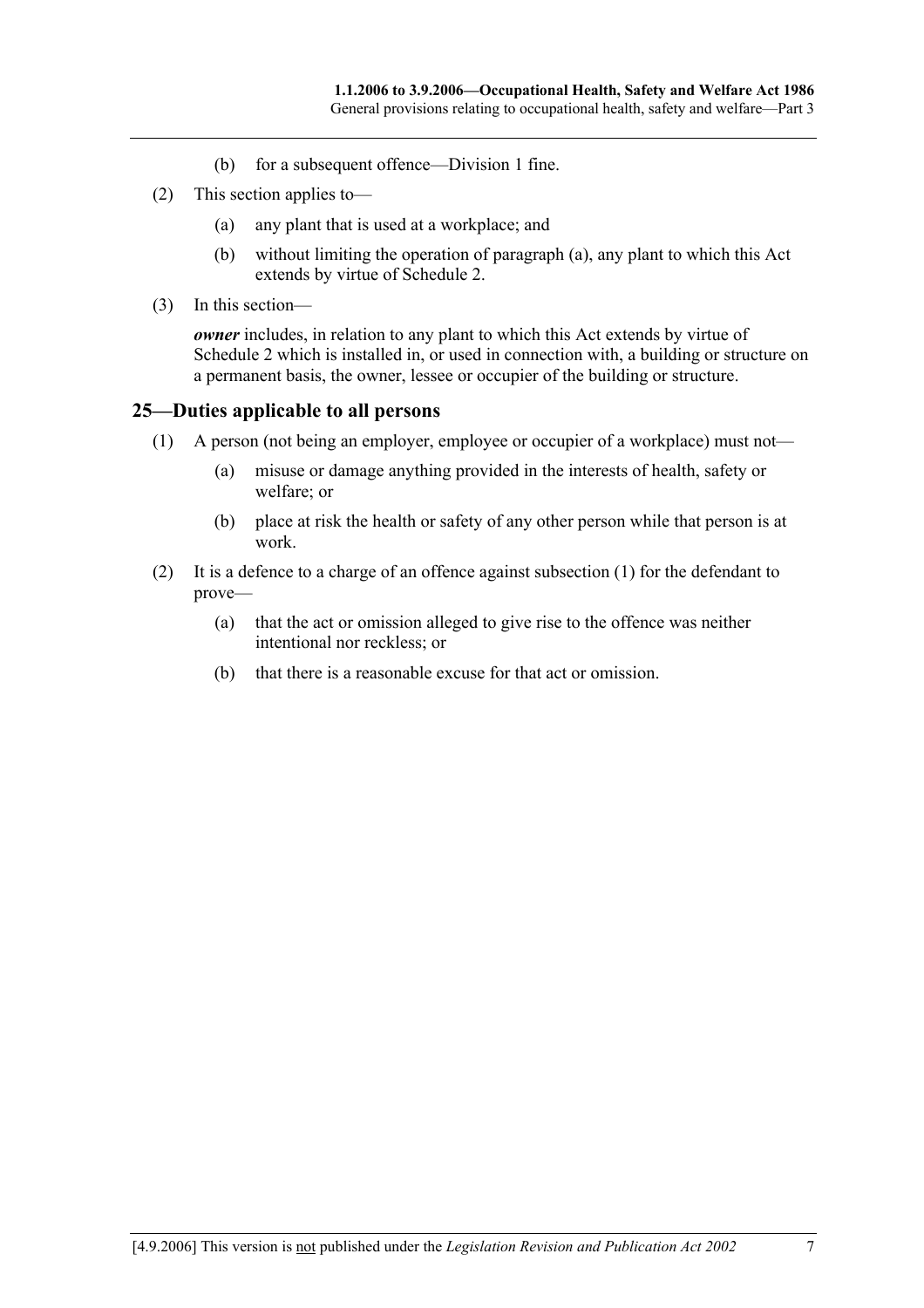- (b) for a subsequent offence—Division 1 fine.
- (2) This section applies to—
	- (a) any plant that is used at a workplace; and
	- (b) without limiting the operation of paragraph (a), any plant to which this Act extends by virtue of Schedule 2.
- (3) In this section—

*owner* includes, in relation to any plant to which this Act extends by virtue of Schedule 2 which is installed in, or used in connection with, a building or structure on a permanent basis, the owner, lessee or occupier of the building or structure.

### **25—Duties applicable to all persons**

- (1) A person (not being an employer, employee or occupier of a workplace) must not—
	- (a) misuse or damage anything provided in the interests of health, safety or welfare; or
	- (b) place at risk the health or safety of any other person while that person is at work.
- (2) It is a defence to a charge of an offence against subsection (1) for the defendant to prove—
	- (a) that the act or omission alleged to give rise to the offence was neither intentional nor reckless; or
	- (b) that there is a reasonable excuse for that act or omission.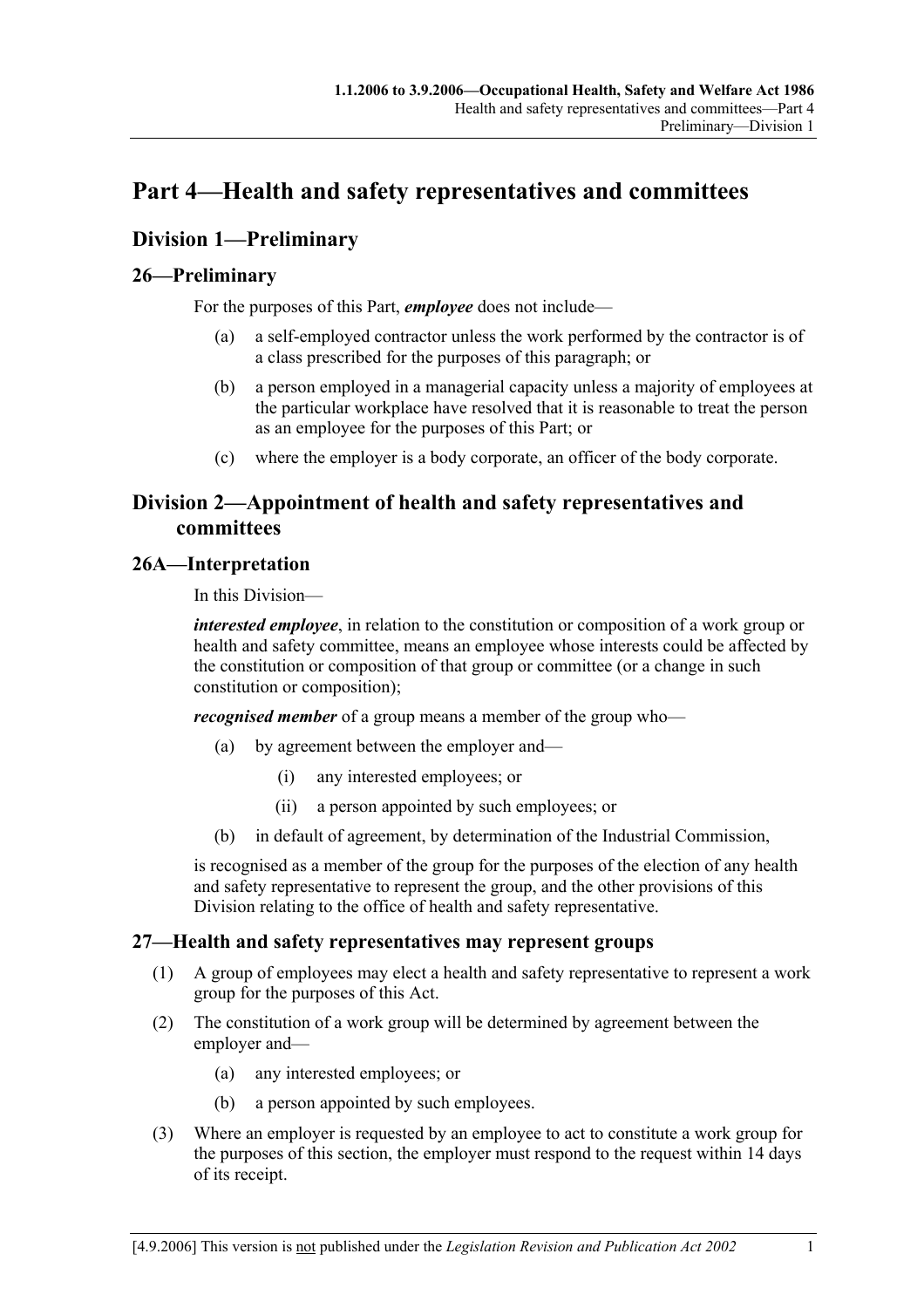## **Part 4—Health and safety representatives and committees**

### **Division 1—Preliminary**

### **26—Preliminary**

For the purposes of this Part, *employee* does not include—

- (a) a self-employed contractor unless the work performed by the contractor is of a class prescribed for the purposes of this paragraph; or
- (b) a person employed in a managerial capacity unless a majority of employees at the particular workplace have resolved that it is reasonable to treat the person as an employee for the purposes of this Part; or
- (c) where the employer is a body corporate, an officer of the body corporate.

### **Division 2—Appointment of health and safety representatives and committees**

### **26A—Interpretation**

In this Division—

*interested employee*, in relation to the constitution or composition of a work group or health and safety committee, means an employee whose interests could be affected by the constitution or composition of that group or committee (or a change in such constitution or composition);

*recognised member* of a group means a member of the group who—

- (a) by agreement between the employer and—
	- (i) any interested employees; or
	- (ii) a person appointed by such employees; or
- (b) in default of agreement, by determination of the Industrial Commission,

is recognised as a member of the group for the purposes of the election of any health and safety representative to represent the group, and the other provisions of this Division relating to the office of health and safety representative.

### **27—Health and safety representatives may represent groups**

- (1) A group of employees may elect a health and safety representative to represent a work group for the purposes of this Act.
- (2) The constitution of a work group will be determined by agreement between the employer and—
	- (a) any interested employees; or
	- (b) a person appointed by such employees.
- (3) Where an employer is requested by an employee to act to constitute a work group for the purposes of this section, the employer must respond to the request within 14 days of its receipt.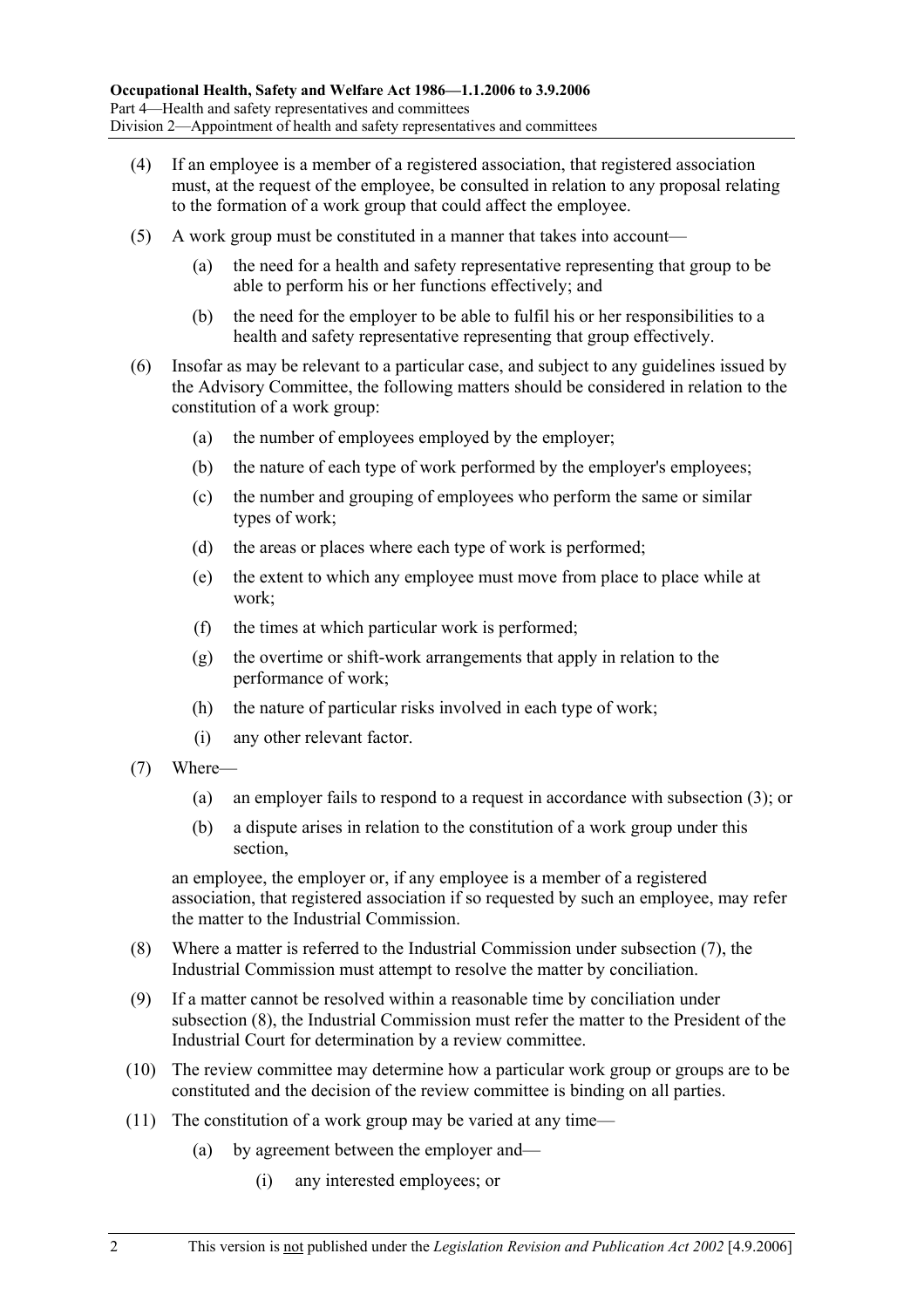- (4) If an employee is a member of a registered association, that registered association must, at the request of the employee, be consulted in relation to any proposal relating to the formation of a work group that could affect the employee.
- (5) A work group must be constituted in a manner that takes into account—
	- (a) the need for a health and safety representative representing that group to be able to perform his or her functions effectively; and
	- (b) the need for the employer to be able to fulfil his or her responsibilities to a health and safety representative representing that group effectively.
- (6) Insofar as may be relevant to a particular case, and subject to any guidelines issued by the Advisory Committee, the following matters should be considered in relation to the constitution of a work group:
	- (a) the number of employees employed by the employer;
	- (b) the nature of each type of work performed by the employer's employees;
	- (c) the number and grouping of employees who perform the same or similar types of work;
	- (d) the areas or places where each type of work is performed;
	- (e) the extent to which any employee must move from place to place while at work;
	- (f) the times at which particular work is performed;
	- (g) the overtime or shift-work arrangements that apply in relation to the performance of work;
	- (h) the nature of particular risks involved in each type of work;
	- (i) any other relevant factor.
- (7) Where—
	- (a) an employer fails to respond to a request in accordance with subsection (3); or
	- (b) a dispute arises in relation to the constitution of a work group under this section,

an employee, the employer or, if any employee is a member of a registered association, that registered association if so requested by such an employee, may refer the matter to the Industrial Commission.

- (8) Where a matter is referred to the Industrial Commission under subsection (7), the Industrial Commission must attempt to resolve the matter by conciliation.
- (9) If a matter cannot be resolved within a reasonable time by conciliation under subsection (8), the Industrial Commission must refer the matter to the President of the Industrial Court for determination by a review committee.
- (10) The review committee may determine how a particular work group or groups are to be constituted and the decision of the review committee is binding on all parties.
- (11) The constitution of a work group may be varied at any time—
	- (a) by agreement between the employer and—
		- (i) any interested employees; or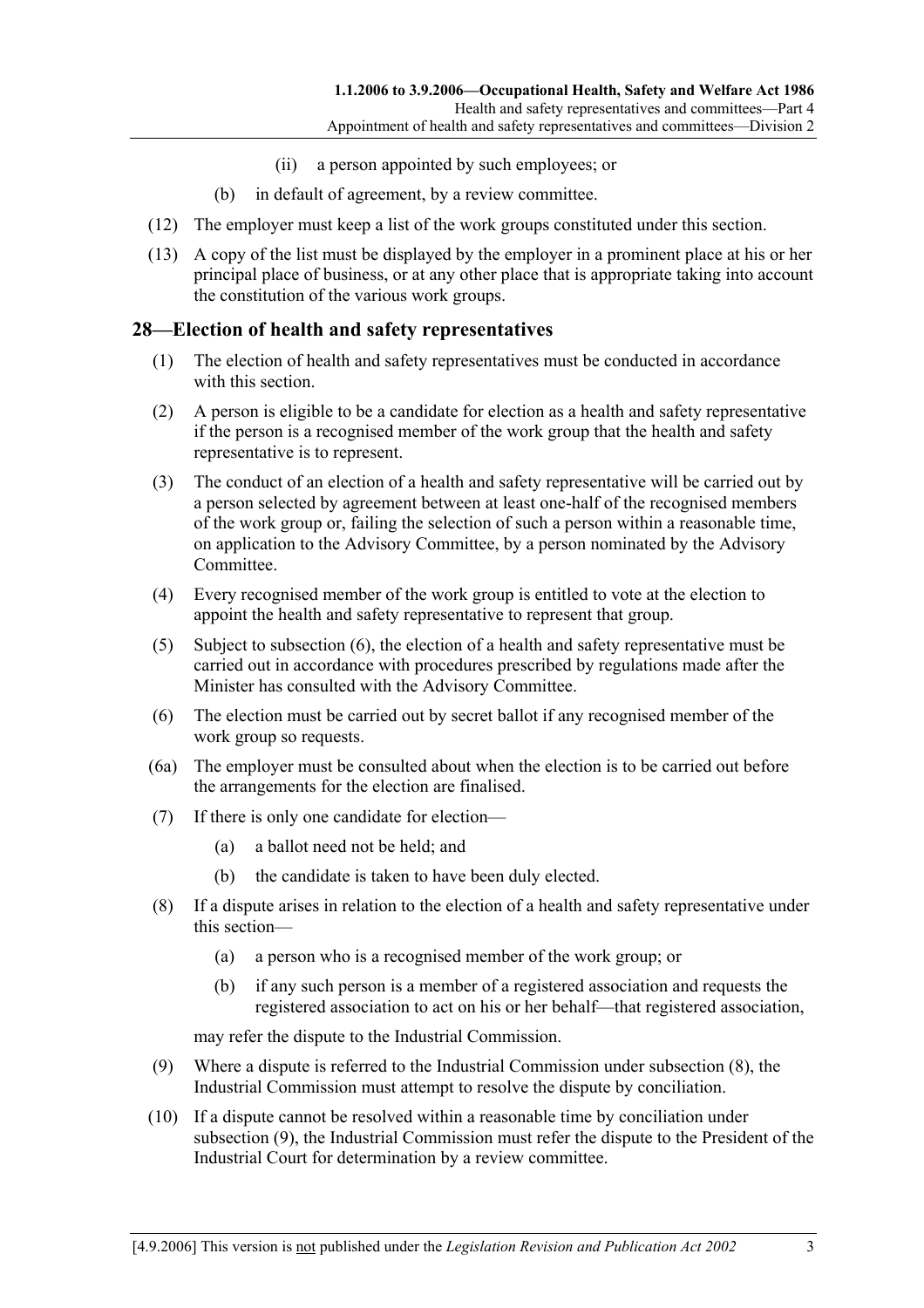- (ii) a person appointed by such employees; or
- (b) in default of agreement, by a review committee.
- (12) The employer must keep a list of the work groups constituted under this section.
- (13) A copy of the list must be displayed by the employer in a prominent place at his or her principal place of business, or at any other place that is appropriate taking into account the constitution of the various work groups.

#### **28—Election of health and safety representatives**

- (1) The election of health and safety representatives must be conducted in accordance with this section.
- (2) A person is eligible to be a candidate for election as a health and safety representative if the person is a recognised member of the work group that the health and safety representative is to represent.
- (3) The conduct of an election of a health and safety representative will be carried out by a person selected by agreement between at least one-half of the recognised members of the work group or, failing the selection of such a person within a reasonable time, on application to the Advisory Committee, by a person nominated by the Advisory Committee.
- (4) Every recognised member of the work group is entitled to vote at the election to appoint the health and safety representative to represent that group.
- (5) Subject to subsection (6), the election of a health and safety representative must be carried out in accordance with procedures prescribed by regulations made after the Minister has consulted with the Advisory Committee.
- (6) The election must be carried out by secret ballot if any recognised member of the work group so requests.
- (6a) The employer must be consulted about when the election is to be carried out before the arrangements for the election are finalised.
- (7) If there is only one candidate for election—
	- (a) a ballot need not be held; and
	- (b) the candidate is taken to have been duly elected.
- (8) If a dispute arises in relation to the election of a health and safety representative under this section—
	- (a) a person who is a recognised member of the work group; or
	- (b) if any such person is a member of a registered association and requests the registered association to act on his or her behalf—that registered association,

may refer the dispute to the Industrial Commission.

- (9) Where a dispute is referred to the Industrial Commission under subsection (8), the Industrial Commission must attempt to resolve the dispute by conciliation.
- (10) If a dispute cannot be resolved within a reasonable time by conciliation under subsection (9), the Industrial Commission must refer the dispute to the President of the Industrial Court for determination by a review committee.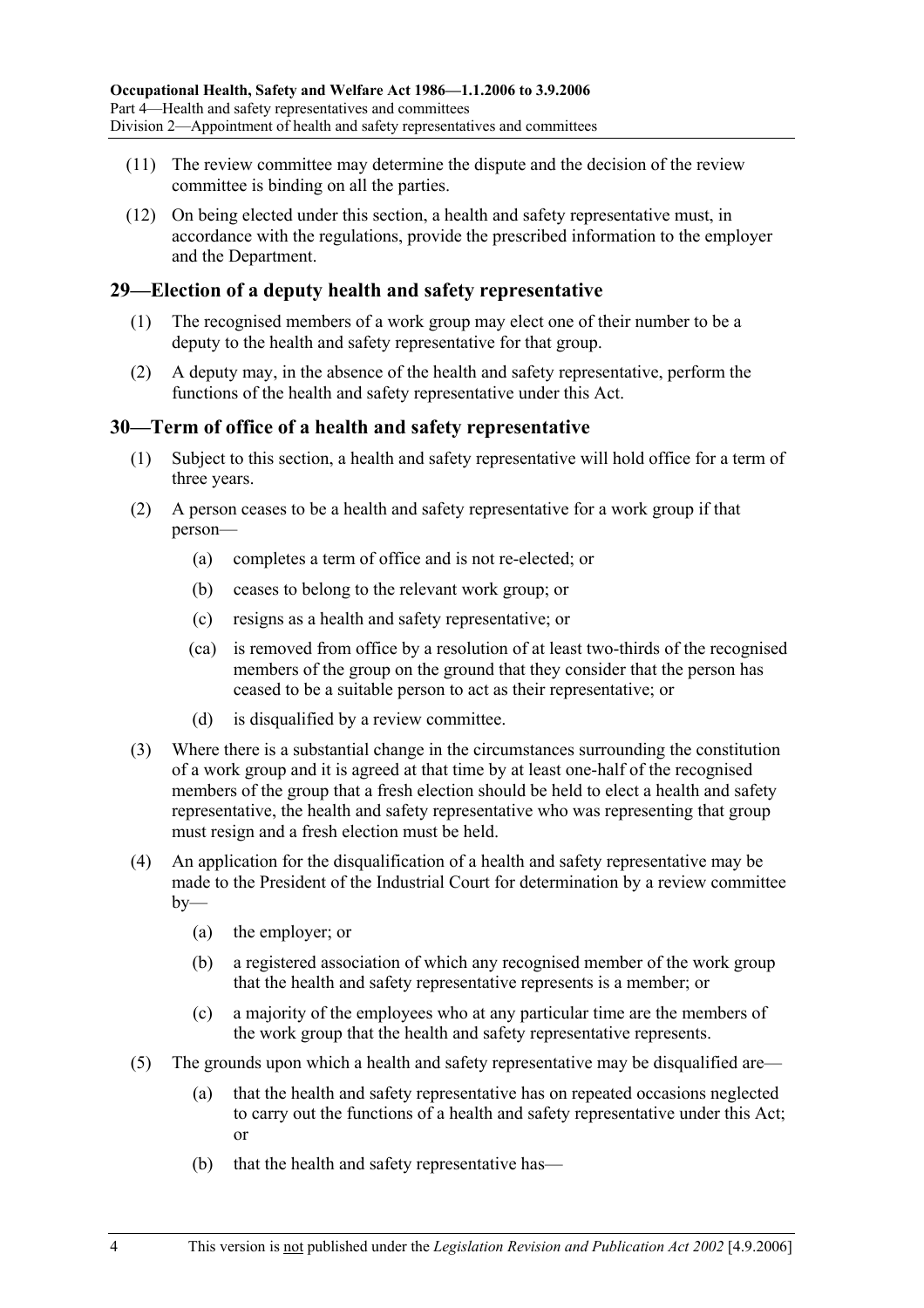- (11) The review committee may determine the dispute and the decision of the review committee is binding on all the parties.
- (12) On being elected under this section, a health and safety representative must, in accordance with the regulations, provide the prescribed information to the employer and the Department.

### **29—Election of a deputy health and safety representative**

- (1) The recognised members of a work group may elect one of their number to be a deputy to the health and safety representative for that group.
- (2) A deputy may, in the absence of the health and safety representative, perform the functions of the health and safety representative under this Act.

### **30—Term of office of a health and safety representative**

- (1) Subject to this section, a health and safety representative will hold office for a term of three years.
- (2) A person ceases to be a health and safety representative for a work group if that person—
	- (a) completes a term of office and is not re-elected; or
	- (b) ceases to belong to the relevant work group; or
	- (c) resigns as a health and safety representative; or
	- (ca) is removed from office by a resolution of at least two-thirds of the recognised members of the group on the ground that they consider that the person has ceased to be a suitable person to act as their representative; or
	- (d) is disqualified by a review committee.
- (3) Where there is a substantial change in the circumstances surrounding the constitution of a work group and it is agreed at that time by at least one-half of the recognised members of the group that a fresh election should be held to elect a health and safety representative, the health and safety representative who was representing that group must resign and a fresh election must be held.
- (4) An application for the disqualification of a health and safety representative may be made to the President of the Industrial Court for determination by a review committee  $by-$ 
	- (a) the employer; or
	- (b) a registered association of which any recognised member of the work group that the health and safety representative represents is a member; or
	- (c) a majority of the employees who at any particular time are the members of the work group that the health and safety representative represents.
- (5) The grounds upon which a health and safety representative may be disqualified are—
	- (a) that the health and safety representative has on repeated occasions neglected to carry out the functions of a health and safety representative under this Act; or
	- (b) that the health and safety representative has—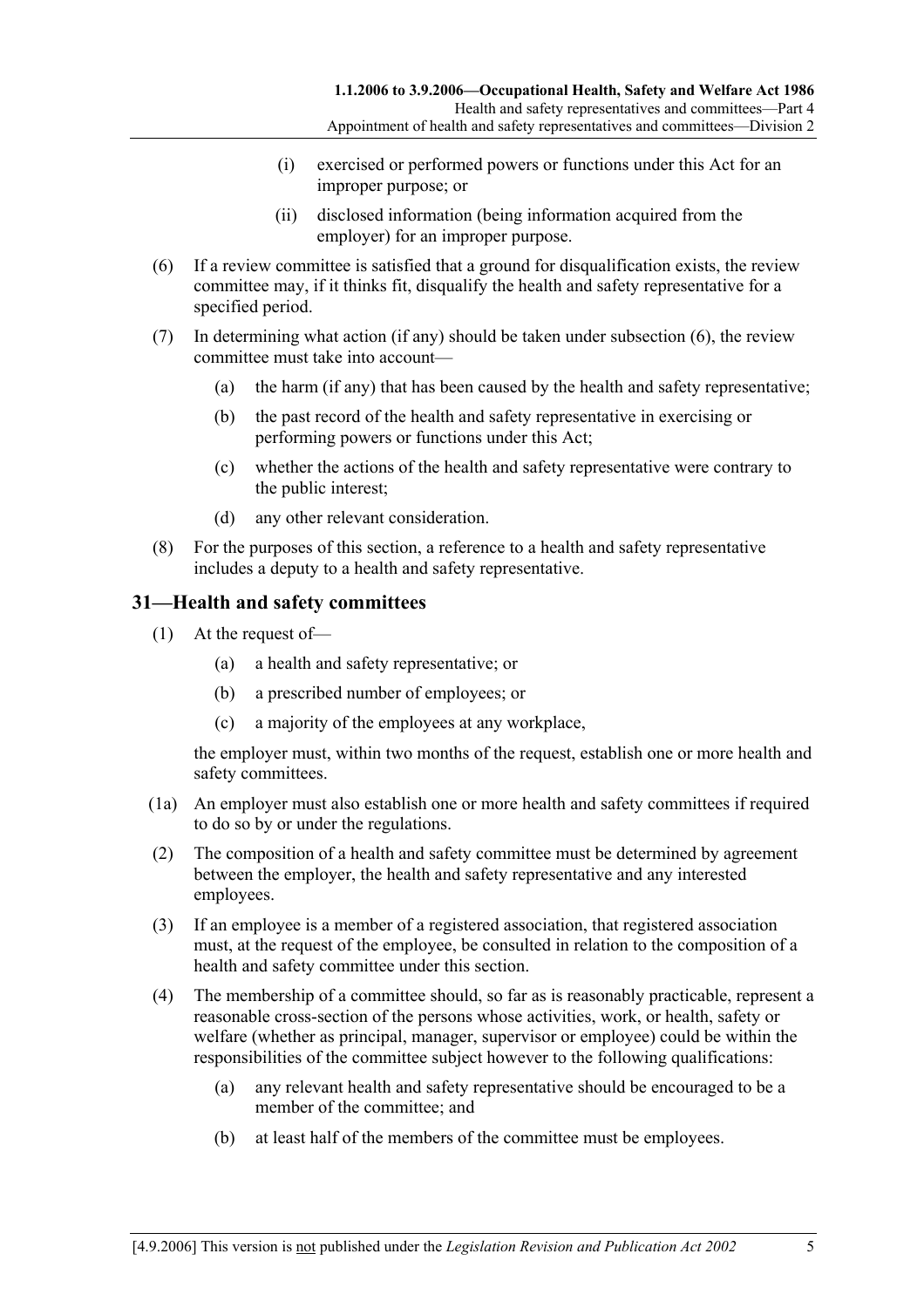- (i) exercised or performed powers or functions under this Act for an improper purpose; or
- (ii) disclosed information (being information acquired from the employer) for an improper purpose.
- (6) If a review committee is satisfied that a ground for disqualification exists, the review committee may, if it thinks fit, disqualify the health and safety representative for a specified period.
- (7) In determining what action (if any) should be taken under subsection (6), the review committee must take into account—
	- (a) the harm (if any) that has been caused by the health and safety representative;
	- (b) the past record of the health and safety representative in exercising or performing powers or functions under this Act;
	- (c) whether the actions of the health and safety representative were contrary to the public interest;
	- (d) any other relevant consideration.
- (8) For the purposes of this section, a reference to a health and safety representative includes a deputy to a health and safety representative.

### **31—Health and safety committees**

- (1) At the request of—
	- (a) a health and safety representative; or
	- (b) a prescribed number of employees; or
	- (c) a majority of the employees at any workplace,

the employer must, within two months of the request, establish one or more health and safety committees.

- (1a) An employer must also establish one or more health and safety committees if required to do so by or under the regulations.
- (2) The composition of a health and safety committee must be determined by agreement between the employer, the health and safety representative and any interested employees.
- (3) If an employee is a member of a registered association, that registered association must, at the request of the employee, be consulted in relation to the composition of a health and safety committee under this section.
- (4) The membership of a committee should, so far as is reasonably practicable, represent a reasonable cross-section of the persons whose activities, work, or health, safety or welfare (whether as principal, manager, supervisor or employee) could be within the responsibilities of the committee subject however to the following qualifications:
	- (a) any relevant health and safety representative should be encouraged to be a member of the committee; and
	- (b) at least half of the members of the committee must be employees.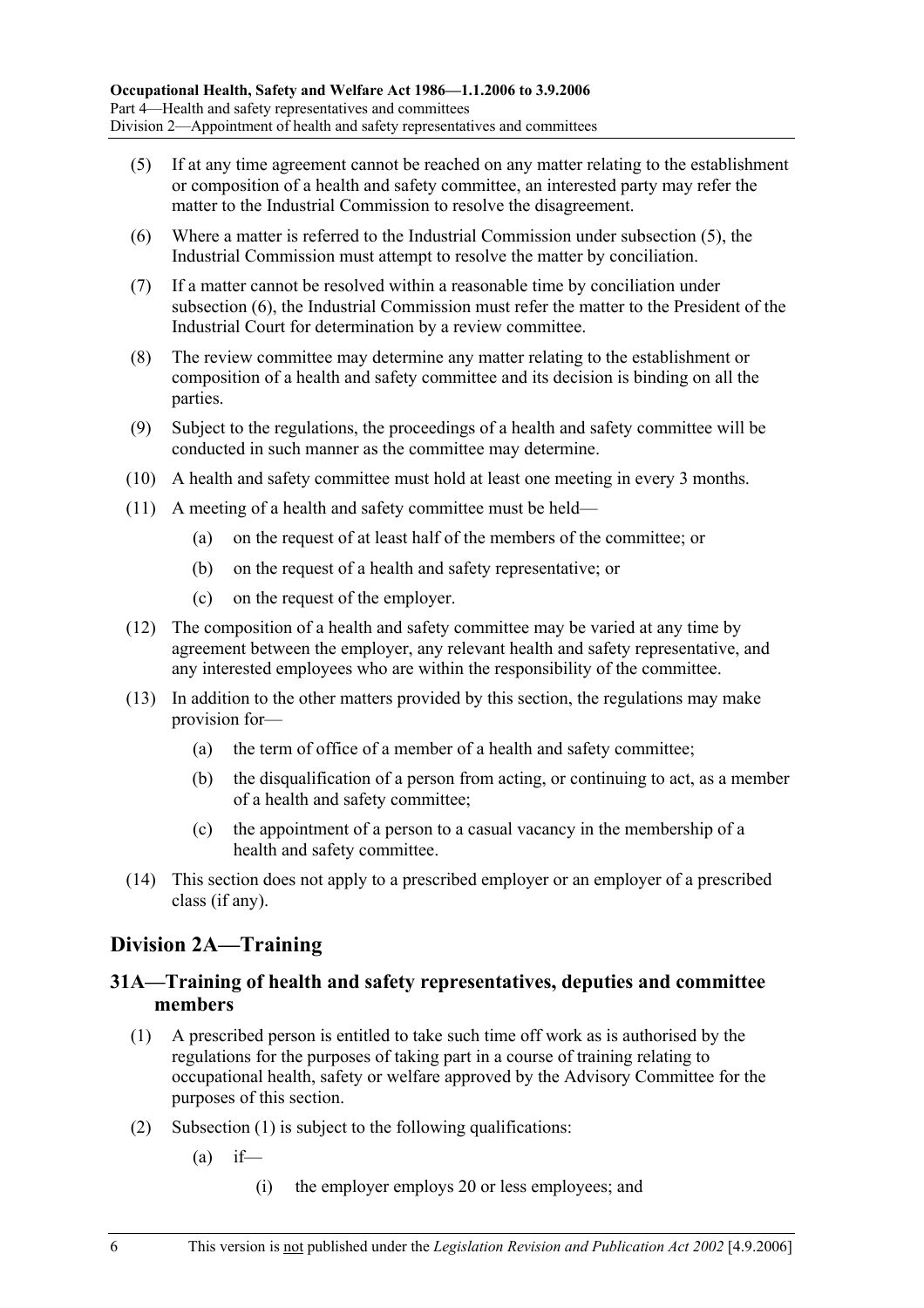- (5) If at any time agreement cannot be reached on any matter relating to the establishment or composition of a health and safety committee, an interested party may refer the matter to the Industrial Commission to resolve the disagreement.
- (6) Where a matter is referred to the Industrial Commission under subsection (5), the Industrial Commission must attempt to resolve the matter by conciliation.
- (7) If a matter cannot be resolved within a reasonable time by conciliation under subsection (6), the Industrial Commission must refer the matter to the President of the Industrial Court for determination by a review committee.
- (8) The review committee may determine any matter relating to the establishment or composition of a health and safety committee and its decision is binding on all the parties.
- (9) Subject to the regulations, the proceedings of a health and safety committee will be conducted in such manner as the committee may determine.
- (10) A health and safety committee must hold at least one meeting in every 3 months.
- (11) A meeting of a health and safety committee must be held—
	- (a) on the request of at least half of the members of the committee; or
	- (b) on the request of a health and safety representative; or
	- (c) on the request of the employer.
- (12) The composition of a health and safety committee may be varied at any time by agreement between the employer, any relevant health and safety representative, and any interested employees who are within the responsibility of the committee.
- (13) In addition to the other matters provided by this section, the regulations may make provision for—
	- (a) the term of office of a member of a health and safety committee;
	- (b) the disqualification of a person from acting, or continuing to act, as a member of a health and safety committee;
	- (c) the appointment of a person to a casual vacancy in the membership of a health and safety committee.
- (14) This section does not apply to a prescribed employer or an employer of a prescribed class (if any).

### **Division 2A—Training**

### **31A—Training of health and safety representatives, deputies and committee members**

- (1) A prescribed person is entitled to take such time off work as is authorised by the regulations for the purposes of taking part in a course of training relating to occupational health, safety or welfare approved by the Advisory Committee for the purposes of this section.
- (2) Subsection (1) is subject to the following qualifications:
	- $(a)$  if—
		- (i) the employer employs 20 or less employees; and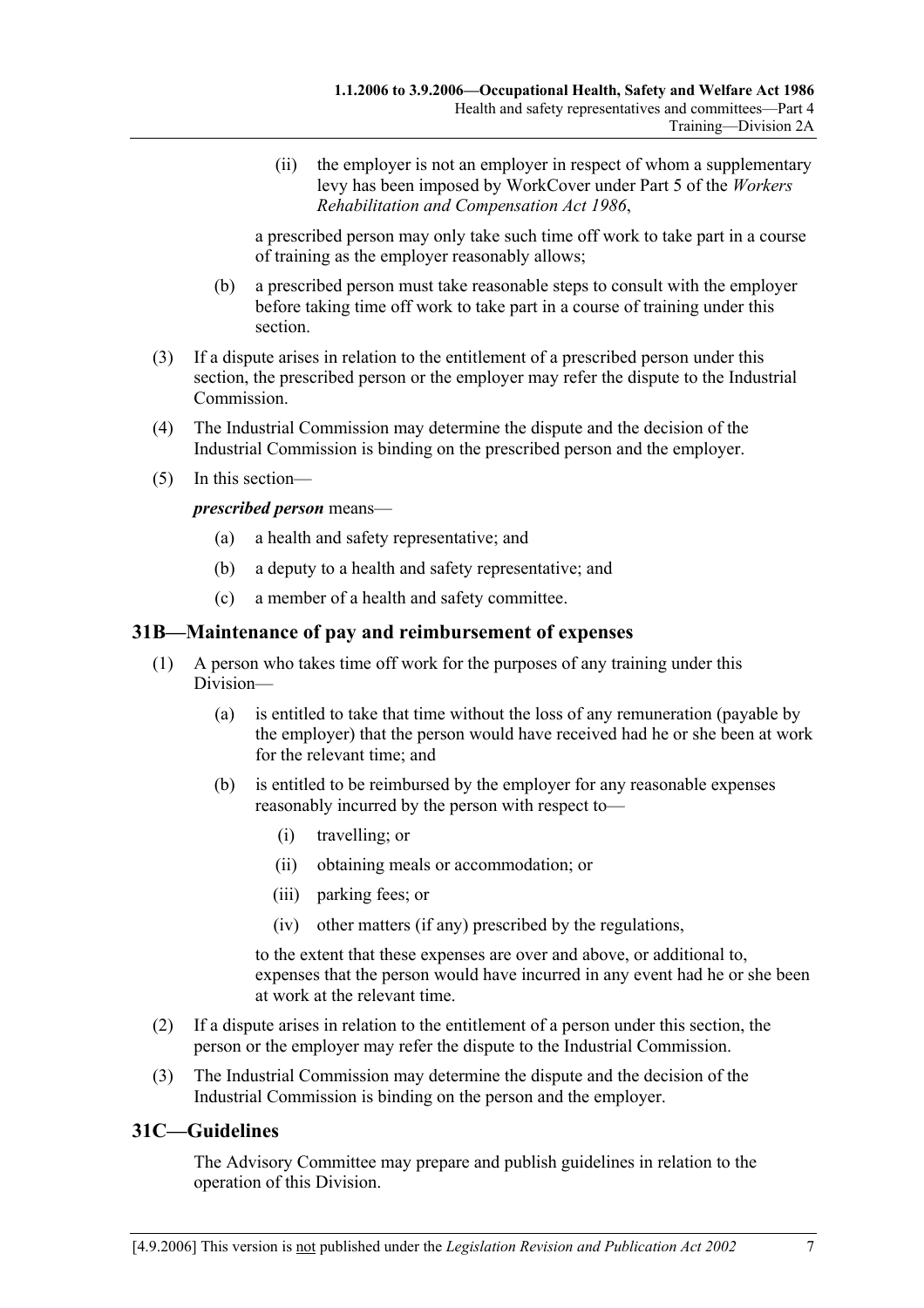(ii) the employer is not an employer in respect of whom a supplementary levy has been imposed by WorkCover under Part 5 of the *Workers Rehabilitation and Compensation Act 1986*,

a prescribed person may only take such time off work to take part in a course of training as the employer reasonably allows;

- (b) a prescribed person must take reasonable steps to consult with the employer before taking time off work to take part in a course of training under this section.
- (3) If a dispute arises in relation to the entitlement of a prescribed person under this section, the prescribed person or the employer may refer the dispute to the Industrial **Commission**
- (4) The Industrial Commission may determine the dispute and the decision of the Industrial Commission is binding on the prescribed person and the employer.
- (5) In this section—

*prescribed person* means—

- (a) a health and safety representative; and
- (b) a deputy to a health and safety representative; and
- (c) a member of a health and safety committee.

### **31B—Maintenance of pay and reimbursement of expenses**

- (1) A person who takes time off work for the purposes of any training under this Division—
	- (a) is entitled to take that time without the loss of any remuneration (payable by the employer) that the person would have received had he or she been at work for the relevant time; and
	- (b) is entitled to be reimbursed by the employer for any reasonable expenses reasonably incurred by the person with respect to—
		- (i) travelling; or
		- (ii) obtaining meals or accommodation; or
		- (iii) parking fees; or
		- (iv) other matters (if any) prescribed by the regulations,

to the extent that these expenses are over and above, or additional to, expenses that the person would have incurred in any event had he or she been at work at the relevant time.

- (2) If a dispute arises in relation to the entitlement of a person under this section, the person or the employer may refer the dispute to the Industrial Commission.
- (3) The Industrial Commission may determine the dispute and the decision of the Industrial Commission is binding on the person and the employer.

### **31C—Guidelines**

The Advisory Committee may prepare and publish guidelines in relation to the operation of this Division.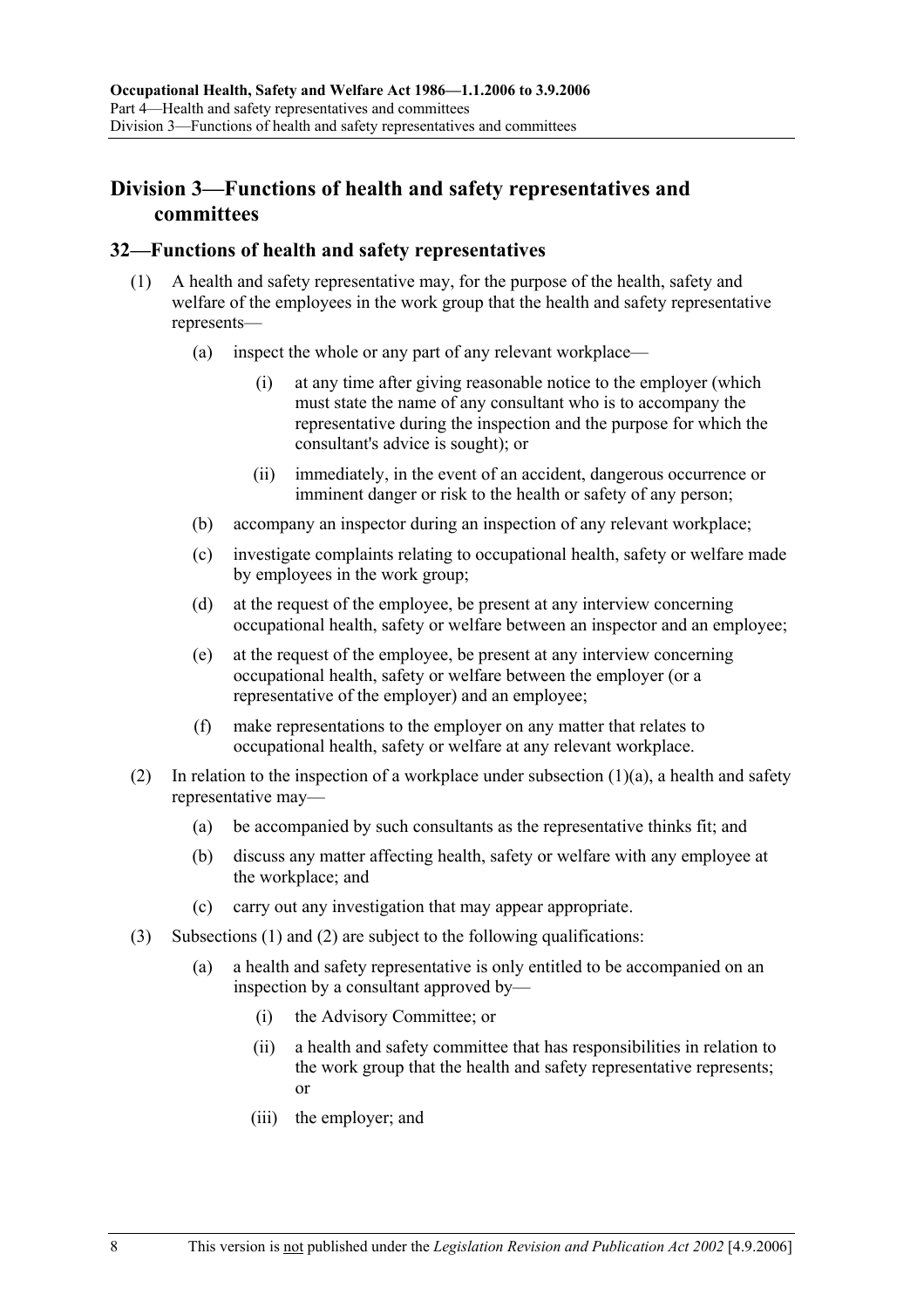### **Division 3—Functions of health and safety representatives and committees**

#### **32—Functions of health and safety representatives**

- (1) A health and safety representative may, for the purpose of the health, safety and welfare of the employees in the work group that the health and safety representative represents—
	- (a) inspect the whole or any part of any relevant workplace—
		- (i) at any time after giving reasonable notice to the employer (which must state the name of any consultant who is to accompany the representative during the inspection and the purpose for which the consultant's advice is sought); or
		- (ii) immediately, in the event of an accident, dangerous occurrence or imminent danger or risk to the health or safety of any person;
	- (b) accompany an inspector during an inspection of any relevant workplace;
	- (c) investigate complaints relating to occupational health, safety or welfare made by employees in the work group;
	- (d) at the request of the employee, be present at any interview concerning occupational health, safety or welfare between an inspector and an employee;
	- (e) at the request of the employee, be present at any interview concerning occupational health, safety or welfare between the employer (or a representative of the employer) and an employee;
	- (f) make representations to the employer on any matter that relates to occupational health, safety or welfare at any relevant workplace.
- (2) In relation to the inspection of a workplace under subsection  $(1)(a)$ , a health and safety representative may—
	- (a) be accompanied by such consultants as the representative thinks fit; and
	- (b) discuss any matter affecting health, safety or welfare with any employee at the workplace; and
	- (c) carry out any investigation that may appear appropriate.
- (3) Subsections (1) and (2) are subject to the following qualifications:
	- (a) a health and safety representative is only entitled to be accompanied on an inspection by a consultant approved by—
		- (i) the Advisory Committee; or
		- (ii) a health and safety committee that has responsibilities in relation to the work group that the health and safety representative represents; or
		- (iii) the employer; and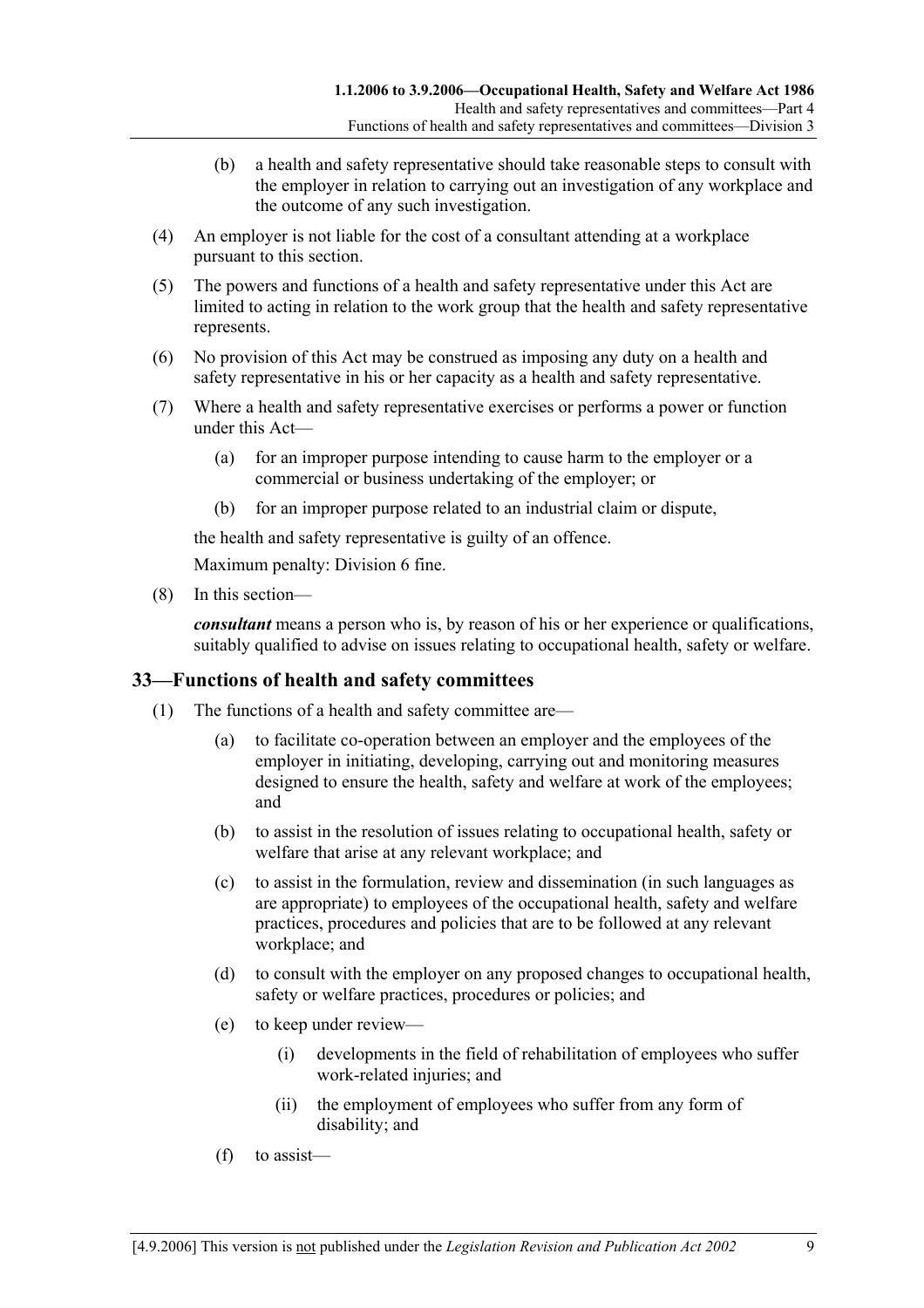- (b) a health and safety representative should take reasonable steps to consult with the employer in relation to carrying out an investigation of any workplace and the outcome of any such investigation.
- (4) An employer is not liable for the cost of a consultant attending at a workplace pursuant to this section.
- (5) The powers and functions of a health and safety representative under this Act are limited to acting in relation to the work group that the health and safety representative represents.
- (6) No provision of this Act may be construed as imposing any duty on a health and safety representative in his or her capacity as a health and safety representative.
- (7) Where a health and safety representative exercises or performs a power or function under this Act—
	- (a) for an improper purpose intending to cause harm to the employer or a commercial or business undertaking of the employer; or
	- (b) for an improper purpose related to an industrial claim or dispute,

the health and safety representative is guilty of an offence.

Maximum penalty: Division 6 fine.

(8) In this section—

*consultant* means a person who is, by reason of his or her experience or qualifications, suitably qualified to advise on issues relating to occupational health, safety or welfare.

### **33—Functions of health and safety committees**

- (1) The functions of a health and safety committee are—
	- (a) to facilitate co-operation between an employer and the employees of the employer in initiating, developing, carrying out and monitoring measures designed to ensure the health, safety and welfare at work of the employees; and
	- (b) to assist in the resolution of issues relating to occupational health, safety or welfare that arise at any relevant workplace; and
	- (c) to assist in the formulation, review and dissemination (in such languages as are appropriate) to employees of the occupational health, safety and welfare practices, procedures and policies that are to be followed at any relevant workplace; and
	- (d) to consult with the employer on any proposed changes to occupational health, safety or welfare practices, procedures or policies; and
	- (e) to keep under review—
		- (i) developments in the field of rehabilitation of employees who suffer work-related injuries; and
		- (ii) the employment of employees who suffer from any form of disability; and
	- (f) to assist—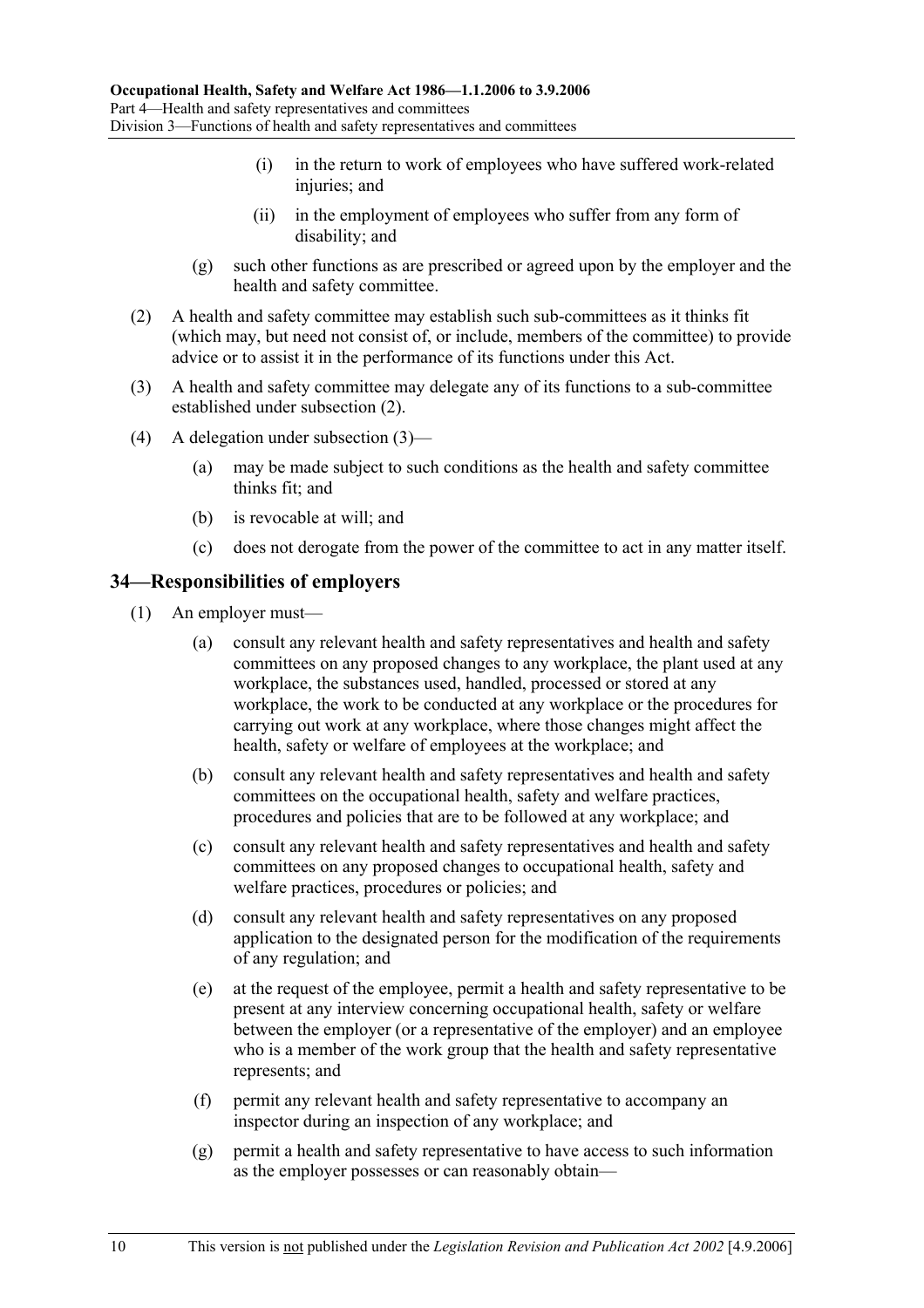- (i) in the return to work of employees who have suffered work-related injuries; and
- (ii) in the employment of employees who suffer from any form of disability; and
- (g) such other functions as are prescribed or agreed upon by the employer and the health and safety committee.
- (2) A health and safety committee may establish such sub-committees as it thinks fit (which may, but need not consist of, or include, members of the committee) to provide advice or to assist it in the performance of its functions under this Act.
- (3) A health and safety committee may delegate any of its functions to a sub-committee established under subsection (2).
- (4) A delegation under subsection (3)—
	- (a) may be made subject to such conditions as the health and safety committee thinks fit; and
	- (b) is revocable at will; and
	- (c) does not derogate from the power of the committee to act in any matter itself.

#### **34—Responsibilities of employers**

- (1) An employer must—
	- (a) consult any relevant health and safety representatives and health and safety committees on any proposed changes to any workplace, the plant used at any workplace, the substances used, handled, processed or stored at any workplace, the work to be conducted at any workplace or the procedures for carrying out work at any workplace, where those changes might affect the health, safety or welfare of employees at the workplace; and
	- (b) consult any relevant health and safety representatives and health and safety committees on the occupational health, safety and welfare practices, procedures and policies that are to be followed at any workplace; and
	- (c) consult any relevant health and safety representatives and health and safety committees on any proposed changes to occupational health, safety and welfare practices, procedures or policies; and
	- (d) consult any relevant health and safety representatives on any proposed application to the designated person for the modification of the requirements of any regulation; and
	- (e) at the request of the employee, permit a health and safety representative to be present at any interview concerning occupational health, safety or welfare between the employer (or a representative of the employer) and an employee who is a member of the work group that the health and safety representative represents; and
	- (f) permit any relevant health and safety representative to accompany an inspector during an inspection of any workplace; and
	- (g) permit a health and safety representative to have access to such information as the employer possesses or can reasonably obtain—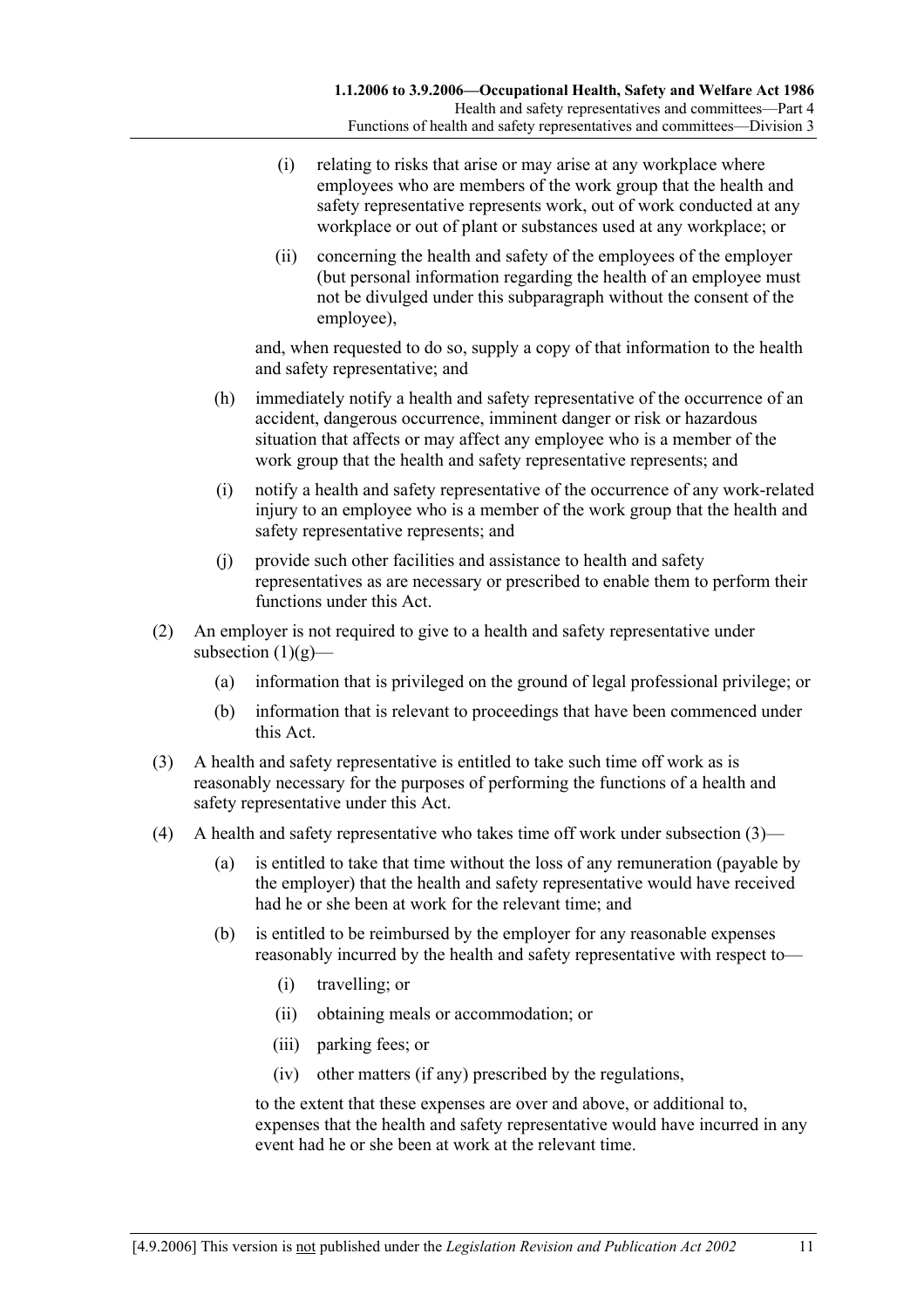- (i) relating to risks that arise or may arise at any workplace where employees who are members of the work group that the health and safety representative represents work, out of work conducted at any workplace or out of plant or substances used at any workplace; or
- (ii) concerning the health and safety of the employees of the employer (but personal information regarding the health of an employee must not be divulged under this subparagraph without the consent of the employee),

and, when requested to do so, supply a copy of that information to the health and safety representative; and

- (h) immediately notify a health and safety representative of the occurrence of an accident, dangerous occurrence, imminent danger or risk or hazardous situation that affects or may affect any employee who is a member of the work group that the health and safety representative represents; and
- (i) notify a health and safety representative of the occurrence of any work-related injury to an employee who is a member of the work group that the health and safety representative represents; and
- (j) provide such other facilities and assistance to health and safety representatives as are necessary or prescribed to enable them to perform their functions under this Act.
- (2) An employer is not required to give to a health and safety representative under subsection  $(1)(g)$ —
	- (a) information that is privileged on the ground of legal professional privilege; or
	- (b) information that is relevant to proceedings that have been commenced under this Act.
- (3) A health and safety representative is entitled to take such time off work as is reasonably necessary for the purposes of performing the functions of a health and safety representative under this Act.
- (4) A health and safety representative who takes time off work under subsection (3)—
	- (a) is entitled to take that time without the loss of any remuneration (payable by the employer) that the health and safety representative would have received had he or she been at work for the relevant time; and
	- (b) is entitled to be reimbursed by the employer for any reasonable expenses reasonably incurred by the health and safety representative with respect to—
		- (i) travelling; or
		- (ii) obtaining meals or accommodation; or
		- (iii) parking fees; or
		- (iv) other matters (if any) prescribed by the regulations,

to the extent that these expenses are over and above, or additional to, expenses that the health and safety representative would have incurred in any event had he or she been at work at the relevant time.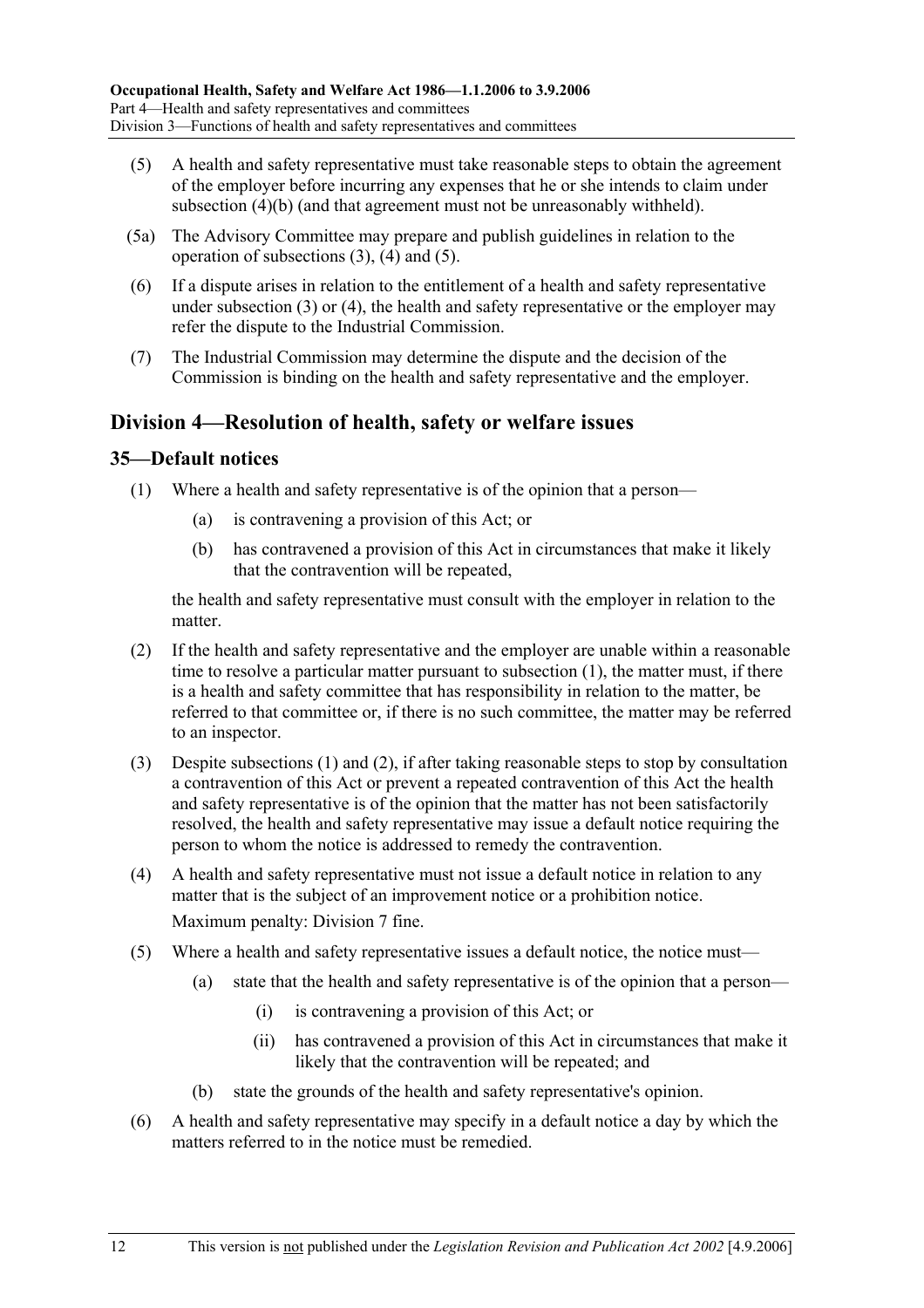- (5) A health and safety representative must take reasonable steps to obtain the agreement of the employer before incurring any expenses that he or she intends to claim under subsection (4)(b) (and that agreement must not be unreasonably withheld).
- (5a) The Advisory Committee may prepare and publish guidelines in relation to the operation of subsections (3), (4) and (5).
- (6) If a dispute arises in relation to the entitlement of a health and safety representative under subsection (3) or (4), the health and safety representative or the employer may refer the dispute to the Industrial Commission.
- (7) The Industrial Commission may determine the dispute and the decision of the Commission is binding on the health and safety representative and the employer.

### **Division 4—Resolution of health, safety or welfare issues**

### **35—Default notices**

- (1) Where a health and safety representative is of the opinion that a person—
	- (a) is contravening a provision of this Act; or
	- (b) has contravened a provision of this Act in circumstances that make it likely that the contravention will be repeated,

the health and safety representative must consult with the employer in relation to the matter.

- (2) If the health and safety representative and the employer are unable within a reasonable time to resolve a particular matter pursuant to subsection (1), the matter must, if there is a health and safety committee that has responsibility in relation to the matter, be referred to that committee or, if there is no such committee, the matter may be referred to an inspector.
- (3) Despite subsections (1) and (2), if after taking reasonable steps to stop by consultation a contravention of this Act or prevent a repeated contravention of this Act the health and safety representative is of the opinion that the matter has not been satisfactorily resolved, the health and safety representative may issue a default notice requiring the person to whom the notice is addressed to remedy the contravention.
- (4) A health and safety representative must not issue a default notice in relation to any matter that is the subject of an improvement notice or a prohibition notice. Maximum penalty: Division 7 fine.
- (5) Where a health and safety representative issues a default notice, the notice must—
	- (a) state that the health and safety representative is of the opinion that a person—
		- (i) is contravening a provision of this Act; or
		- (ii) has contravened a provision of this Act in circumstances that make it likely that the contravention will be repeated; and
	- (b) state the grounds of the health and safety representative's opinion.
- (6) A health and safety representative may specify in a default notice a day by which the matters referred to in the notice must be remedied.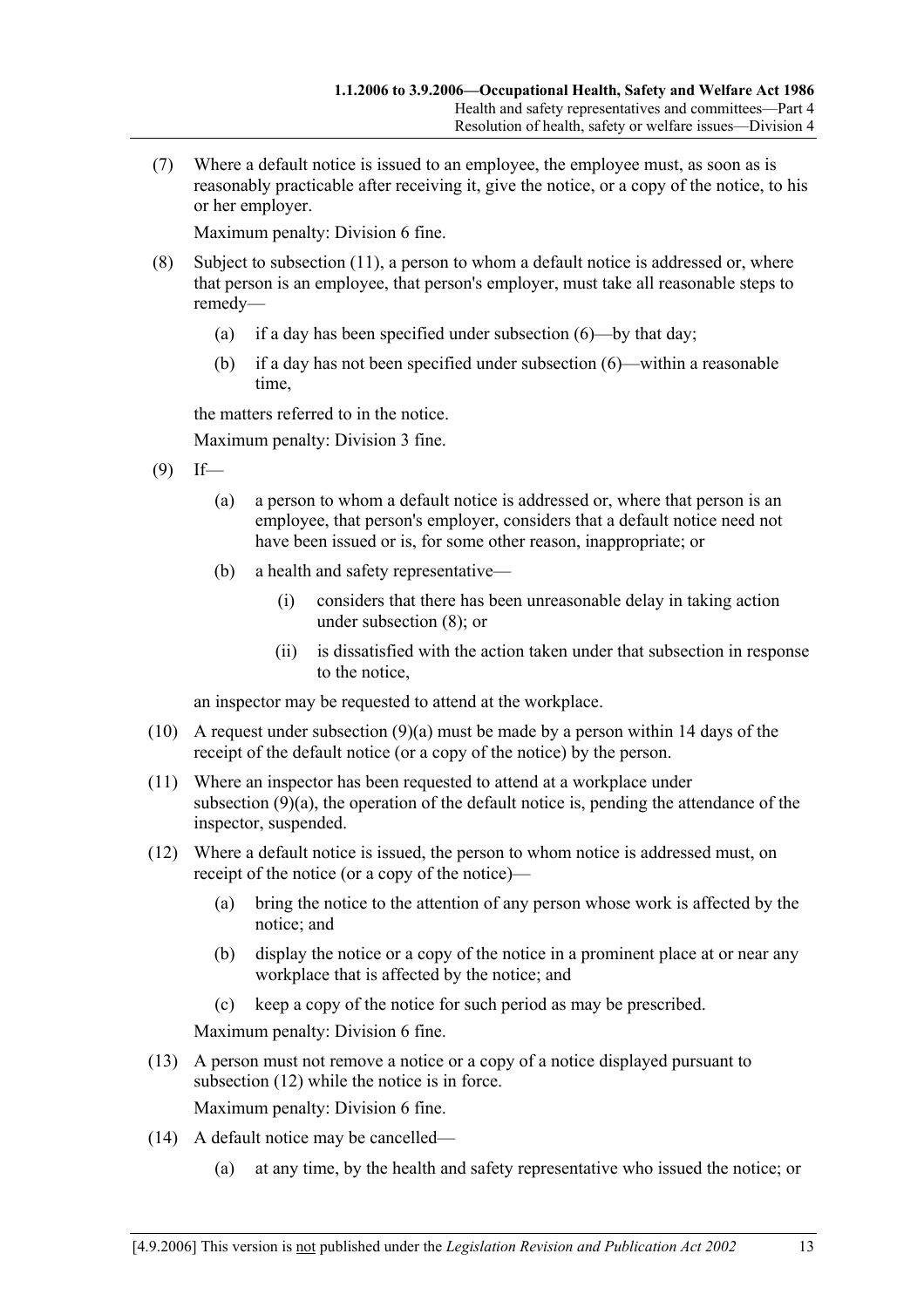(7) Where a default notice is issued to an employee, the employee must, as soon as is reasonably practicable after receiving it, give the notice, or a copy of the notice, to his or her employer.

Maximum penalty: Division 6 fine.

- (8) Subject to subsection (11), a person to whom a default notice is addressed or, where that person is an employee, that person's employer, must take all reasonable steps to remedy—
	- (a) if a day has been specified under subsection (6)—by that day;
	- (b) if a day has not been specified under subsection (6)—within a reasonable time,

the matters referred to in the notice.

Maximum penalty: Division 3 fine.

- $(9)$  If—
	- (a) a person to whom a default notice is addressed or, where that person is an employee, that person's employer, considers that a default notice need not have been issued or is, for some other reason, inappropriate; or
	- (b) a health and safety representative—
		- (i) considers that there has been unreasonable delay in taking action under subsection (8); or
		- (ii) is dissatisfied with the action taken under that subsection in response to the notice,

an inspector may be requested to attend at the workplace.

- (10) A request under subsection (9)(a) must be made by a person within 14 days of the receipt of the default notice (or a copy of the notice) by the person.
- (11) Where an inspector has been requested to attend at a workplace under subsection (9)(a), the operation of the default notice is, pending the attendance of the inspector, suspended.
- (12) Where a default notice is issued, the person to whom notice is addressed must, on receipt of the notice (or a copy of the notice)—
	- (a) bring the notice to the attention of any person whose work is affected by the notice; and
	- (b) display the notice or a copy of the notice in a prominent place at or near any workplace that is affected by the notice; and
	- (c) keep a copy of the notice for such period as may be prescribed.

Maximum penalty: Division 6 fine.

 (13) A person must not remove a notice or a copy of a notice displayed pursuant to subsection (12) while the notice is in force.

Maximum penalty: Division 6 fine.

- (14) A default notice may be cancelled—
	- (a) at any time, by the health and safety representative who issued the notice; or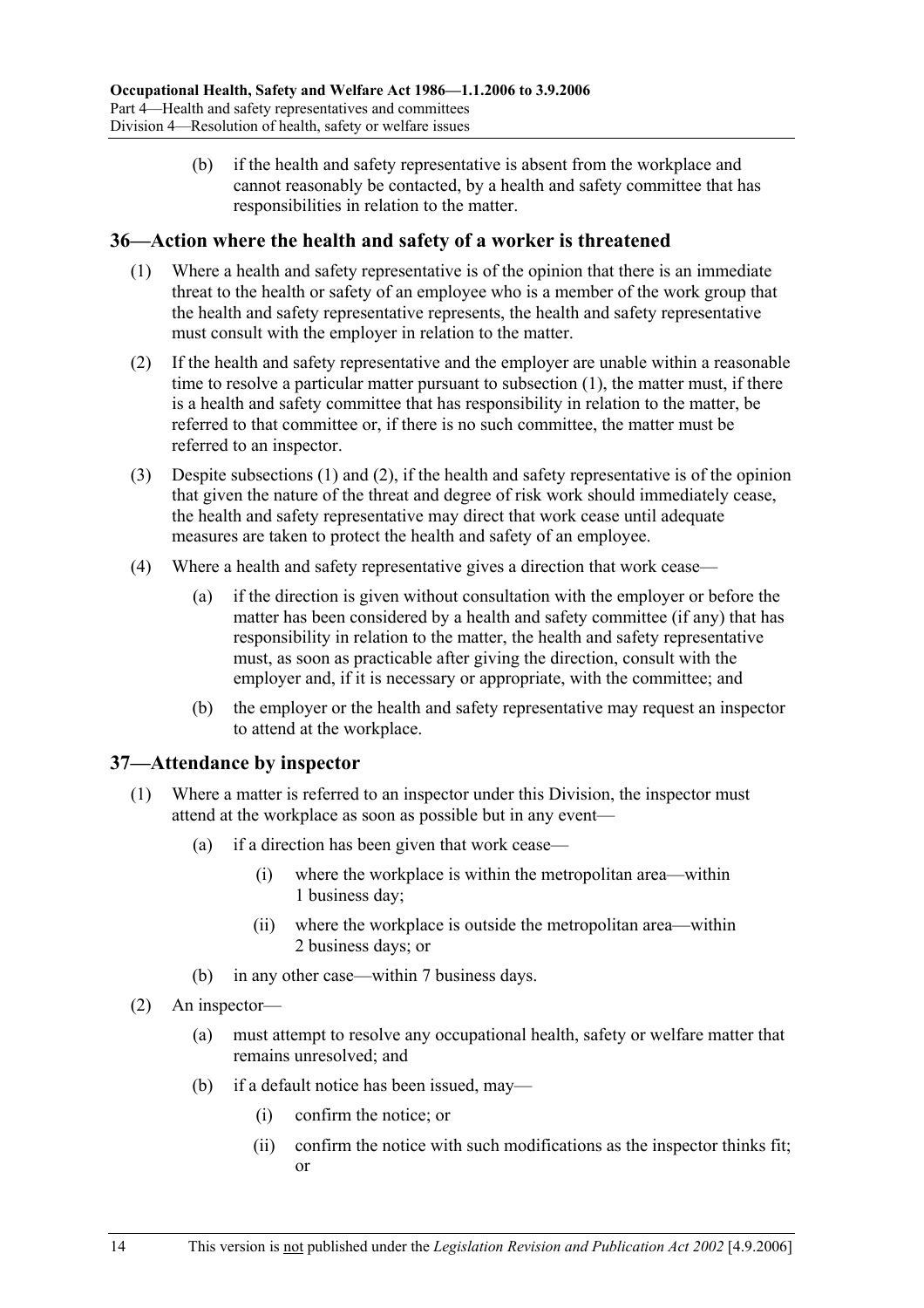(b) if the health and safety representative is absent from the workplace and cannot reasonably be contacted, by a health and safety committee that has responsibilities in relation to the matter.

### **36—Action where the health and safety of a worker is threatened**

- (1) Where a health and safety representative is of the opinion that there is an immediate threat to the health or safety of an employee who is a member of the work group that the health and safety representative represents, the health and safety representative must consult with the employer in relation to the matter.
- (2) If the health and safety representative and the employer are unable within a reasonable time to resolve a particular matter pursuant to subsection (1), the matter must, if there is a health and safety committee that has responsibility in relation to the matter, be referred to that committee or, if there is no such committee, the matter must be referred to an inspector.
- (3) Despite subsections (1) and (2), if the health and safety representative is of the opinion that given the nature of the threat and degree of risk work should immediately cease, the health and safety representative may direct that work cease until adequate measures are taken to protect the health and safety of an employee.
- (4) Where a health and safety representative gives a direction that work cease—
	- (a) if the direction is given without consultation with the employer or before the matter has been considered by a health and safety committee (if any) that has responsibility in relation to the matter, the health and safety representative must, as soon as practicable after giving the direction, consult with the employer and, if it is necessary or appropriate, with the committee; and
	- (b) the employer or the health and safety representative may request an inspector to attend at the workplace.

### **37—Attendance by inspector**

- (1) Where a matter is referred to an inspector under this Division, the inspector must attend at the workplace as soon as possible but in any event—
	- (a) if a direction has been given that work cease—
		- (i) where the workplace is within the metropolitan area—within 1 business day;
		- (ii) where the workplace is outside the metropolitan area—within 2 business days; or
	- (b) in any other case—within 7 business days.
- (2) An inspector—
	- (a) must attempt to resolve any occupational health, safety or welfare matter that remains unresolved; and
	- (b) if a default notice has been issued, may—
		- (i) confirm the notice; or
		- (ii) confirm the notice with such modifications as the inspector thinks fit; or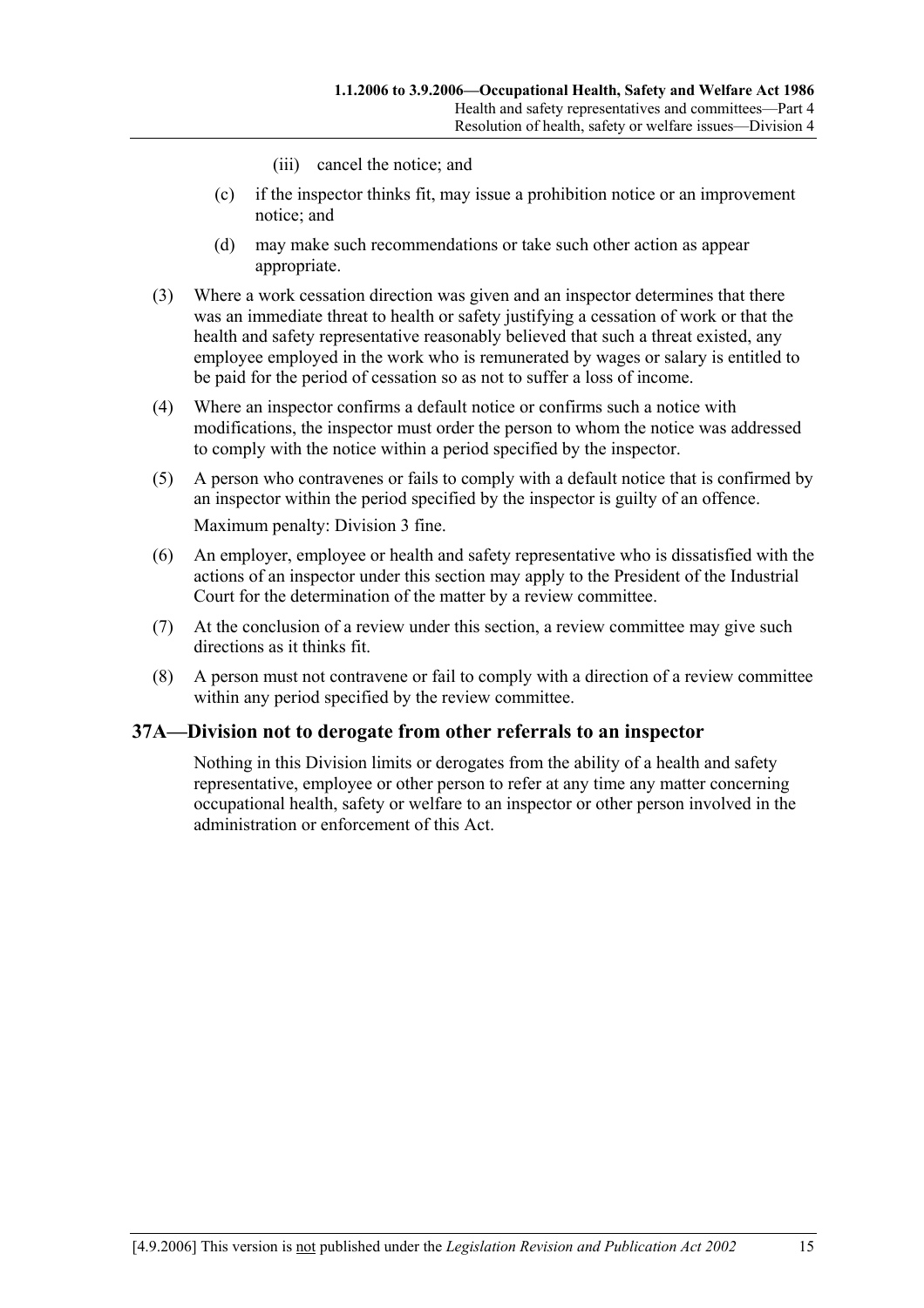- (iii) cancel the notice; and
- (c) if the inspector thinks fit, may issue a prohibition notice or an improvement notice; and
- (d) may make such recommendations or take such other action as appear appropriate.
- (3) Where a work cessation direction was given and an inspector determines that there was an immediate threat to health or safety justifying a cessation of work or that the health and safety representative reasonably believed that such a threat existed, any employee employed in the work who is remunerated by wages or salary is entitled to be paid for the period of cessation so as not to suffer a loss of income.
- (4) Where an inspector confirms a default notice or confirms such a notice with modifications, the inspector must order the person to whom the notice was addressed to comply with the notice within a period specified by the inspector.
- (5) A person who contravenes or fails to comply with a default notice that is confirmed by an inspector within the period specified by the inspector is guilty of an offence. Maximum penalty: Division 3 fine.
- (6) An employer, employee or health and safety representative who is dissatisfied with the actions of an inspector under this section may apply to the President of the Industrial Court for the determination of the matter by a review committee.
- (7) At the conclusion of a review under this section, a review committee may give such directions as it thinks fit.
- (8) A person must not contravene or fail to comply with a direction of a review committee within any period specified by the review committee.

### **37A—Division not to derogate from other referrals to an inspector**

Nothing in this Division limits or derogates from the ability of a health and safety representative, employee or other person to refer at any time any matter concerning occupational health, safety or welfare to an inspector or other person involved in the administration or enforcement of this Act.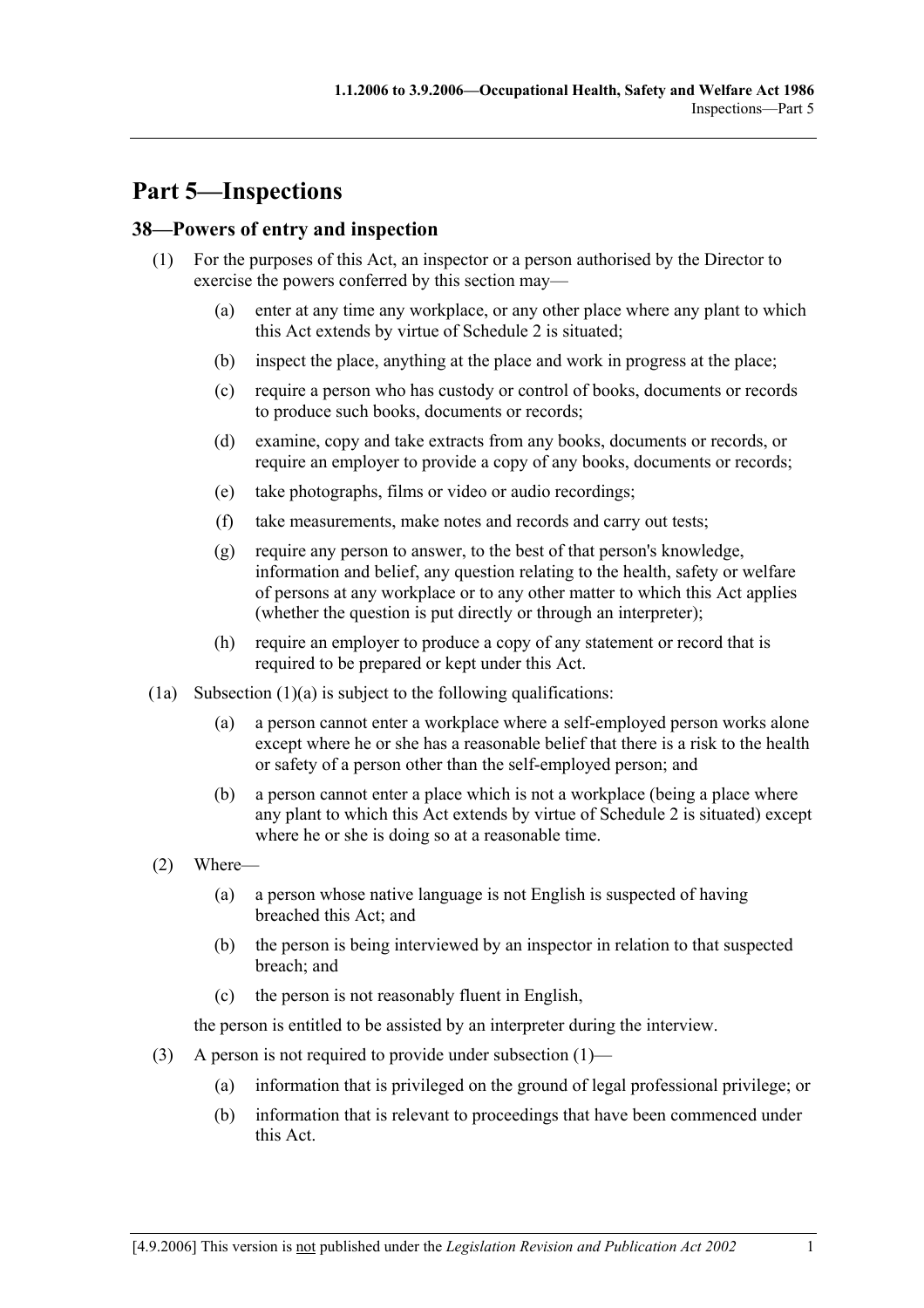# **Part 5—Inspections**

# **38—Powers of entry and inspection**

- (1) For the purposes of this Act, an inspector or a person authorised by the Director to exercise the powers conferred by this section may—
	- (a) enter at any time any workplace, or any other place where any plant to which this Act extends by virtue of Schedule 2 is situated;
	- (b) inspect the place, anything at the place and work in progress at the place;
	- (c) require a person who has custody or control of books, documents or records to produce such books, documents or records;
	- (d) examine, copy and take extracts from any books, documents or records, or require an employer to provide a copy of any books, documents or records;
	- (e) take photographs, films or video or audio recordings;
	- (f) take measurements, make notes and records and carry out tests;
	- (g) require any person to answer, to the best of that person's knowledge, information and belief, any question relating to the health, safety or welfare of persons at any workplace or to any other matter to which this Act applies (whether the question is put directly or through an interpreter);
	- (h) require an employer to produce a copy of any statement or record that is required to be prepared or kept under this Act.
- (1a) Subsection  $(1)(a)$  is subject to the following qualifications:
	- (a) a person cannot enter a workplace where a self-employed person works alone except where he or she has a reasonable belief that there is a risk to the health or safety of a person other than the self-employed person; and
	- (b) a person cannot enter a place which is not a workplace (being a place where any plant to which this Act extends by virtue of Schedule 2 is situated) except where he or she is doing so at a reasonable time.
- (2) Where—
	- (a) a person whose native language is not English is suspected of having breached this Act; and
	- (b) the person is being interviewed by an inspector in relation to that suspected breach; and
	- (c) the person is not reasonably fluent in English,

the person is entitled to be assisted by an interpreter during the interview.

- (3) A person is not required to provide under subsection  $(1)$ 
	- (a) information that is privileged on the ground of legal professional privilege; or
	- (b) information that is relevant to proceedings that have been commenced under this Act.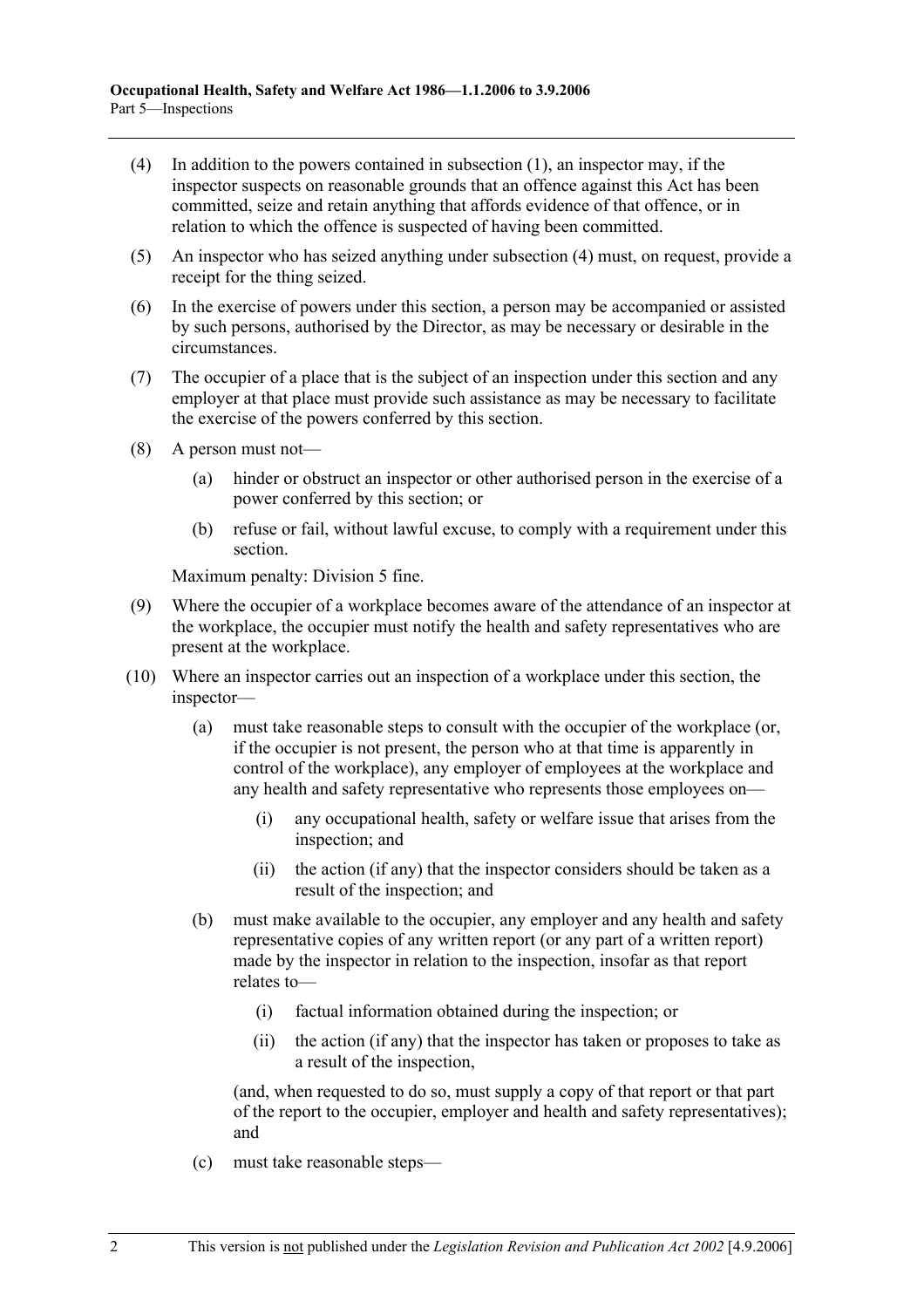- (4) In addition to the powers contained in subsection (1), an inspector may, if the inspector suspects on reasonable grounds that an offence against this Act has been committed, seize and retain anything that affords evidence of that offence, or in relation to which the offence is suspected of having been committed.
- (5) An inspector who has seized anything under subsection (4) must, on request, provide a receipt for the thing seized.
- (6) In the exercise of powers under this section, a person may be accompanied or assisted by such persons, authorised by the Director, as may be necessary or desirable in the circumstances.
- (7) The occupier of a place that is the subject of an inspection under this section and any employer at that place must provide such assistance as may be necessary to facilitate the exercise of the powers conferred by this section.
- (8) A person must not—
	- (a) hinder or obstruct an inspector or other authorised person in the exercise of a power conferred by this section; or
	- (b) refuse or fail, without lawful excuse, to comply with a requirement under this section.

Maximum penalty: Division 5 fine.

- (9) Where the occupier of a workplace becomes aware of the attendance of an inspector at the workplace, the occupier must notify the health and safety representatives who are present at the workplace.
- (10) Where an inspector carries out an inspection of a workplace under this section, the inspector—
	- (a) must take reasonable steps to consult with the occupier of the workplace (or, if the occupier is not present, the person who at that time is apparently in control of the workplace), any employer of employees at the workplace and any health and safety representative who represents those employees on—
		- (i) any occupational health, safety or welfare issue that arises from the inspection; and
		- (ii) the action (if any) that the inspector considers should be taken as a result of the inspection; and
	- (b) must make available to the occupier, any employer and any health and safety representative copies of any written report (or any part of a written report) made by the inspector in relation to the inspection, insofar as that report relates to—
		- (i) factual information obtained during the inspection; or
		- (ii) the action (if any) that the inspector has taken or proposes to take as a result of the inspection,

(and, when requested to do so, must supply a copy of that report or that part of the report to the occupier, employer and health and safety representatives); and

(c) must take reasonable steps—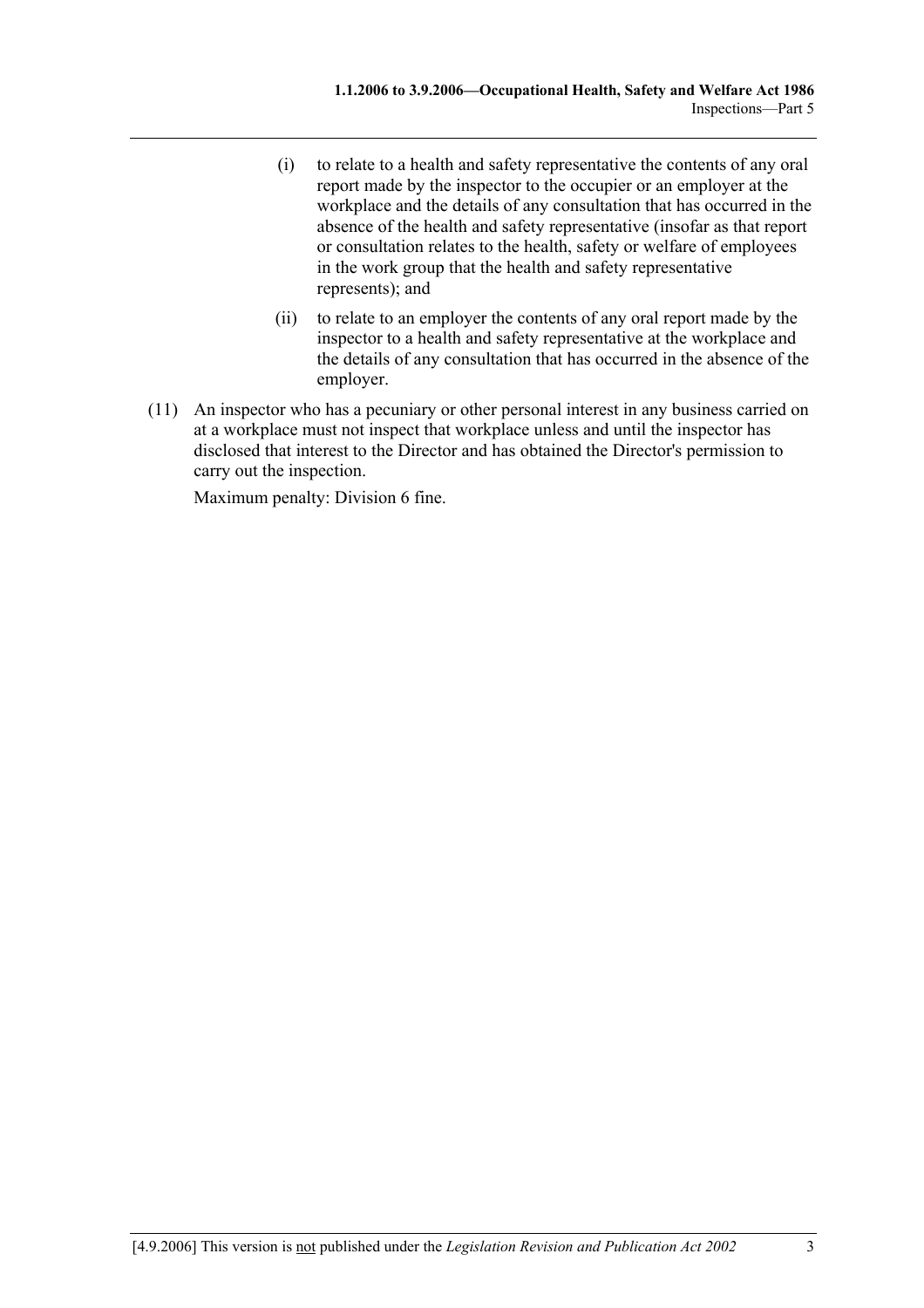- (i) to relate to a health and safety representative the contents of any oral report made by the inspector to the occupier or an employer at the workplace and the details of any consultation that has occurred in the absence of the health and safety representative (insofar as that report or consultation relates to the health, safety or welfare of employees in the work group that the health and safety representative represents); and
- (ii) to relate to an employer the contents of any oral report made by the inspector to a health and safety representative at the workplace and the details of any consultation that has occurred in the absence of the employer.
- (11) An inspector who has a pecuniary or other personal interest in any business carried on at a workplace must not inspect that workplace unless and until the inspector has disclosed that interest to the Director and has obtained the Director's permission to carry out the inspection.

Maximum penalty: Division 6 fine.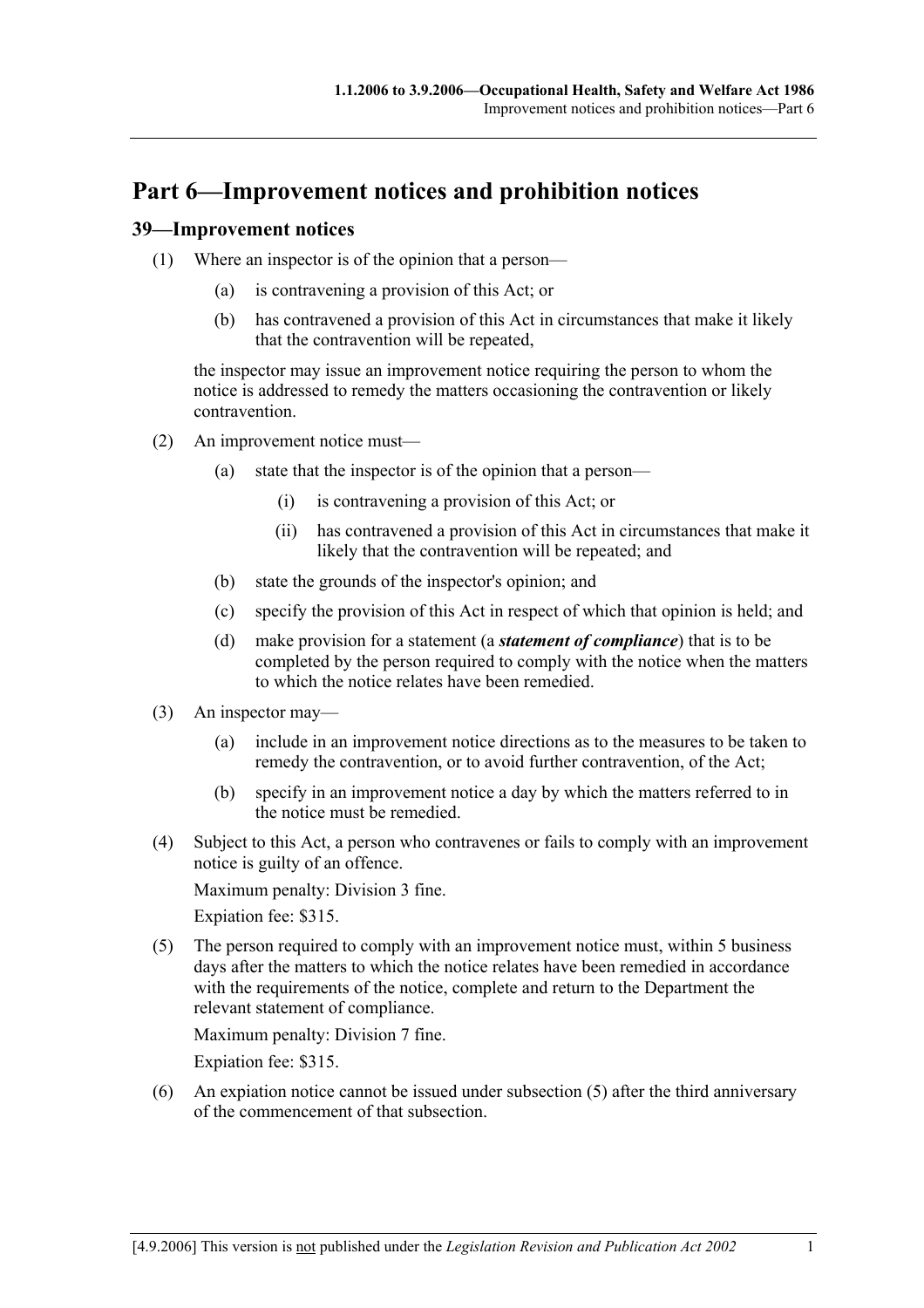# **Part 6—Improvement notices and prohibition notices**

### **39—Improvement notices**

- (1) Where an inspector is of the opinion that a person—
	- (a) is contravening a provision of this Act; or
	- (b) has contravened a provision of this Act in circumstances that make it likely that the contravention will be repeated,

the inspector may issue an improvement notice requiring the person to whom the notice is addressed to remedy the matters occasioning the contravention or likely contravention.

- (2) An improvement notice must—
	- (a) state that the inspector is of the opinion that a person—
		- (i) is contravening a provision of this Act; or
		- (ii) has contravened a provision of this Act in circumstances that make it likely that the contravention will be repeated; and
	- (b) state the grounds of the inspector's opinion; and
	- (c) specify the provision of this Act in respect of which that opinion is held; and
	- (d) make provision for a statement (a *statement of compliance*) that is to be completed by the person required to comply with the notice when the matters to which the notice relates have been remedied.
- (3) An inspector may—
	- (a) include in an improvement notice directions as to the measures to be taken to remedy the contravention, or to avoid further contravention, of the Act;
	- (b) specify in an improvement notice a day by which the matters referred to in the notice must be remedied.
- (4) Subject to this Act, a person who contravenes or fails to comply with an improvement notice is guilty of an offence.

Maximum penalty: Division 3 fine.

Expiation fee: \$315.

 (5) The person required to comply with an improvement notice must, within 5 business days after the matters to which the notice relates have been remedied in accordance with the requirements of the notice, complete and return to the Department the relevant statement of compliance.

Maximum penalty: Division 7 fine.

Expiation fee: \$315.

 (6) An expiation notice cannot be issued under subsection (5) after the third anniversary of the commencement of that subsection.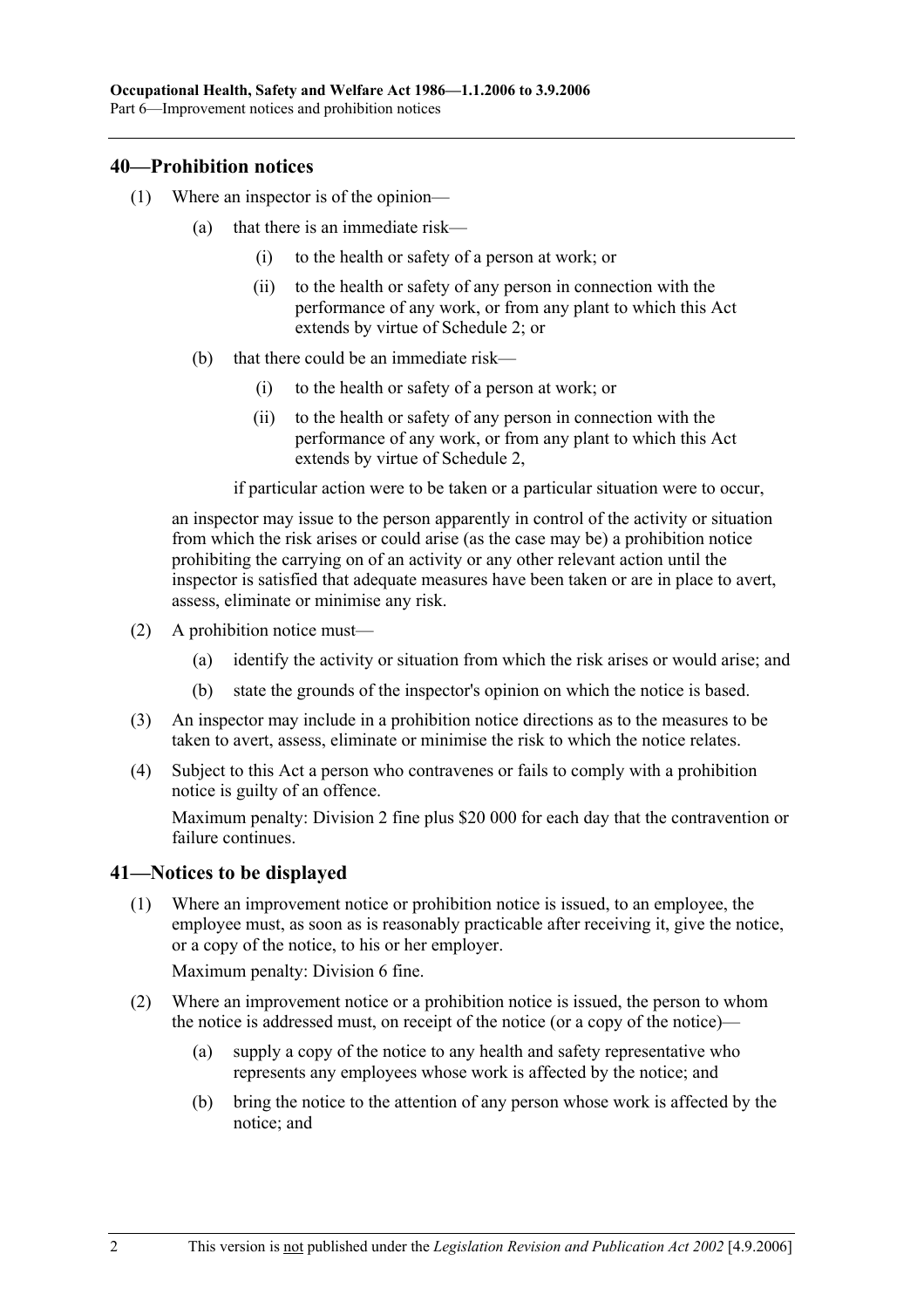### **40—Prohibition notices**

- (1) Where an inspector is of the opinion—
	- (a) that there is an immediate risk—
		- (i) to the health or safety of a person at work; or
		- (ii) to the health or safety of any person in connection with the performance of any work, or from any plant to which this Act extends by virtue of Schedule 2; or
	- (b) that there could be an immediate risk—
		- (i) to the health or safety of a person at work; or
		- (ii) to the health or safety of any person in connection with the performance of any work, or from any plant to which this Act extends by virtue of Schedule 2,

if particular action were to be taken or a particular situation were to occur,

an inspector may issue to the person apparently in control of the activity or situation from which the risk arises or could arise (as the case may be) a prohibition notice prohibiting the carrying on of an activity or any other relevant action until the inspector is satisfied that adequate measures have been taken or are in place to avert, assess, eliminate or minimise any risk.

- (2) A prohibition notice must—
	- (a) identify the activity or situation from which the risk arises or would arise; and
	- (b) state the grounds of the inspector's opinion on which the notice is based.
- (3) An inspector may include in a prohibition notice directions as to the measures to be taken to avert, assess, eliminate or minimise the risk to which the notice relates.
- (4) Subject to this Act a person who contravenes or fails to comply with a prohibition notice is guilty of an offence.

Maximum penalty: Division 2 fine plus \$20 000 for each day that the contravention or failure continues.

## **41—Notices to be displayed**

 (1) Where an improvement notice or prohibition notice is issued, to an employee, the employee must, as soon as is reasonably practicable after receiving it, give the notice, or a copy of the notice, to his or her employer.

Maximum penalty: Division 6 fine.

- (2) Where an improvement notice or a prohibition notice is issued, the person to whom the notice is addressed must, on receipt of the notice (or a copy of the notice)—
	- (a) supply a copy of the notice to any health and safety representative who represents any employees whose work is affected by the notice; and
	- (b) bring the notice to the attention of any person whose work is affected by the notice; and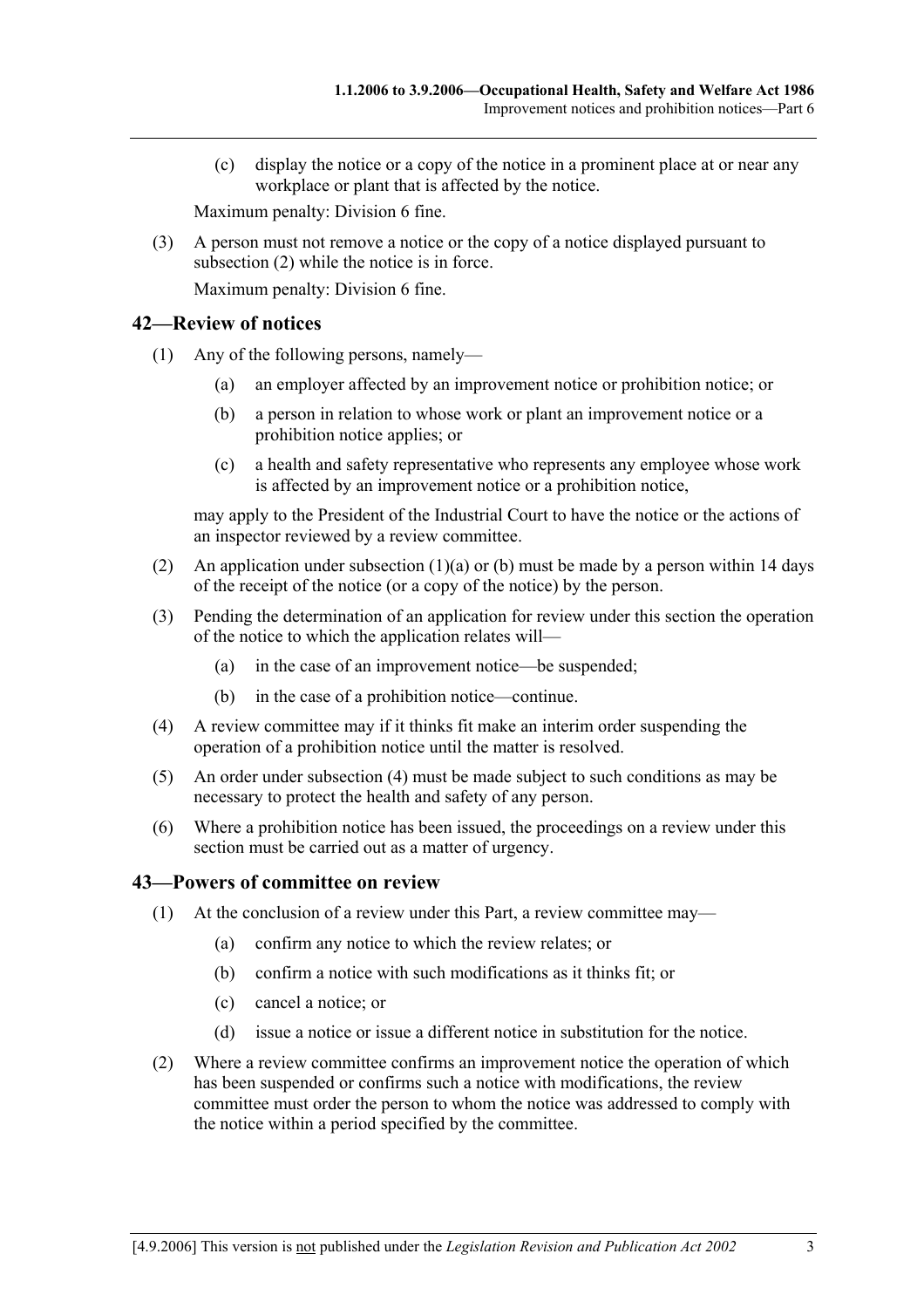(c) display the notice or a copy of the notice in a prominent place at or near any workplace or plant that is affected by the notice.

Maximum penalty: Division 6 fine.

 (3) A person must not remove a notice or the copy of a notice displayed pursuant to subsection (2) while the notice is in force. Maximum penalty: Division 6 fine.

### **42—Review of notices**

- (1) Any of the following persons, namely—
	- (a) an employer affected by an improvement notice or prohibition notice; or
	- (b) a person in relation to whose work or plant an improvement notice or a prohibition notice applies; or
	- (c) a health and safety representative who represents any employee whose work is affected by an improvement notice or a prohibition notice,

may apply to the President of the Industrial Court to have the notice or the actions of an inspector reviewed by a review committee.

- (2) An application under subsection (1)(a) or (b) must be made by a person within 14 days of the receipt of the notice (or a copy of the notice) by the person.
- (3) Pending the determination of an application for review under this section the operation of the notice to which the application relates will—
	- (a) in the case of an improvement notice—be suspended;
	- (b) in the case of a prohibition notice—continue.
- (4) A review committee may if it thinks fit make an interim order suspending the operation of a prohibition notice until the matter is resolved.
- (5) An order under subsection (4) must be made subject to such conditions as may be necessary to protect the health and safety of any person.
- (6) Where a prohibition notice has been issued, the proceedings on a review under this section must be carried out as a matter of urgency.

### **43—Powers of committee on review**

- (1) At the conclusion of a review under this Part, a review committee may—
	- (a) confirm any notice to which the review relates; or
	- (b) confirm a notice with such modifications as it thinks fit; or
	- (c) cancel a notice; or
	- (d) issue a notice or issue a different notice in substitution for the notice.
- (2) Where a review committee confirms an improvement notice the operation of which has been suspended or confirms such a notice with modifications, the review committee must order the person to whom the notice was addressed to comply with the notice within a period specified by the committee.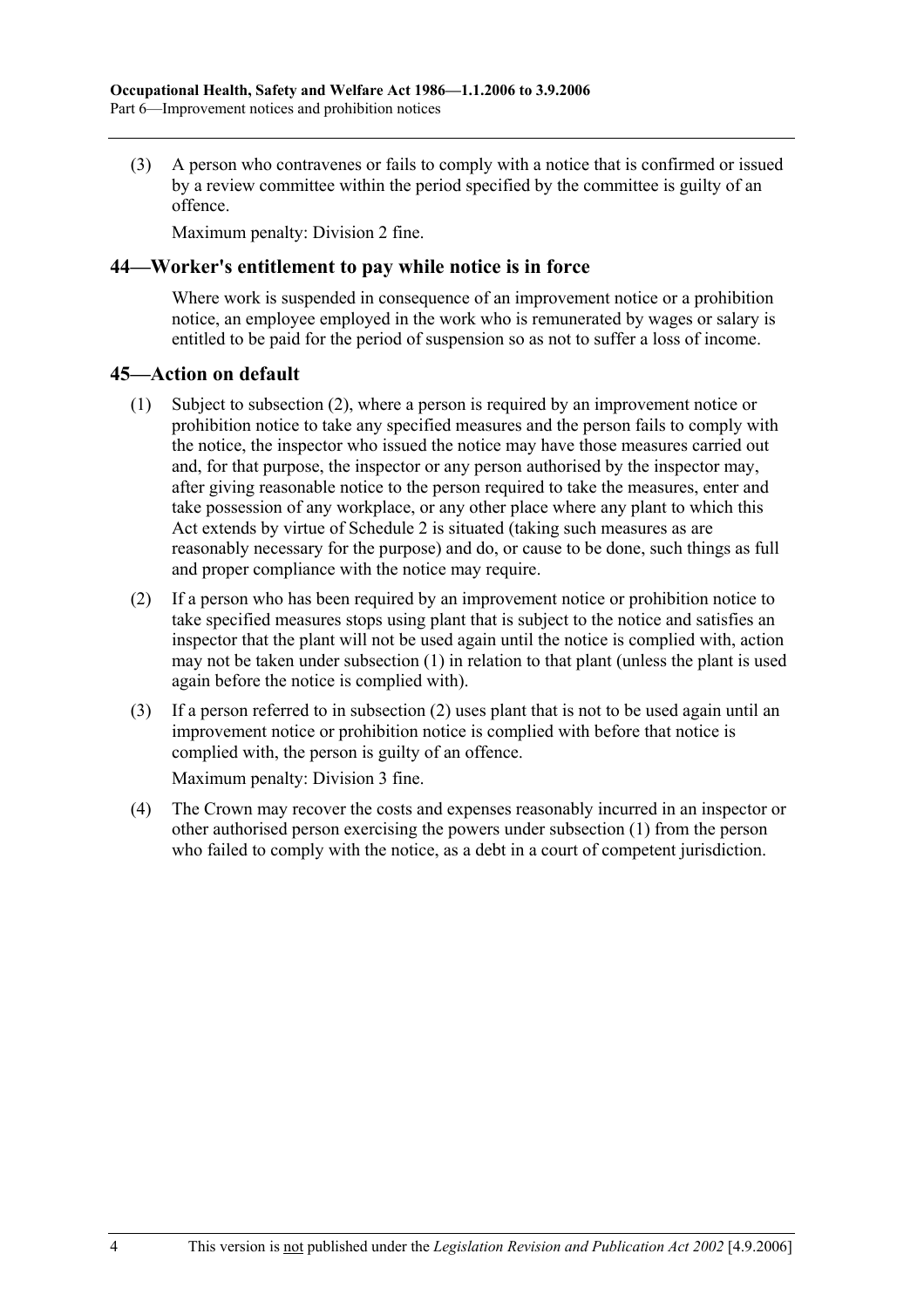(3) A person who contravenes or fails to comply with a notice that is confirmed or issued by a review committee within the period specified by the committee is guilty of an offence.

Maximum penalty: Division 2 fine.

### **44—Worker's entitlement to pay while notice is in force**

Where work is suspended in consequence of an improvement notice or a prohibition notice, an employee employed in the work who is remunerated by wages or salary is entitled to be paid for the period of suspension so as not to suffer a loss of income.

### **45—Action on default**

- (1) Subject to subsection (2), where a person is required by an improvement notice or prohibition notice to take any specified measures and the person fails to comply with the notice, the inspector who issued the notice may have those measures carried out and, for that purpose, the inspector or any person authorised by the inspector may, after giving reasonable notice to the person required to take the measures, enter and take possession of any workplace, or any other place where any plant to which this Act extends by virtue of Schedule 2 is situated (taking such measures as are reasonably necessary for the purpose) and do, or cause to be done, such things as full and proper compliance with the notice may require.
- (2) If a person who has been required by an improvement notice or prohibition notice to take specified measures stops using plant that is subject to the notice and satisfies an inspector that the plant will not be used again until the notice is complied with, action may not be taken under subsection (1) in relation to that plant (unless the plant is used again before the notice is complied with).
- (3) If a person referred to in subsection (2) uses plant that is not to be used again until an improvement notice or prohibition notice is complied with before that notice is complied with, the person is guilty of an offence.

Maximum penalty: Division 3 fine.

 (4) The Crown may recover the costs and expenses reasonably incurred in an inspector or other authorised person exercising the powers under subsection (1) from the person who failed to comply with the notice, as a debt in a court of competent jurisdiction.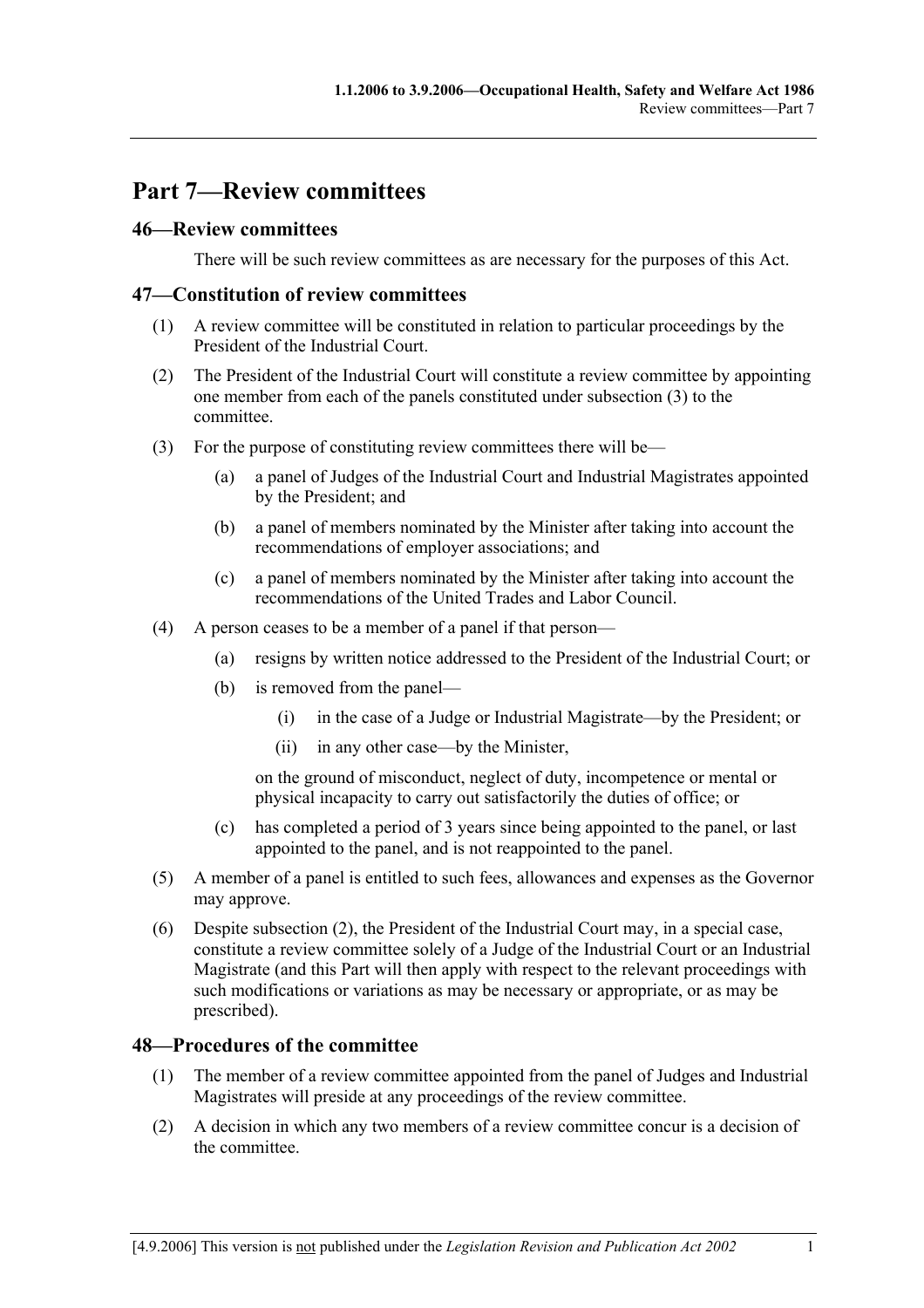# **Part 7—Review committees**

# **46—Review committees**

There will be such review committees as are necessary for the purposes of this Act.

### **47—Constitution of review committees**

- (1) A review committee will be constituted in relation to particular proceedings by the President of the Industrial Court.
- (2) The President of the Industrial Court will constitute a review committee by appointing one member from each of the panels constituted under subsection (3) to the committee.
- (3) For the purpose of constituting review committees there will be—
	- (a) a panel of Judges of the Industrial Court and Industrial Magistrates appointed by the President; and
	- (b) a panel of members nominated by the Minister after taking into account the recommendations of employer associations; and
	- (c) a panel of members nominated by the Minister after taking into account the recommendations of the United Trades and Labor Council.
- (4) A person ceases to be a member of a panel if that person—
	- (a) resigns by written notice addressed to the President of the Industrial Court; or
	- (b) is removed from the panel—
		- (i) in the case of a Judge or Industrial Magistrate—by the President; or
		- (ii) in any other case—by the Minister,

on the ground of misconduct, neglect of duty, incompetence or mental or physical incapacity to carry out satisfactorily the duties of office; or

- (c) has completed a period of 3 years since being appointed to the panel, or last appointed to the panel, and is not reappointed to the panel.
- (5) A member of a panel is entitled to such fees, allowances and expenses as the Governor may approve.
- (6) Despite subsection (2), the President of the Industrial Court may, in a special case, constitute a review committee solely of a Judge of the Industrial Court or an Industrial Magistrate (and this Part will then apply with respect to the relevant proceedings with such modifications or variations as may be necessary or appropriate, or as may be prescribed).

## **48—Procedures of the committee**

- (1) The member of a review committee appointed from the panel of Judges and Industrial Magistrates will preside at any proceedings of the review committee.
- (2) A decision in which any two members of a review committee concur is a decision of the committee.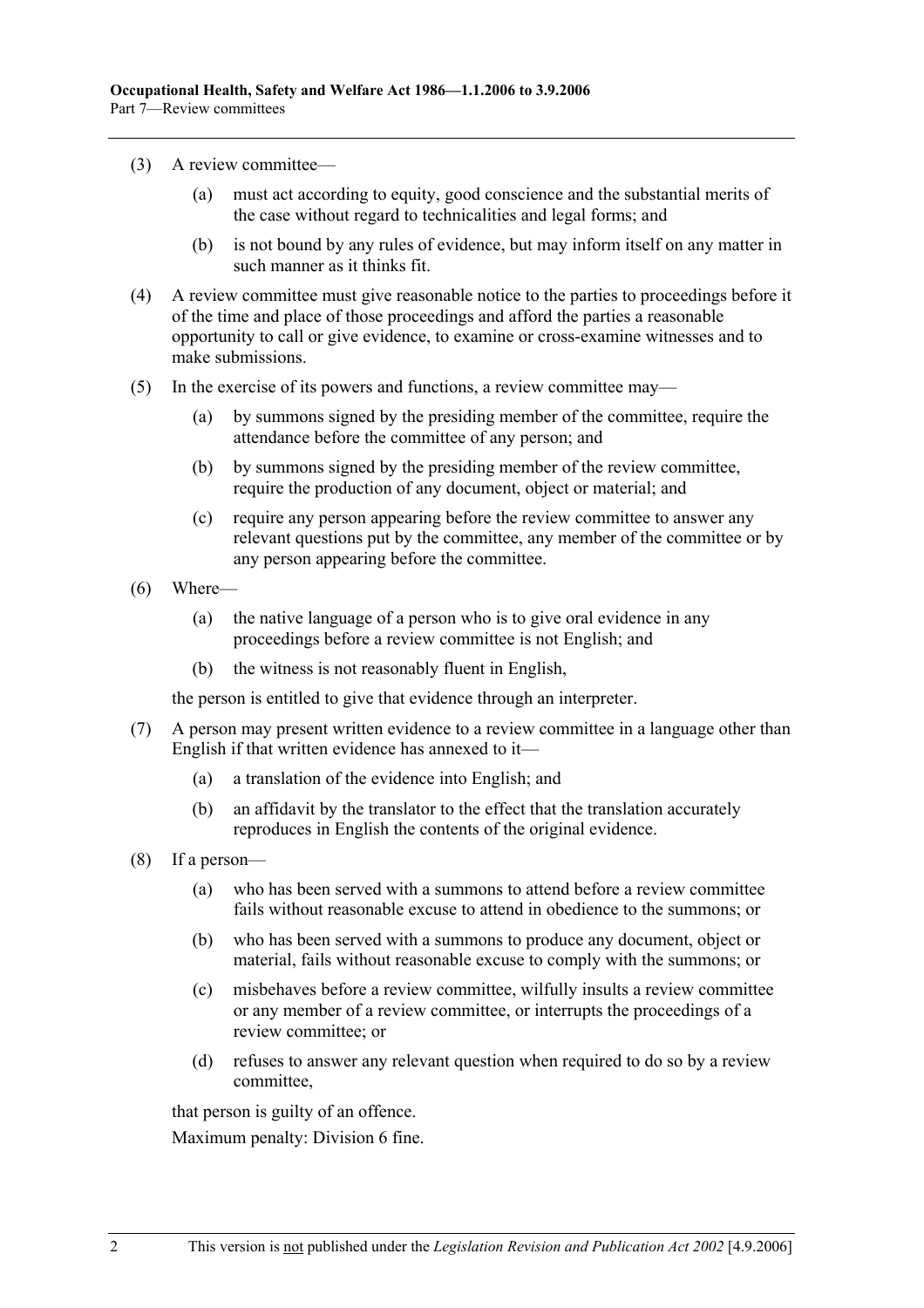- (3) A review committee—
	- (a) must act according to equity, good conscience and the substantial merits of the case without regard to technicalities and legal forms; and
	- (b) is not bound by any rules of evidence, but may inform itself on any matter in such manner as it thinks fit.
- (4) A review committee must give reasonable notice to the parties to proceedings before it of the time and place of those proceedings and afford the parties a reasonable opportunity to call or give evidence, to examine or cross-examine witnesses and to make submissions.
- (5) In the exercise of its powers and functions, a review committee may—
	- (a) by summons signed by the presiding member of the committee, require the attendance before the committee of any person; and
	- (b) by summons signed by the presiding member of the review committee, require the production of any document, object or material; and
	- (c) require any person appearing before the review committee to answer any relevant questions put by the committee, any member of the committee or by any person appearing before the committee.
- (6) Where—
	- (a) the native language of a person who is to give oral evidence in any proceedings before a review committee is not English; and
	- (b) the witness is not reasonably fluent in English,

the person is entitled to give that evidence through an interpreter.

- (7) A person may present written evidence to a review committee in a language other than English if that written evidence has annexed to it—
	- (a) a translation of the evidence into English; and
	- (b) an affidavit by the translator to the effect that the translation accurately reproduces in English the contents of the original evidence.
- (8) If a person—
	- (a) who has been served with a summons to attend before a review committee fails without reasonable excuse to attend in obedience to the summons; or
	- (b) who has been served with a summons to produce any document, object or material, fails without reasonable excuse to comply with the summons; or
	- (c) misbehaves before a review committee, wilfully insults a review committee or any member of a review committee, or interrupts the proceedings of a review committee; or
	- (d) refuses to answer any relevant question when required to do so by a review committee,

that person is guilty of an offence.

Maximum penalty: Division 6 fine.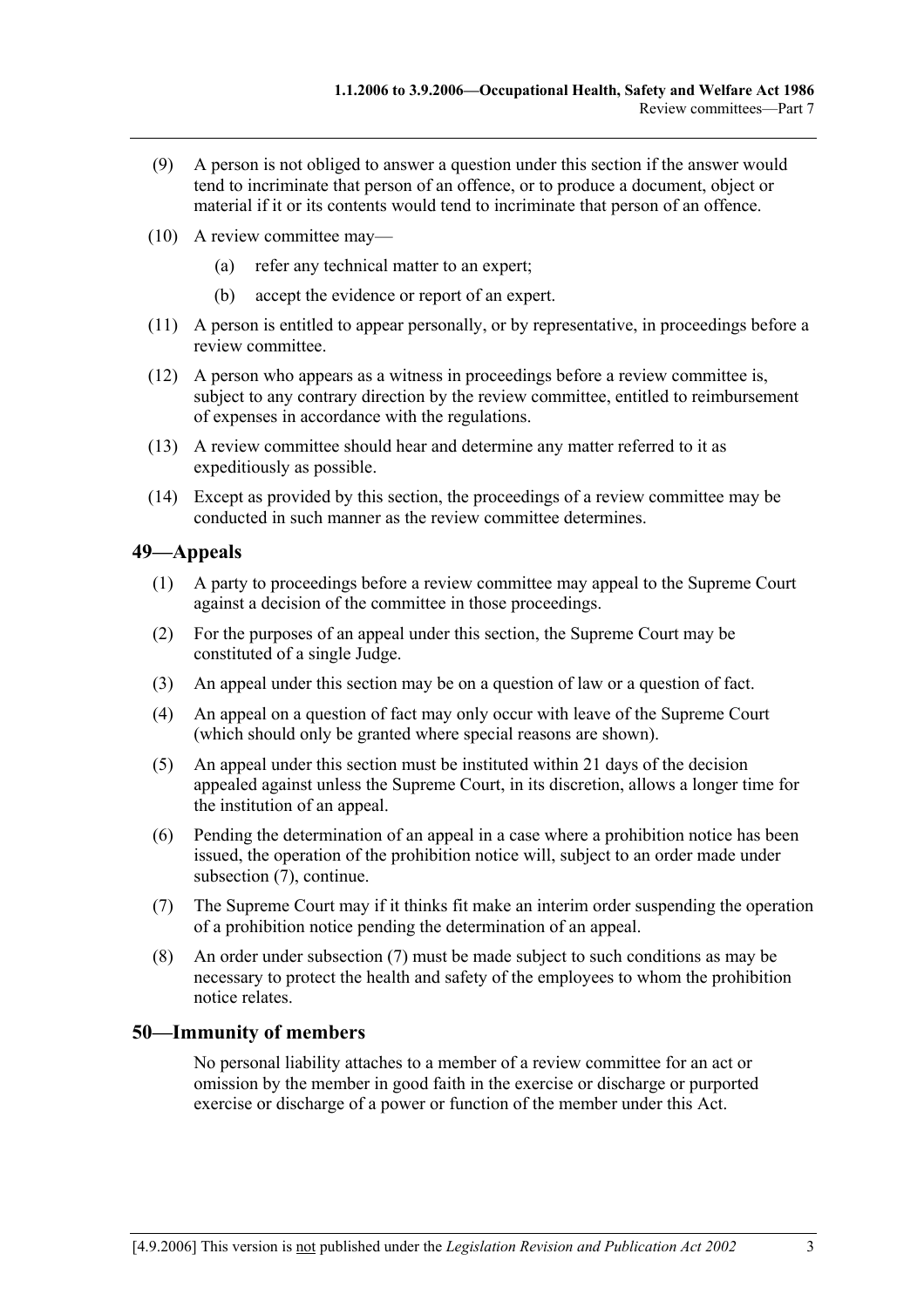- (9) A person is not obliged to answer a question under this section if the answer would tend to incriminate that person of an offence, or to produce a document, object or material if it or its contents would tend to incriminate that person of an offence.
- (10) A review committee may—
	- (a) refer any technical matter to an expert;
	- (b) accept the evidence or report of an expert.
- (11) A person is entitled to appear personally, or by representative, in proceedings before a review committee.
- (12) A person who appears as a witness in proceedings before a review committee is, subject to any contrary direction by the review committee, entitled to reimbursement of expenses in accordance with the regulations.
- (13) A review committee should hear and determine any matter referred to it as expeditiously as possible.
- (14) Except as provided by this section, the proceedings of a review committee may be conducted in such manner as the review committee determines.

## **49—Appeals**

- (1) A party to proceedings before a review committee may appeal to the Supreme Court against a decision of the committee in those proceedings.
- (2) For the purposes of an appeal under this section, the Supreme Court may be constituted of a single Judge.
- (3) An appeal under this section may be on a question of law or a question of fact.
- (4) An appeal on a question of fact may only occur with leave of the Supreme Court (which should only be granted where special reasons are shown).
- (5) An appeal under this section must be instituted within 21 days of the decision appealed against unless the Supreme Court, in its discretion, allows a longer time for the institution of an appeal.
- (6) Pending the determination of an appeal in a case where a prohibition notice has been issued, the operation of the prohibition notice will, subject to an order made under subsection (7), continue.
- (7) The Supreme Court may if it thinks fit make an interim order suspending the operation of a prohibition notice pending the determination of an appeal.
- (8) An order under subsection (7) must be made subject to such conditions as may be necessary to protect the health and safety of the employees to whom the prohibition notice relates.

## **50—Immunity of members**

No personal liability attaches to a member of a review committee for an act or omission by the member in good faith in the exercise or discharge or purported exercise or discharge of a power or function of the member under this Act.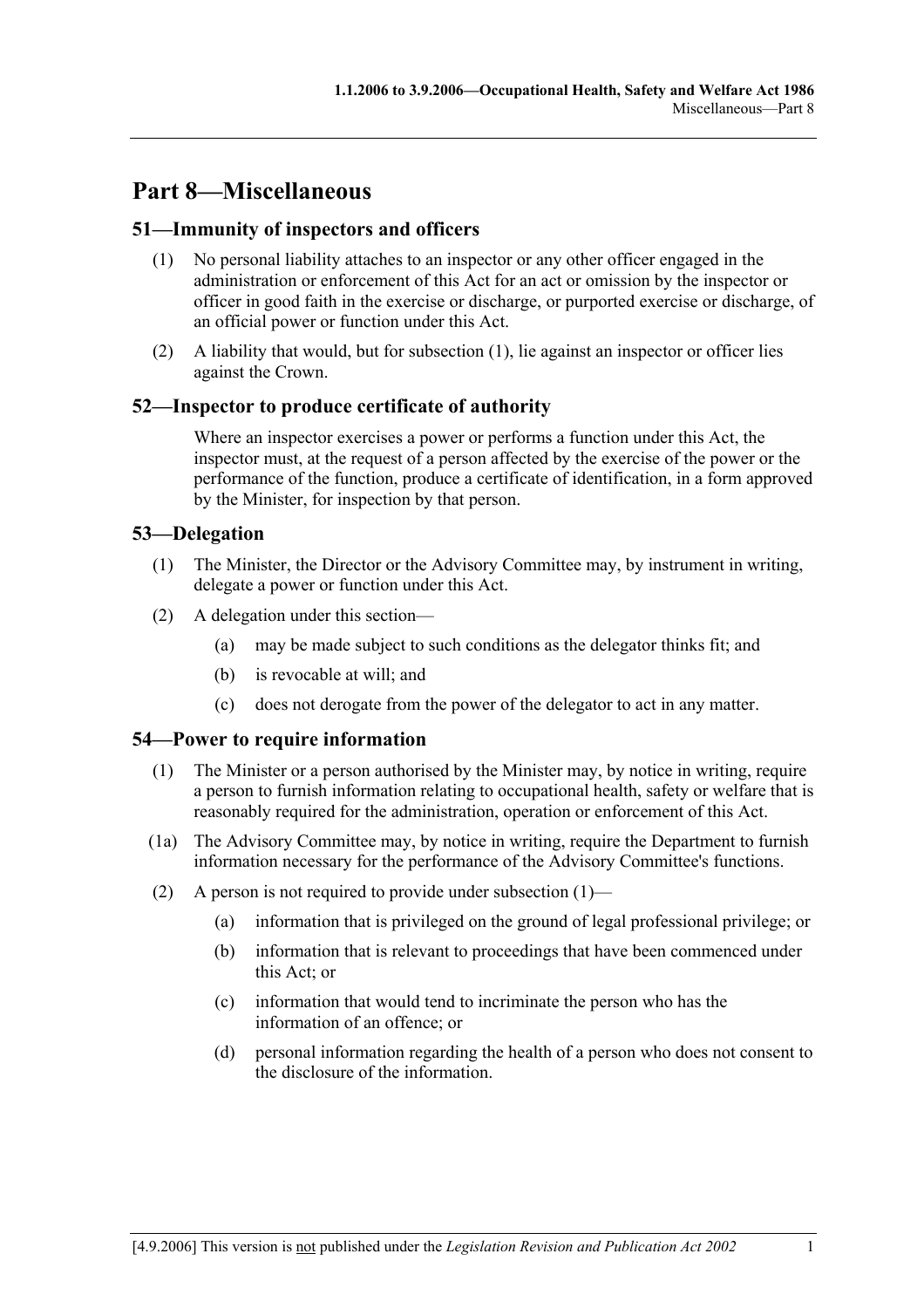# **Part 8—Miscellaneous**

# **51—Immunity of inspectors and officers**

- (1) No personal liability attaches to an inspector or any other officer engaged in the administration or enforcement of this Act for an act or omission by the inspector or officer in good faith in the exercise or discharge, or purported exercise or discharge, of an official power or function under this Act.
- (2) A liability that would, but for subsection (1), lie against an inspector or officer lies against the Crown.

# **52—Inspector to produce certificate of authority**

Where an inspector exercises a power or performs a function under this Act, the inspector must, at the request of a person affected by the exercise of the power or the performance of the function, produce a certificate of identification, in a form approved by the Minister, for inspection by that person.

# **53—Delegation**

- (1) The Minister, the Director or the Advisory Committee may, by instrument in writing, delegate a power or function under this Act.
- (2) A delegation under this section—
	- (a) may be made subject to such conditions as the delegator thinks fit; and
	- (b) is revocable at will; and
	- (c) does not derogate from the power of the delegator to act in any matter.

## **54—Power to require information**

- (1) The Minister or a person authorised by the Minister may, by notice in writing, require a person to furnish information relating to occupational health, safety or welfare that is reasonably required for the administration, operation or enforcement of this Act.
- (1a) The Advisory Committee may, by notice in writing, require the Department to furnish information necessary for the performance of the Advisory Committee's functions.
- (2) A person is not required to provide under subsection  $(1)$ 
	- (a) information that is privileged on the ground of legal professional privilege; or
	- (b) information that is relevant to proceedings that have been commenced under this Act; or
	- (c) information that would tend to incriminate the person who has the information of an offence; or
	- (d) personal information regarding the health of a person who does not consent to the disclosure of the information.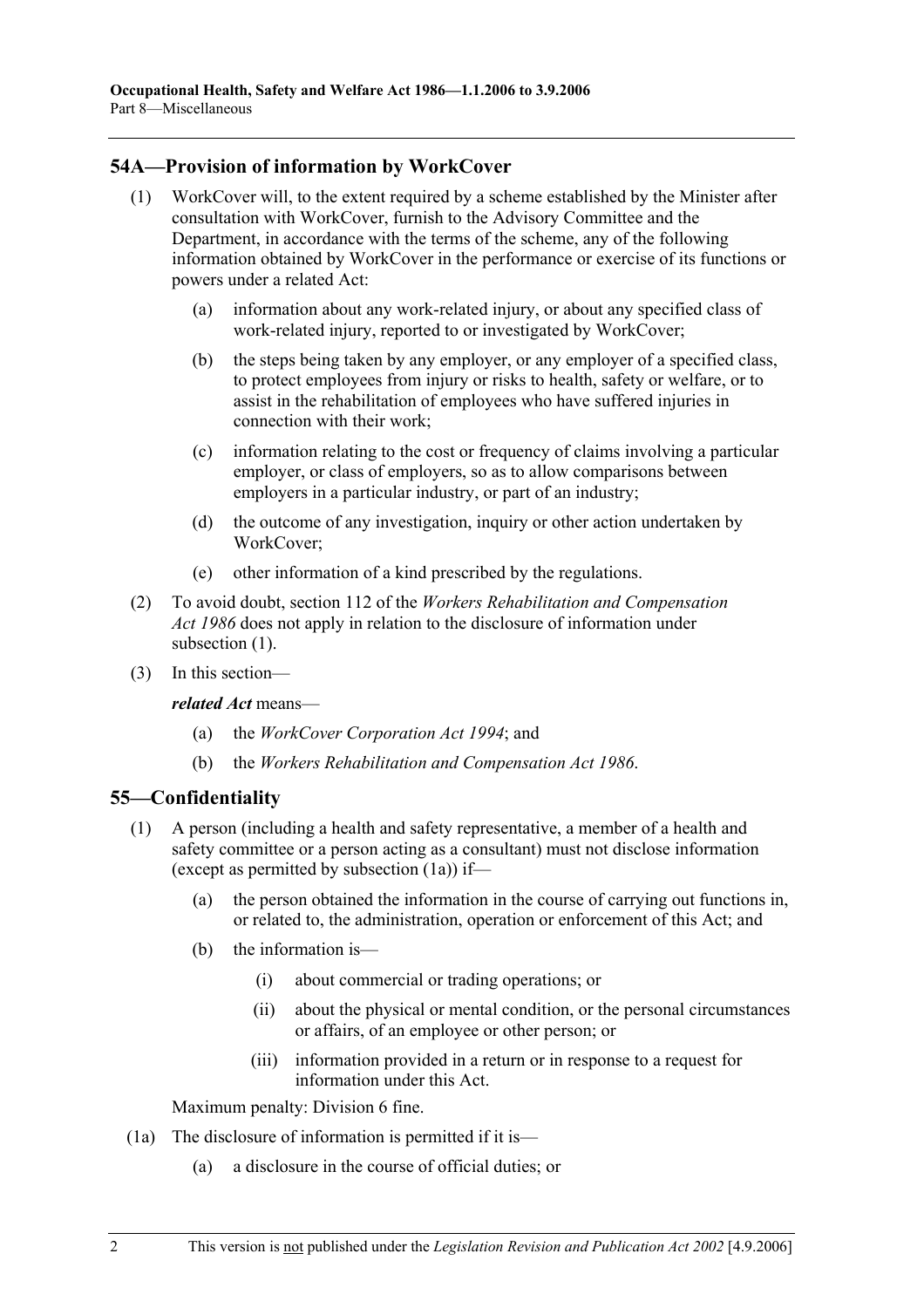# **54A—Provision of information by WorkCover**

- (1) WorkCover will, to the extent required by a scheme established by the Minister after consultation with WorkCover, furnish to the Advisory Committee and the Department, in accordance with the terms of the scheme, any of the following information obtained by WorkCover in the performance or exercise of its functions or powers under a related Act:
	- (a) information about any work-related injury, or about any specified class of work-related injury, reported to or investigated by WorkCover;
	- (b) the steps being taken by any employer, or any employer of a specified class, to protect employees from injury or risks to health, safety or welfare, or to assist in the rehabilitation of employees who have suffered injuries in connection with their work;
	- (c) information relating to the cost or frequency of claims involving a particular employer, or class of employers, so as to allow comparisons between employers in a particular industry, or part of an industry;
	- (d) the outcome of any investigation, inquiry or other action undertaken by WorkCover;
	- (e) other information of a kind prescribed by the regulations.
- (2) To avoid doubt, section 112 of the *Workers Rehabilitation and Compensation Act 1986* does not apply in relation to the disclosure of information under subsection  $(1)$ .
- (3) In this section—

*related Act* means—

- (a) the *WorkCover Corporation Act 1994*; and
- (b) the *Workers Rehabilitation and Compensation Act 1986*.

# **55—Confidentiality**

- (1) A person (including a health and safety representative, a member of a health and safety committee or a person acting as a consultant) must not disclose information (except as permitted by subsection (1a)) if—
	- (a) the person obtained the information in the course of carrying out functions in, or related to, the administration, operation or enforcement of this Act; and
	- (b) the information is—
		- (i) about commercial or trading operations; or
		- (ii) about the physical or mental condition, or the personal circumstances or affairs, of an employee or other person; or
		- (iii) information provided in a return or in response to a request for information under this Act.

Maximum penalty: Division 6 fine.

- (1a) The disclosure of information is permitted if it is—
	- (a) a disclosure in the course of official duties; or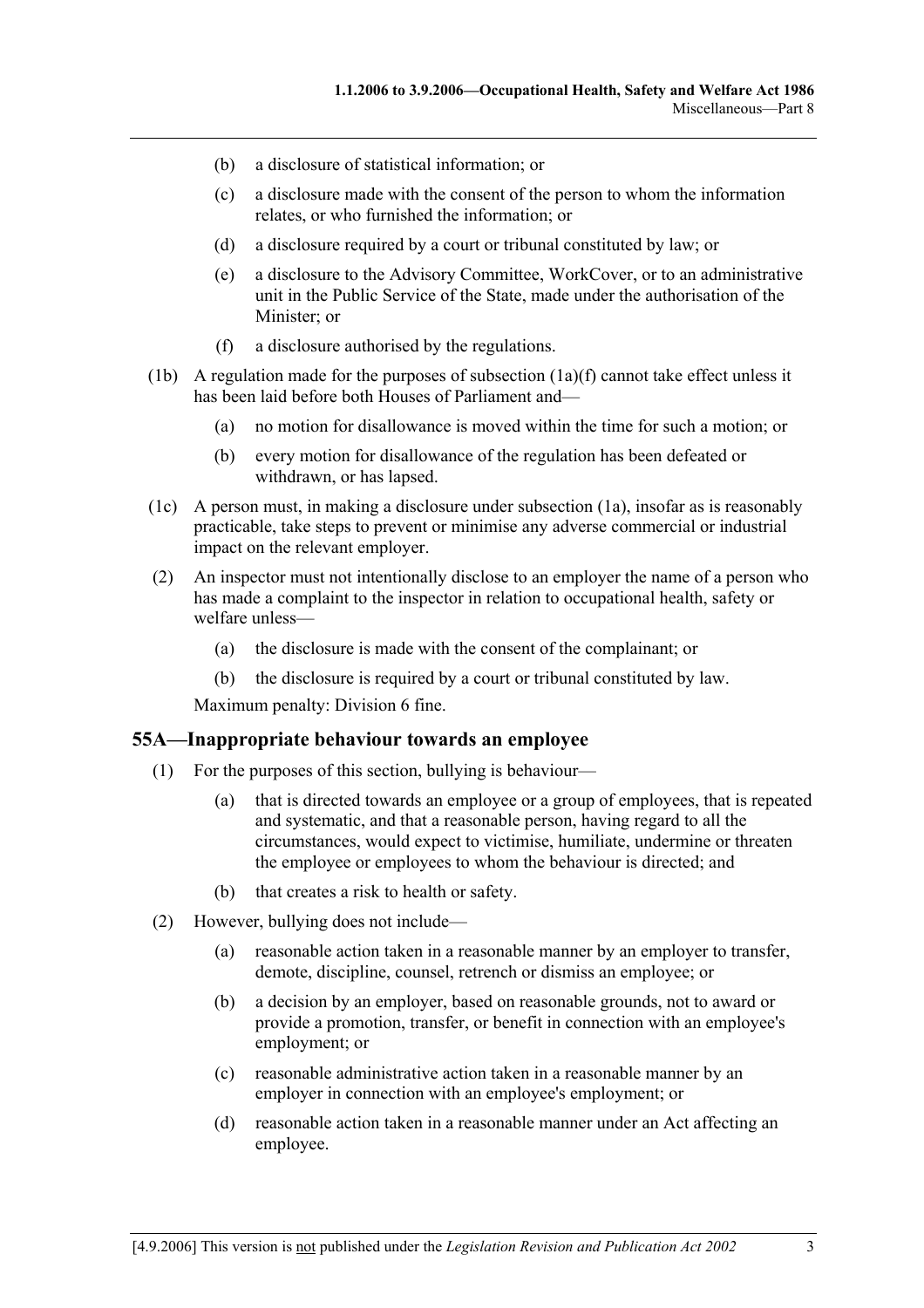- (b) a disclosure of statistical information; or
- (c) a disclosure made with the consent of the person to whom the information relates, or who furnished the information; or
- (d) a disclosure required by a court or tribunal constituted by law; or
- (e) a disclosure to the Advisory Committee, WorkCover, or to an administrative unit in the Public Service of the State, made under the authorisation of the Minister; or
- (f) a disclosure authorised by the regulations.
- (1b) A regulation made for the purposes of subsection (1a)(f) cannot take effect unless it has been laid before both Houses of Parliament and—
	- (a) no motion for disallowance is moved within the time for such a motion; or
	- (b) every motion for disallowance of the regulation has been defeated or withdrawn, or has lapsed.
- (1c) A person must, in making a disclosure under subsection (1a), insofar as is reasonably practicable, take steps to prevent or minimise any adverse commercial or industrial impact on the relevant employer.
- (2) An inspector must not intentionally disclose to an employer the name of a person who has made a complaint to the inspector in relation to occupational health, safety or welfare unless—
	- (a) the disclosure is made with the consent of the complainant; or
	- (b) the disclosure is required by a court or tribunal constituted by law.

Maximum penalty: Division 6 fine.

#### **55A—Inappropriate behaviour towards an employee**

- (1) For the purposes of this section, bullying is behaviour—
	- (a) that is directed towards an employee or a group of employees, that is repeated and systematic, and that a reasonable person, having regard to all the circumstances, would expect to victimise, humiliate, undermine or threaten the employee or employees to whom the behaviour is directed; and
	- (b) that creates a risk to health or safety.
- (2) However, bullying does not include—
	- (a) reasonable action taken in a reasonable manner by an employer to transfer, demote, discipline, counsel, retrench or dismiss an employee; or
	- (b) a decision by an employer, based on reasonable grounds, not to award or provide a promotion, transfer, or benefit in connection with an employee's employment; or
	- (c) reasonable administrative action taken in a reasonable manner by an employer in connection with an employee's employment; or
	- (d) reasonable action taken in a reasonable manner under an Act affecting an employee.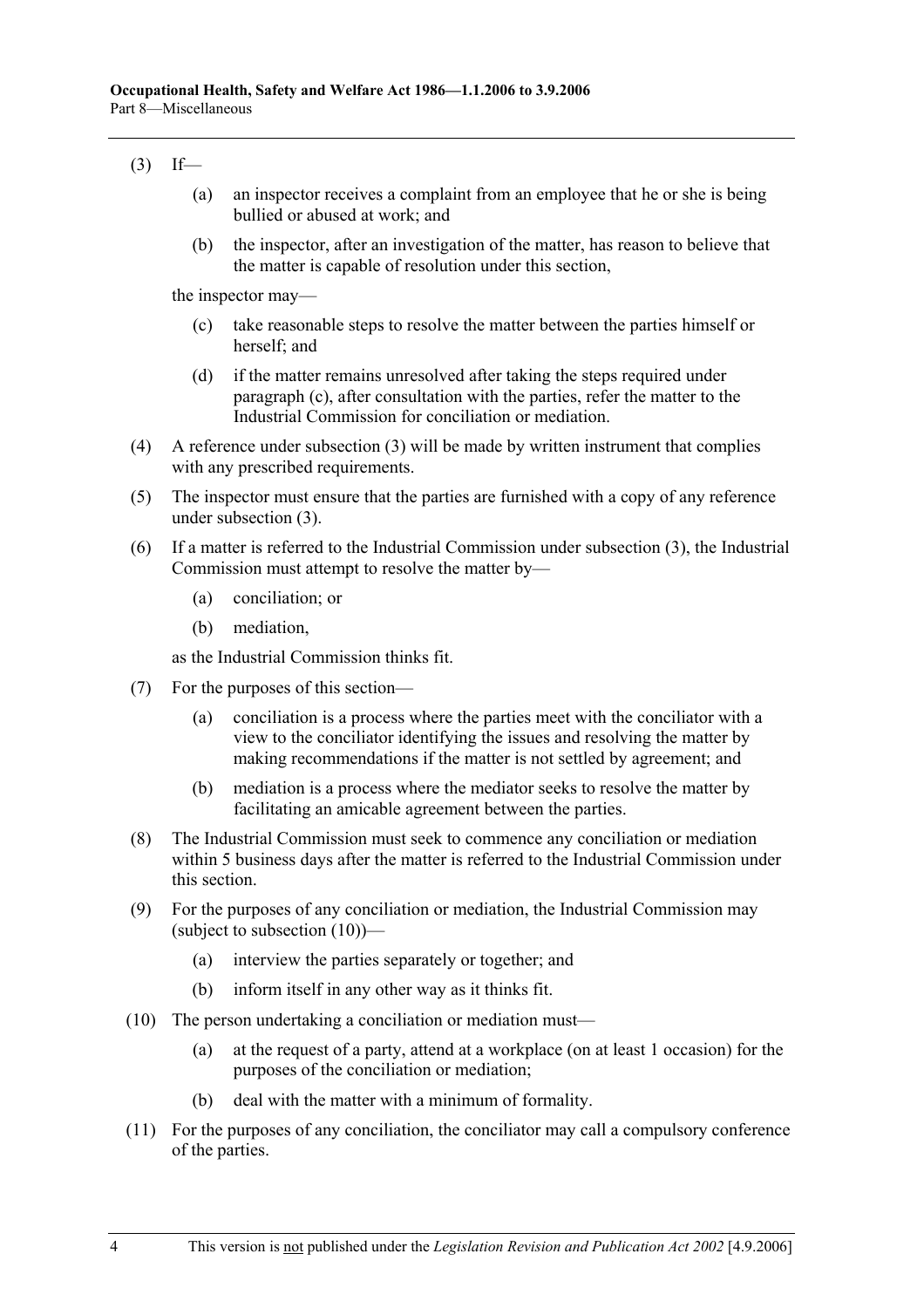# $(3)$  If—

- (a) an inspector receives a complaint from an employee that he or she is being bullied or abused at work; and
- (b) the inspector, after an investigation of the matter, has reason to believe that the matter is capable of resolution under this section,

the inspector may—

- (c) take reasonable steps to resolve the matter between the parties himself or herself; and
- (d) if the matter remains unresolved after taking the steps required under paragraph (c), after consultation with the parties, refer the matter to the Industrial Commission for conciliation or mediation.
- (4) A reference under subsection (3) will be made by written instrument that complies with any prescribed requirements.
- (5) The inspector must ensure that the parties are furnished with a copy of any reference under subsection (3).
- (6) If a matter is referred to the Industrial Commission under subsection (3), the Industrial Commission must attempt to resolve the matter by—
	- (a) conciliation; or
	- (b) mediation,

as the Industrial Commission thinks fit.

- (7) For the purposes of this section—
	- (a) conciliation is a process where the parties meet with the conciliator with a view to the conciliator identifying the issues and resolving the matter by making recommendations if the matter is not settled by agreement; and
	- (b) mediation is a process where the mediator seeks to resolve the matter by facilitating an amicable agreement between the parties.
- (8) The Industrial Commission must seek to commence any conciliation or mediation within 5 business days after the matter is referred to the Industrial Commission under this section.
- (9) For the purposes of any conciliation or mediation, the Industrial Commission may (subject to subsection (10))—
	- (a) interview the parties separately or together; and
	- (b) inform itself in any other way as it thinks fit.
- (10) The person undertaking a conciliation or mediation must—
	- (a) at the request of a party, attend at a workplace (on at least 1 occasion) for the purposes of the conciliation or mediation;
	- (b) deal with the matter with a minimum of formality.
- (11) For the purposes of any conciliation, the conciliator may call a compulsory conference of the parties.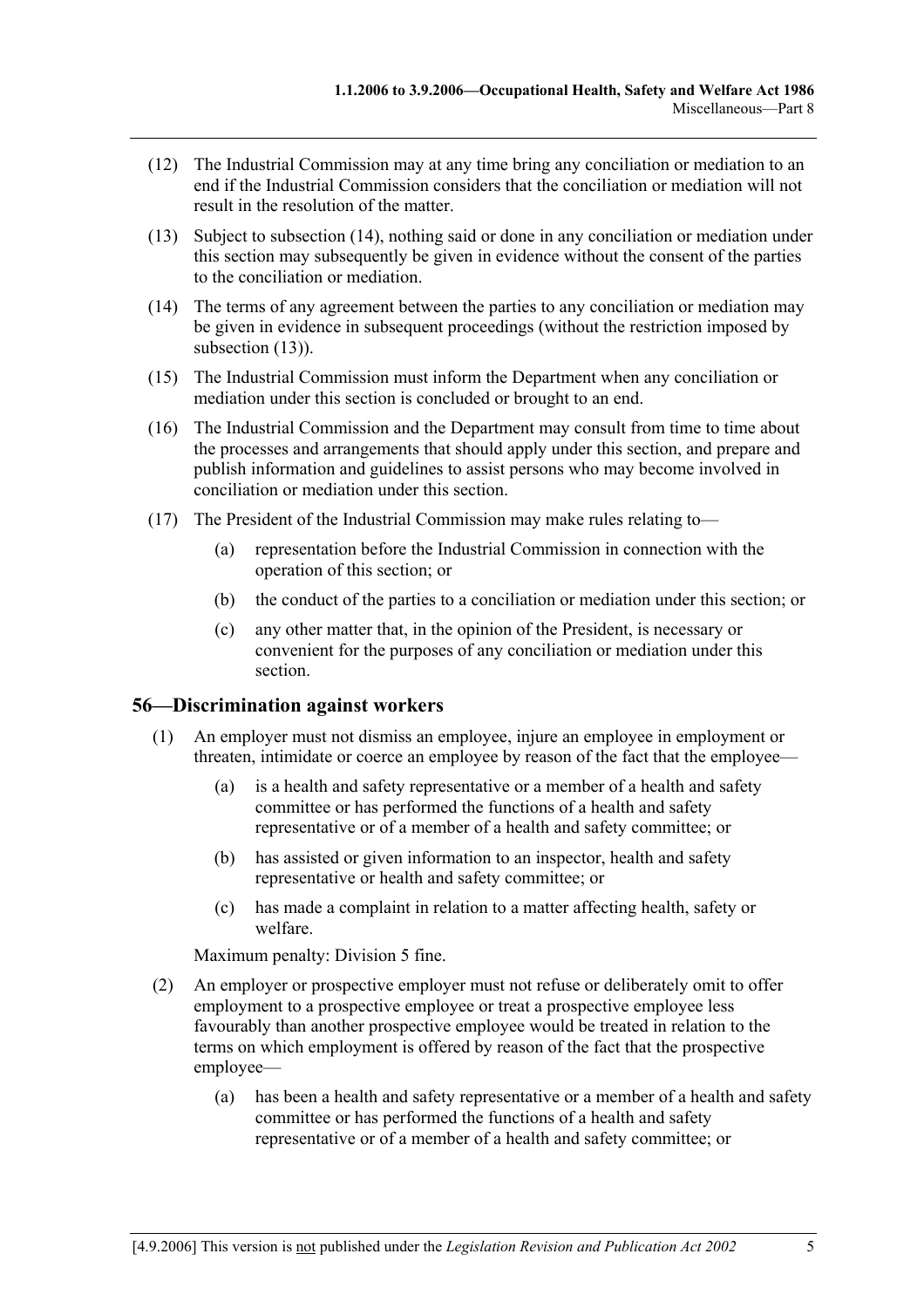- (12) The Industrial Commission may at any time bring any conciliation or mediation to an end if the Industrial Commission considers that the conciliation or mediation will not result in the resolution of the matter.
- (13) Subject to subsection (14), nothing said or done in any conciliation or mediation under this section may subsequently be given in evidence without the consent of the parties to the conciliation or mediation.
- (14) The terms of any agreement between the parties to any conciliation or mediation may be given in evidence in subsequent proceedings (without the restriction imposed by subsection  $(13)$ ).
- (15) The Industrial Commission must inform the Department when any conciliation or mediation under this section is concluded or brought to an end.
- (16) The Industrial Commission and the Department may consult from time to time about the processes and arrangements that should apply under this section, and prepare and publish information and guidelines to assist persons who may become involved in conciliation or mediation under this section.
- (17) The President of the Industrial Commission may make rules relating to—
	- (a) representation before the Industrial Commission in connection with the operation of this section; or
	- (b) the conduct of the parties to a conciliation or mediation under this section; or
	- (c) any other matter that, in the opinion of the President, is necessary or convenient for the purposes of any conciliation or mediation under this section.

## **56—Discrimination against workers**

- (1) An employer must not dismiss an employee, injure an employee in employment or threaten, intimidate or coerce an employee by reason of the fact that the employee—
	- (a) is a health and safety representative or a member of a health and safety committee or has performed the functions of a health and safety representative or of a member of a health and safety committee; or
	- (b) has assisted or given information to an inspector, health and safety representative or health and safety committee; or
	- (c) has made a complaint in relation to a matter affecting health, safety or welfare.

Maximum penalty: Division 5 fine.

- (2) An employer or prospective employer must not refuse or deliberately omit to offer employment to a prospective employee or treat a prospective employee less favourably than another prospective employee would be treated in relation to the terms on which employment is offered by reason of the fact that the prospective employee—
	- (a) has been a health and safety representative or a member of a health and safety committee or has performed the functions of a health and safety representative or of a member of a health and safety committee; or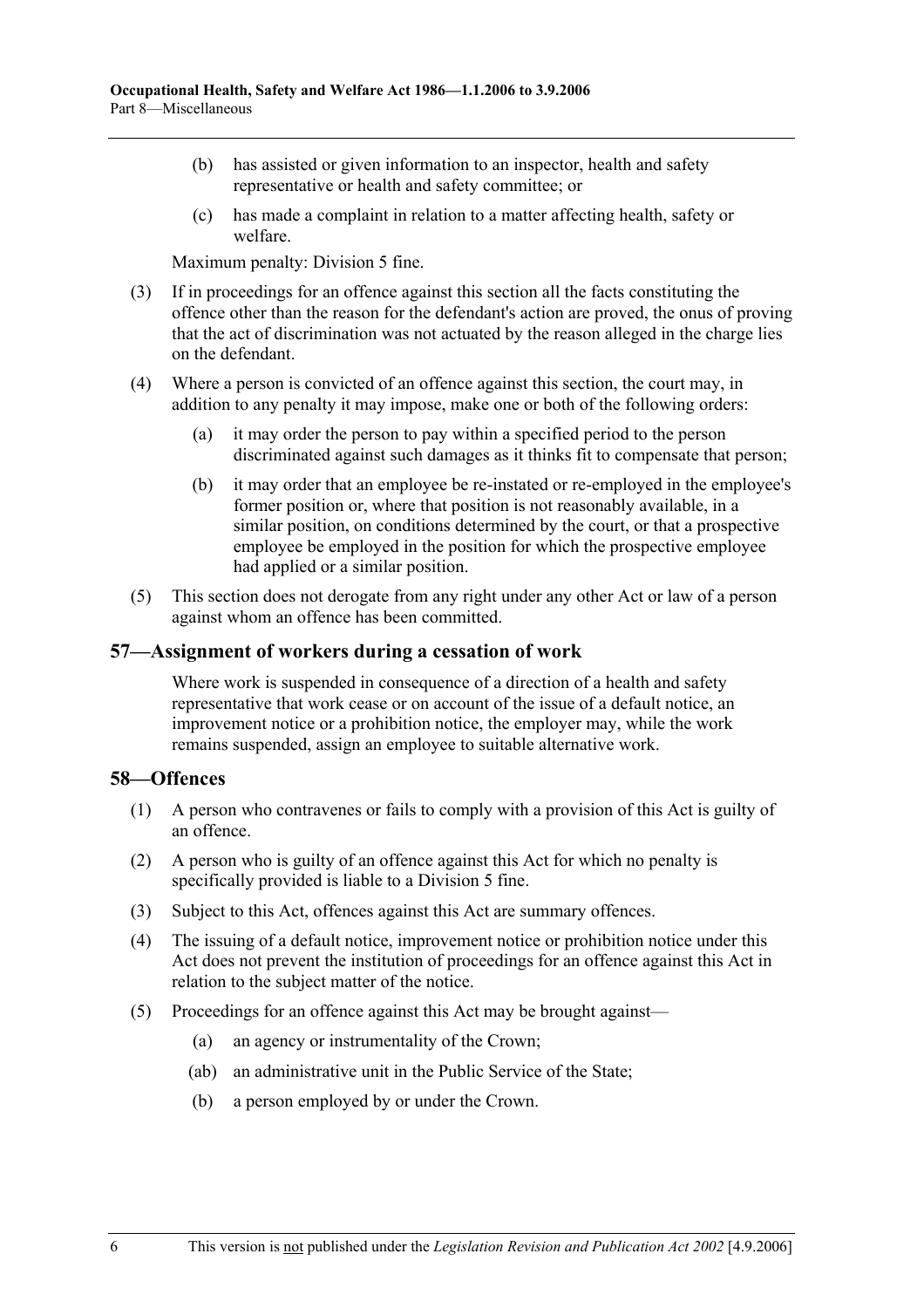- (b) has assisted or given information to an inspector, health and safety representative or health and safety committee; or
- (c) has made a complaint in relation to a matter affecting health, safety or welfare.

Maximum penalty: Division 5 fine.

- (3) If in proceedings for an offence against this section all the facts constituting the offence other than the reason for the defendant's action are proved, the onus of proving that the act of discrimination was not actuated by the reason alleged in the charge lies on the defendant.
- (4) Where a person is convicted of an offence against this section, the court may, in addition to any penalty it may impose, make one or both of the following orders:
	- (a) it may order the person to pay within a specified period to the person discriminated against such damages as it thinks fit to compensate that person;
	- (b) it may order that an employee be re-instated or re-employed in the employee's former position or, where that position is not reasonably available, in a similar position, on conditions determined by the court, or that a prospective employee be employed in the position for which the prospective employee had applied or a similar position.
- (5) This section does not derogate from any right under any other Act or law of a person against whom an offence has been committed.

### **57—Assignment of workers during a cessation of work**

Where work is suspended in consequence of a direction of a health and safety representative that work cease or on account of the issue of a default notice, an improvement notice or a prohibition notice, the employer may, while the work remains suspended, assign an employee to suitable alternative work.

### **58—Offences**

- (1) A person who contravenes or fails to comply with a provision of this Act is guilty of an offence.
- (2) A person who is guilty of an offence against this Act for which no penalty is specifically provided is liable to a Division 5 fine.
- (3) Subject to this Act, offences against this Act are summary offences.
- (4) The issuing of a default notice, improvement notice or prohibition notice under this Act does not prevent the institution of proceedings for an offence against this Act in relation to the subject matter of the notice.
- (5) Proceedings for an offence against this Act may be brought against—
	- (a) an agency or instrumentality of the Crown;
	- (ab) an administrative unit in the Public Service of the State;
	- (b) a person employed by or under the Crown.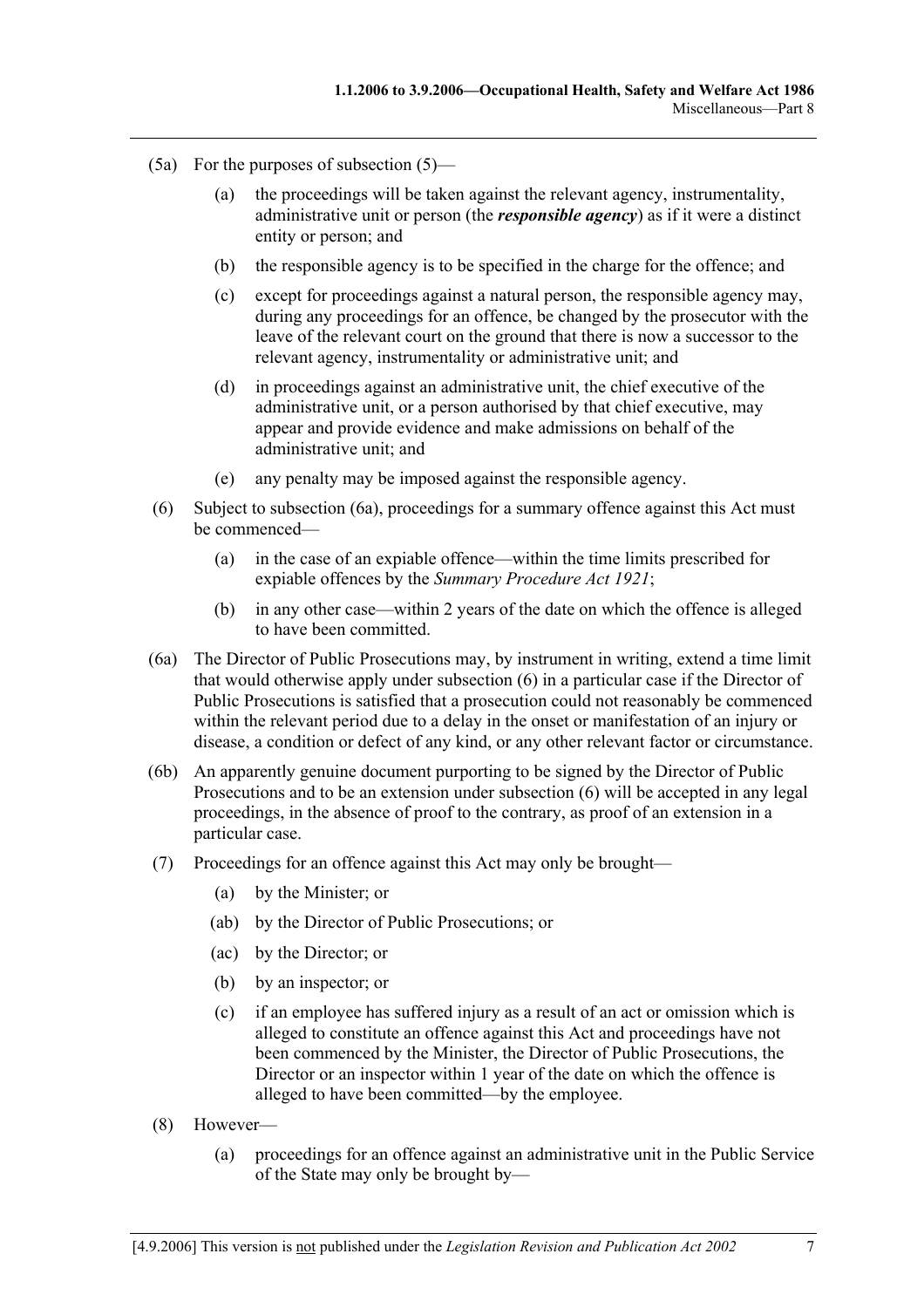- (5a) For the purposes of subsection (5)—
	- (a) the proceedings will be taken against the relevant agency, instrumentality, administrative unit or person (the *responsible agency*) as if it were a distinct entity or person; and
	- (b) the responsible agency is to be specified in the charge for the offence; and
	- (c) except for proceedings against a natural person, the responsible agency may, during any proceedings for an offence, be changed by the prosecutor with the leave of the relevant court on the ground that there is now a successor to the relevant agency, instrumentality or administrative unit; and
	- (d) in proceedings against an administrative unit, the chief executive of the administrative unit, or a person authorised by that chief executive, may appear and provide evidence and make admissions on behalf of the administrative unit; and
	- (e) any penalty may be imposed against the responsible agency.
- (6) Subject to subsection (6a), proceedings for a summary offence against this Act must be commenced—
	- (a) in the case of an expiable offence—within the time limits prescribed for expiable offences by the *Summary Procedure Act 1921*;
	- (b) in any other case—within 2 years of the date on which the offence is alleged to have been committed.
- (6a) The Director of Public Prosecutions may, by instrument in writing, extend a time limit that would otherwise apply under subsection (6) in a particular case if the Director of Public Prosecutions is satisfied that a prosecution could not reasonably be commenced within the relevant period due to a delay in the onset or manifestation of an injury or disease, a condition or defect of any kind, or any other relevant factor or circumstance.
- (6b) An apparently genuine document purporting to be signed by the Director of Public Prosecutions and to be an extension under subsection (6) will be accepted in any legal proceedings, in the absence of proof to the contrary, as proof of an extension in a particular case.
- (7) Proceedings for an offence against this Act may only be brought—
	- (a) by the Minister; or
	- (ab) by the Director of Public Prosecutions; or
	- (ac) by the Director; or
	- (b) by an inspector; or
	- (c) if an employee has suffered injury as a result of an act or omission which is alleged to constitute an offence against this Act and proceedings have not been commenced by the Minister, the Director of Public Prosecutions, the Director or an inspector within 1 year of the date on which the offence is alleged to have been committed—by the employee.
- (8) However—
	- (a) proceedings for an offence against an administrative unit in the Public Service of the State may only be brought by—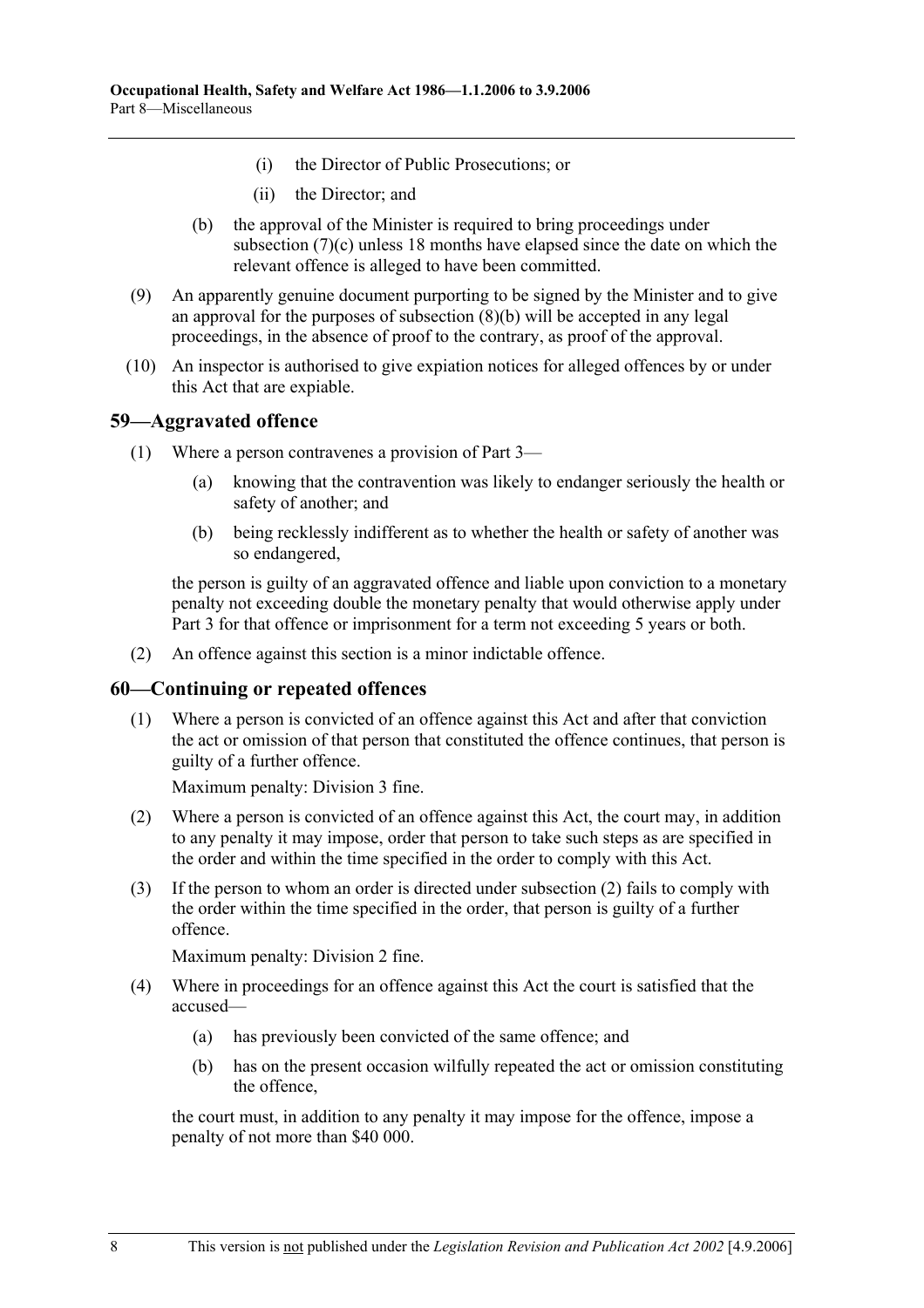- (i) the Director of Public Prosecutions; or
- (ii) the Director; and
- (b) the approval of the Minister is required to bring proceedings under subsection (7)(c) unless 18 months have elapsed since the date on which the relevant offence is alleged to have been committed.
- (9) An apparently genuine document purporting to be signed by the Minister and to give an approval for the purposes of subsection (8)(b) will be accepted in any legal proceedings, in the absence of proof to the contrary, as proof of the approval.
- (10) An inspector is authorised to give expiation notices for alleged offences by or under this Act that are expiable.

### **59—Aggravated offence**

- (1) Where a person contravenes a provision of Part 3—
	- (a) knowing that the contravention was likely to endanger seriously the health or safety of another; and
	- (b) being recklessly indifferent as to whether the health or safety of another was so endangered,

the person is guilty of an aggravated offence and liable upon conviction to a monetary penalty not exceeding double the monetary penalty that would otherwise apply under Part 3 for that offence or imprisonment for a term not exceeding 5 years or both.

(2) An offence against this section is a minor indictable offence.

#### **60—Continuing or repeated offences**

 (1) Where a person is convicted of an offence against this Act and after that conviction the act or omission of that person that constituted the offence continues, that person is guilty of a further offence.

Maximum penalty: Division 3 fine.

- (2) Where a person is convicted of an offence against this Act, the court may, in addition to any penalty it may impose, order that person to take such steps as are specified in the order and within the time specified in the order to comply with this Act.
- (3) If the person to whom an order is directed under subsection (2) fails to comply with the order within the time specified in the order, that person is guilty of a further offence.

Maximum penalty: Division 2 fine.

- (4) Where in proceedings for an offence against this Act the court is satisfied that the accused—
	- (a) has previously been convicted of the same offence; and
	- (b) has on the present occasion wilfully repeated the act or omission constituting the offence,

the court must, in addition to any penalty it may impose for the offence, impose a penalty of not more than \$40 000.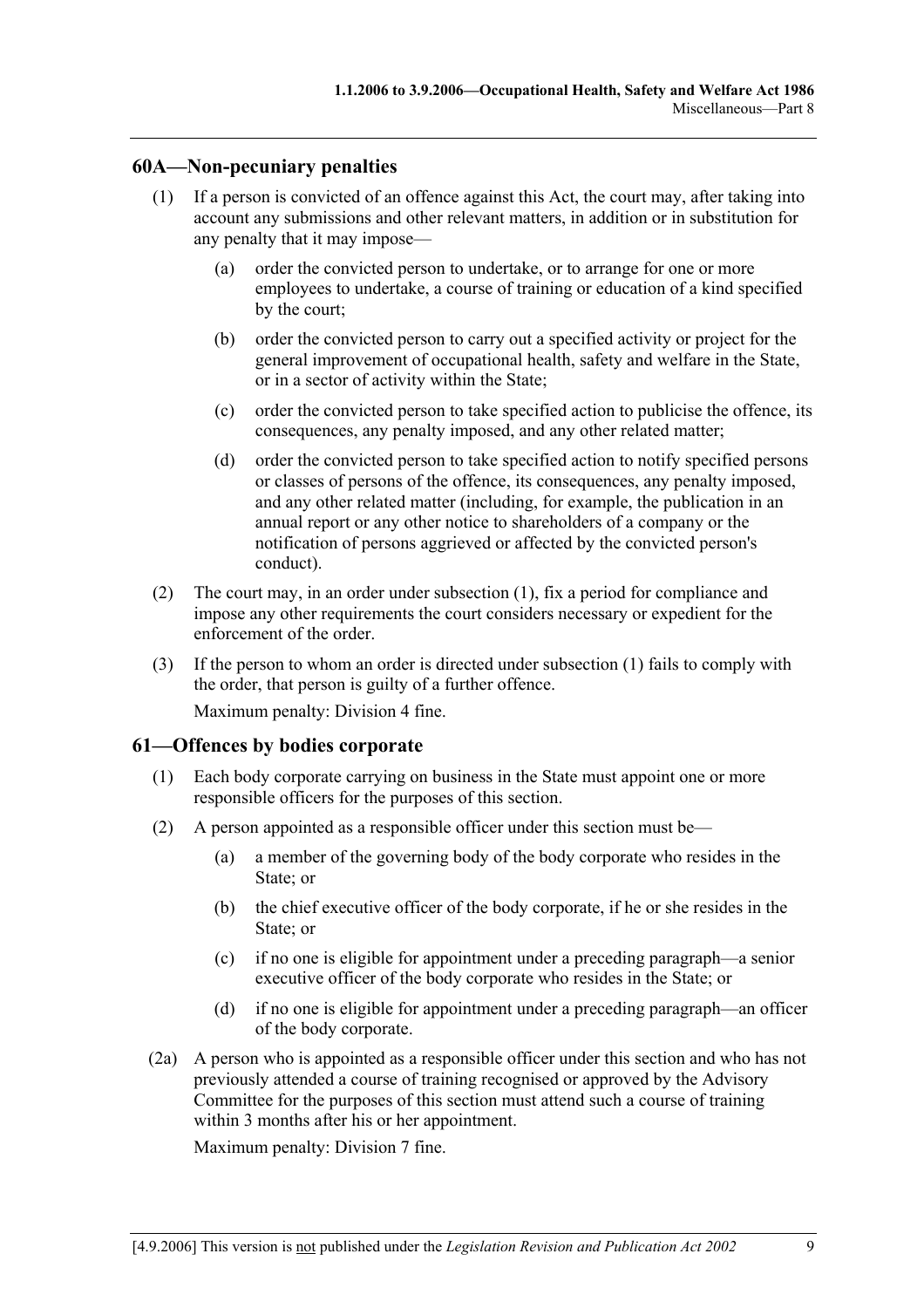# **60A—Non-pecuniary penalties**

- (1) If a person is convicted of an offence against this Act, the court may, after taking into account any submissions and other relevant matters, in addition or in substitution for any penalty that it may impose—
	- (a) order the convicted person to undertake, or to arrange for one or more employees to undertake, a course of training or education of a kind specified by the court;
	- (b) order the convicted person to carry out a specified activity or project for the general improvement of occupational health, safety and welfare in the State, or in a sector of activity within the State;
	- (c) order the convicted person to take specified action to publicise the offence, its consequences, any penalty imposed, and any other related matter;
	- (d) order the convicted person to take specified action to notify specified persons or classes of persons of the offence, its consequences, any penalty imposed, and any other related matter (including, for example, the publication in an annual report or any other notice to shareholders of a company or the notification of persons aggrieved or affected by the convicted person's conduct).
- (2) The court may, in an order under subsection (1), fix a period for compliance and impose any other requirements the court considers necessary or expedient for the enforcement of the order.
- (3) If the person to whom an order is directed under subsection (1) fails to comply with the order, that person is guilty of a further offence. Maximum penalty: Division 4 fine.

## **61—Offences by bodies corporate**

- (1) Each body corporate carrying on business in the State must appoint one or more responsible officers for the purposes of this section.
- (2) A person appointed as a responsible officer under this section must be—
	- (a) a member of the governing body of the body corporate who resides in the State; or
	- (b) the chief executive officer of the body corporate, if he or she resides in the State; or
	- (c) if no one is eligible for appointment under a preceding paragraph—a senior executive officer of the body corporate who resides in the State; or
	- (d) if no one is eligible for appointment under a preceding paragraph—an officer of the body corporate.
- (2a) A person who is appointed as a responsible officer under this section and who has not previously attended a course of training recognised or approved by the Advisory Committee for the purposes of this section must attend such a course of training within 3 months after his or her appointment.

Maximum penalty: Division 7 fine.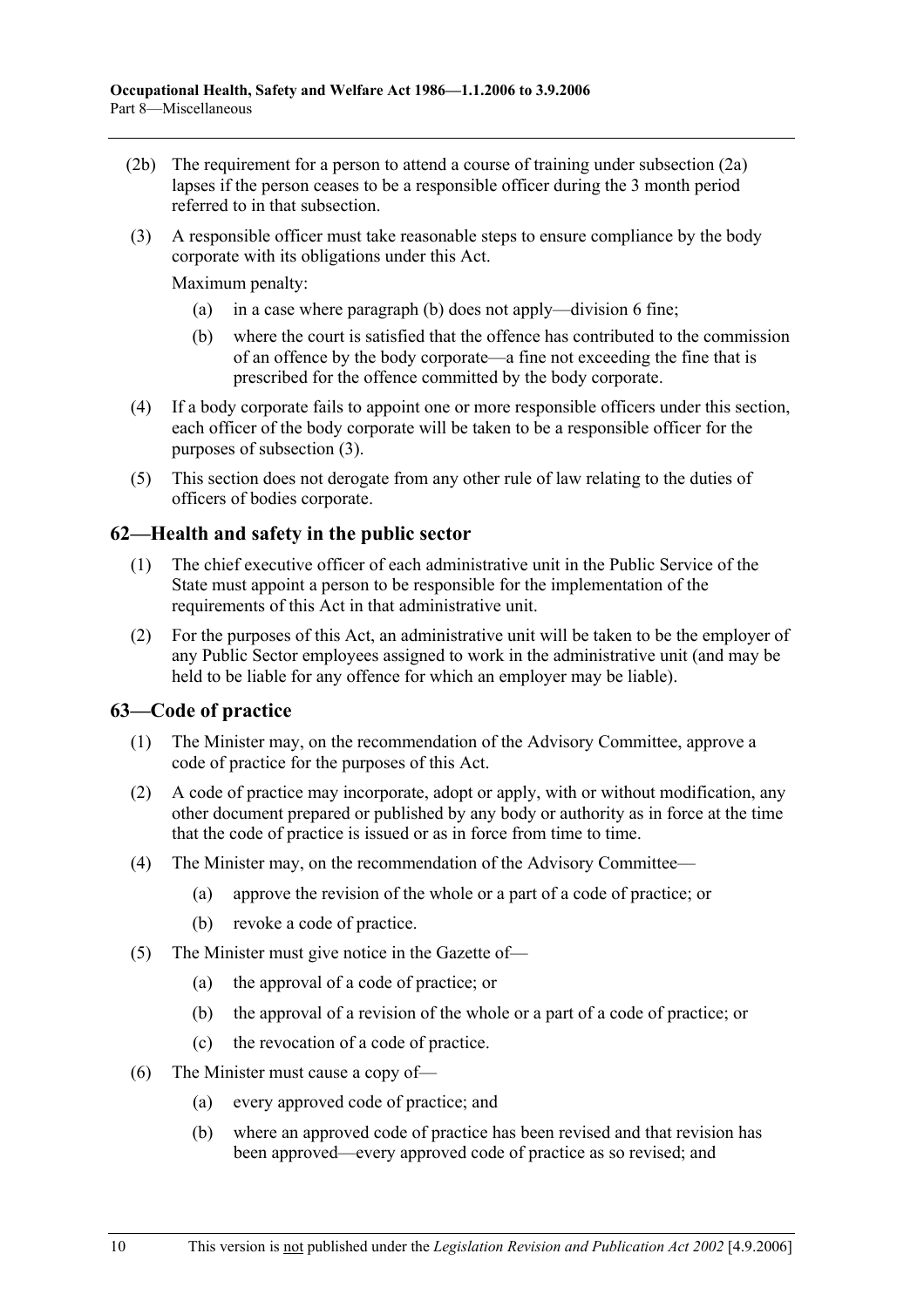- (2b) The requirement for a person to attend a course of training under subsection (2a) lapses if the person ceases to be a responsible officer during the 3 month period referred to in that subsection.
- (3) A responsible officer must take reasonable steps to ensure compliance by the body corporate with its obligations under this Act.

Maximum penalty:

- (a) in a case where paragraph (b) does not apply—division 6 fine;
- (b) where the court is satisfied that the offence has contributed to the commission of an offence by the body corporate—a fine not exceeding the fine that is prescribed for the offence committed by the body corporate.
- (4) If a body corporate fails to appoint one or more responsible officers under this section, each officer of the body corporate will be taken to be a responsible officer for the purposes of subsection (3).
- (5) This section does not derogate from any other rule of law relating to the duties of officers of bodies corporate.

## **62—Health and safety in the public sector**

- (1) The chief executive officer of each administrative unit in the Public Service of the State must appoint a person to be responsible for the implementation of the requirements of this Act in that administrative unit.
- (2) For the purposes of this Act, an administrative unit will be taken to be the employer of any Public Sector employees assigned to work in the administrative unit (and may be held to be liable for any offence for which an employer may be liable).

### **63—Code of practice**

- (1) The Minister may, on the recommendation of the Advisory Committee, approve a code of practice for the purposes of this Act.
- (2) A code of practice may incorporate, adopt or apply, with or without modification, any other document prepared or published by any body or authority as in force at the time that the code of practice is issued or as in force from time to time.
- (4) The Minister may, on the recommendation of the Advisory Committee—
	- (a) approve the revision of the whole or a part of a code of practice; or
	- (b) revoke a code of practice.
- (5) The Minister must give notice in the Gazette of—
	- (a) the approval of a code of practice; or
	- (b) the approval of a revision of the whole or a part of a code of practice; or
	- (c) the revocation of a code of practice.
- (6) The Minister must cause a copy of—
	- (a) every approved code of practice; and
	- (b) where an approved code of practice has been revised and that revision has been approved—every approved code of practice as so revised; and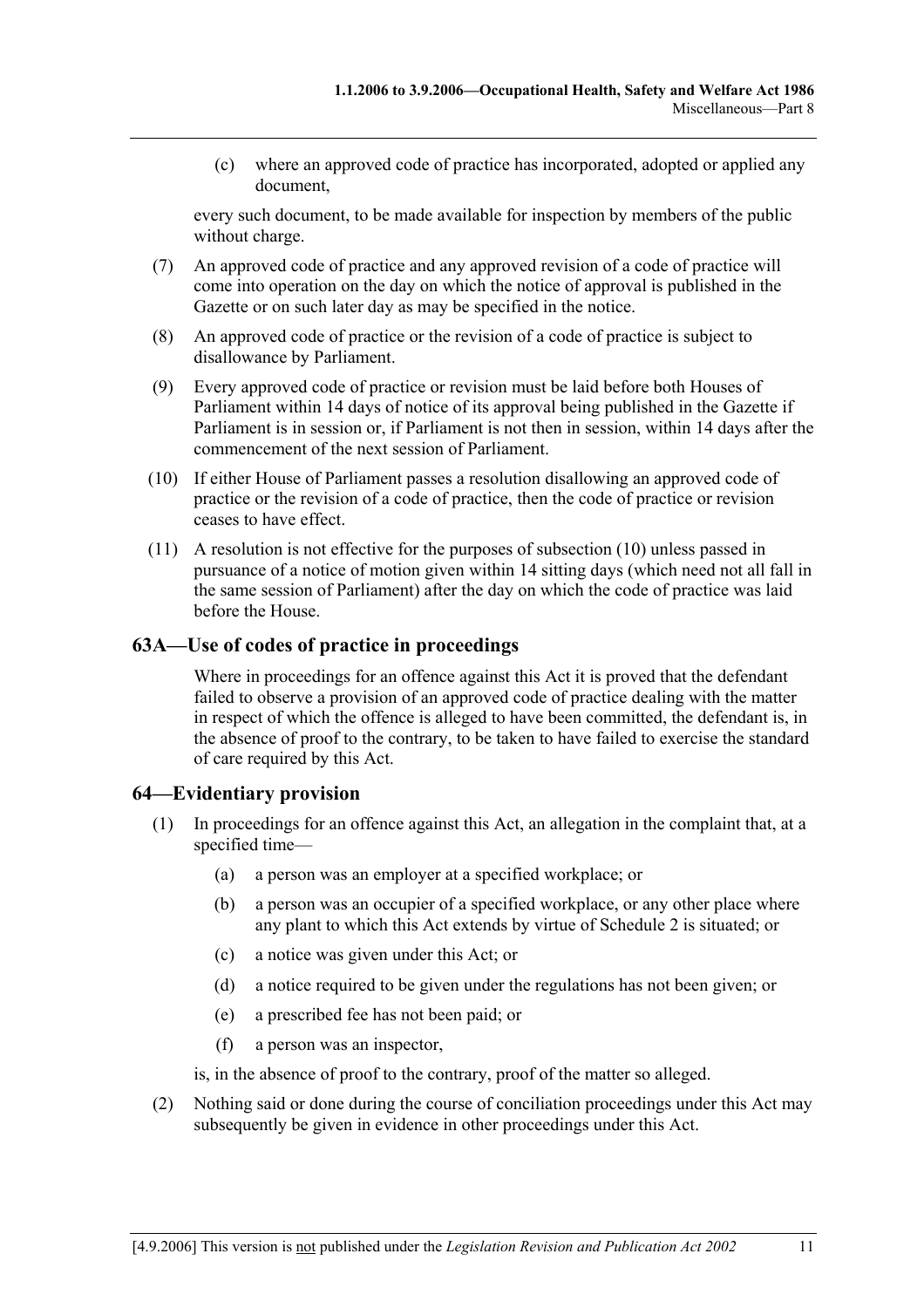(c) where an approved code of practice has incorporated, adopted or applied any document,

every such document, to be made available for inspection by members of the public without charge.

- (7) An approved code of practice and any approved revision of a code of practice will come into operation on the day on which the notice of approval is published in the Gazette or on such later day as may be specified in the notice.
- (8) An approved code of practice or the revision of a code of practice is subject to disallowance by Parliament.
- (9) Every approved code of practice or revision must be laid before both Houses of Parliament within 14 days of notice of its approval being published in the Gazette if Parliament is in session or, if Parliament is not then in session, within 14 days after the commencement of the next session of Parliament.
- (10) If either House of Parliament passes a resolution disallowing an approved code of practice or the revision of a code of practice, then the code of practice or revision ceases to have effect.
- (11) A resolution is not effective for the purposes of subsection (10) unless passed in pursuance of a notice of motion given within 14 sitting days (which need not all fall in the same session of Parliament) after the day on which the code of practice was laid before the House.

## **63A—Use of codes of practice in proceedings**

Where in proceedings for an offence against this Act it is proved that the defendant failed to observe a provision of an approved code of practice dealing with the matter in respect of which the offence is alleged to have been committed, the defendant is, in the absence of proof to the contrary, to be taken to have failed to exercise the standard of care required by this Act.

## **64—Evidentiary provision**

- (1) In proceedings for an offence against this Act, an allegation in the complaint that, at a specified time—
	- (a) a person was an employer at a specified workplace; or
	- (b) a person was an occupier of a specified workplace, or any other place where any plant to which this Act extends by virtue of Schedule 2 is situated; or
	- (c) a notice was given under this Act; or
	- (d) a notice required to be given under the regulations has not been given; or
	- (e) a prescribed fee has not been paid; or
	- (f) a person was an inspector,

is, in the absence of proof to the contrary, proof of the matter so alleged.

 (2) Nothing said or done during the course of conciliation proceedings under this Act may subsequently be given in evidence in other proceedings under this Act.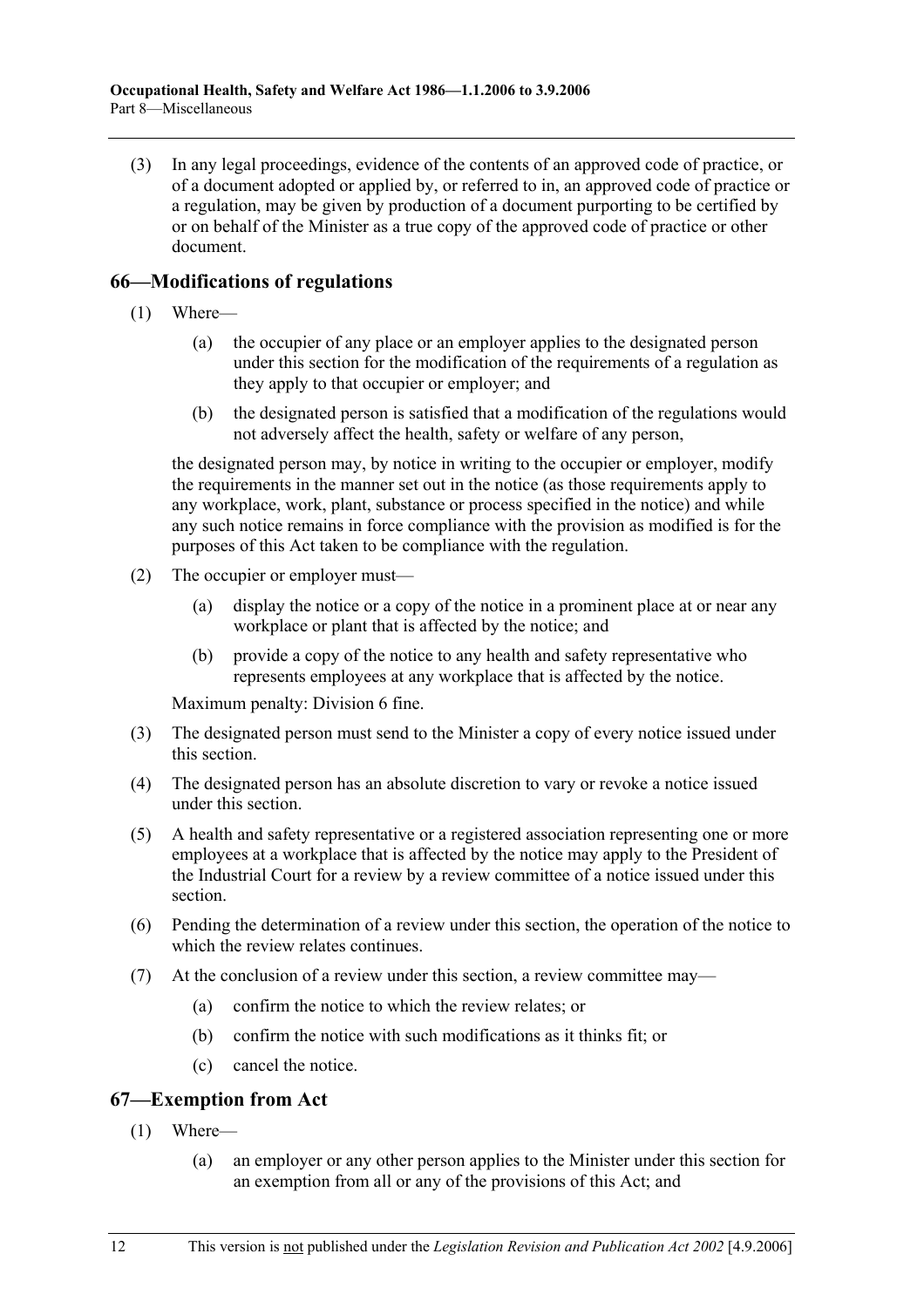(3) In any legal proceedings, evidence of the contents of an approved code of practice, or of a document adopted or applied by, or referred to in, an approved code of practice or a regulation, may be given by production of a document purporting to be certified by or on behalf of the Minister as a true copy of the approved code of practice or other document.

# **66—Modifications of regulations**

- (1) Where—
	- (a) the occupier of any place or an employer applies to the designated person under this section for the modification of the requirements of a regulation as they apply to that occupier or employer; and
	- (b) the designated person is satisfied that a modification of the regulations would not adversely affect the health, safety or welfare of any person,

the designated person may, by notice in writing to the occupier or employer, modify the requirements in the manner set out in the notice (as those requirements apply to any workplace, work, plant, substance or process specified in the notice) and while any such notice remains in force compliance with the provision as modified is for the purposes of this Act taken to be compliance with the regulation.

- (2) The occupier or employer must—
	- (a) display the notice or a copy of the notice in a prominent place at or near any workplace or plant that is affected by the notice; and
	- (b) provide a copy of the notice to any health and safety representative who represents employees at any workplace that is affected by the notice.

Maximum penalty: Division 6 fine.

- (3) The designated person must send to the Minister a copy of every notice issued under this section.
- (4) The designated person has an absolute discretion to vary or revoke a notice issued under this section.
- (5) A health and safety representative or a registered association representing one or more employees at a workplace that is affected by the notice may apply to the President of the Industrial Court for a review by a review committee of a notice issued under this section.
- (6) Pending the determination of a review under this section, the operation of the notice to which the review relates continues.
- (7) At the conclusion of a review under this section, a review committee may—
	- (a) confirm the notice to which the review relates; or
	- (b) confirm the notice with such modifications as it thinks fit; or
	- (c) cancel the notice.

# **67—Exemption from Act**

- (1) Where—
	- (a) an employer or any other person applies to the Minister under this section for an exemption from all or any of the provisions of this Act; and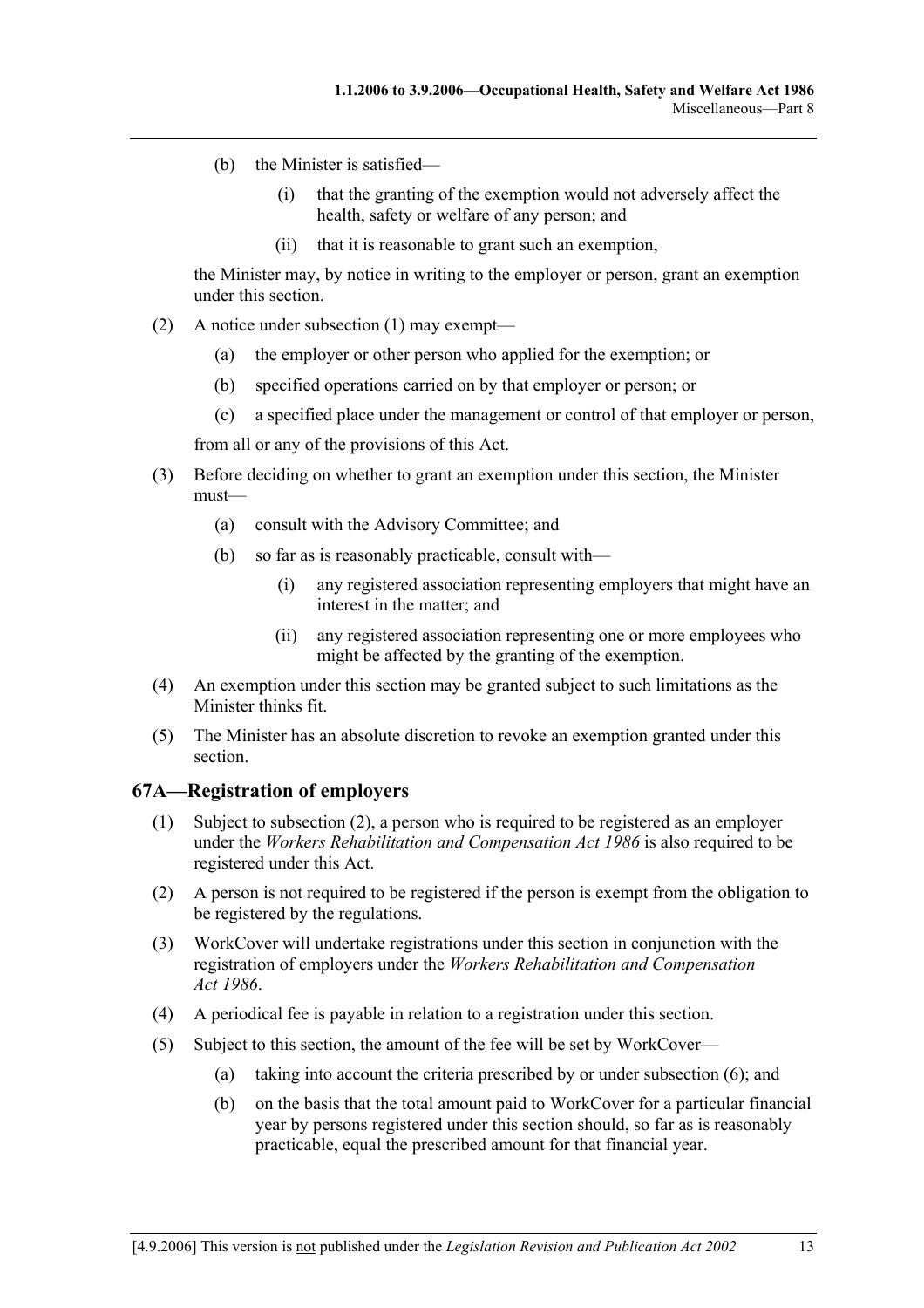- (b) the Minister is satisfied—
	- (i) that the granting of the exemption would not adversely affect the health, safety or welfare of any person; and
	- (ii) that it is reasonable to grant such an exemption,

the Minister may, by notice in writing to the employer or person, grant an exemption under this section.

- (2) A notice under subsection (1) may exempt—
	- (a) the employer or other person who applied for the exemption; or
	- (b) specified operations carried on by that employer or person; or
	- (c) a specified place under the management or control of that employer or person,

from all or any of the provisions of this Act.

- (3) Before deciding on whether to grant an exemption under this section, the Minister must—
	- (a) consult with the Advisory Committee; and
	- (b) so far as is reasonably practicable, consult with—
		- (i) any registered association representing employers that might have an interest in the matter; and
		- (ii) any registered association representing one or more employees who might be affected by the granting of the exemption.
- (4) An exemption under this section may be granted subject to such limitations as the Minister thinks fit.
- (5) The Minister has an absolute discretion to revoke an exemption granted under this section.

### **67A—Registration of employers**

- (1) Subject to subsection (2), a person who is required to be registered as an employer under the *Workers Rehabilitation and Compensation Act 1986* is also required to be registered under this Act.
- (2) A person is not required to be registered if the person is exempt from the obligation to be registered by the regulations.
- (3) WorkCover will undertake registrations under this section in conjunction with the registration of employers under the *Workers Rehabilitation and Compensation Act 1986*.
- (4) A periodical fee is payable in relation to a registration under this section.
- (5) Subject to this section, the amount of the fee will be set by WorkCover—
	- (a) taking into account the criteria prescribed by or under subsection (6); and
	- (b) on the basis that the total amount paid to WorkCover for a particular financial year by persons registered under this section should, so far as is reasonably practicable, equal the prescribed amount for that financial year.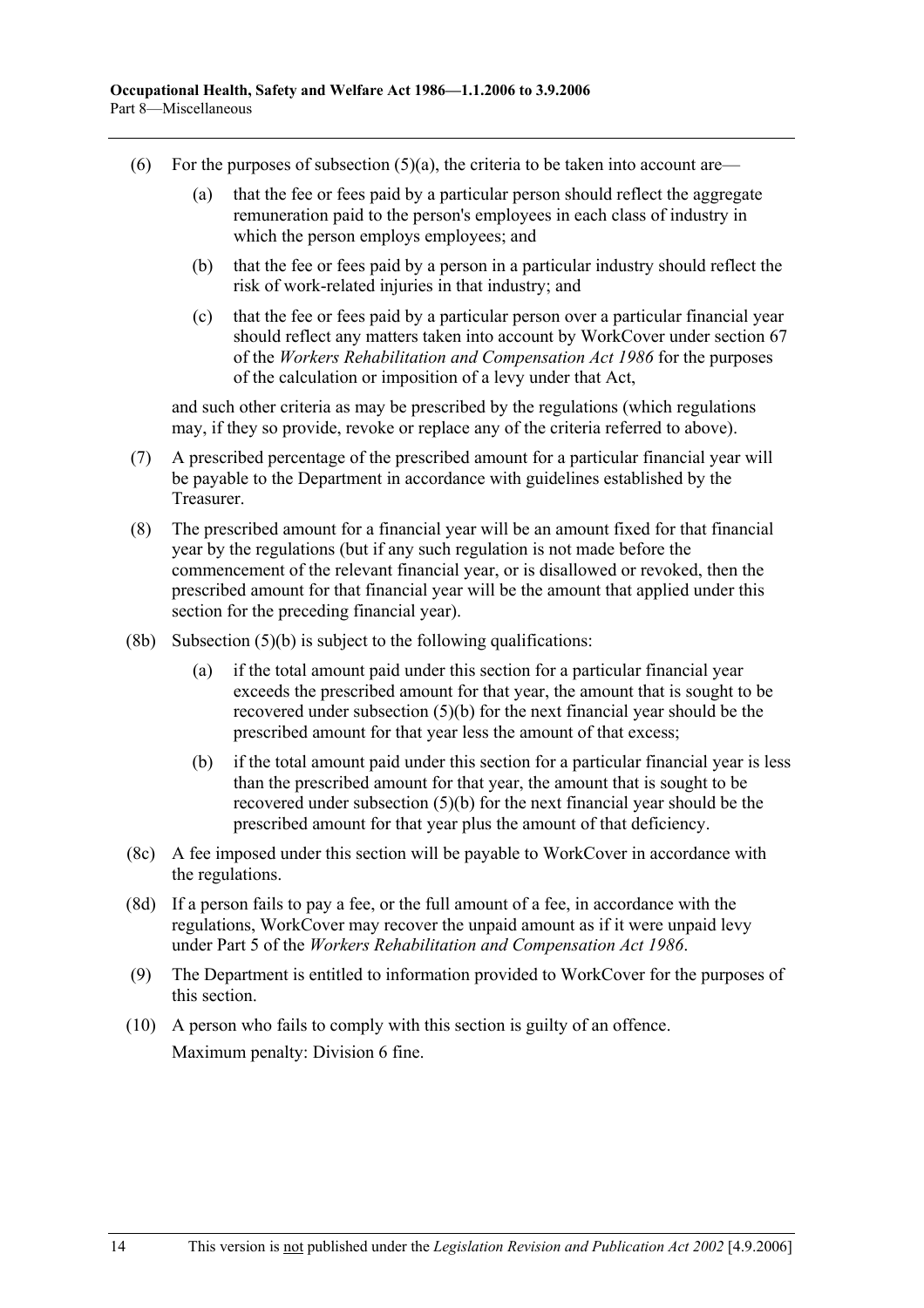- (6) For the purposes of subsection  $(5)(a)$ , the criteria to be taken into account are—
	- (a) that the fee or fees paid by a particular person should reflect the aggregate remuneration paid to the person's employees in each class of industry in which the person employs employees; and
	- (b) that the fee or fees paid by a person in a particular industry should reflect the risk of work-related injuries in that industry; and
	- (c) that the fee or fees paid by a particular person over a particular financial year should reflect any matters taken into account by WorkCover under section 67 of the *Workers Rehabilitation and Compensation Act 1986* for the purposes of the calculation or imposition of a levy under that Act,

and such other criteria as may be prescribed by the regulations (which regulations may, if they so provide, revoke or replace any of the criteria referred to above).

- (7) A prescribed percentage of the prescribed amount for a particular financial year will be payable to the Department in accordance with guidelines established by the **Treasurer**
- (8) The prescribed amount for a financial year will be an amount fixed for that financial year by the regulations (but if any such regulation is not made before the commencement of the relevant financial year, or is disallowed or revoked, then the prescribed amount for that financial year will be the amount that applied under this section for the preceding financial year).
- $(8b)$  Subsection  $(5)(b)$  is subject to the following qualifications:
	- (a) if the total amount paid under this section for a particular financial year exceeds the prescribed amount for that year, the amount that is sought to be recovered under subsection (5)(b) for the next financial year should be the prescribed amount for that year less the amount of that excess;
	- (b) if the total amount paid under this section for a particular financial year is less than the prescribed amount for that year, the amount that is sought to be recovered under subsection (5)(b) for the next financial year should be the prescribed amount for that year plus the amount of that deficiency.
- (8c) A fee imposed under this section will be payable to WorkCover in accordance with the regulations.
- (8d) If a person fails to pay a fee, or the full amount of a fee, in accordance with the regulations, WorkCover may recover the unpaid amount as if it were unpaid levy under Part 5 of the *Workers Rehabilitation and Compensation Act 1986*.
- (9) The Department is entitled to information provided to WorkCover for the purposes of this section.
- (10) A person who fails to comply with this section is guilty of an offence. Maximum penalty: Division 6 fine.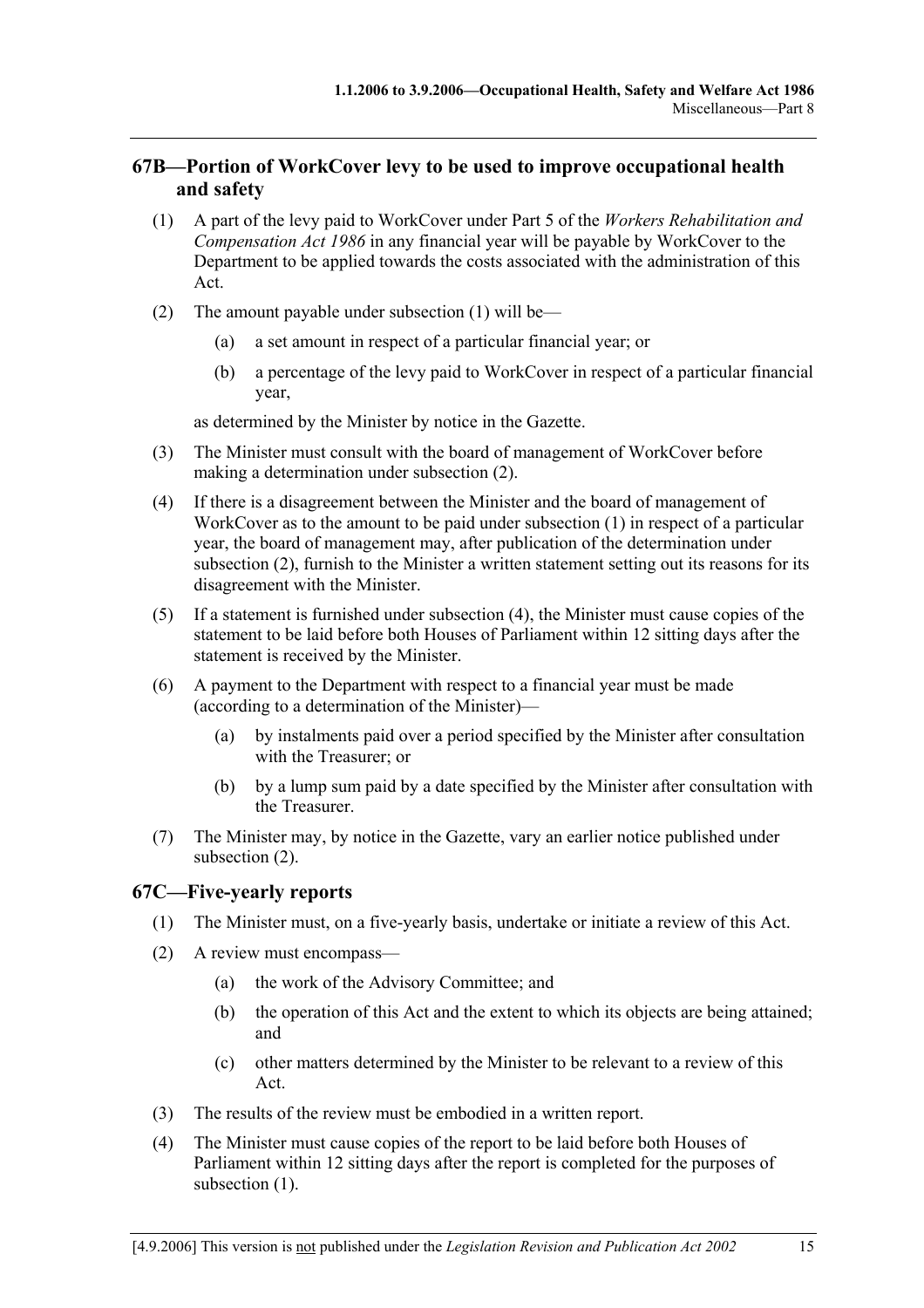# **67B—Portion of WorkCover levy to be used to improve occupational health and safety**

- (1) A part of the levy paid to WorkCover under Part 5 of the *Workers Rehabilitation and Compensation Act 1986* in any financial year will be payable by WorkCover to the Department to be applied towards the costs associated with the administration of this Act.
- (2) The amount payable under subsection (1) will be—
	- (a) a set amount in respect of a particular financial year; or
	- (b) a percentage of the levy paid to WorkCover in respect of a particular financial year,

as determined by the Minister by notice in the Gazette.

- (3) The Minister must consult with the board of management of WorkCover before making a determination under subsection (2).
- (4) If there is a disagreement between the Minister and the board of management of WorkCover as to the amount to be paid under subsection (1) in respect of a particular year, the board of management may, after publication of the determination under subsection (2), furnish to the Minister a written statement setting out its reasons for its disagreement with the Minister.
- (5) If a statement is furnished under subsection (4), the Minister must cause copies of the statement to be laid before both Houses of Parliament within 12 sitting days after the statement is received by the Minister.
- (6) A payment to the Department with respect to a financial year must be made (according to a determination of the Minister)—
	- (a) by instalments paid over a period specified by the Minister after consultation with the Treasurer; or
	- (b) by a lump sum paid by a date specified by the Minister after consultation with the Treasurer.
- (7) The Minister may, by notice in the Gazette, vary an earlier notice published under subsection (2).

## **67C—Five-yearly reports**

- (1) The Minister must, on a five-yearly basis, undertake or initiate a review of this Act.
- (2) A review must encompass—
	- (a) the work of the Advisory Committee; and
	- (b) the operation of this Act and the extent to which its objects are being attained; and
	- (c) other matters determined by the Minister to be relevant to a review of this Act.
- (3) The results of the review must be embodied in a written report.
- (4) The Minister must cause copies of the report to be laid before both Houses of Parliament within 12 sitting days after the report is completed for the purposes of subsection  $(1)$ .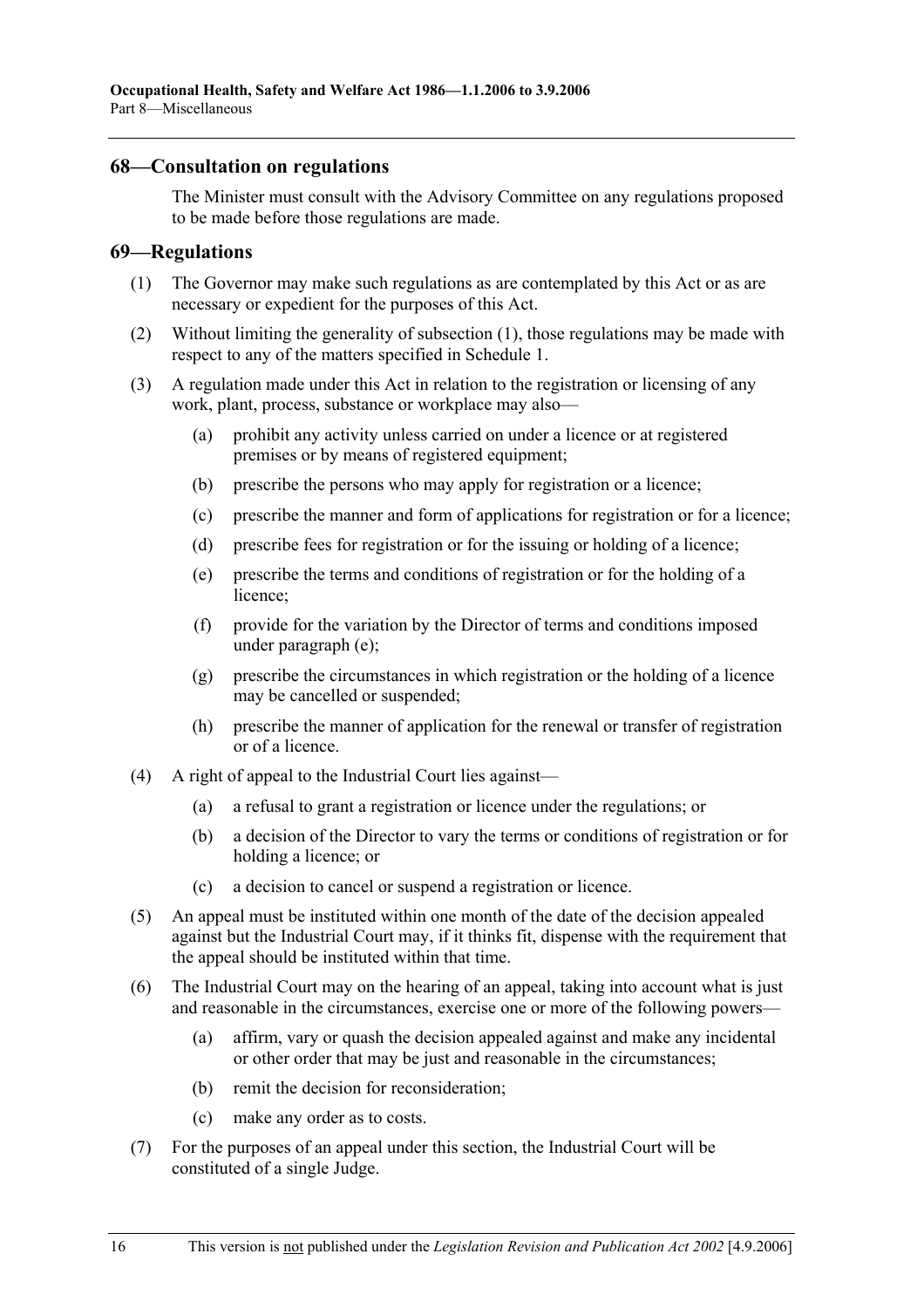### **68—Consultation on regulations**

The Minister must consult with the Advisory Committee on any regulations proposed to be made before those regulations are made.

### **69—Regulations**

- (1) The Governor may make such regulations as are contemplated by this Act or as are necessary or expedient for the purposes of this Act.
- (2) Without limiting the generality of subsection (1), those regulations may be made with respect to any of the matters specified in Schedule 1.
- (3) A regulation made under this Act in relation to the registration or licensing of any work, plant, process, substance or workplace may also—
	- (a) prohibit any activity unless carried on under a licence or at registered premises or by means of registered equipment;
	- (b) prescribe the persons who may apply for registration or a licence;
	- (c) prescribe the manner and form of applications for registration or for a licence;
	- (d) prescribe fees for registration or for the issuing or holding of a licence;
	- (e) prescribe the terms and conditions of registration or for the holding of a licence;
	- (f) provide for the variation by the Director of terms and conditions imposed under paragraph (e);
	- (g) prescribe the circumstances in which registration or the holding of a licence may be cancelled or suspended;
	- (h) prescribe the manner of application for the renewal or transfer of registration or of a licence.
- (4) A right of appeal to the Industrial Court lies against—
	- (a) a refusal to grant a registration or licence under the regulations; or
	- (b) a decision of the Director to vary the terms or conditions of registration or for holding a licence; or
	- (c) a decision to cancel or suspend a registration or licence.
- (5) An appeal must be instituted within one month of the date of the decision appealed against but the Industrial Court may, if it thinks fit, dispense with the requirement that the appeal should be instituted within that time.
- (6) The Industrial Court may on the hearing of an appeal, taking into account what is just and reasonable in the circumstances, exercise one or more of the following powers—
	- (a) affirm, vary or quash the decision appealed against and make any incidental or other order that may be just and reasonable in the circumstances;
	- (b) remit the decision for reconsideration;
	- (c) make any order as to costs.
- (7) For the purposes of an appeal under this section, the Industrial Court will be constituted of a single Judge.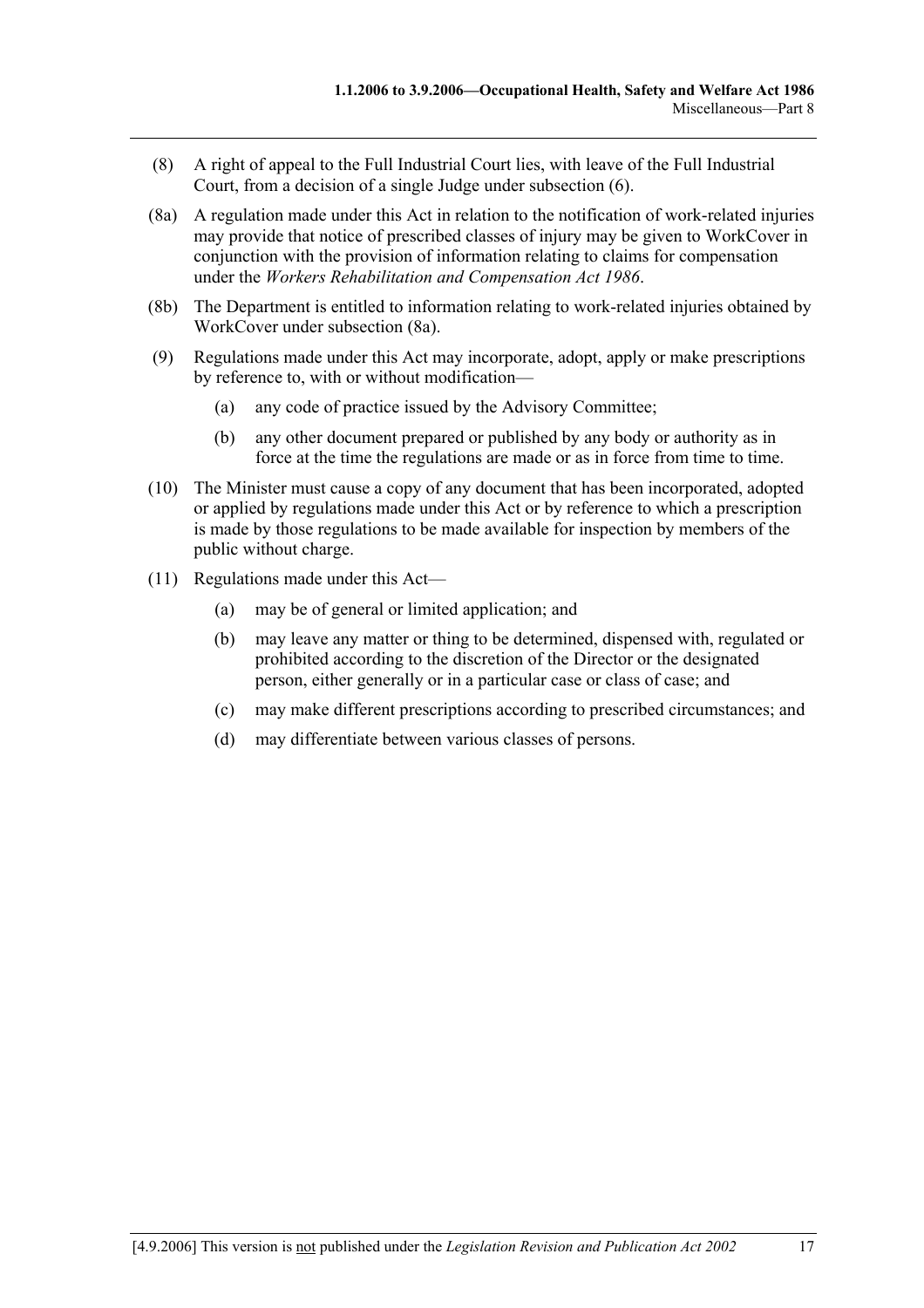- (8) A right of appeal to the Full Industrial Court lies, with leave of the Full Industrial Court, from a decision of a single Judge under subsection (6).
- (8a) A regulation made under this Act in relation to the notification of work-related injuries may provide that notice of prescribed classes of injury may be given to WorkCover in conjunction with the provision of information relating to claims for compensation under the *Workers Rehabilitation and Compensation Act 1986*.
- (8b) The Department is entitled to information relating to work-related injuries obtained by WorkCover under subsection (8a).
- (9) Regulations made under this Act may incorporate, adopt, apply or make prescriptions by reference to, with or without modification—
	- (a) any code of practice issued by the Advisory Committee;
	- (b) any other document prepared or published by any body or authority as in force at the time the regulations are made or as in force from time to time.
- (10) The Minister must cause a copy of any document that has been incorporated, adopted or applied by regulations made under this Act or by reference to which a prescription is made by those regulations to be made available for inspection by members of the public without charge.
- (11) Regulations made under this Act—
	- (a) may be of general or limited application; and
	- (b) may leave any matter or thing to be determined, dispensed with, regulated or prohibited according to the discretion of the Director or the designated person, either generally or in a particular case or class of case; and
	- (c) may make different prescriptions according to prescribed circumstances; and
	- (d) may differentiate between various classes of persons.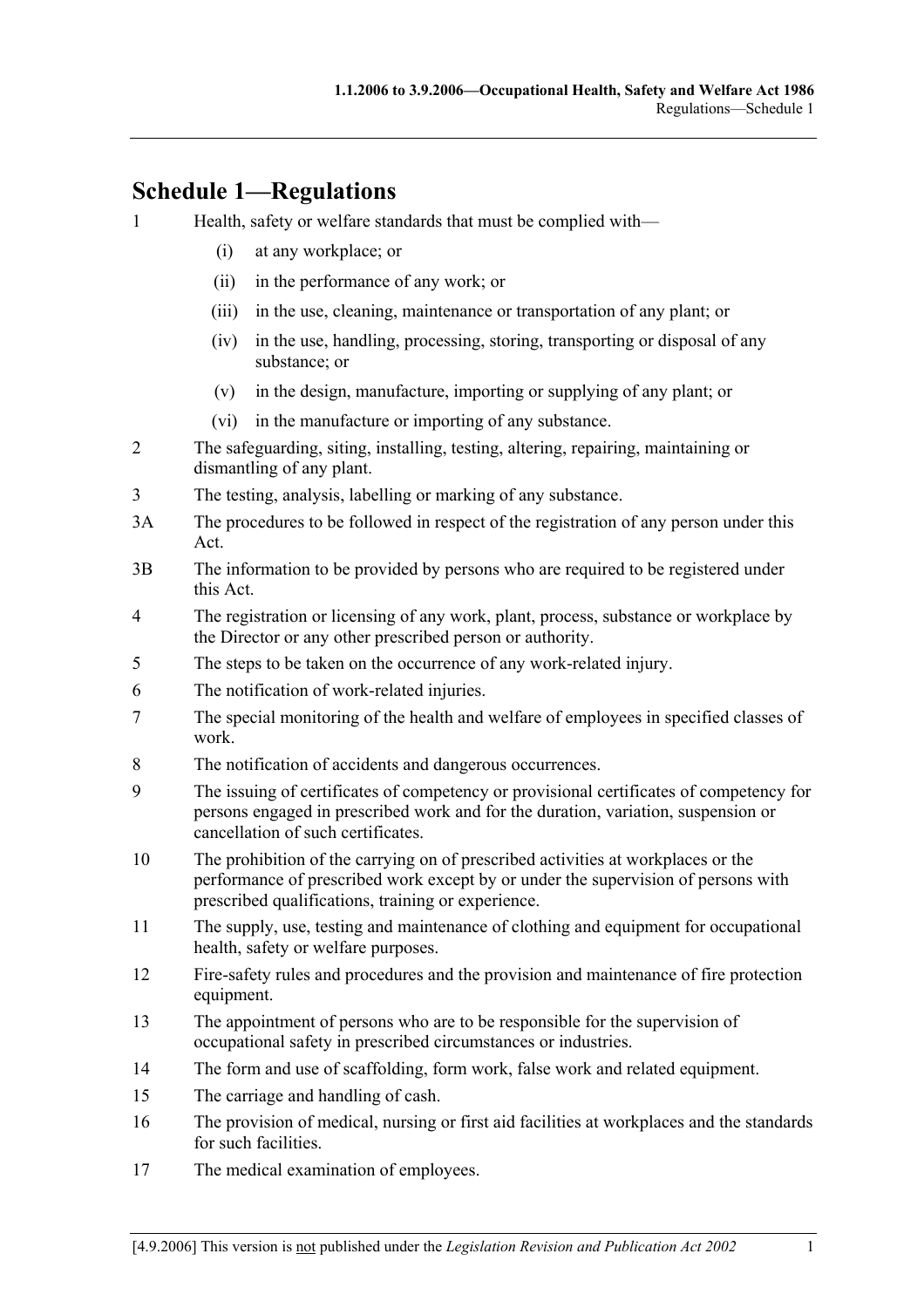# **Schedule 1—Regulations**

- 1 Health, safety or welfare standards that must be complied with—
	- (i) at any workplace; or
	- (ii) in the performance of any work; or
	- (iii) in the use, cleaning, maintenance or transportation of any plant; or
	- (iv) in the use, handling, processing, storing, transporting or disposal of any substance; or
	- (v) in the design, manufacture, importing or supplying of any plant; or
	- (vi) in the manufacture or importing of any substance.
- 2 The safeguarding, siting, installing, testing, altering, repairing, maintaining or dismantling of any plant.
- 3 The testing, analysis, labelling or marking of any substance.
- 3A The procedures to be followed in respect of the registration of any person under this Act.
- 3B The information to be provided by persons who are required to be registered under this Act.
- 4 The registration or licensing of any work, plant, process, substance or workplace by the Director or any other prescribed person or authority.
- 5 The steps to be taken on the occurrence of any work-related injury.
- 6 The notification of work-related injuries.
- 7 The special monitoring of the health and welfare of employees in specified classes of work.
- 8 The notification of accidents and dangerous occurrences.
- 9 The issuing of certificates of competency or provisional certificates of competency for persons engaged in prescribed work and for the duration, variation, suspension or cancellation of such certificates.
- 10 The prohibition of the carrying on of prescribed activities at workplaces or the performance of prescribed work except by or under the supervision of persons with prescribed qualifications, training or experience.
- 11 The supply, use, testing and maintenance of clothing and equipment for occupational health, safety or welfare purposes.
- 12 Fire-safety rules and procedures and the provision and maintenance of fire protection equipment.
- 13 The appointment of persons who are to be responsible for the supervision of occupational safety in prescribed circumstances or industries.
- 14 The form and use of scaffolding, form work, false work and related equipment.
- 15 The carriage and handling of cash.
- 16 The provision of medical, nursing or first aid facilities at workplaces and the standards for such facilities.
- 17 The medical examination of employees.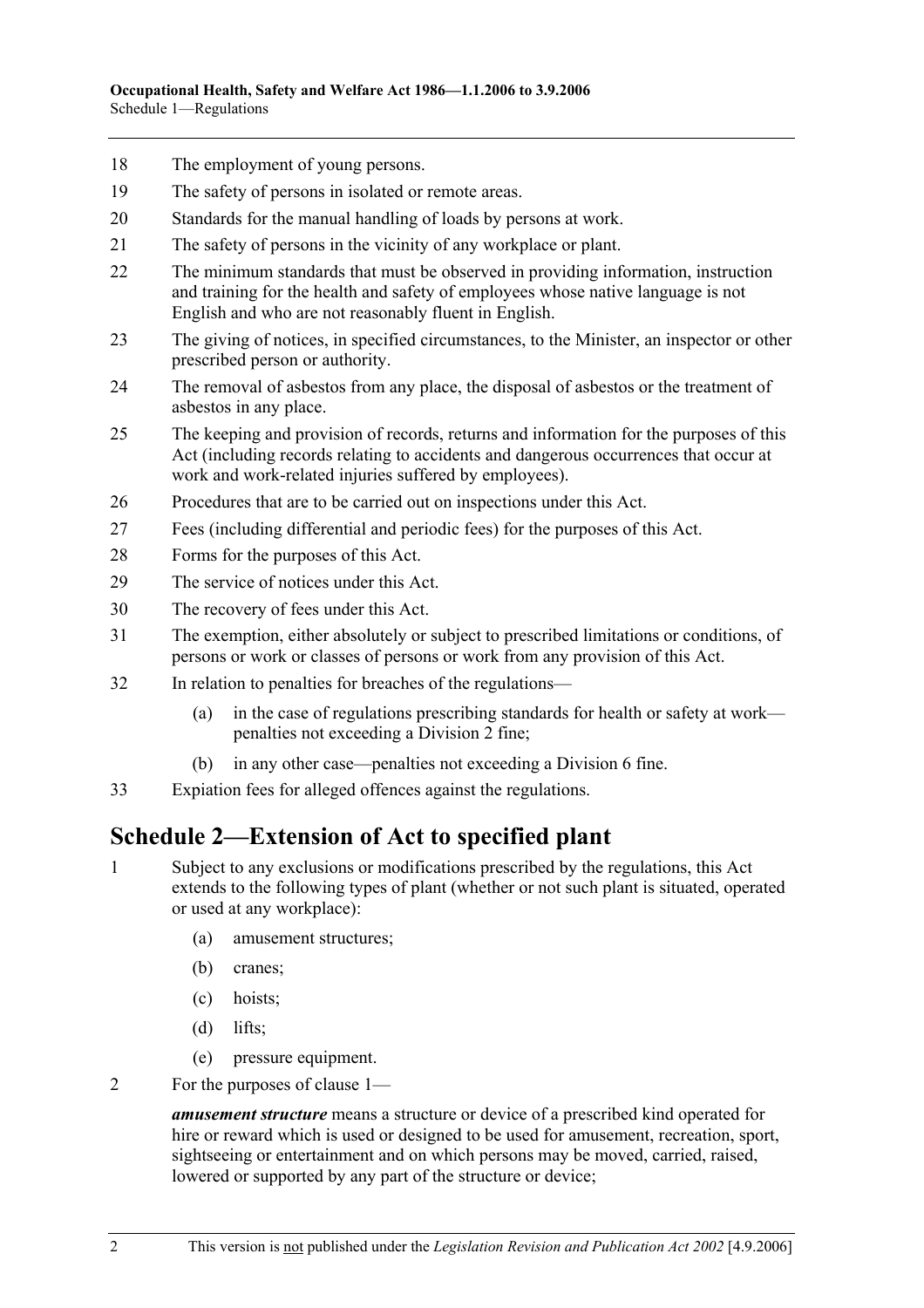- 18 The employment of young persons.
- 19 The safety of persons in isolated or remote areas.
- 20 Standards for the manual handling of loads by persons at work.
- 21 The safety of persons in the vicinity of any workplace or plant.
- 22 The minimum standards that must be observed in providing information, instruction and training for the health and safety of employees whose native language is not English and who are not reasonably fluent in English.
- 23 The giving of notices, in specified circumstances, to the Minister, an inspector or other prescribed person or authority.
- 24 The removal of asbestos from any place, the disposal of asbestos or the treatment of asbestos in any place.
- 25 The keeping and provision of records, returns and information for the purposes of this Act (including records relating to accidents and dangerous occurrences that occur at work and work-related injuries suffered by employees).
- 26 Procedures that are to be carried out on inspections under this Act.
- 27 Fees (including differential and periodic fees) for the purposes of this Act.
- 28 Forms for the purposes of this Act.
- 29 The service of notices under this Act.
- 30 The recovery of fees under this Act.
- 31 The exemption, either absolutely or subject to prescribed limitations or conditions, of persons or work or classes of persons or work from any provision of this Act.
- 32 In relation to penalties for breaches of the regulations—
	- (a) in the case of regulations prescribing standards for health or safety at work penalties not exceeding a Division 2 fine;
	- (b) in any other case—penalties not exceeding a Division 6 fine.
- 33 Expiation fees for alleged offences against the regulations.

# **Schedule 2—Extension of Act to specified plant**

- 1 Subject to any exclusions or modifications prescribed by the regulations, this Act extends to the following types of plant (whether or not such plant is situated, operated or used at any workplace):
	- (a) amusement structures;
	- (b) cranes;
	- (c) hoists;
	- (d) lifts;
	- (e) pressure equipment.
- 2 For the purposes of clause 1—

*amusement structure* means a structure or device of a prescribed kind operated for hire or reward which is used or designed to be used for amusement, recreation, sport, sightseeing or entertainment and on which persons may be moved, carried, raised, lowered or supported by any part of the structure or device;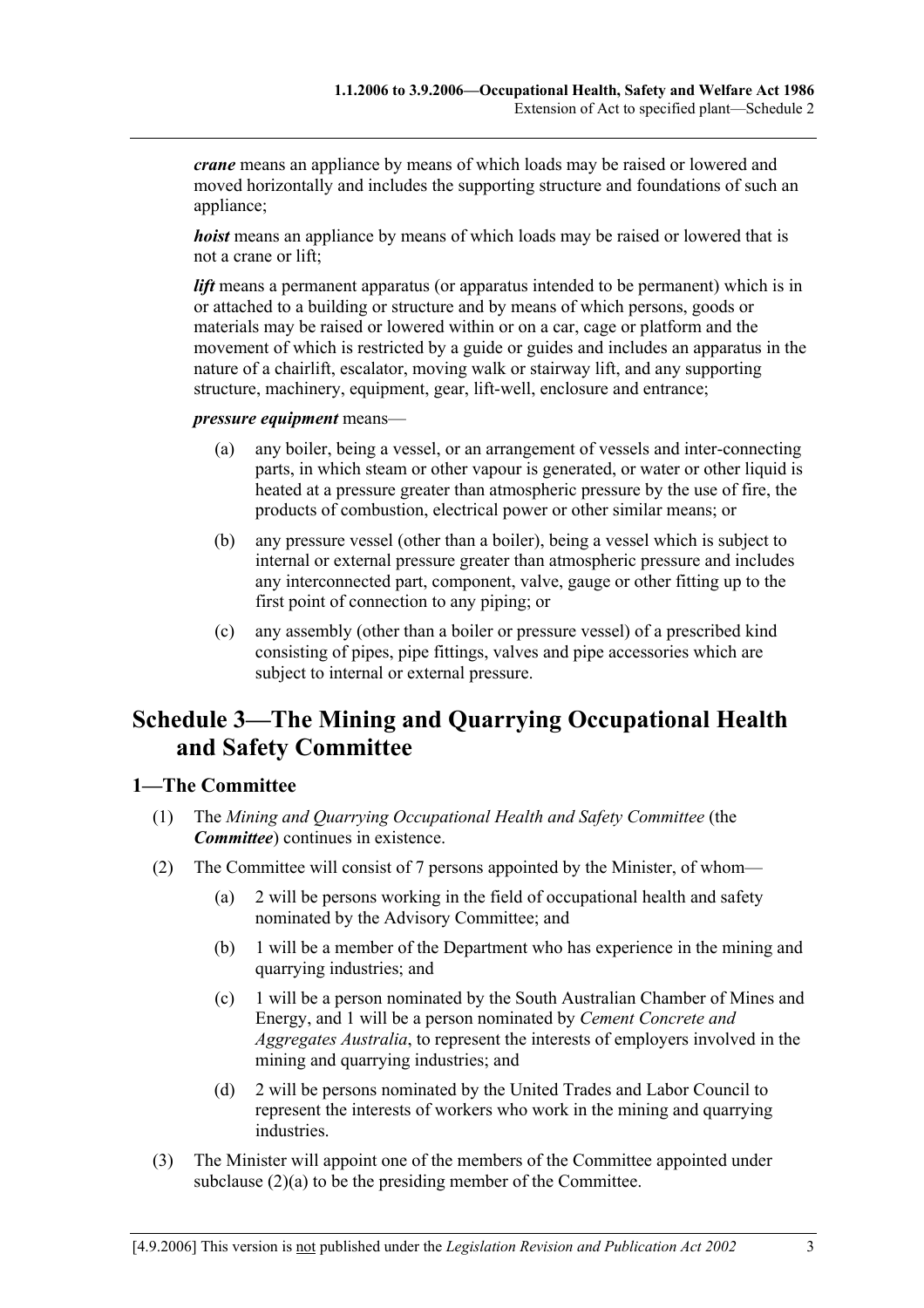*crane* means an appliance by means of which loads may be raised or lowered and moved horizontally and includes the supporting structure and foundations of such an appliance;

*hoist* means an appliance by means of which loads may be raised or lowered that is not a crane or lift;

*lift* means a permanent apparatus (or apparatus intended to be permanent) which is in or attached to a building or structure and by means of which persons, goods or materials may be raised or lowered within or on a car, cage or platform and the movement of which is restricted by a guide or guides and includes an apparatus in the nature of a chairlift, escalator, moving walk or stairway lift, and any supporting structure, machinery, equipment, gear, lift-well, enclosure and entrance;

*pressure equipment* means—

- (a) any boiler, being a vessel, or an arrangement of vessels and inter-connecting parts, in which steam or other vapour is generated, or water or other liquid is heated at a pressure greater than atmospheric pressure by the use of fire, the products of combustion, electrical power or other similar means; or
- (b) any pressure vessel (other than a boiler), being a vessel which is subject to internal or external pressure greater than atmospheric pressure and includes any interconnected part, component, valve, gauge or other fitting up to the first point of connection to any piping; or
- (c) any assembly (other than a boiler or pressure vessel) of a prescribed kind consisting of pipes, pipe fittings, valves and pipe accessories which are subject to internal or external pressure.

# **Schedule 3—The Mining and Quarrying Occupational Health and Safety Committee**

### **1—The Committee**

- (1) The *Mining and Quarrying Occupational Health and Safety Committee* (the *Committee*) continues in existence.
- (2) The Committee will consist of 7 persons appointed by the Minister, of whom—
	- (a) 2 will be persons working in the field of occupational health and safety nominated by the Advisory Committee; and
	- (b) 1 will be a member of the Department who has experience in the mining and quarrying industries; and
	- (c) 1 will be a person nominated by the South Australian Chamber of Mines and Energy, and 1 will be a person nominated by *Cement Concrete and Aggregates Australia*, to represent the interests of employers involved in the mining and quarrying industries; and
	- (d) 2 will be persons nominated by the United Trades and Labor Council to represent the interests of workers who work in the mining and quarrying industries.
- (3) The Minister will appoint one of the members of the Committee appointed under subclause (2)(a) to be the presiding member of the Committee.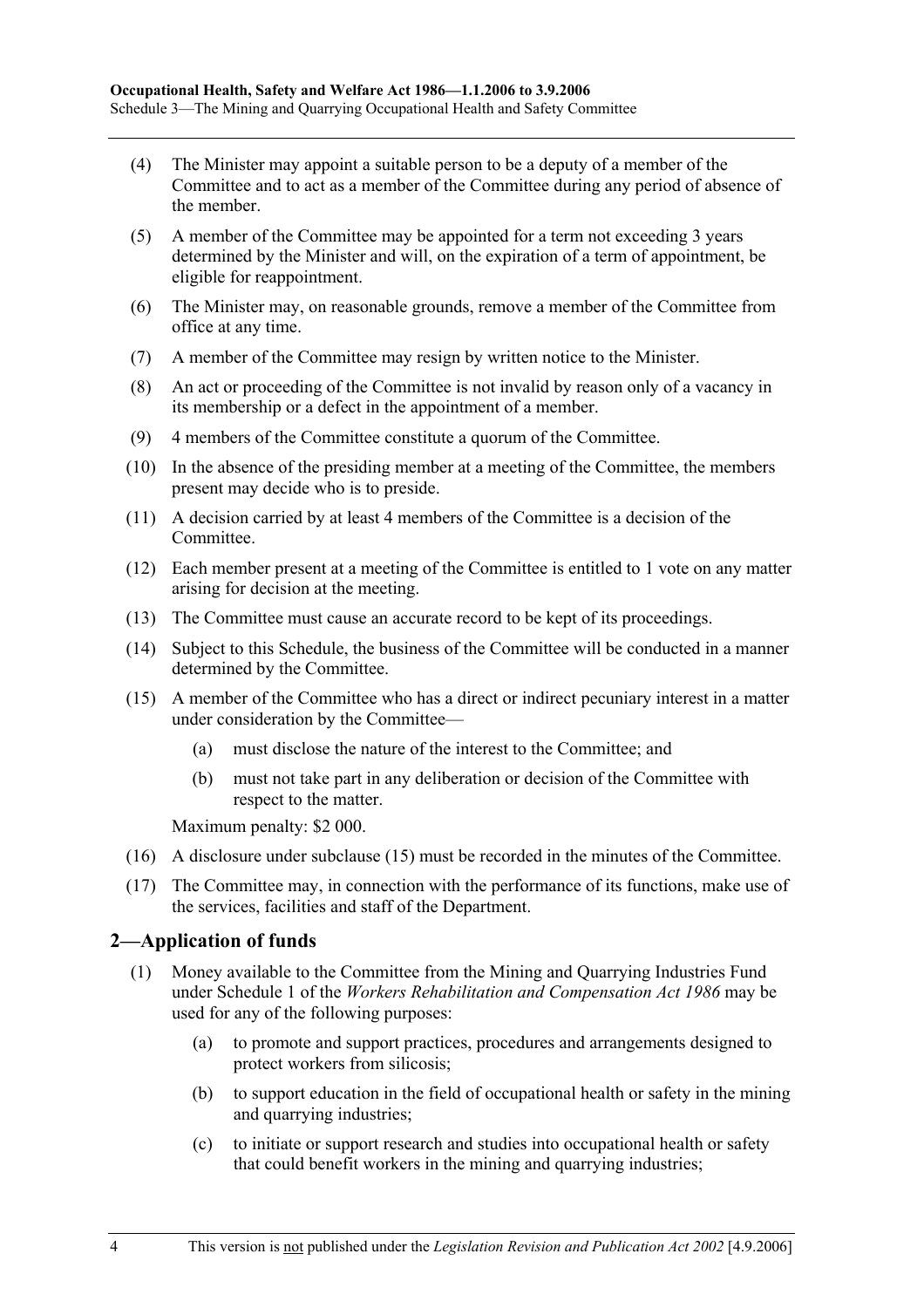- (4) The Minister may appoint a suitable person to be a deputy of a member of the Committee and to act as a member of the Committee during any period of absence of the member.
- (5) A member of the Committee may be appointed for a term not exceeding 3 years determined by the Minister and will, on the expiration of a term of appointment, be eligible for reappointment.
- (6) The Minister may, on reasonable grounds, remove a member of the Committee from office at any time.
- (7) A member of the Committee may resign by written notice to the Minister.
- (8) An act or proceeding of the Committee is not invalid by reason only of a vacancy in its membership or a defect in the appointment of a member.
- (9) 4 members of the Committee constitute a quorum of the Committee.
- (10) In the absence of the presiding member at a meeting of the Committee, the members present may decide who is to preside.
- (11) A decision carried by at least 4 members of the Committee is a decision of the Committee.
- (12) Each member present at a meeting of the Committee is entitled to 1 vote on any matter arising for decision at the meeting.
- (13) The Committee must cause an accurate record to be kept of its proceedings.
- (14) Subject to this Schedule, the business of the Committee will be conducted in a manner determined by the Committee.
- (15) A member of the Committee who has a direct or indirect pecuniary interest in a matter under consideration by the Committee—
	- (a) must disclose the nature of the interest to the Committee; and
	- (b) must not take part in any deliberation or decision of the Committee with respect to the matter.

Maximum penalty: \$2 000.

- (16) A disclosure under subclause (15) must be recorded in the minutes of the Committee.
- (17) The Committee may, in connection with the performance of its functions, make use of the services, facilities and staff of the Department.

### **2—Application of funds**

- (1) Money available to the Committee from the Mining and Quarrying Industries Fund under Schedule 1 of the *Workers Rehabilitation and Compensation Act 1986* may be used for any of the following purposes:
	- (a) to promote and support practices, procedures and arrangements designed to protect workers from silicosis;
	- (b) to support education in the field of occupational health or safety in the mining and quarrying industries;
	- (c) to initiate or support research and studies into occupational health or safety that could benefit workers in the mining and quarrying industries;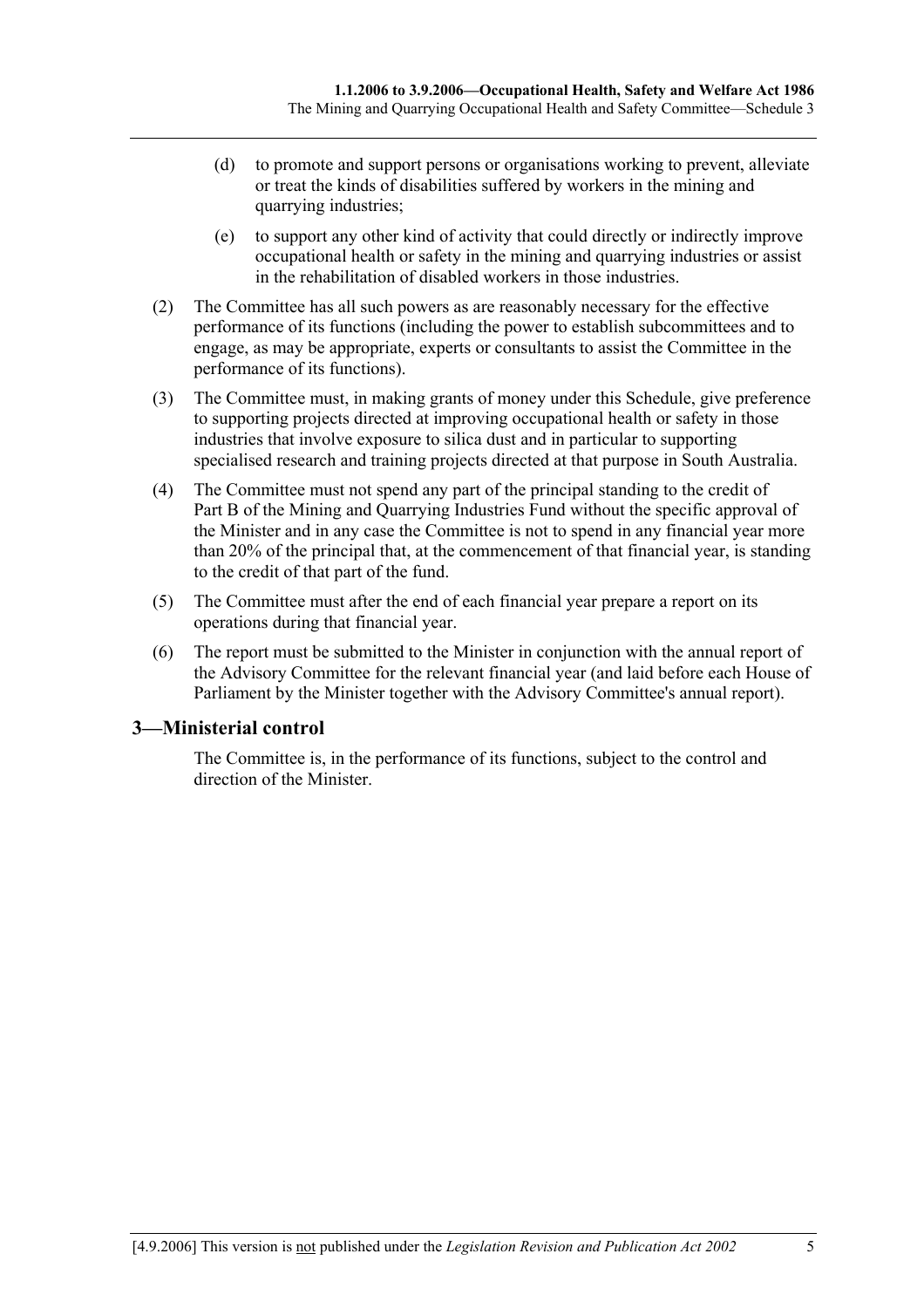- (d) to promote and support persons or organisations working to prevent, alleviate or treat the kinds of disabilities suffered by workers in the mining and quarrying industries;
- (e) to support any other kind of activity that could directly or indirectly improve occupational health or safety in the mining and quarrying industries or assist in the rehabilitation of disabled workers in those industries.
- (2) The Committee has all such powers as are reasonably necessary for the effective performance of its functions (including the power to establish subcommittees and to engage, as may be appropriate, experts or consultants to assist the Committee in the performance of its functions).
- (3) The Committee must, in making grants of money under this Schedule, give preference to supporting projects directed at improving occupational health or safety in those industries that involve exposure to silica dust and in particular to supporting specialised research and training projects directed at that purpose in South Australia.
- (4) The Committee must not spend any part of the principal standing to the credit of Part B of the Mining and Quarrying Industries Fund without the specific approval of the Minister and in any case the Committee is not to spend in any financial year more than 20% of the principal that, at the commencement of that financial year, is standing to the credit of that part of the fund.
- (5) The Committee must after the end of each financial year prepare a report on its operations during that financial year.
- (6) The report must be submitted to the Minister in conjunction with the annual report of the Advisory Committee for the relevant financial year (and laid before each House of Parliament by the Minister together with the Advisory Committee's annual report).

### **3—Ministerial control**

The Committee is, in the performance of its functions, subject to the control and direction of the Minister.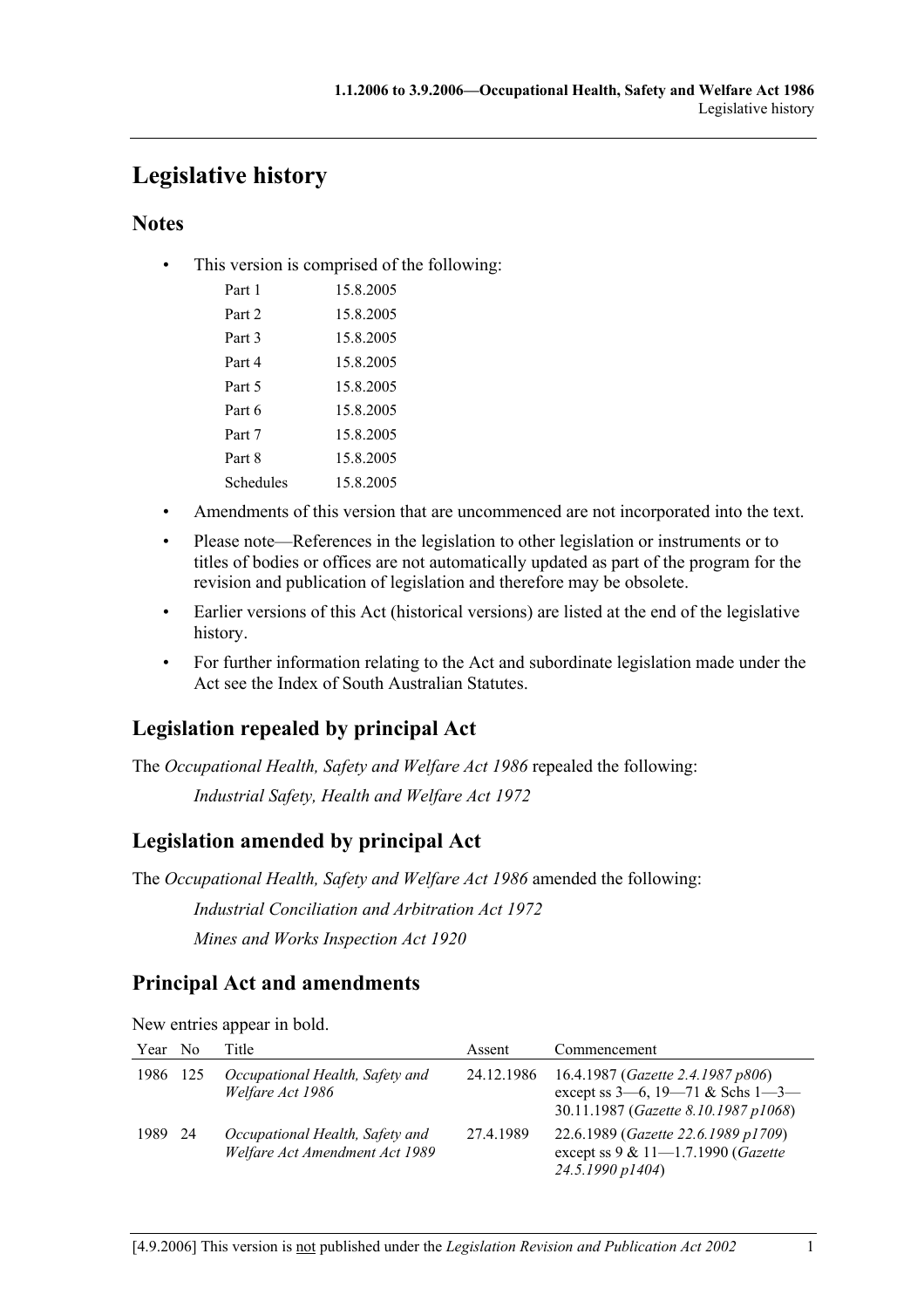# **Legislative history**

### **Notes**

• This version is comprised of the following:

| Part 1    | 15 8 2005 |
|-----------|-----------|
| Part 2    | 15 8 2005 |
| Part 3    | 15.8.2005 |
| Part 4    | 15 8 2005 |
| Part 5    | 15 8 2005 |
| Part 6    | 15 8 2005 |
| Part 7    | 15.8.2005 |
| Part 8    | 15 8 2005 |
| Schedules | 15 8 2005 |
|           |           |

- Amendments of this version that are uncommenced are not incorporated into the text.
- Please note—References in the legislation to other legislation or instruments or to titles of bodies or offices are not automatically updated as part of the program for the revision and publication of legislation and therefore may be obsolete.
- Earlier versions of this Act (historical versions) are listed at the end of the legislative history.
- For further information relating to the Act and subordinate legislation made under the Act see the Index of South Australian Statutes.

## **Legislation repealed by principal Act**

The *Occupational Health, Safety and Welfare Act 1986* repealed the following: *Industrial Safety, Health and Welfare Act 1972*

## **Legislation amended by principal Act**

The *Occupational Health, Safety and Welfare Act 1986* amended the following:

*Industrial Conciliation and Arbitration Act 1972*

*Mines and Works Inspection Act 1920*

### **Principal Act and amendments**

New entries appear in bold.

| Year    | N <sub>0</sub> | Title                                                             | Assent     | Commencement                                                                                                                  |
|---------|----------------|-------------------------------------------------------------------|------------|-------------------------------------------------------------------------------------------------------------------------------|
| 1986    | - 125          | Occupational Health, Safety and<br>Welfare Act 1986               | 24.12.1986 | 16.4.1987 ( <i>Gazette 2.4.1987 p806</i> )<br>except ss $3-6$ , $19-71$ & Schs $1-3-$<br>30.11.1987 (Gazette 8.10.1987 p1068) |
| 1989 24 |                | Occupational Health, Safety and<br>Welfare Act Amendment Act 1989 | 27.4.1989  | 22.6.1989 (Gazette 22.6.1989 p1709)<br>except ss $9 & 11 - 1.7.1990$ (Gazette<br>24.5.1990 p1404)                             |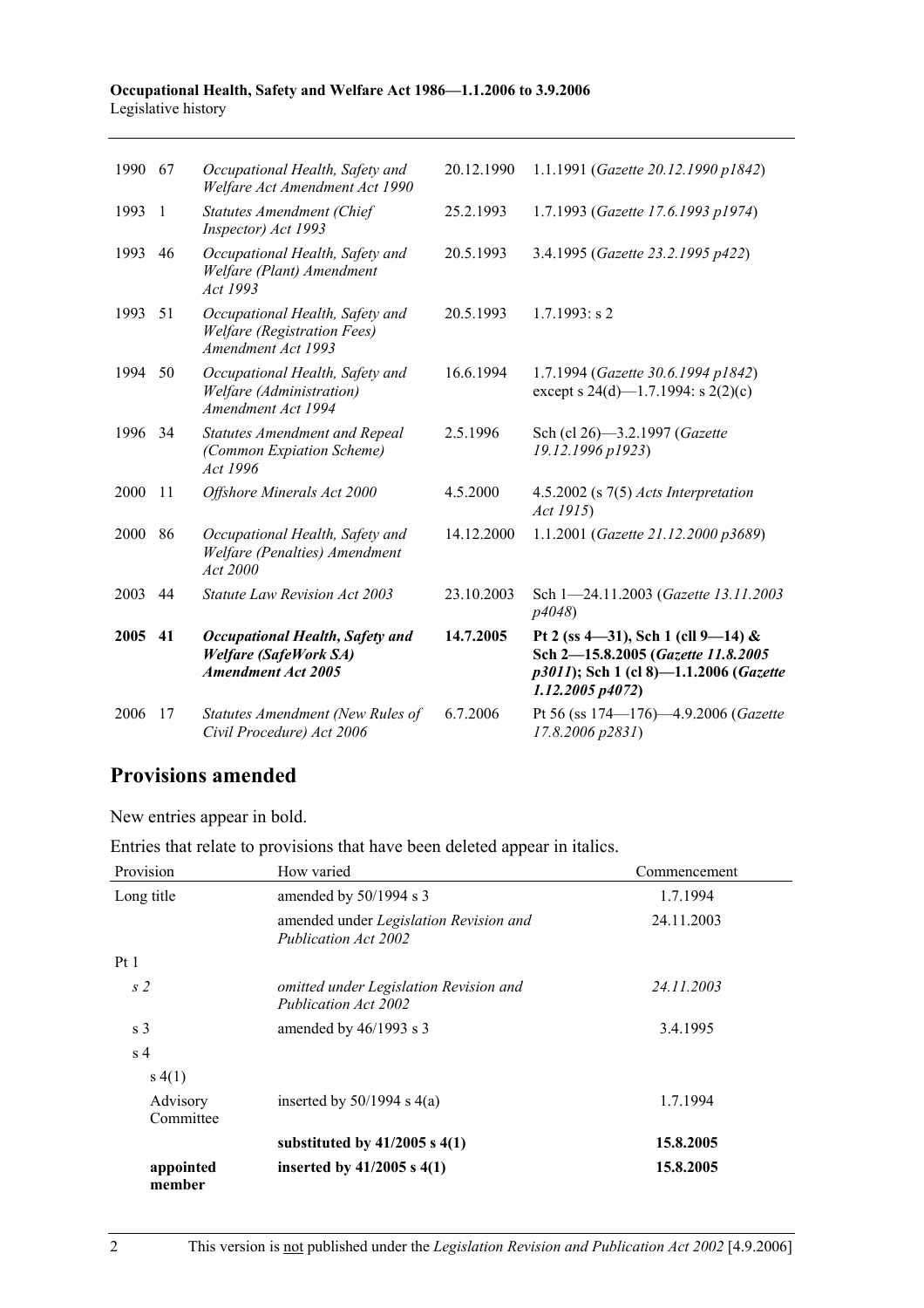#### **Occupational Health, Safety and Welfare Act 1986—1.1.2006 to 3.9.2006**  Legislative history

| 1990 | 67 | Occupational Health, Safety and<br>Welfare Act Amendment Act 1990                                   | 20.12.1990 | 1.1.1991 (Gazette 20.12.1990 p1842)                                                                                                   |
|------|----|-----------------------------------------------------------------------------------------------------|------------|---------------------------------------------------------------------------------------------------------------------------------------|
| 1993 | -1 | <b>Statutes Amendment (Chief</b><br>Inspector) Act 1993                                             | 25.2.1993  | 1.7.1993 (Gazette 17.6.1993 p1974)                                                                                                    |
| 1993 | 46 | Occupational Health, Safety and<br>Welfare (Plant) Amendment<br>Act 1993                            | 20.5.1993  | 3.4.1995 (Gazette 23.2.1995 p422)                                                                                                     |
| 1993 | 51 | Occupational Health, Safety and<br><b>Welfare</b> (Registration Fees)<br>Amendment Act 1993         | 20.5.1993  | $1.7.1993$ : s 2                                                                                                                      |
| 1994 | 50 | Occupational Health, Safety and<br>Welfare (Administration)<br>Amendment Act 1994                   | 16.6.1994  | 1.7.1994 (Gazette 30.6.1994 p1842)<br>except s 24(d)—1.7.1994: s 2(2)(c)                                                              |
| 1996 | 34 | <b>Statutes Amendment and Repeal</b><br>(Common Expiation Scheme)<br>Act 1996                       | 2.5.1996   | Sch (cl 26)-3.2.1997 (Gazette<br>19.12.1996 p1923)                                                                                    |
| 2000 | 11 | Offshore Minerals Act 2000                                                                          | 4.5.2000   | 4.5.2002 (s $7(5)$ Acts Interpretation<br>Act 1915)                                                                                   |
| 2000 | 86 | Occupational Health, Safety and<br>Welfare (Penalties) Amendment<br>Act 2000                        | 14.12.2000 | 1.1.2001 (Gazette 21.12.2000 p3689)                                                                                                   |
| 2003 | 44 | Statute Law Revision Act 2003                                                                       | 23.10.2003 | Sch 1-24.11.2003 (Gazette 13.11.2003)<br>p4048                                                                                        |
| 2005 | 41 | <b>Occupational Health, Safety and</b><br><b>Welfare (SafeWork SA)</b><br><b>Amendment Act 2005</b> | 14.7.2005  | Pt 2 (ss 4-31), Sch 1 (cll 9-14) &<br>Sch 2-15.8.2005 (Gazette 11.8.2005<br>p3011); Sch 1 (cl 8)-1.1.2006 (Gazette<br>1.12.2005 p4072 |
| 2006 | 17 | Statutes Amendment (New Rules of<br>Civil Procedure) Act 2006                                       | 6.7.2006   | Pt 56 (ss 174-176)-4.9.2006 (Gazette<br>17.8.2006 p2831)                                                                              |

## **Provisions amended**

New entries appear in bold.

Entries that relate to provisions that have been deleted appear in italics.

| Provision             | How varied                                                     | Commencement |
|-----------------------|----------------------------------------------------------------|--------------|
| Long title            | amended by $50/1994$ s 3                                       | 1.7.1994     |
|                       | amended under Legislation Revision and<br>Publication Act 2002 | 24.11.2003   |
| Pt1                   |                                                                |              |
| s <sub>2</sub>        | omitted under Legislation Revision and<br>Publication Act 2002 | 24.11.2003   |
| s <sub>3</sub>        | amended by $46/1993$ s 3                                       | 3.4.1995     |
| s <sub>4</sub>        |                                                                |              |
| s(4(1))               |                                                                |              |
| Advisory<br>Committee | inserted by $50/1994$ s $4(a)$                                 | 1.7.1994     |
|                       | substituted by $41/2005$ s $4(1)$                              | 15.8.2005    |
| appointed<br>member   | inserted by $41/2005$ s $4(1)$                                 | 15.8.2005    |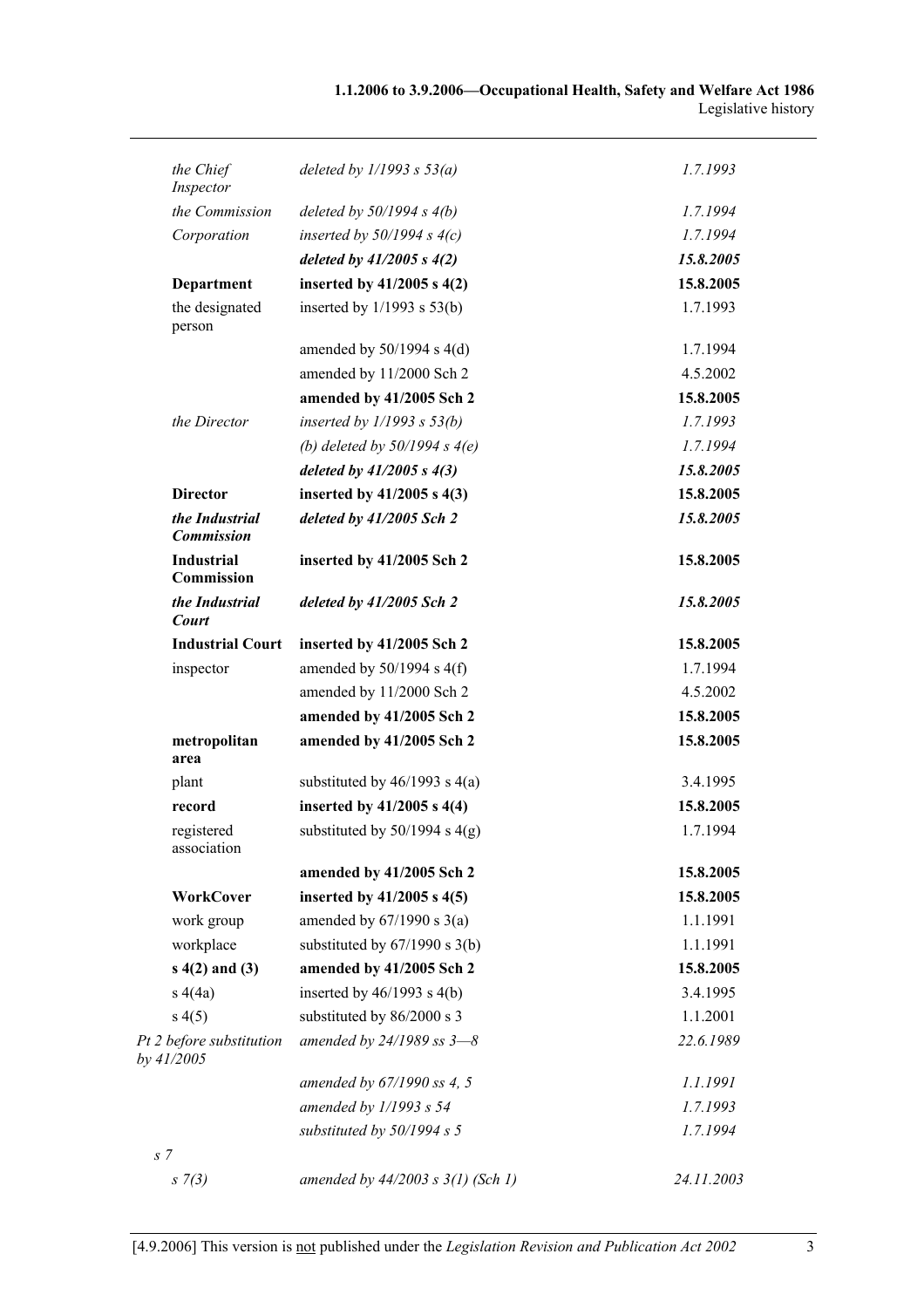| the Chief<br>Inspector                 | deleted by $1/1993 s 53(a)$           | 1.7.1993   |
|----------------------------------------|---------------------------------------|------------|
| the Commission                         | deleted by $50/1994$ s $4(b)$         | 1.7.1994   |
| Corporation                            | inserted by $50/1994$ s $4(c)$        | 1.7.1994   |
|                                        | deleted by $41/2005 s 4(2)$           | 15.8.2005  |
| Department                             | inserted by $41/2005$ s $4(2)$        | 15.8.2005  |
| the designated<br>person               | inserted by $1/1993$ s $53(b)$        | 1.7.1993   |
|                                        | amended by $50/1994$ s $4(d)$         | 1.7.1994   |
|                                        | amended by 11/2000 Sch 2              | 4.5.2002   |
|                                        | amended by 41/2005 Sch 2              | 15.8.2005  |
| the Director                           | inserted by $1/1993$ s $53(b)$        | 1.7.1993   |
|                                        | (b) deleted by $50/1994 s 4(e)$       | 1.7.1994   |
|                                        | deleted by $41/2005$ s $4(3)$         | 15.8.2005  |
| <b>Director</b>                        | inserted by $41/2005$ s $4(3)$        | 15.8.2005  |
| the Industrial<br><b>Commission</b>    | deleted by 41/2005 Sch 2              | 15.8.2005  |
| <b>Industrial</b><br>Commission        | inserted by 41/2005 Sch 2             | 15.8.2005  |
| the Industrial<br>Court                | deleted by $41/2005$ Sch 2            | 15.8.2005  |
| <b>Industrial Court</b>                | inserted by 41/2005 Sch 2             | 15.8.2005  |
| inspector                              | amended by $50/1994$ s $4(f)$         | 1.7.1994   |
|                                        | amended by 11/2000 Sch 2              | 4.5.2002   |
|                                        | amended by 41/2005 Sch 2              | 15.8.2005  |
| metropolitan<br>area                   | amended by 41/2005 Sch 2              | 15.8.2005  |
| plant                                  | substituted by $46/1993$ s $4(a)$     | 3.4.1995   |
| record                                 | inserted by $41/2005$ s $4(4)$        | 15.8.2005  |
| registered<br>association              | substituted by $50/1994$ s $4(g)$     | 1.7.1994   |
|                                        | amended by 41/2005 Sch 2              | 15.8.2005  |
| <b>WorkCover</b>                       | inserted by $41/2005$ s $4(5)$        | 15.8.2005  |
| work group                             | amended by $67/1990$ s $3(a)$         | 1.1.1991   |
| workplace                              | substituted by $67/1990$ s $3(b)$     | 1.1.1991   |
| $s(4(2)$ and $(3)$                     | amended by 41/2005 Sch 2              | 15.8.2005  |
| s(4a)                                  | inserted by $46/1993$ s $4(b)$        | 3.4.1995   |
| s(4(5)                                 | substituted by 86/2000 s 3            | 1.1.2001   |
| Pt 2 before substitution<br>by 41/2005 | amended by $24/1989$ ss $3-8$         | 22.6.1989  |
|                                        | amended by 67/1990 ss 4, 5            | 1.1.1991   |
|                                        | amended by $1/1993 s 54$              | 1.7.1993   |
| s <sub>7</sub>                         | substituted by $50/1994 s 5$          | 1.7.1994   |
| $s \, 7(3)$                            | amended by $44/2003$ s $3(1)$ (Sch 1) | 24.11.2003 |
|                                        |                                       |            |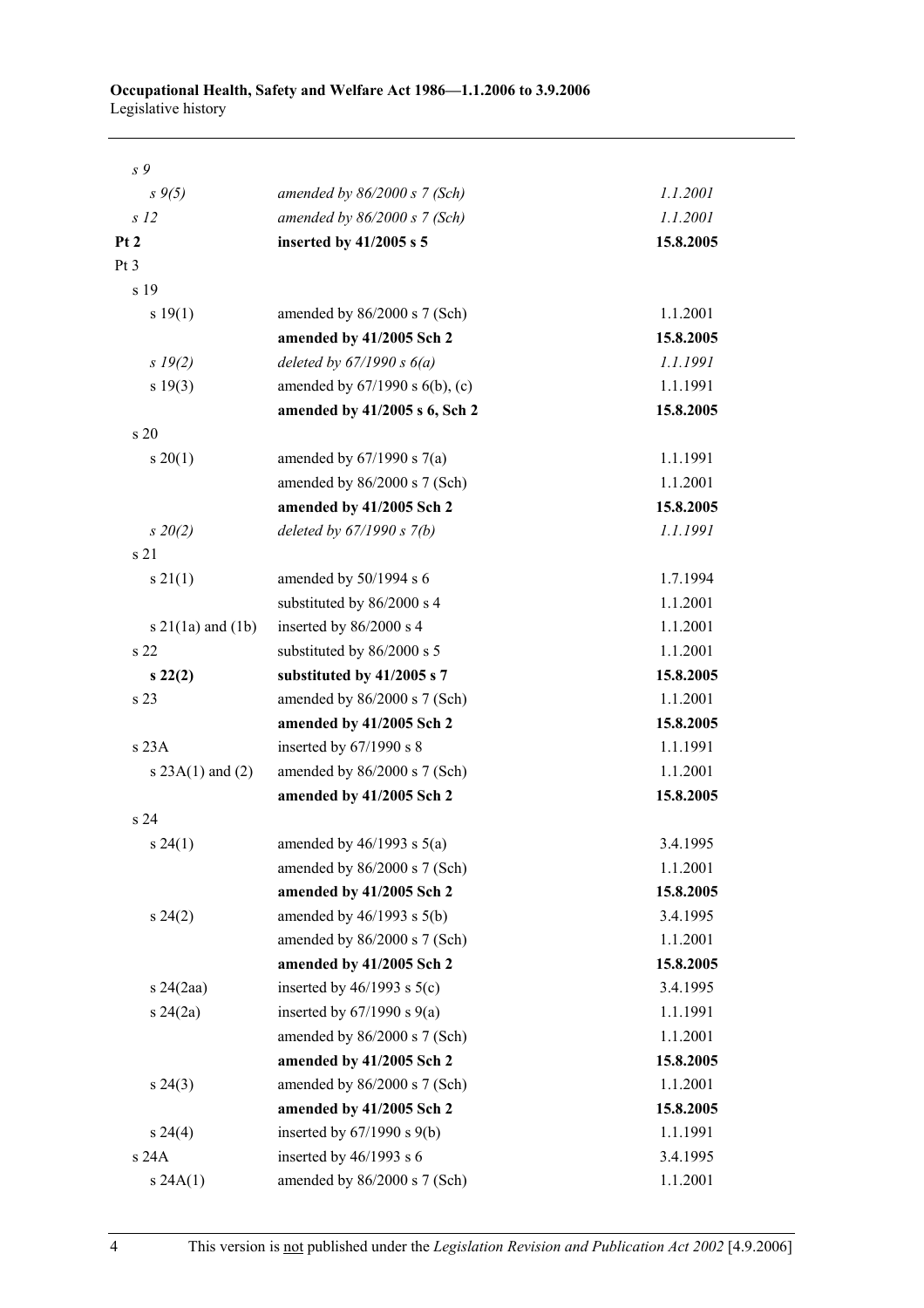| s 9                      |                                     |           |
|--------------------------|-------------------------------------|-----------|
| $s \, 9(5)$              | amended by $86/2000 s$ 7 (Sch)      | 1.1.2001  |
| s <sub>12</sub>          | amended by $86/2000 s$ 7 (Sch)      | 1.1.2001  |
| Pt <sub>2</sub>          | inserted by 41/2005 s 5             | 15.8.2005 |
| Pt <sub>3</sub>          |                                     |           |
| s 19                     |                                     |           |
| s 19(1)                  | amended by $86/2000$ s 7 (Sch)      | 1.1.2001  |
|                          | amended by 41/2005 Sch 2            | 15.8.2005 |
| s 19(2)                  | deleted by $67/1990 s 6(a)$         | 1.1.1991  |
| s 19(3)                  | amended by $67/1990$ s $6(b)$ , (c) | 1.1.1991  |
|                          | amended by 41/2005 s 6, Sch 2       | 15.8.2005 |
| s 20                     |                                     |           |
| $s \ 20(1)$              | amended by $67/1990$ s $7(a)$       | 1.1.1991  |
|                          | amended by 86/2000 s 7 (Sch)        | 1.1.2001  |
|                          | amended by 41/2005 Sch 2            | 15.8.2005 |
| $s\,20(2)$               | deleted by $67/1990 s 7(b)$         | 1.1.1991  |
| s 21                     |                                     |           |
| $s \, 21(1)$             | amended by 50/1994 s 6              | 1.7.1994  |
|                          | substituted by 86/2000 s 4          | 1.1.2001  |
| $s \, 21(1a)$ and $(1b)$ | inserted by 86/2000 s 4             | 1.1.2001  |
| s <sub>22</sub>          | substituted by 86/2000 s 5          | 1.1.2001  |
| $s\,22(2)$               | substituted by 41/2005 s 7          | 15.8.2005 |
| s 23                     | amended by 86/2000 s 7 (Sch)        | 1.1.2001  |
|                          | amended by 41/2005 Sch 2            | 15.8.2005 |
| s 23A                    | inserted by $67/1990$ s 8           | 1.1.1991  |
| s $23A(1)$ and $(2)$     | amended by 86/2000 s 7 (Sch)        | 1.1.2001  |
|                          | amended by 41/2005 Sch 2            | 15.8.2005 |
| s 24                     |                                     |           |
| s 24(1)                  | amended by $46/1993$ s $5(a)$       | 3.4.1995  |
|                          | amended by 86/2000 s 7 (Sch)        | 1.1.2001  |
|                          | amended by 41/2005 Sch 2            | 15.8.2005 |
| $s\,24(2)$               | amended by $46/1993$ s $5(b)$       | 3.4.1995  |
|                          | amended by 86/2000 s 7 (Sch)        | 1.1.2001  |
|                          | amended by 41/2005 Sch 2            | 15.8.2005 |
| $s$ 24 $(2aa)$           | inserted by $46/1993$ s $5(c)$      | 3.4.1995  |
| $s\,24(2a)$              | inserted by $67/1990$ s $9(a)$      | 1.1.1991  |
|                          | amended by 86/2000 s 7 (Sch)        | 1.1.2001  |
|                          | amended by 41/2005 Sch 2            | 15.8.2005 |
| $s\,24(3)$               | amended by 86/2000 s 7 (Sch)        | 1.1.2001  |
|                          | amended by 41/2005 Sch 2            | 15.8.2005 |
| $s\,24(4)$               | inserted by $67/1990$ s $9(b)$      | 1.1.1991  |
| s 24A                    | inserted by $46/1993$ s 6           | 3.4.1995  |
| s 24A(1)                 | amended by 86/2000 s 7 (Sch)        | 1.1.2001  |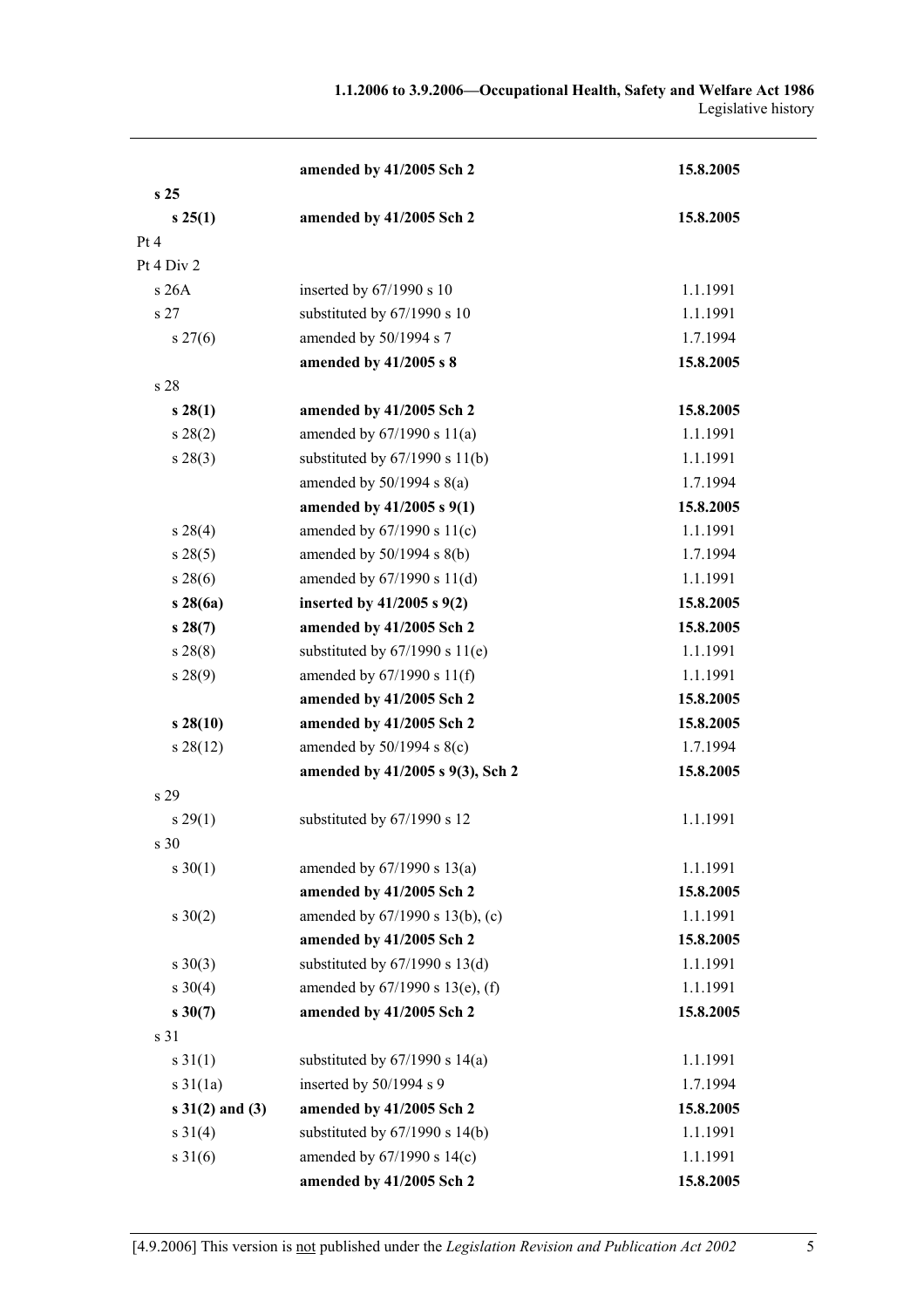|                     | amended by 41/2005 Sch 2           | 15.8.2005 |
|---------------------|------------------------------------|-----------|
| s <sub>25</sub>     |                                    |           |
| s 25(1)             | amended by 41/2005 Sch 2           | 15.8.2005 |
| Pt 4                |                                    |           |
| Pt 4 Div 2          |                                    |           |
| s 26A               | inserted by 67/1990 s 10           | 1.1.1991  |
| s 27                | substituted by 67/1990 s 10        | 1.1.1991  |
| $s \, 27(6)$        | amended by 50/1994 s 7             | 1.7.1994  |
|                     | amended by 41/2005 s 8             | 15.8.2005 |
| s 28                |                                    |           |
| $s\,28(1)$          | amended by 41/2005 Sch 2           | 15.8.2005 |
| s 28(2)             | amended by $67/1990 s 11(a)$       | 1.1.1991  |
| $s\,28(3)$          | substituted by $67/1990$ s $11(b)$ | 1.1.1991  |
|                     | amended by $50/1994$ s $8(a)$      | 1.7.1994  |
|                     | amended by 41/2005 s 9(1)          | 15.8.2005 |
| s 28(4)             | amended by $67/1990 s 11(c)$       | 1.1.1991  |
| s 28(5)             | amended by $50/1994$ s $8(b)$      | 1.7.1994  |
| s 28(6)             | amended by $67/1990 s 11(d)$       | 1.1.1991  |
| s28(6a)             | inserted by $41/2005$ s $9(2)$     | 15.8.2005 |
| s28(7)              | amended by 41/2005 Sch 2           | 15.8.2005 |
| s 28(8)             | substituted by $67/1990$ s $11(e)$ | 1.1.1991  |
| $s\,28(9)$          | amended by 67/1990 s 11(f)         | 1.1.1991  |
|                     | amended by 41/2005 Sch 2           | 15.8.2005 |
| s28(10)             | amended by 41/2005 Sch 2           | 15.8.2005 |
| s 28(12)            | amended by $50/1994$ s $8(c)$      | 1.7.1994  |
|                     | amended by 41/2005 s 9(3), Sch 2   | 15.8.2005 |
| s 29                |                                    |           |
| s 29(1)             | substituted by 67/1990 s 12        | 1.1.1991  |
| s 30                |                                    |           |
| $s \ 30(1)$         | amended by $67/1990$ s $13(a)$     | 1.1.1991  |
|                     | amended by 41/2005 Sch 2           | 15.8.2005 |
| $s \ 30(2)$         | amended by 67/1990 s 13(b), (c)    | 1.1.1991  |
|                     | amended by 41/2005 Sch 2           | 15.8.2005 |
| $s \ 30(3)$         | substituted by $67/1990$ s $13(d)$ | 1.1.1991  |
| $s \ 30(4)$         | amended by 67/1990 s 13(e), (f)    | 1.1.1991  |
| $s \, 30(7)$        | amended by 41/2005 Sch 2           | 15.8.2005 |
| s 31                |                                    |           |
| $s \, 31(1)$        | substituted by $67/1990$ s $14(a)$ | 1.1.1991  |
| $s \frac{31}{1a}$   | inserted by 50/1994 s 9            | 1.7.1994  |
| $s \ 31(2)$ and (3) | amended by 41/2005 Sch 2           | 15.8.2005 |
| $s \ 31(4)$         | substituted by $67/1990$ s $14(b)$ | 1.1.1991  |
| $s \, 31(6)$        | amended by 67/1990 s 14(c)         | 1.1.1991  |
|                     | amended by 41/2005 Sch 2           | 15.8.2005 |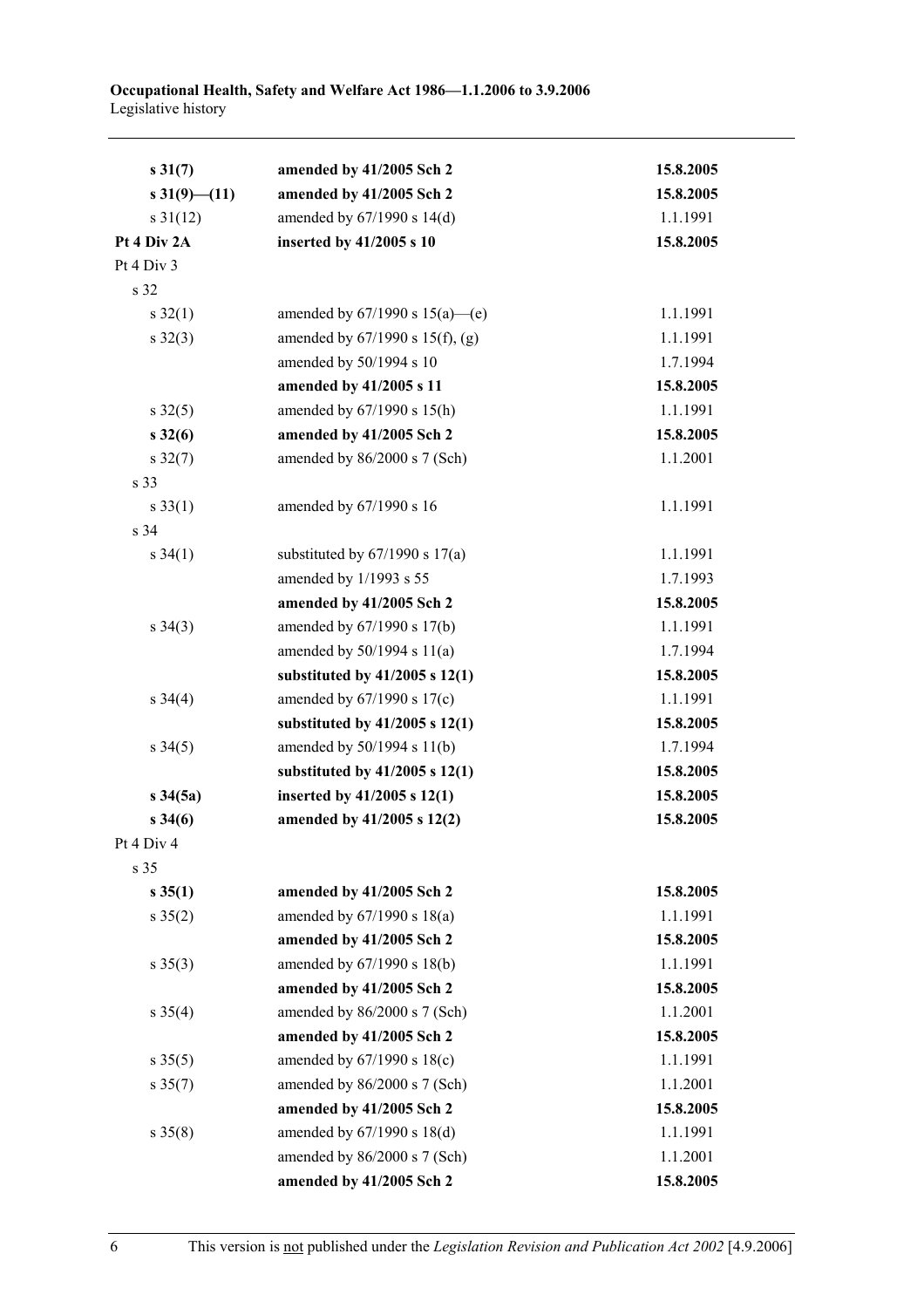| $s \, 31(7)$         | amended by 41/2005 Sch 2             | 15.8.2005 |
|----------------------|--------------------------------------|-----------|
| $s\,31(9)$ (11)      | amended by 41/2005 Sch 2             | 15.8.2005 |
| $s \frac{31(12)}{2}$ | amended by 67/1990 s 14(d)           | 1.1.1991  |
| Pt 4 Div 2A          | inserted by 41/2005 s 10             | 15.8.2005 |
| Pt 4 Div 3           |                                      |           |
| s 32                 |                                      |           |
| $s \, 32(1)$         | amended by $67/1990$ s $15(a)$ —(e)  | 1.1.1991  |
| $s \, 32(3)$         | amended by $67/1990$ s $15(f)$ , (g) | 1.1.1991  |
|                      | amended by 50/1994 s 10              | 1.7.1994  |
|                      | amended by 41/2005 s 11              | 15.8.2005 |
| $s \, 32(5)$         | amended by 67/1990 s 15(h)           | 1.1.1991  |
| $s\,32(6)$           | amended by 41/2005 Sch 2             | 15.8.2005 |
| $s \, 32(7)$         | amended by 86/2000 s 7 (Sch)         | 1.1.2001  |
| s 33                 |                                      |           |
| $s \, 33(1)$         | amended by 67/1990 s 16              | 1.1.1991  |
| s 34                 |                                      |           |
| $s \, 34(1)$         | substituted by $67/1990$ s $17(a)$   | 1.1.1991  |
|                      | amended by 1/1993 s 55               | 1.7.1993  |
|                      | amended by 41/2005 Sch 2             | 15.8.2005 |
| $s \; 34(3)$         | amended by 67/1990 s 17(b)           | 1.1.1991  |
|                      | amended by $50/1994$ s $11(a)$       | 1.7.1994  |
|                      | substituted by $41/2005$ s $12(1)$   | 15.8.2005 |
| $s \; 34(4)$         | amended by $67/1990$ s $17(c)$       | 1.1.1991  |
|                      | substituted by $41/2005$ s $12(1)$   | 15.8.2005 |
| $s \frac{34(5)}{2}$  | amended by 50/1994 s 11(b)           | 1.7.1994  |
|                      | substituted by $41/2005$ s $12(1)$   | 15.8.2005 |
| $s \, 34(5a)$        | inserted by $41/2005$ s $12(1)$      | 15.8.2005 |
| $s \, 34(6)$         | amended by 41/2005 s 12(2)           | 15.8.2005 |
| Pt 4 Div 4           |                                      |           |
| s 35                 |                                      |           |
| $s \, 35(1)$         | amended by 41/2005 Sch 2             | 15.8.2005 |
| $s \, 35(2)$         | amended by $67/1990$ s $18(a)$       | 1.1.1991  |
|                      | amended by 41/2005 Sch 2             | 15.8.2005 |
| $s \; 35(3)$         | amended by 67/1990 s 18(b)           | 1.1.1991  |
|                      | amended by 41/2005 Sch 2             | 15.8.2005 |
| $s \; 35(4)$         | amended by 86/2000 s 7 (Sch)         | 1.1.2001  |
|                      | amended by 41/2005 Sch 2             | 15.8.2005 |
| $s \, 35(5)$         | amended by 67/1990 s 18(c)           | 1.1.1991  |
| $s \, 35(7)$         | amended by 86/2000 s 7 (Sch)         | 1.1.2001  |
|                      | amended by 41/2005 Sch 2             | 15.8.2005 |
| $s \, 35(8)$         | amended by 67/1990 s 18(d)           | 1.1.1991  |
|                      | amended by 86/2000 s 7 (Sch)         | 1.1.2001  |
|                      | amended by 41/2005 Sch 2             | 15.8.2005 |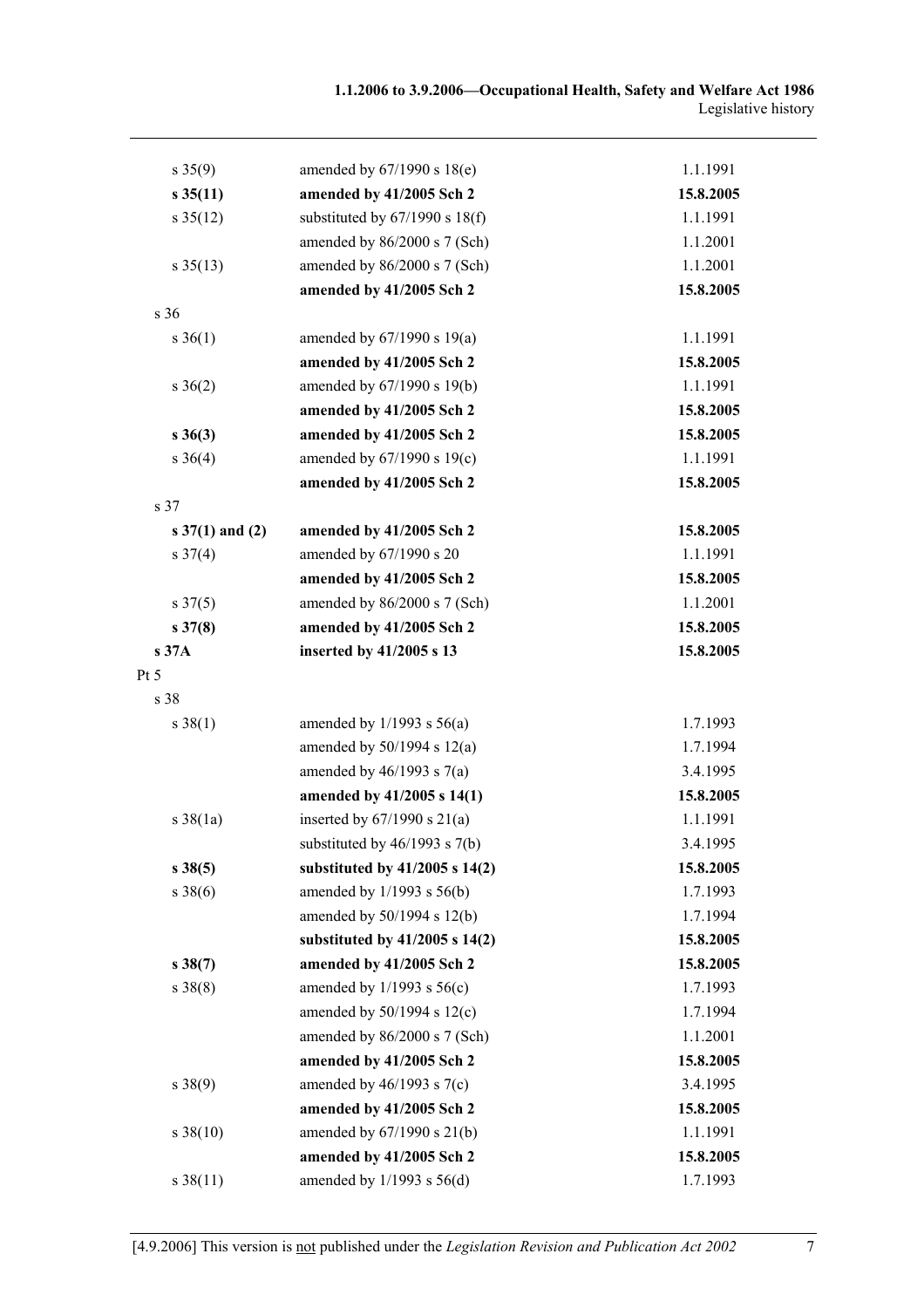| $s \, 35(9)$                | amended by $67/1990$ s $18(e)$     | 1.1.1991  |
|-----------------------------|------------------------------------|-----------|
| $s \, 35(11)$               | amended by 41/2005 Sch 2           | 15.8.2005 |
| $s \frac{35(12)}{2}$        | substituted by $67/1990$ s $18(f)$ | 1.1.1991  |
|                             | amended by 86/2000 s 7 (Sch)       | 1.1.2001  |
| $s \frac{35(13)}{2}$        | amended by 86/2000 s 7 (Sch)       | 1.1.2001  |
|                             | amended by 41/2005 Sch 2           | 15.8.2005 |
| s 36                        |                                    |           |
| $s \; 36(1)$                | amended by $67/1990$ s $19(a)$     | 1.1.1991  |
|                             | amended by 41/2005 Sch 2           | 15.8.2005 |
| $s \; 36(2)$                | amended by 67/1990 s 19(b)         | 1.1.1991  |
|                             | amended by 41/2005 Sch 2           | 15.8.2005 |
| $s \; 36(3)$                | amended by 41/2005 Sch 2           | 15.8.2005 |
| $s \; 36(4)$                | amended by 67/1990 s 19(c)         | 1.1.1991  |
|                             | amended by 41/2005 Sch 2           | 15.8.2005 |
| s 37                        |                                    |           |
| $s \frac{37(1)}{3}$ and (2) | amended by 41/2005 Sch 2           | 15.8.2005 |
| $s \frac{37(4)}{2}$         | amended by 67/1990 s 20            | 1.1.1991  |
|                             | amended by 41/2005 Sch 2           | 15.8.2005 |
| $s \frac{37(5)}{2}$         | amended by 86/2000 s 7 (Sch)       | 1.1.2001  |
| $s \, 37(8)$                | amended by 41/2005 Sch 2           | 15.8.2005 |
| s 37A                       | inserted by 41/2005 s 13           | 15.8.2005 |
| Pt 5                        |                                    |           |
| s 38                        |                                    |           |
| $s \ 38(1)$                 | amended by $1/1993$ s $56(a)$      | 1.7.1993  |
|                             | amended by $50/1994$ s $12(a)$     | 1.7.1994  |
|                             | amended by $46/1993$ s $7(a)$      | 3.4.1995  |
|                             | amended by 41/2005 s 14(1)         | 15.8.2005 |
| $s \frac{38(1a)}{2}$        | inserted by $67/1990$ s $21(a)$    | 1.1.1991  |
|                             | substituted by $46/1993$ s $7(b)$  | 3.4.1995  |
| $s \, 38(5)$                | substituted by $41/2005$ s $14(2)$ | 15.8.2005 |
| $s \, 38(6)$                | amended by $1/1993$ s $56(b)$      | 1.7.1993  |
|                             | amended by 50/1994 s 12(b)         | 1.7.1994  |
|                             | substituted by $41/2005$ s $14(2)$ | 15.8.2005 |
| $s \, 38(7)$                | amended by 41/2005 Sch 2           | 15.8.2005 |
| $s \ 38(8)$                 | amended by $1/1993$ s $56(c)$      | 1.7.1993  |
|                             | amended by 50/1994 s 12(c)         | 1.7.1994  |
|                             | amended by 86/2000 s 7 (Sch)       | 1.1.2001  |
|                             | amended by 41/2005 Sch 2           | 15.8.2005 |
| $s \ 38(9)$                 | amended by $46/1993$ s $7(c)$      | 3.4.1995  |
|                             | amended by 41/2005 Sch 2           | 15.8.2005 |
| $s \ 38(10)$                | amended by 67/1990 s 21(b)         | 1.1.1991  |
|                             | amended by 41/2005 Sch 2           | 15.8.2005 |
| $s \, 38(11)$               | amended by $1/1993$ s $56(d)$      | 1.7.1993  |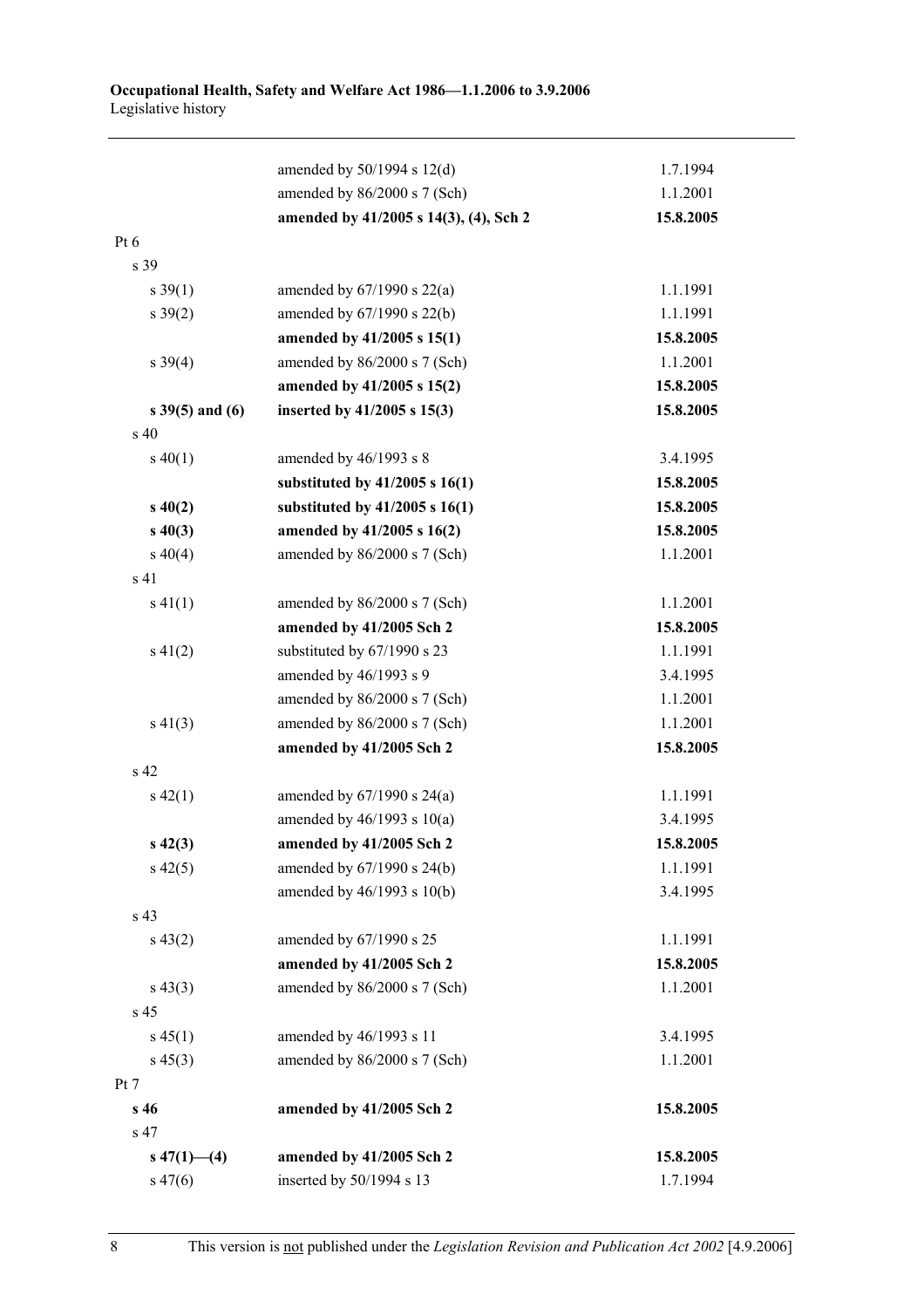|                      | amended by $50/1994$ s $12(d)$         | 1.7.1994  |
|----------------------|----------------------------------------|-----------|
|                      | amended by 86/2000 s 7 (Sch)           | 1.1.2001  |
|                      | amended by 41/2005 s 14(3), (4), Sch 2 | 15.8.2005 |
| $Pt\ 6$              |                                        |           |
| s 39                 |                                        |           |
| $s \, 39(1)$         | amended by $67/1990$ s $22(a)$         | 1.1.1991  |
| $s \frac{39(2)}{2}$  | amended by 67/1990 s 22(b)             | 1.1.1991  |
|                      | amended by 41/2005 s 15(1)             | 15.8.2005 |
| $s \ 39(4)$          | amended by 86/2000 s 7 (Sch)           | 1.1.2001  |
|                      | amended by 41/2005 s 15(2)             | 15.8.2005 |
| $s \, 39(5)$ and (6) | inserted by 41/2005 s 15(3)            | 15.8.2005 |
| s 40                 |                                        |           |
| $s\ 40(1)$           | amended by 46/1993 s 8                 | 3.4.1995  |
|                      | substituted by $41/2005$ s $16(1)$     | 15.8.2005 |
| $s\,40(2)$           | substituted by $41/2005$ s $16(1)$     | 15.8.2005 |
| $s\ 40(3)$           | amended by 41/2005 s 16(2)             | 15.8.2005 |
| $s\ 40(4)$           | amended by 86/2000 s 7 (Sch)           | 1.1.2001  |
| s <sub>41</sub>      |                                        |           |
| $s\ 41(1)$           | amended by $86/2000$ s 7 (Sch)         | 1.1.2001  |
|                      | amended by 41/2005 Sch 2               | 15.8.2005 |
| $s\ 41(2)$           | substituted by 67/1990 s 23            | 1.1.1991  |
|                      | amended by 46/1993 s 9                 | 3.4.1995  |
|                      | amended by 86/2000 s 7 (Sch)           | 1.1.2001  |
| $s\ 41(3)$           | amended by 86/2000 s 7 (Sch)           | 1.1.2001  |
|                      | amended by 41/2005 Sch 2               | 15.8.2005 |
| s 42                 |                                        |           |
| $s\ 42(1)$           | amended by $67/1990$ s $24(a)$         | 1.1.1991  |
|                      | amended by $46/1993$ s $10(a)$         | 3.4.1995  |
| $s\,42(3)$           | amended by 41/2005 Sch 2               | 15.8.2005 |
| $s\,42(5)$           | amended by 67/1990 s 24(b)             | 1.1.1991  |
|                      | amended by 46/1993 s 10(b)             | 3.4.1995  |
| s 43                 |                                        |           |
| $s\,43(2)$           | amended by 67/1990 s 25                | 1.1.1991  |
|                      | amended by 41/2005 Sch 2               | 15.8.2005 |
| $s\,43(3)$           | amended by 86/2000 s 7 (Sch)           | 1.1.2001  |
| s 45                 |                                        |           |
| $s\,45(1)$           | amended by 46/1993 s 11                | 3.4.1995  |
| $s\,45(3)$           | amended by 86/2000 s 7 (Sch)           | 1.1.2001  |
| Pt 7                 |                                        |           |
| s 46                 | amended by 41/2005 Sch 2               | 15.8.2005 |
| s 47                 |                                        |           |
| $s\ 47(1)$ (4)       | amended by 41/2005 Sch 2               | 15.8.2005 |
| $s\,47(6)$           | inserted by 50/1994 s 13               | 1.7.1994  |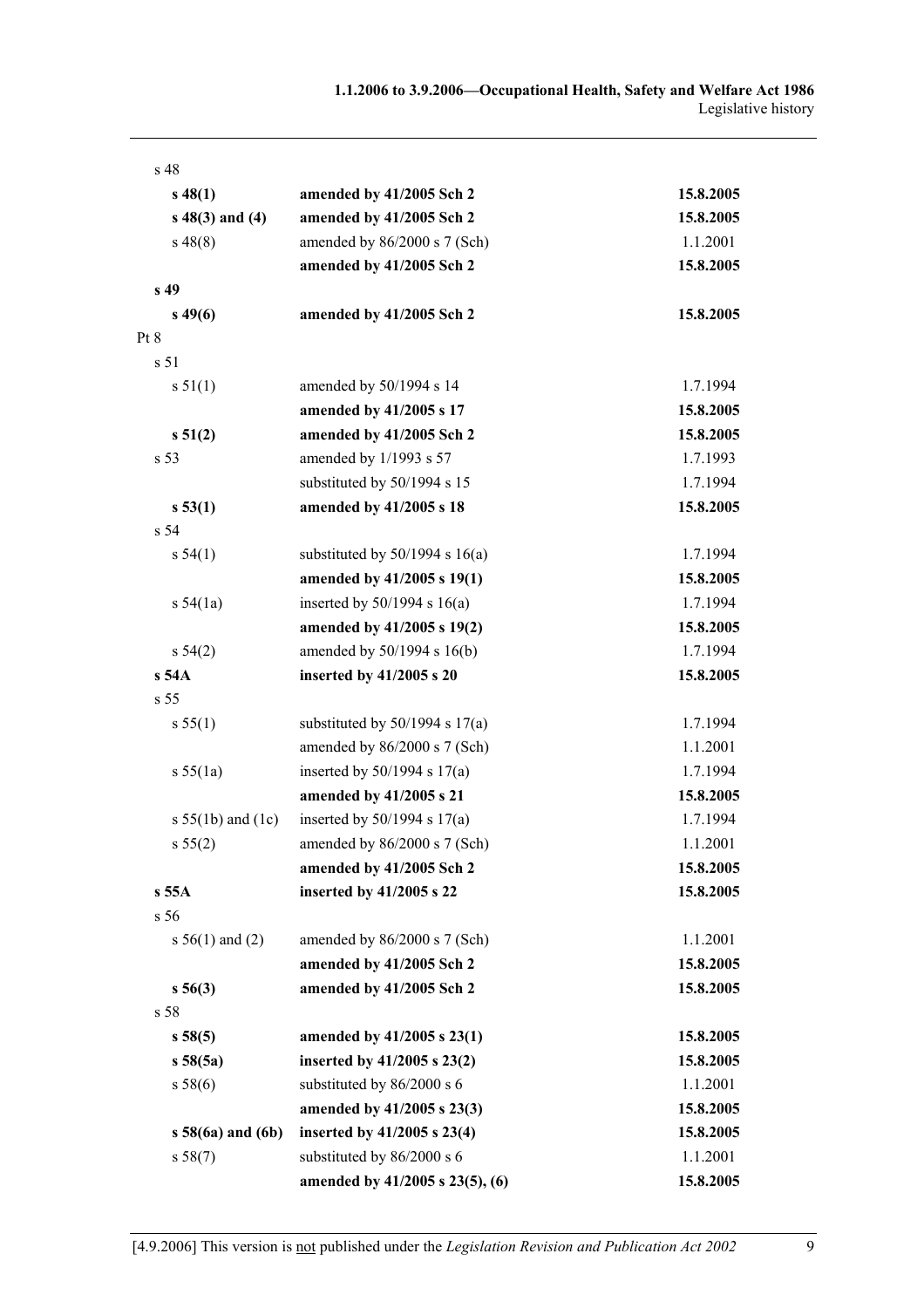| s 48                  |                                    |           |
|-----------------------|------------------------------------|-----------|
| $s\,48(1)$            | amended by 41/2005 Sch 2           | 15.8.2005 |
| $s\ 48(3)$ and (4)    | amended by 41/2005 Sch 2           | 15.8.2005 |
| $s\,48(8)$            | amended by 86/2000 s 7 (Sch)       | 1.1.2001  |
|                       | amended by 41/2005 Sch 2           | 15.8.2005 |
| s 49                  |                                    |           |
| $s\,49(6)$            | amended by 41/2005 Sch 2           | 15.8.2005 |
| Pt 8                  |                                    |           |
| s 51                  |                                    |           |
| s 51(1)               | amended by 50/1994 s 14            | 1.7.1994  |
|                       | amended by 41/2005 s 17            | 15.8.2005 |
| s 51(2)               | amended by 41/2005 Sch 2           | 15.8.2005 |
| s 53                  | amended by 1/1993 s 57             | 1.7.1993  |
|                       | substituted by 50/1994 s 15        | 1.7.1994  |
| s 53(1)               | amended by 41/2005 s 18            | 15.8.2005 |
| s 54                  |                                    |           |
| s 54(1)               | substituted by $50/1994$ s $16(a)$ | 1.7.1994  |
|                       | amended by 41/2005 s 19(1)         | 15.8.2005 |
| s $54(1a)$            | inserted by $50/1994$ s $16(a)$    | 1.7.1994  |
|                       | amended by 41/2005 s 19(2)         | 15.8.2005 |
| $s\,54(2)$            | amended by 50/1994 s 16(b)         | 1.7.1994  |
| s 54A                 | inserted by 41/2005 s 20           | 15.8.2005 |
| s 55                  |                                    |           |
| s 55(1)               | substituted by $50/1994$ s $17(a)$ | 1.7.1994  |
|                       | amended by 86/2000 s 7 (Sch)       | 1.1.2001  |
| s 55(1a)              | inserted by $50/1994$ s $17(a)$    | 1.7.1994  |
|                       | amended by 41/2005 s 21            | 15.8.2005 |
| s $55(1b)$ and $(1c)$ | inserted by $50/1994$ s $17(a)$    | 1.7.1994  |
| s 55(2)               | amended by 86/2000 s 7 (Sch)       | 1.1.2001  |
|                       | amended by 41/2005 Sch 2           | 15.8.2005 |
| s 55A                 | inserted by 41/2005 s 22           | 15.8.2005 |
| s <sub>56</sub>       |                                    |           |
| s $56(1)$ and (2)     | amended by $86/2000$ s 7 (Sch)     | 1.1.2001  |
|                       | amended by 41/2005 Sch 2           | 15.8.2005 |
| $s\,56(3)$            | amended by 41/2005 Sch 2           | 15.8.2005 |
| s 58                  |                                    |           |
| s 58(5)               | amended by 41/2005 s 23(1)         | 15.8.2005 |
| s 58(5a)              | inserted by 41/2005 s 23(2)        | 15.8.2005 |
| s 58(6)               | substituted by 86/2000 s 6         | 1.1.2001  |
|                       | amended by 41/2005 s 23(3)         | 15.8.2005 |
| $s 58(6a)$ and $(6b)$ | inserted by 41/2005 s 23(4)        | 15.8.2005 |
| s 58(7)               | substituted by 86/2000 s 6         | 1.1.2001  |
|                       | amended by 41/2005 s 23(5), (6)    | 15.8.2005 |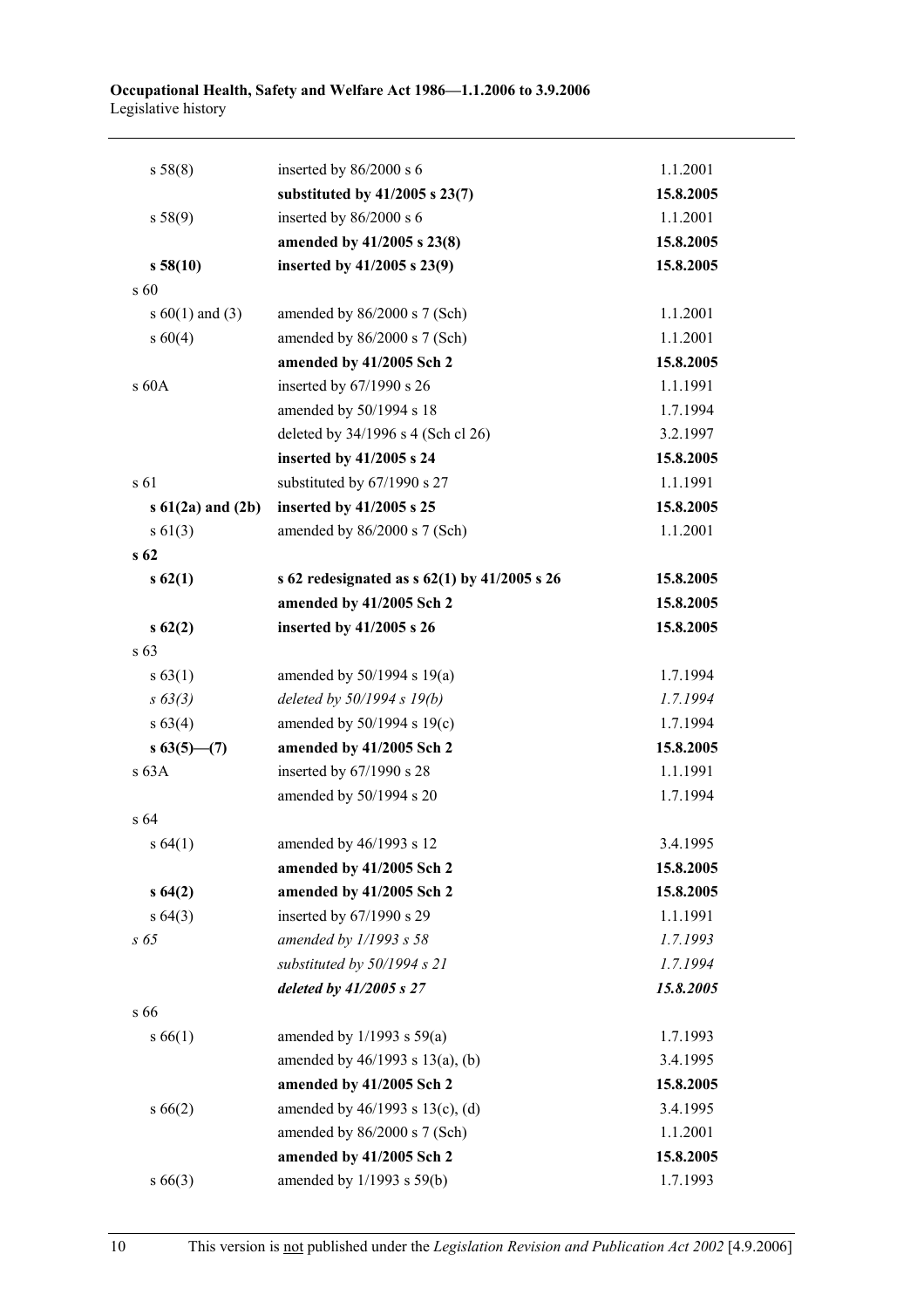| s 58(8)                | inserted by $86/2000$ s 6                        | 1.1.2001  |
|------------------------|--------------------------------------------------|-----------|
|                        | substituted by $41/2005$ s $23(7)$               | 15.8.2005 |
| s 58(9)                | inserted by 86/2000 s 6                          | 1.1.2001  |
|                        | amended by 41/2005 s 23(8)                       | 15.8.2005 |
| s 58(10)               | inserted by 41/2005 s 23(9)                      | 15.8.2005 |
| s 60                   |                                                  |           |
| s $60(1)$ and (3)      | amended by 86/2000 s 7 (Sch)                     | 1.1.2001  |
| s 60(4)                | amended by 86/2000 s 7 (Sch)                     | 1.1.2001  |
|                        | amended by 41/2005 Sch 2                         | 15.8.2005 |
| s 60A                  | inserted by 67/1990 s 26                         | 1.1.1991  |
|                        | amended by 50/1994 s 18                          | 1.7.1994  |
|                        | deleted by 34/1996 s 4 (Sch cl 26)               | 3.2.1997  |
|                        | inserted by 41/2005 s 24                         | 15.8.2005 |
| s 61                   | substituted by 67/1990 s 27                      | 1.1.1991  |
| $s\ 61(2a)$ and $(2b)$ | inserted by 41/2005 s 25                         | 15.8.2005 |
| s 61(3)                | amended by 86/2000 s 7 (Sch)                     | 1.1.2001  |
| s <sub>62</sub>        |                                                  |           |
| s62(1)                 | s 62 redesignated as s $62(1)$ by $41/2005$ s 26 | 15.8.2005 |
|                        | amended by 41/2005 Sch 2                         | 15.8.2005 |
| s62(2)                 | inserted by 41/2005 s 26                         | 15.8.2005 |
| s 63                   |                                                  |           |
| s 63(1)                | amended by $50/1994$ s $19(a)$                   | 1.7.1994  |
| $s \, 63(3)$           | deleted by $50/1994 s 19(b)$                     | 1.7.1994  |
| s 63(4)                | amended by 50/1994 s 19(c)                       | 1.7.1994  |
| $s\,63(5)$ (7)         | amended by 41/2005 Sch 2                         | 15.8.2005 |
| s 63A                  | inserted by 67/1990 s 28                         | 1.1.1991  |
|                        | amended by 50/1994 s 20                          | 1.7.1994  |
| s 64                   |                                                  |           |
| s 64(1)                | amended by 46/1993 s 12                          | 3.4.1995  |
|                        | amended by 41/2005 Sch 2                         | 15.8.2005 |
| s64(2)                 | amended by 41/2005 Sch 2                         | 15.8.2005 |
| s 64(3)                | inserted by 67/1990 s 29                         | 1.1.1991  |
| $s\;65$                | amended by 1/1993 s 58                           | 1.7.1993  |
|                        | substituted by 50/1994 s 21                      | 1.7.1994  |
|                        | deleted by 41/2005 s 27                          | 15.8.2005 |
| s 66                   |                                                  |           |
| s 66(1)                | amended by $1/1993$ s $59(a)$                    | 1.7.1993  |
|                        | amended by $46/1993$ s $13(a)$ , (b)             | 3.4.1995  |
|                        | amended by 41/2005 Sch 2                         | 15.8.2005 |
| s66(2)                 | amended by 46/1993 s 13(c), (d)                  | 3.4.1995  |
|                        | amended by 86/2000 s 7 (Sch)                     | 1.1.2001  |
|                        | amended by 41/2005 Sch 2                         | 15.8.2005 |
| $s\,66(3)$             | amended by 1/1993 s 59(b)                        | 1.7.1993  |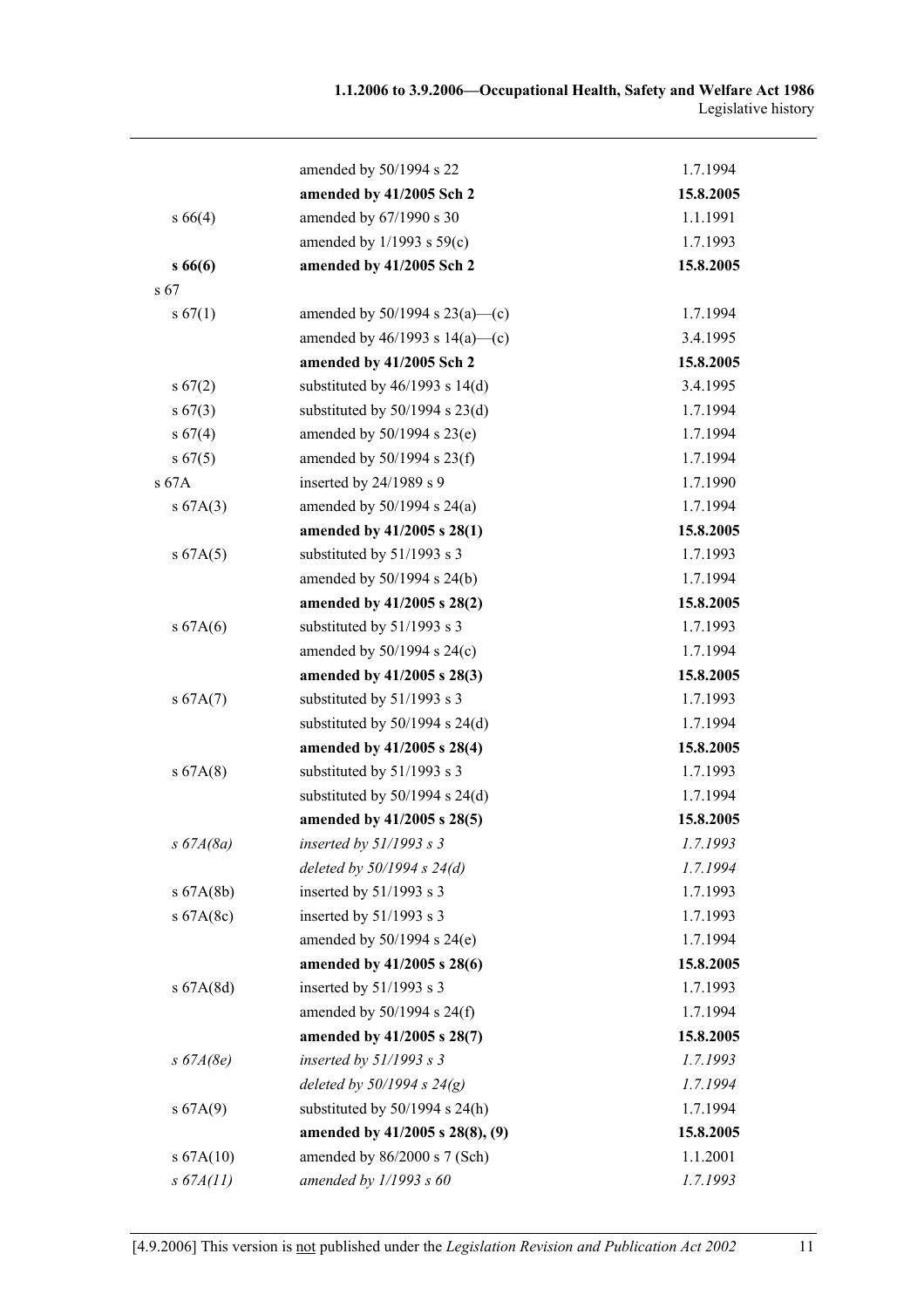|                 | amended by 50/1994 s 22             | 1.7.1994  |
|-----------------|-------------------------------------|-----------|
|                 | amended by 41/2005 Sch 2            | 15.8.2005 |
| $s\,66(4)$      | amended by 67/1990 s 30             | 1.1.1991  |
|                 | amended by $1/1993$ s $59(c)$       | 1.7.1993  |
| s66(6)          | amended by 41/2005 Sch 2            | 15.8.2005 |
| s <sub>67</sub> |                                     |           |
| s 67(1)         | amended by $50/1994$ s $23(a)$ —(c) | 1.7.1994  |
|                 | amended by $46/1993$ s $14(a)$ —(c) | 3.4.1995  |
|                 | amended by 41/2005 Sch 2            | 15.8.2005 |
| $s\,67(2)$      | substituted by $46/1993$ s $14(d)$  | 3.4.1995  |
| $s\,67(3)$      | substituted by $50/1994$ s $23(d)$  | 1.7.1994  |
| s 67(4)         | amended by 50/1994 s 23(e)          | 1.7.1994  |
| s 67(5)         | amended by $50/1994$ s $23(f)$      | 1.7.1994  |
| s 67A           | inserted by $24/1989$ s 9           | 1.7.1990  |
| s 67A(3)        | amended by $50/1994$ s $24(a)$      | 1.7.1994  |
|                 | amended by 41/2005 s 28(1)          | 15.8.2005 |
| s 67A(5)        | substituted by 51/1993 s 3          | 1.7.1993  |
|                 | amended by 50/1994 s 24(b)          | 1.7.1994  |
|                 | amended by 41/2005 s 28(2)          | 15.8.2005 |
| s 67A(6)        | substituted by 51/1993 s 3          | 1.7.1993  |
|                 | amended by $50/1994$ s $24(c)$      | 1.7.1994  |
|                 | amended by 41/2005 s 28(3)          | 15.8.2005 |
| s 67A(7)        | substituted by 51/1993 s 3          | 1.7.1993  |
|                 | substituted by $50/1994$ s $24(d)$  | 1.7.1994  |
|                 | amended by 41/2005 s 28(4)          | 15.8.2005 |
| s 67A(8)        | substituted by 51/1993 s 3          | 1.7.1993  |
|                 | substituted by $50/1994$ s $24(d)$  | 1.7.1994  |
|                 | amended by 41/2005 s 28(5)          | 15.8.2005 |
| $s\,67A(8a)$    | inserted by $51/1993$ s 3           | 1.7.1993  |
|                 | deleted by $50/1994 s 24(d)$        | 1.7.1994  |
| s 67A(8b)       | inserted by 51/1993 s 3             | 1.7.1993  |
| s 67A(8c)       | inserted by $51/1993$ s 3           | 1.7.1993  |
|                 | amended by $50/1994$ s $24(e)$      | 1.7.1994  |
|                 | amended by 41/2005 s 28(6)          | 15.8.2005 |
| s 67A(8d)       | inserted by 51/1993 s 3             | 1.7.1993  |
|                 | amended by 50/1994 s 24(f)          | 1.7.1994  |
|                 | amended by 41/2005 s 28(7)          | 15.8.2005 |
| $s\,67A(8e)$    | inserted by $51/1993 s 3$           | 1.7.1993  |
|                 | deleted by $50/1994 s 24(g)$        | 1.7.1994  |
| s 67A(9)        | substituted by $50/1994$ s $24(h)$  | 1.7.1994  |
|                 | amended by 41/2005 s 28(8), (9)     | 15.8.2005 |
| s 67A(10)       | amended by 86/2000 s 7 (Sch)        | 1.1.2001  |
| s 67A(11)       | amended by $1/1993 s 60$            | 1.7.1993  |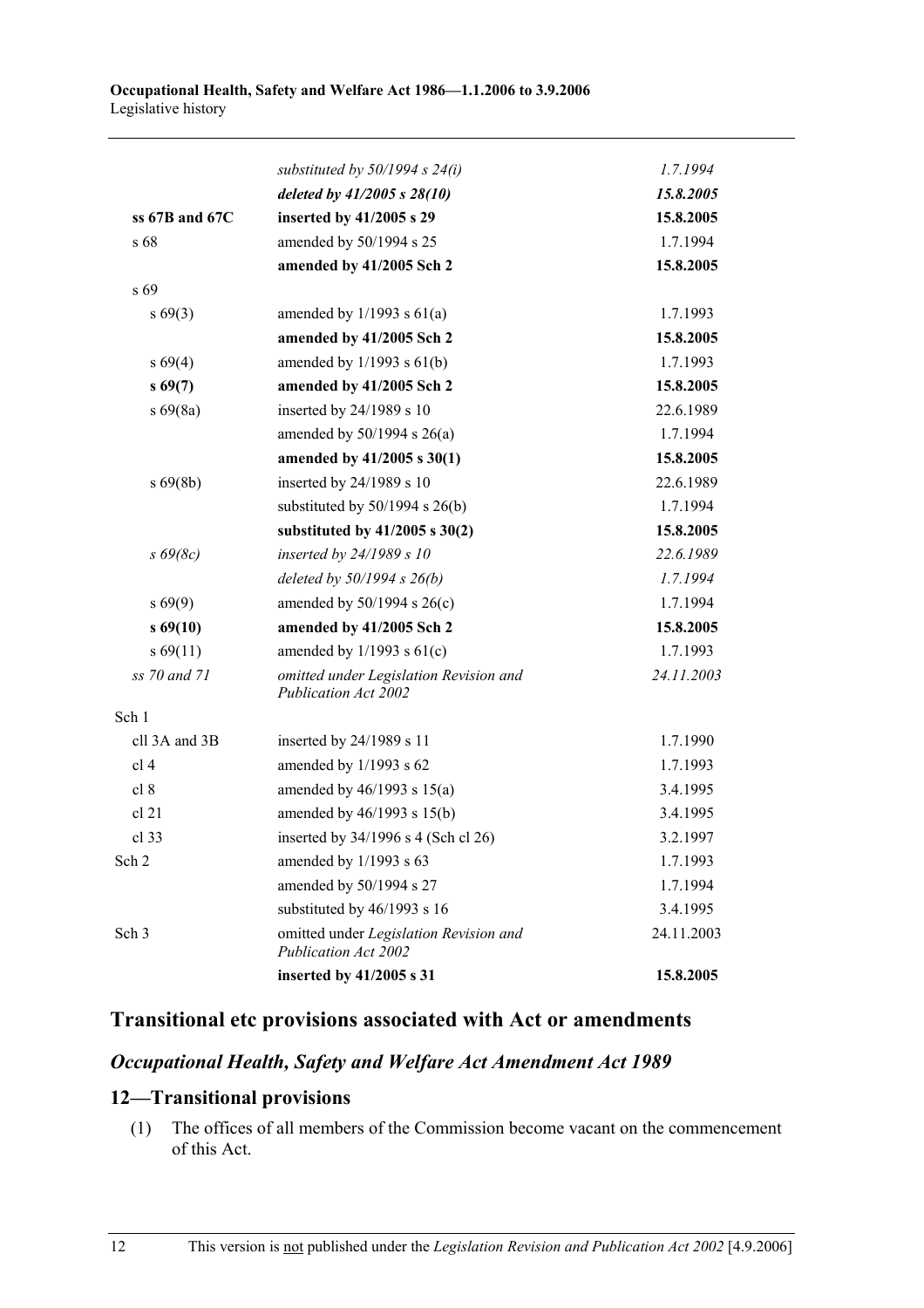|                    | substituted by $50/1994$ s $24(i)$                                    | 1.7.1994   |
|--------------------|-----------------------------------------------------------------------|------------|
|                    | deleted by 41/2005 s 28(10)                                           | 15.8.2005  |
| ss $67B$ and $67C$ | inserted by 41/2005 s 29                                              | 15.8.2005  |
| s 68               | amended by 50/1994 s 25                                               | 1.7.1994   |
|                    | amended by 41/2005 Sch 2                                              | 15.8.2005  |
| s 69               |                                                                       |            |
| $s\,69(3)$         | amended by $1/1993$ s $61(a)$                                         | 1.7.1993   |
|                    | amended by 41/2005 Sch 2                                              | 15.8.2005  |
| $s\,69(4)$         | amended by $1/1993$ s $61(b)$                                         | 1.7.1993   |
| s69(7)             | amended by 41/2005 Sch 2                                              | 15.8.2005  |
| $s\,69(8a)$        | inserted by 24/1989 s 10                                              | 22.6.1989  |
|                    | amended by $50/1994$ s $26(a)$                                        | 1.7.1994   |
|                    | amended by 41/2005 s 30(1)                                            | 15.8.2005  |
| $s\,69(8b)$        | inserted by 24/1989 s 10                                              | 22.6.1989  |
|                    | substituted by $50/1994$ s $26(b)$                                    | 1.7.1994   |
|                    | substituted by $41/2005$ s $30(2)$                                    | 15.8.2005  |
| $s\ 69(8c)$        | inserted by 24/1989 s 10                                              | 22.6.1989  |
|                    | deleted by $50/1994 s 26(b)$                                          | 1.7.1994   |
| $s\,69(9)$         | amended by $50/1994$ s $26(c)$                                        | 1.7.1994   |
| $s\,69(10)$        | amended by 41/2005 Sch 2                                              | 15.8.2005  |
| $s\,69(11)$        | amended by $1/1993$ s $61(c)$                                         | 1.7.1993   |
| ss 70 and 71       | omitted under Legislation Revision and<br><b>Publication Act 2002</b> | 24.11.2003 |
| Sch 1              |                                                                       |            |
| cll 3A and 3B      | inserted by 24/1989 s 11                                              | 1.7.1990   |
| cl <sub>4</sub>    | amended by 1/1993 s 62                                                | 1.7.1993   |
| cl 8               | amended by $46/1993$ s $15(a)$                                        | 3.4.1995   |
| cl 21              | amended by 46/1993 s 15(b)                                            | 3.4.1995   |
| cl 33              | inserted by 34/1996 s 4 (Sch cl 26)                                   | 3.2.1997   |
| Sch 2              | amended by $1/1993$ s 63                                              | 1.7.1993   |
|                    | amended by 50/1994 s 27                                               | 1.7.1994   |
|                    | substituted by 46/1993 s 16                                           | 3.4.1995   |
| Sch <sub>3</sub>   | omitted under Legislation Revision and<br><b>Publication Act 2002</b> | 24.11.2003 |
|                    | inserted by 41/2005 s 31                                              | 15.8.2005  |
|                    |                                                                       |            |

### **Transitional etc provisions associated with Act or amendments**

#### *Occupational Health, Safety and Welfare Act Amendment Act 1989*

### **12—Transitional provisions**

 (1) The offices of all members of the Commission become vacant on the commencement of this Act.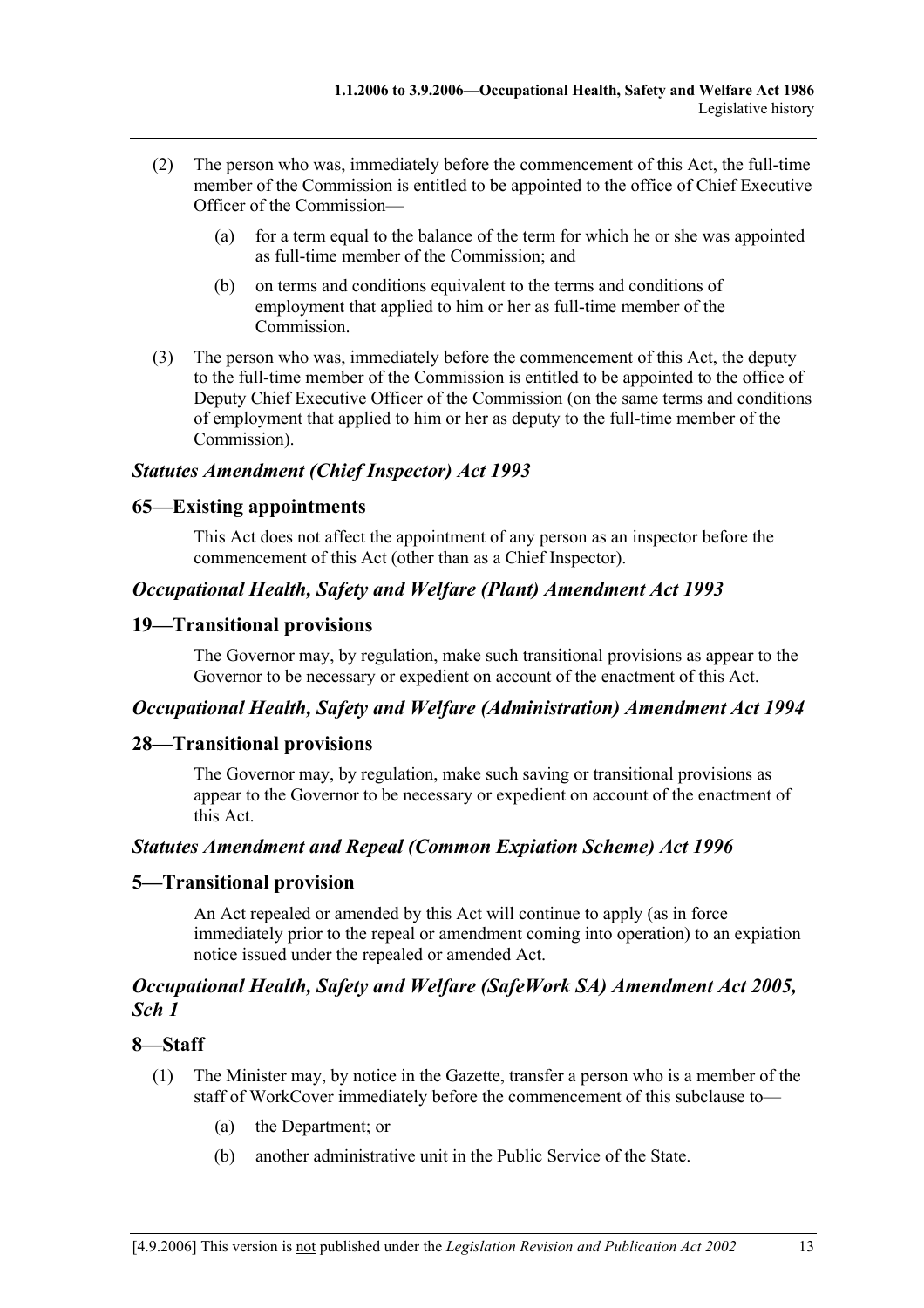- (2) The person who was, immediately before the commencement of this Act, the full-time member of the Commission is entitled to be appointed to the office of Chief Executive Officer of the Commission—
	- (a) for a term equal to the balance of the term for which he or she was appointed as full-time member of the Commission; and
	- (b) on terms and conditions equivalent to the terms and conditions of employment that applied to him or her as full-time member of the Commission.
- (3) The person who was, immediately before the commencement of this Act, the deputy to the full-time member of the Commission is entitled to be appointed to the office of Deputy Chief Executive Officer of the Commission (on the same terms and conditions of employment that applied to him or her as deputy to the full-time member of the Commission).

#### *Statutes Amendment (Chief Inspector) Act 1993*

#### **65—Existing appointments**

This Act does not affect the appointment of any person as an inspector before the commencement of this Act (other than as a Chief Inspector).

#### *Occupational Health, Safety and Welfare (Plant) Amendment Act 1993*

#### **19—Transitional provisions**

The Governor may, by regulation, make such transitional provisions as appear to the Governor to be necessary or expedient on account of the enactment of this Act.

#### *Occupational Health, Safety and Welfare (Administration) Amendment Act 1994*

#### **28—Transitional provisions**

The Governor may, by regulation, make such saving or transitional provisions as appear to the Governor to be necessary or expedient on account of the enactment of this Act.

#### *Statutes Amendment and Repeal (Common Expiation Scheme) Act 1996*

#### **5—Transitional provision**

An Act repealed or amended by this Act will continue to apply (as in force immediately prior to the repeal or amendment coming into operation) to an expiation notice issued under the repealed or amended Act.

#### *Occupational Health, Safety and Welfare (SafeWork SA) Amendment Act 2005, Sch 1*

#### **8—Staff**

- (1) The Minister may, by notice in the Gazette, transfer a person who is a member of the staff of WorkCover immediately before the commencement of this subclause to—
	- (a) the Department; or
	- (b) another administrative unit in the Public Service of the State.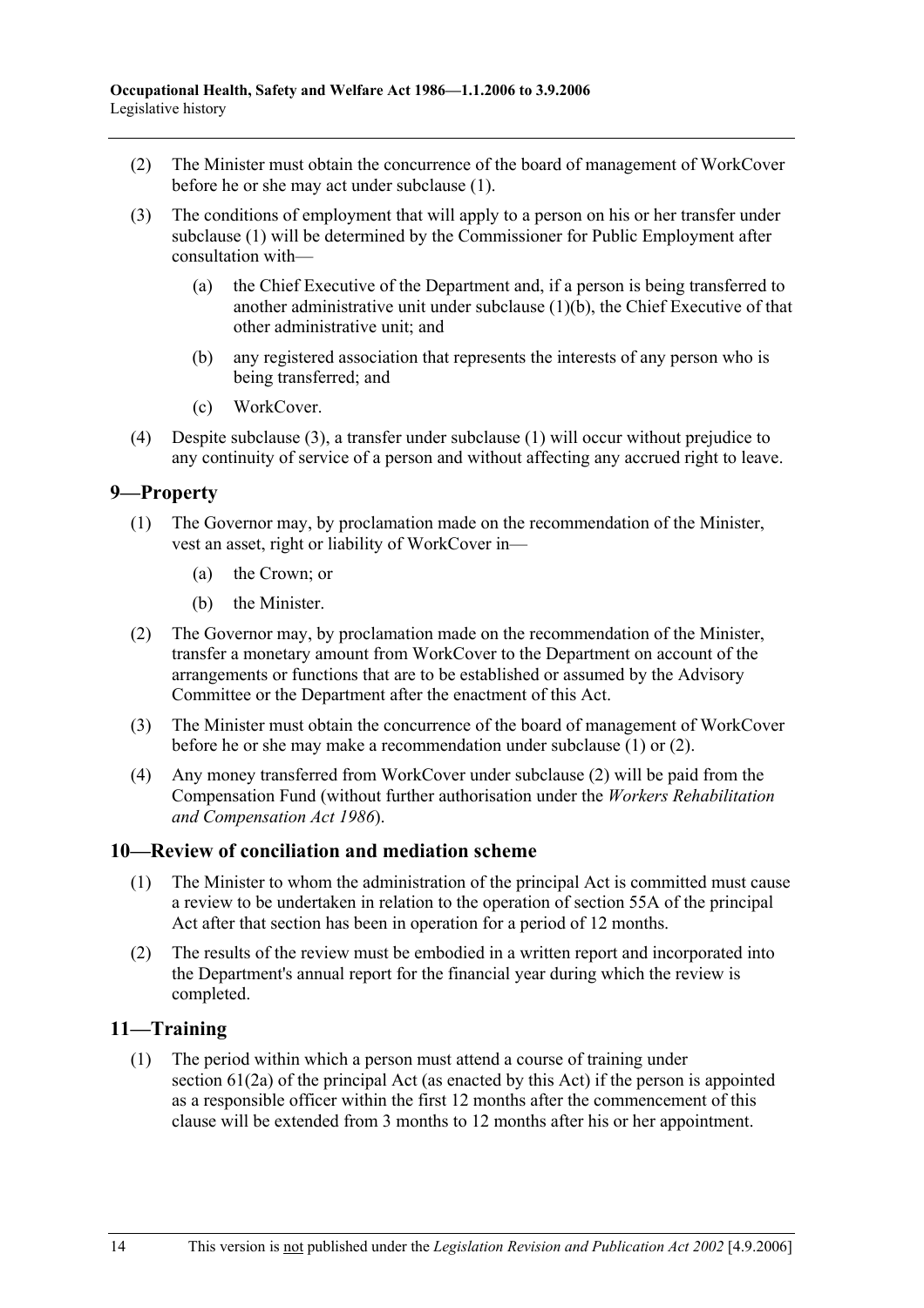- (2) The Minister must obtain the concurrence of the board of management of WorkCover before he or she may act under subclause (1).
- (3) The conditions of employment that will apply to a person on his or her transfer under subclause (1) will be determined by the Commissioner for Public Employment after consultation with—
	- (a) the Chief Executive of the Department and, if a person is being transferred to another administrative unit under subclause (1)(b), the Chief Executive of that other administrative unit; and
	- (b) any registered association that represents the interests of any person who is being transferred; and
	- (c) WorkCover.
- (4) Despite subclause (3), a transfer under subclause (1) will occur without prejudice to any continuity of service of a person and without affecting any accrued right to leave.

#### **9—Property**

- (1) The Governor may, by proclamation made on the recommendation of the Minister, vest an asset, right or liability of WorkCover in—
	- (a) the Crown; or
	- (b) the Minister.
- (2) The Governor may, by proclamation made on the recommendation of the Minister, transfer a monetary amount from WorkCover to the Department on account of the arrangements or functions that are to be established or assumed by the Advisory Committee or the Department after the enactment of this Act.
- (3) The Minister must obtain the concurrence of the board of management of WorkCover before he or she may make a recommendation under subclause (1) or (2).
- (4) Any money transferred from WorkCover under subclause (2) will be paid from the Compensation Fund (without further authorisation under the *Workers Rehabilitation and Compensation Act 1986*).

#### **10—Review of conciliation and mediation scheme**

- (1) The Minister to whom the administration of the principal Act is committed must cause a review to be undertaken in relation to the operation of section 55A of the principal Act after that section has been in operation for a period of 12 months.
- (2) The results of the review must be embodied in a written report and incorporated into the Department's annual report for the financial year during which the review is completed.

#### **11—Training**

 (1) The period within which a person must attend a course of training under section 61(2a) of the principal Act (as enacted by this Act) if the person is appointed as a responsible officer within the first 12 months after the commencement of this clause will be extended from 3 months to 12 months after his or her appointment.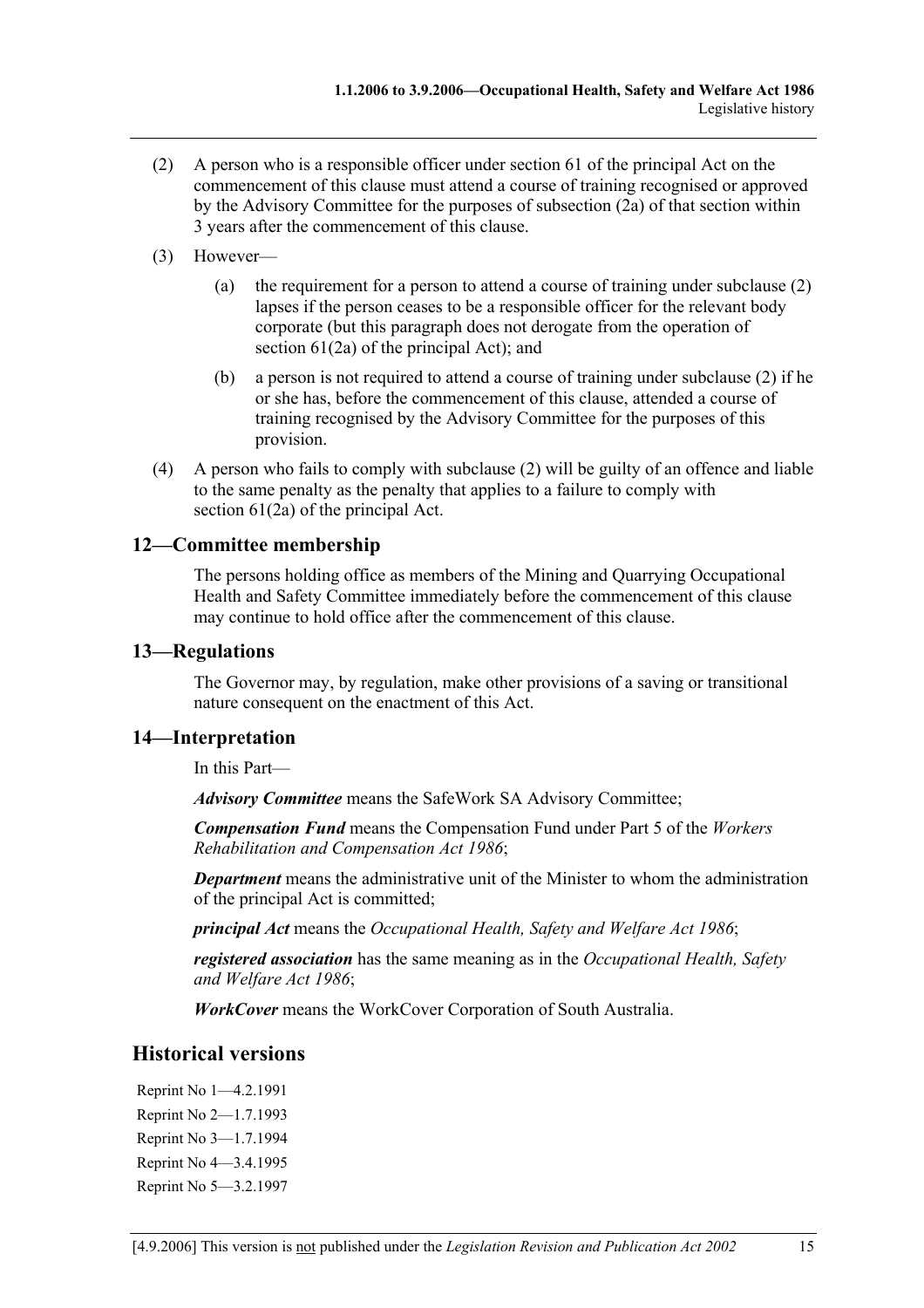- (2) A person who is a responsible officer under section 61 of the principal Act on the commencement of this clause must attend a course of training recognised or approved by the Advisory Committee for the purposes of subsection (2a) of that section within 3 years after the commencement of this clause.
- (3) However—
	- (a) the requirement for a person to attend a course of training under subclause (2) lapses if the person ceases to be a responsible officer for the relevant body corporate (but this paragraph does not derogate from the operation of section 61(2a) of the principal Act); and
	- (b) a person is not required to attend a course of training under subclause (2) if he or she has, before the commencement of this clause, attended a course of training recognised by the Advisory Committee for the purposes of this provision.
- (4) A person who fails to comply with subclause (2) will be guilty of an offence and liable to the same penalty as the penalty that applies to a failure to comply with section 61(2a) of the principal Act.

#### **12—Committee membership**

The persons holding office as members of the Mining and Quarrying Occupational Health and Safety Committee immediately before the commencement of this clause may continue to hold office after the commencement of this clause.

#### **13—Regulations**

The Governor may, by regulation, make other provisions of a saving or transitional nature consequent on the enactment of this Act.

#### **14—Interpretation**

In this Part—

*Advisory Committee* means the SafeWork SA Advisory Committee;

*Compensation Fund* means the Compensation Fund under Part 5 of the *Workers Rehabilitation and Compensation Act 1986*;

*Department* means the administrative unit of the Minister to whom the administration of the principal Act is committed;

*principal Act* means the *Occupational Health, Safety and Welfare Act 1986*;

*registered association* has the same meaning as in the *Occupational Health, Safety and Welfare Act 1986*;

*WorkCover* means the WorkCover Corporation of South Australia.

### **Historical versions**

Reprint No 1—4.2.1991 Reprint No 2—1.7.1993 Reprint No 3—1.7.1994 Reprint No 4—3.4.1995 Reprint No 5—3.2.1997